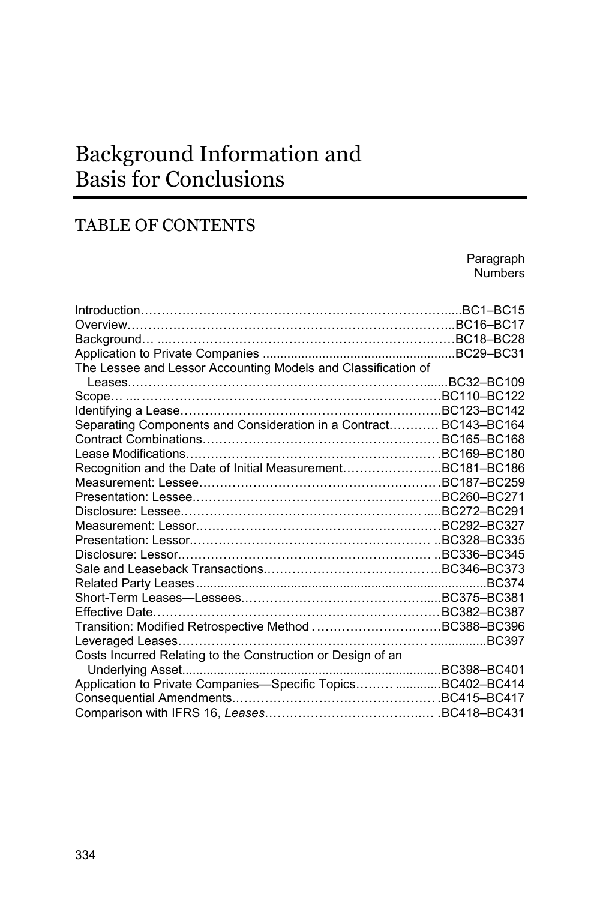# Background Information and Basis for Conclusions

# TABLE OF CONTENTS

Paragraph Numbers Introduction……………………………………………………………… ...... BC1–BC15 Overview………………………………………………………………… .... BC16–BC17 Background… ... ……………………………………………………………BC18–BC28 Application to Private Companies ....................................................... BC29–BC31 The Lessee and Lessor Accounting Models and Classification of Leases.…………………………………………………………… ........ BC32–BC109 Scope… .... ………………………………………………………………BC110–BC122 Identifying a Lease…………………………………………………… ... BC123–BC142 Separating Components and Consideration in a Contract………… BC143–BC164 Contract Combinations………………………………………………… BC165–BC168 Lease Modifications…………………………………………………… . BC169–BC180 Recognition and the Date of Initial Measurement………………… ... BC181–BC186 Measurement: Lessee………………………………………………… . BC187–BC259 Presentation: Lessee.………………………………………………… .. BC260–BC271 Disclosure: Lessee.………………………………………………… ..... BC272–BC291 Measurement: Lessor.………………………………………………… . BC292–BC327 Presentation: Lessor.………………………………………………… .. BC328–BC335 Disclosure: Lessor.…………………………………………………… .. BC336–BC345 Sale and Leaseback Transactions.………………………………… ... BC346–BC373 Related Party Leases ................................................................................... BC374 Short-Term Leases—Lessees.…………………………………… ...... BC375–BC381 Effective Date…………………………………………………………… BC382–BC387 Transition: Modified Retrospective Method . …………………………BC388–BC396 Leveraged Leases…………………………………………………… ................ BC397 Costs Incurred Relating to the Construction or Design of an Underlying Asset.......................................................................... BC398–BC401 Application to Private Companies—Specific Topics……… ............. BC402–BC414 Consequential Amendments.………………………………………… . BC415–BC417 Comparison with IFRS 16, *Leases*………………………………..… . BC418–BC431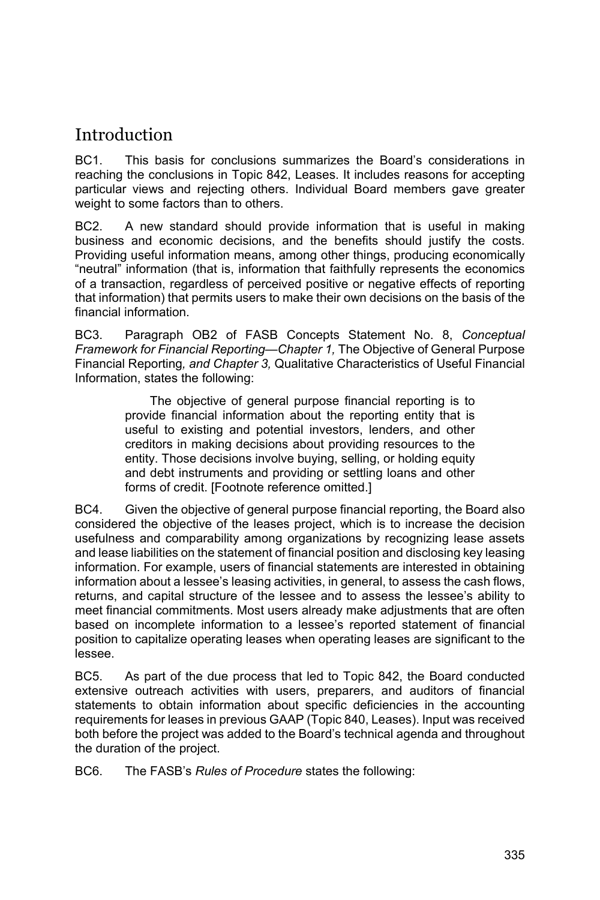# **Introduction**

BC1. This basis for conclusions summarizes the Board's considerations in reaching the conclusions in Topic 842, Leases. It includes reasons for accepting particular views and rejecting others. Individual Board members gave greater weight to some factors than to others.

BC2. A new standard should provide information that is useful in making business and economic decisions, and the benefits should justify the costs. Providing useful information means, among other things, producing economically "neutral" information (that is, information that faithfully represents the economics of a transaction, regardless of perceived positive or negative effects of reporting that information) that permits users to make their own decisions on the basis of the financial information.

BC3. Paragraph OB2 of FASB Concepts Statement No. 8, *Conceptual Framework for Financial Reporting—Chapter 1,* The Objective of General Purpose Financial Reporting*, and Chapter 3,* Qualitative Characteristics of Useful Financial Information, states the following:

> The objective of general purpose financial reporting is to provide financial information about the reporting entity that is useful to existing and potential investors, lenders, and other creditors in making decisions about providing resources to the entity. Those decisions involve buying, selling, or holding equity and debt instruments and providing or settling loans and other forms of credit. [Footnote reference omitted.]

BC4. Given the objective of general purpose financial reporting, the Board also considered the objective of the leases project, which is to increase the decision usefulness and comparability among organizations by recognizing lease assets and lease liabilities on the statement of financial position and disclosing key leasing information. For example, users of financial statements are interested in obtaining information about a lessee's leasing activities, in general, to assess the cash flows, returns, and capital structure of the lessee and to assess the lessee's ability to meet financial commitments. Most users already make adjustments that are often based on incomplete information to a lessee's reported statement of financial position to capitalize operating leases when operating leases are significant to the lessee.

BC5. As part of the due process that led to Topic 842, the Board conducted extensive outreach activities with users, preparers, and auditors of financial statements to obtain information about specific deficiencies in the accounting requirements for leases in previous GAAP (Topic 840, Leases). Input was received both before the project was added to the Board's technical agenda and throughout the duration of the project.

BC6. The FASB's *Rules of Procedure* states the following: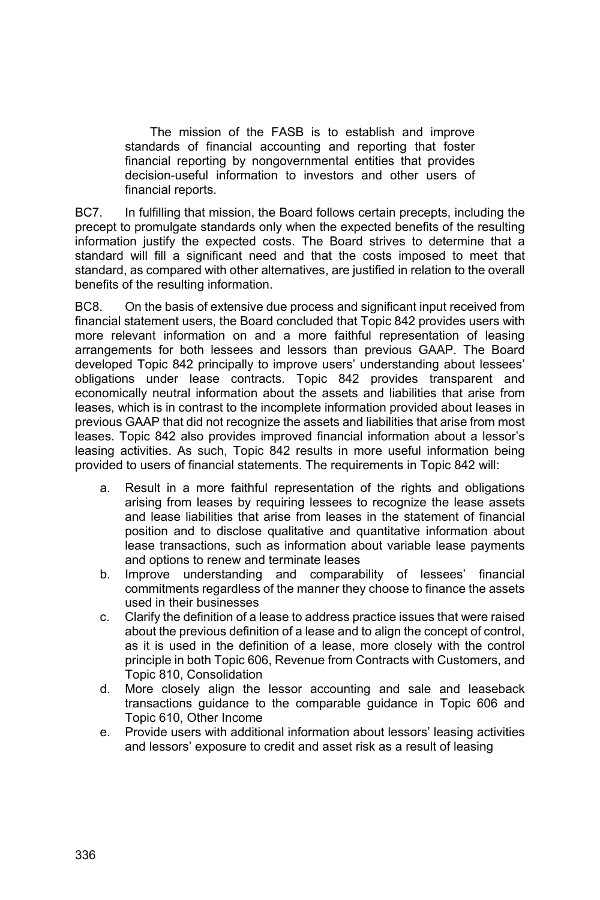The mission of the FASB is to establish and improve standards of financial accounting and reporting that foster financial reporting by nongovernmental entities that provides decision-useful information to investors and other users of financial reports.

BC7. In fulfilling that mission, the Board follows certain precepts, including the precept to promulgate standards only when the expected benefits of the resulting information justify the expected costs. The Board strives to determine that a standard will fill a significant need and that the costs imposed to meet that standard, as compared with other alternatives, are justified in relation to the overall benefits of the resulting information.

BC8. On the basis of extensive due process and significant input received from financial statement users, the Board concluded that Topic 842 provides users with more relevant information on and a more faithful representation of leasing arrangements for both lessees and lessors than previous GAAP. The Board developed Topic 842 principally to improve users' understanding about lessees' obligations under lease contracts. Topic 842 provides transparent and economically neutral information about the assets and liabilities that arise from leases, which is in contrast to the incomplete information provided about leases in previous GAAP that did not recognize the assets and liabilities that arise from most leases. Topic 842 also provides improved financial information about a lessor's leasing activities. As such, Topic 842 results in more useful information being provided to users of financial statements. The requirements in Topic 842 will:

- a. Result in a more faithful representation of the rights and obligations arising from leases by requiring lessees to recognize the lease assets and lease liabilities that arise from leases in the statement of financial position and to disclose qualitative and quantitative information about lease transactions, such as information about variable lease payments and options to renew and terminate leases
- b. Improve understanding and comparability of lessees' financial commitments regardless of the manner they choose to finance the assets used in their businesses
- c. Clarify the definition of a lease to address practice issues that were raised about the previous definition of a lease and to align the concept of control, as it is used in the definition of a lease, more closely with the control principle in both Topic 606, Revenue from Contracts with Customers, and Topic 810, Consolidation
- d. More closely align the lessor accounting and sale and leaseback transactions guidance to the comparable guidance in Topic 606 and Topic 610, Other Income
- e. Provide users with additional information about lessors' leasing activities and lessors' exposure to credit and asset risk as a result of leasing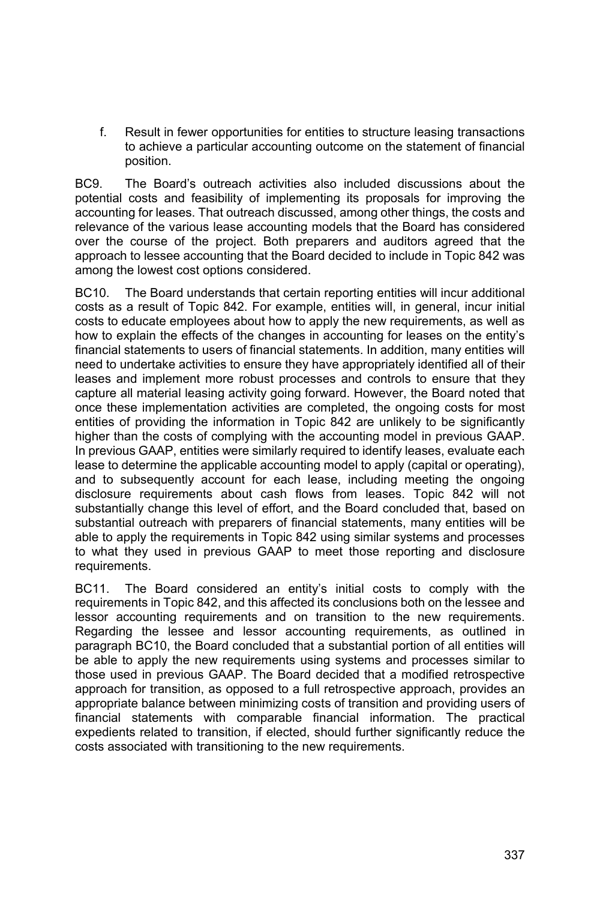f. Result in fewer opportunities for entities to structure leasing transactions to achieve a particular accounting outcome on the statement of financial position.

BC9. The Board's outreach activities also included discussions about the potential costs and feasibility of implementing its proposals for improving the accounting for leases. That outreach discussed, among other things, the costs and relevance of the various lease accounting models that the Board has considered over the course of the project. Both preparers and auditors agreed that the approach to lessee accounting that the Board decided to include in Topic 842 was among the lowest cost options considered.

BC10. The Board understands that certain reporting entities will incur additional costs as a result of Topic 842. For example, entities will, in general, incur initial costs to educate employees about how to apply the new requirements, as well as how to explain the effects of the changes in accounting for leases on the entity's financial statements to users of financial statements. In addition, many entities will need to undertake activities to ensure they have appropriately identified all of their leases and implement more robust processes and controls to ensure that they capture all material leasing activity going forward. However, the Board noted that once these implementation activities are completed, the ongoing costs for most entities of providing the information in Topic 842 are unlikely to be significantly higher than the costs of complying with the accounting model in previous GAAP. In previous GAAP, entities were similarly required to identify leases, evaluate each lease to determine the applicable accounting model to apply (capital or operating), and to subsequently account for each lease, including meeting the ongoing disclosure requirements about cash flows from leases. Topic 842 will not substantially change this level of effort, and the Board concluded that, based on substantial outreach with preparers of financial statements, many entities will be able to apply the requirements in Topic 842 using similar systems and processes to what they used in previous GAAP to meet those reporting and disclosure requirements.

BC11. The Board considered an entity's initial costs to comply with the requirements in Topic 842, and this affected its conclusions both on the lessee and lessor accounting requirements and on transition to the new requirements. Regarding the lessee and lessor accounting requirements, as outlined in paragraph BC10, the Board concluded that a substantial portion of all entities will be able to apply the new requirements using systems and processes similar to those used in previous GAAP. The Board decided that a modified retrospective approach for transition, as opposed to a full retrospective approach, provides an appropriate balance between minimizing costs of transition and providing users of financial statements with comparable financial information. The practical expedients related to transition, if elected, should further significantly reduce the costs associated with transitioning to the new requirements.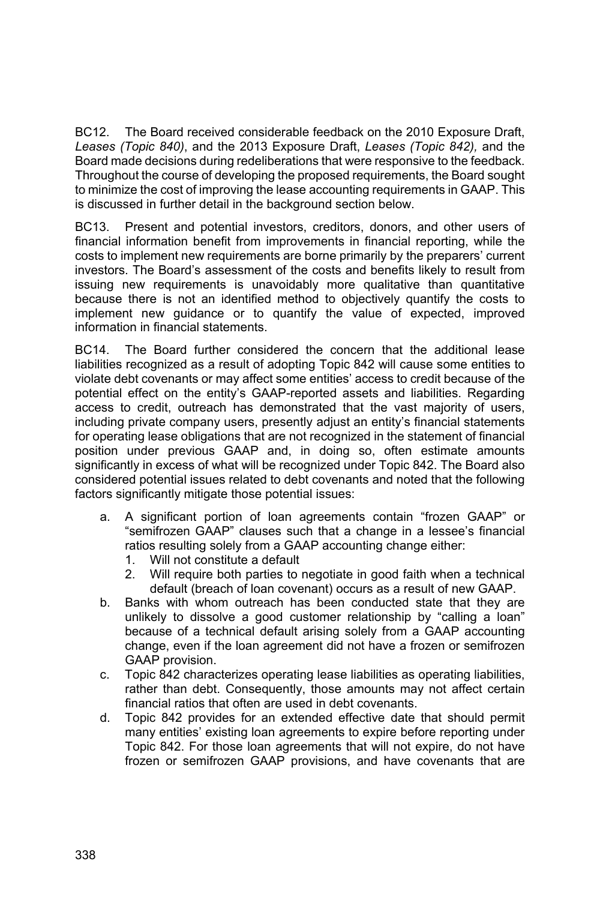BC12. The Board received considerable feedback on the 2010 Exposure Draft, *Leases (Topic 840)*, and the 2013 Exposure Draft, *Leases (Topic 842),* and the Board made decisions during redeliberations that were responsive to the feedback. Throughout the course of developing the proposed requirements, the Board sought to minimize the cost of improving the lease accounting requirements in GAAP. This is discussed in further detail in the background section below.

BC13. Present and potential investors, creditors, donors, and other users of financial information benefit from improvements in financial reporting, while the costs to implement new requirements are borne primarily by the preparers' current investors. The Board's assessment of the costs and benefits likely to result from issuing new requirements is unavoidably more qualitative than quantitative because there is not an identified method to objectively quantify the costs to implement new guidance or to quantify the value of expected, improved information in financial statements.

BC14. The Board further considered the concern that the additional lease liabilities recognized as a result of adopting Topic 842 will cause some entities to violate debt covenants or may affect some entities' access to credit because of the potential effect on the entity's GAAP-reported assets and liabilities. Regarding access to credit, outreach has demonstrated that the vast majority of users, including private company users, presently adjust an entity's financial statements for operating lease obligations that are not recognized in the statement of financial position under previous GAAP and, in doing so, often estimate amounts significantly in excess of what will be recognized under Topic 842. The Board also considered potential issues related to debt covenants and noted that the following factors significantly mitigate those potential issues:

- a. A significant portion of loan agreements contain "frozen GAAP" or "semifrozen GAAP" clauses such that a change in a lessee's financial ratios resulting solely from a GAAP accounting change either:
	- 1. Will not constitute a default
	- 2. Will require both parties to negotiate in good faith when a technical default (breach of loan covenant) occurs as a result of new GAAP.
- b. Banks with whom outreach has been conducted state that they are unlikely to dissolve a good customer relationship by "calling a loan" because of a technical default arising solely from a GAAP accounting change, even if the loan agreement did not have a frozen or semifrozen GAAP provision.
- c. Topic 842 characterizes operating lease liabilities as operating liabilities, rather than debt. Consequently, those amounts may not affect certain financial ratios that often are used in debt covenants.
- d. Topic 842 provides for an extended effective date that should permit many entities' existing loan agreements to expire before reporting under Topic 842. For those loan agreements that will not expire, do not have frozen or semifrozen GAAP provisions, and have covenants that are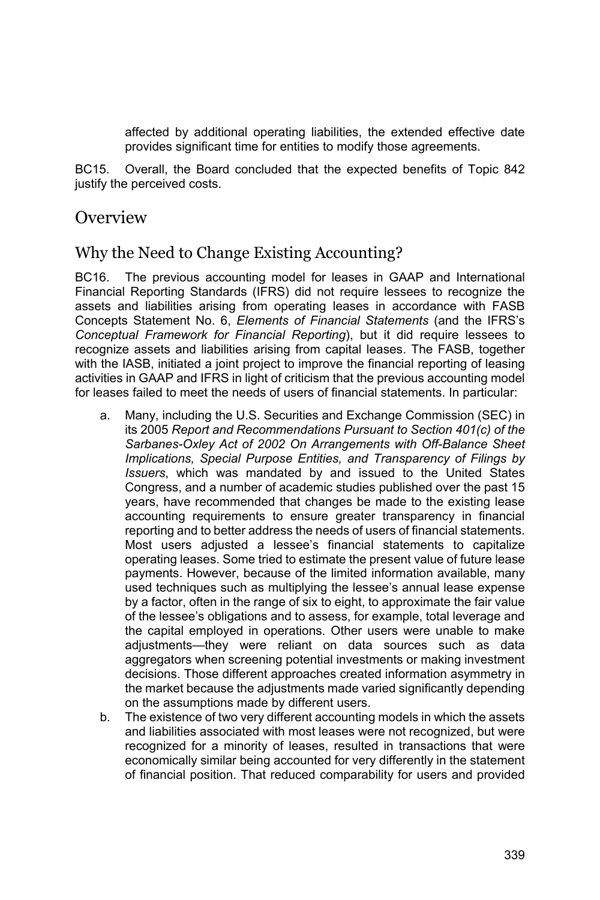affected by additional operating liabilities, the extended effective date provides significant time for entities to modify those agreements.

BC15. Overall, the Board concluded that the expected benefits of Topic 842 justify the perceived costs.

### **Overview**

### Why the Need to Change Existing Accounting?

BC16. The previous accounting model for leases in GAAP and International Financial Reporting Standards (IFRS) did not require lessees to recognize the assets and liabilities arising from operating leases in accordance with FASB Concepts Statement No. 6, *Elements of Financial Statements* (and the IFRS's *Conceptual Framework for Financial Reporting*), but it did require lessees to recognize assets and liabilities arising from capital leases. The FASB, together with the IASB, initiated a joint project to improve the financial reporting of leasing activities in GAAP and IFRS in light of criticism that the previous accounting model for leases failed to meet the needs of users of financial statements. In particular:

- a. Many, including the U.S. Securities and Exchange Commission (SEC) in its 2005 *Report and Recommendations Pursuant to Section 401(c) of the Sarbanes-Oxley Act of 2002 On Arrangements with Off-Balance Sheet Implications, Special Purpose Entities, and Transparency of Filings by Issuers*, which was mandated by and issued to the United States Congress, and a number of academic studies published over the past 15 years, have recommended that changes be made to the existing lease accounting requirements to ensure greater transparency in financial reporting and to better address the needs of users of financial statements. Most users adjusted a lessee's financial statements to capitalize operating leases. Some tried to estimate the present value of future lease payments. However, because of the limited information available, many used techniques such as multiplying the lessee's annual lease expense by a factor, often in the range of six to eight, to approximate the fair value of the lessee's obligations and to assess, for example, total leverage and the capital employed in operations. Other users were unable to make adjustments—they were reliant on data sources such as data aggregators when screening potential investments or making investment decisions. Those different approaches created information asymmetry in the market because the adjustments made varied significantly depending on the assumptions made by different users.
- b. The existence of two very different accounting models in which the assets and liabilities associated with most leases were not recognized, but were recognized for a minority of leases, resulted in transactions that were economically similar being accounted for very differently in the statement of financial position. That reduced comparability for users and provided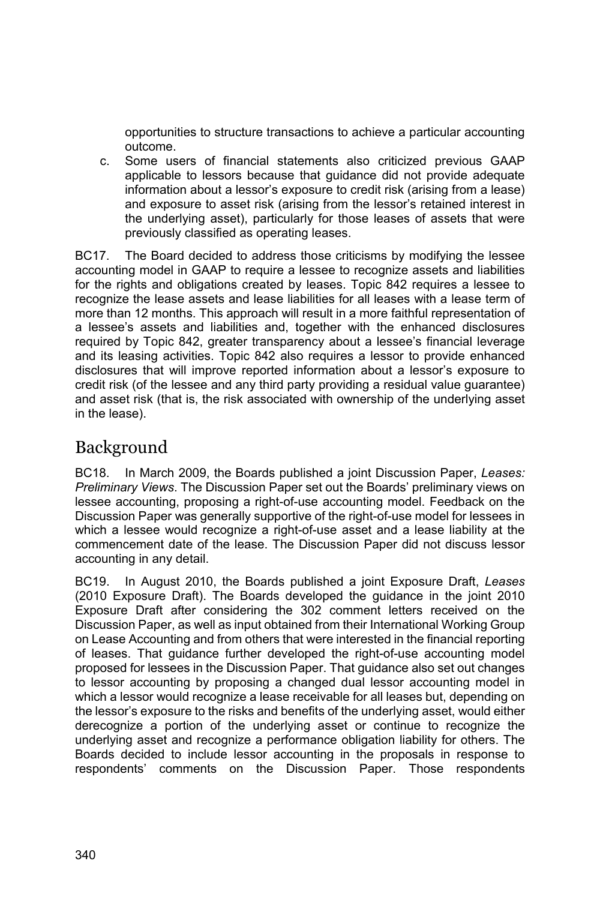opportunities to structure transactions to achieve a particular accounting outcome.

c. Some users of financial statements also criticized previous GAAP applicable to lessors because that guidance did not provide adequate information about a lessor's exposure to credit risk (arising from a lease) and exposure to asset risk (arising from the lessor's retained interest in the underlying asset), particularly for those leases of assets that were previously classified as operating leases.

BC17. The Board decided to address those criticisms by modifying the lessee accounting model in GAAP to require a lessee to recognize assets and liabilities for the rights and obligations created by leases. Topic 842 requires a lessee to recognize the lease assets and lease liabilities for all leases with a lease term of more than 12 months. This approach will result in a more faithful representation of a lessee's assets and liabilities and, together with the enhanced disclosures required by Topic 842, greater transparency about a lessee's financial leverage and its leasing activities. Topic 842 also requires a lessor to provide enhanced disclosures that will improve reported information about a lessor's exposure to credit risk (of the lessee and any third party providing a residual value guarantee) and asset risk (that is, the risk associated with ownership of the underlying asset in the lease).

# Background

BC18. In March 2009, the Boards published a joint Discussion Paper, *Leases: Preliminary Views*. The Discussion Paper set out the Boards' preliminary views on lessee accounting, proposing a right-of-use accounting model. Feedback on the Discussion Paper was generally supportive of the right-of-use model for lessees in which a lessee would recognize a right-of-use asset and a lease liability at the commencement date of the lease. The Discussion Paper did not discuss lessor accounting in any detail.

BC19. In August 2010, the Boards published a joint Exposure Draft, *Leases* (2010 Exposure Draft). The Boards developed the guidance in the joint 2010 Exposure Draft after considering the 302 comment letters received on the Discussion Paper, as well as input obtained from their International Working Group on Lease Accounting and from others that were interested in the financial reporting of leases. That guidance further developed the right-of-use accounting model proposed for lessees in the Discussion Paper. That guidance also set out changes to lessor accounting by proposing a changed dual lessor accounting model in which a lessor would recognize a lease receivable for all leases but, depending on the lessor's exposure to the risks and benefits of the underlying asset, would either derecognize a portion of the underlying asset or continue to recognize the underlying asset and recognize a performance obligation liability for others. The Boards decided to include lessor accounting in the proposals in response to respondents' comments on the Discussion Paper. Those respondents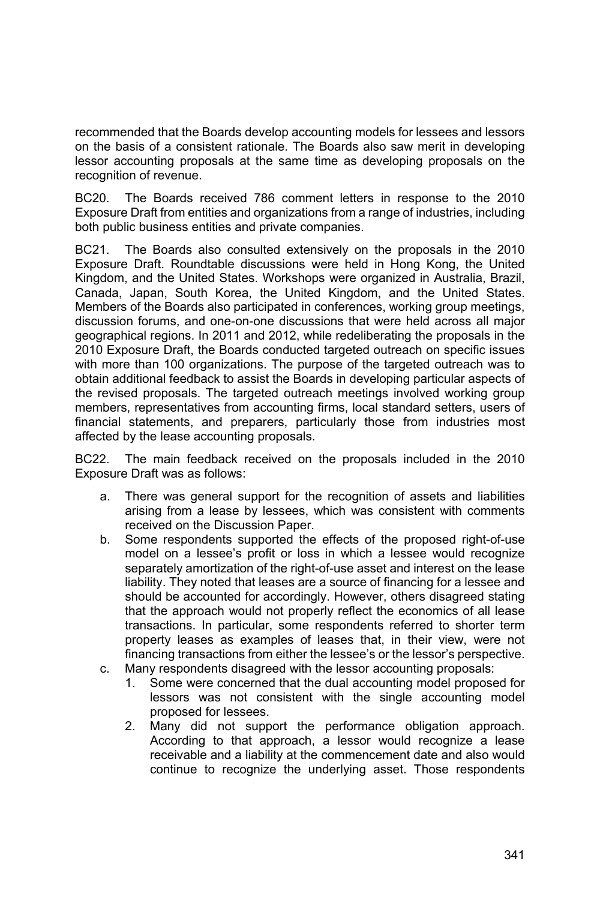recommended that the Boards develop accounting models for lessees and lessors on the basis of a consistent rationale. The Boards also saw merit in developing lessor accounting proposals at the same time as developing proposals on the recognition of revenue.

BC20. The Boards received 786 comment letters in response to the 2010 Exposure Draft from entities and organizations from a range of industries, including both public business entities and private companies.

BC21. The Boards also consulted extensively on the proposals in the 2010 Exposure Draft. Roundtable discussions were held in Hong Kong, the United Kingdom, and the United States. Workshops were organized in Australia, Brazil, Canada, Japan, South Korea, the United Kingdom, and the United States. Members of the Boards also participated in conferences, working group meetings, discussion forums, and one-on-one discussions that were held across all major geographical regions. In 2011 and 2012, while redeliberating the proposals in the 2010 Exposure Draft, the Boards conducted targeted outreach on specific issues with more than 100 organizations. The purpose of the targeted outreach was to obtain additional feedback to assist the Boards in developing particular aspects of the revised proposals. The targeted outreach meetings involved working group members, representatives from accounting firms, local standard setters, users of financial statements, and preparers, particularly those from industries most affected by the lease accounting proposals.

BC22. The main feedback received on the proposals included in the 2010 Exposure Draft was as follows:

- a. There was general support for the recognition of assets and liabilities arising from a lease by lessees, which was consistent with comments received on the Discussion Paper.
- b. Some respondents supported the effects of the proposed right-of-use model on a lessee's profit or loss in which a lessee would recognize separately amortization of the right-of-use asset and interest on the lease liability. They noted that leases are a source of financing for a lessee and should be accounted for accordingly. However, others disagreed stating that the approach would not properly reflect the economics of all lease transactions. In particular, some respondents referred to shorter term property leases as examples of leases that, in their view, were not financing transactions from either the lessee's or the lessor's perspective.
- c. Many respondents disagreed with the lessor accounting proposals:
	- 1. Some were concerned that the dual accounting model proposed for lessors was not consistent with the single accounting model proposed for lessees.
	- 2. Many did not support the performance obligation approach. According to that approach, a lessor would recognize a lease receivable and a liability at the commencement date and also would continue to recognize the underlying asset. Those respondents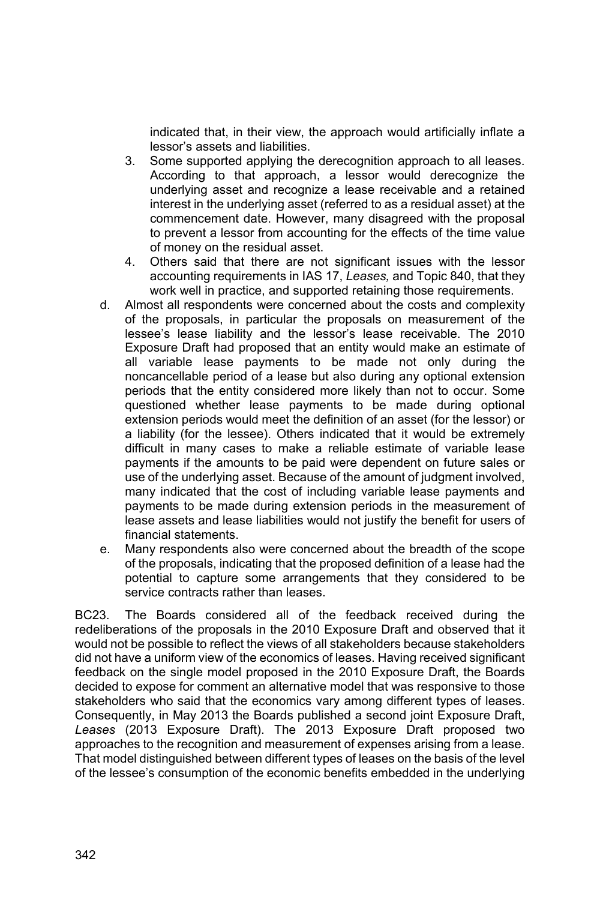indicated that, in their view, the approach would artificially inflate a lessor's assets and liabilities.

- 3. Some supported applying the derecognition approach to all leases. According to that approach, a lessor would derecognize the underlying asset and recognize a lease receivable and a retained interest in the underlying asset (referred to as a residual asset) at the commencement date. However, many disagreed with the proposal to prevent a lessor from accounting for the effects of the time value of money on the residual asset.
- 4. Others said that there are not significant issues with the lessor accounting requirements in IAS 17, *Leases,* and Topic 840, that they work well in practice, and supported retaining those requirements.
- d. Almost all respondents were concerned about the costs and complexity of the proposals, in particular the proposals on measurement of the lessee's lease liability and the lessor's lease receivable. The 2010 Exposure Draft had proposed that an entity would make an estimate of all variable lease payments to be made not only during the noncancellable period of a lease but also during any optional extension periods that the entity considered more likely than not to occur. Some questioned whether lease payments to be made during optional extension periods would meet the definition of an asset (for the lessor) or a liability (for the lessee). Others indicated that it would be extremely difficult in many cases to make a reliable estimate of variable lease payments if the amounts to be paid were dependent on future sales or use of the underlying asset. Because of the amount of judgment involved, many indicated that the cost of including variable lease payments and payments to be made during extension periods in the measurement of lease assets and lease liabilities would not justify the benefit for users of financial statements.
- e. Many respondents also were concerned about the breadth of the scope of the proposals, indicating that the proposed definition of a lease had the potential to capture some arrangements that they considered to be service contracts rather than leases.

BC23. The Boards considered all of the feedback received during the redeliberations of the proposals in the 2010 Exposure Draft and observed that it would not be possible to reflect the views of all stakeholders because stakeholders did not have a uniform view of the economics of leases. Having received significant feedback on the single model proposed in the 2010 Exposure Draft, the Boards decided to expose for comment an alternative model that was responsive to those stakeholders who said that the economics vary among different types of leases. Consequently, in May 2013 the Boards published a second joint Exposure Draft, *Leases* (2013 Exposure Draft). The 2013 Exposure Draft proposed two approaches to the recognition and measurement of expenses arising from a lease. That model distinguished between different types of leases on the basis of the level of the lessee's consumption of the economic benefits embedded in the underlying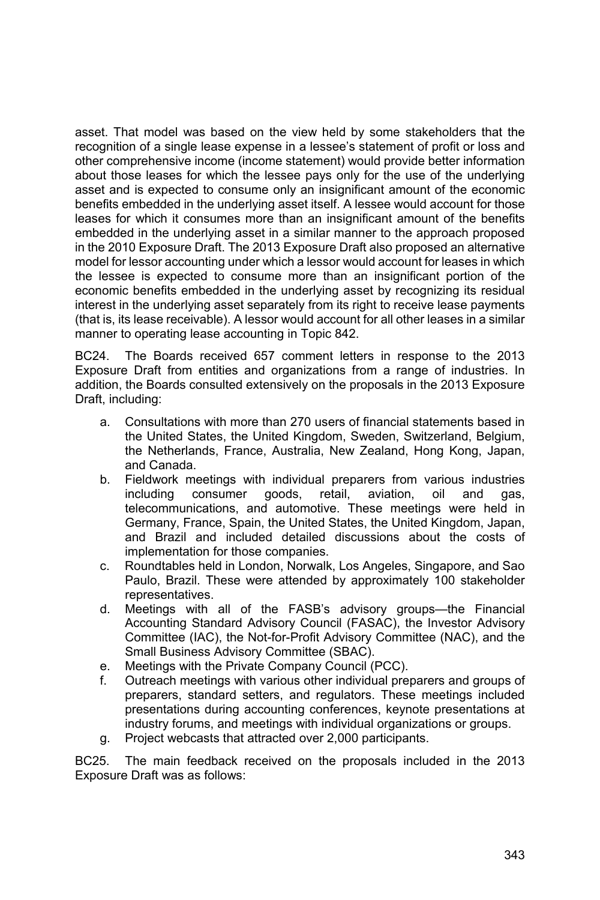asset. That model was based on the view held by some stakeholders that the recognition of a single lease expense in a lessee's statement of profit or loss and other comprehensive income (income statement) would provide better information about those leases for which the lessee pays only for the use of the underlying asset and is expected to consume only an insignificant amount of the economic benefits embedded in the underlying asset itself. A lessee would account for those leases for which it consumes more than an insignificant amount of the benefits embedded in the underlying asset in a similar manner to the approach proposed in the 2010 Exposure Draft. The 2013 Exposure Draft also proposed an alternative model for lessor accounting under which a lessor would account for leases in which the lessee is expected to consume more than an insignificant portion of the economic benefits embedded in the underlying asset by recognizing its residual interest in the underlying asset separately from its right to receive lease payments (that is, its lease receivable). A lessor would account for all other leases in a similar manner to operating lease accounting in Topic 842.

BC24. The Boards received 657 comment letters in response to the 2013 Exposure Draft from entities and organizations from a range of industries. In addition, the Boards consulted extensively on the proposals in the 2013 Exposure Draft, including:

- a. Consultations with more than 270 users of financial statements based in the United States, the United Kingdom, Sweden, Switzerland, Belgium, the Netherlands, France, Australia, New Zealand, Hong Kong, Japan, and Canada.
- b. Fieldwork meetings with individual preparers from various industries including consumer goods, retail, aviation, oil and gas, telecommunications, and automotive. These meetings were held in Germany, France, Spain, the United States, the United Kingdom, Japan, and Brazil and included detailed discussions about the costs of implementation for those companies.
- c. Roundtables held in London, Norwalk, Los Angeles, Singapore, and Sao Paulo, Brazil. These were attended by approximately 100 stakeholder representatives.
- d. Meetings with all of the FASB's advisory groups—the Financial Accounting Standard Advisory Council (FASAC), the Investor Advisory Committee (IAC), the Not-for-Profit Advisory Committee (NAC), and the Small Business Advisory Committee (SBAC).
- e. Meetings with the Private Company Council (PCC).
- f. Outreach meetings with various other individual preparers and groups of preparers, standard setters, and regulators. These meetings included presentations during accounting conferences, keynote presentations at industry forums, and meetings with individual organizations or groups.
- g. Project webcasts that attracted over 2,000 participants.

BC25. The main feedback received on the proposals included in the 2013 Exposure Draft was as follows: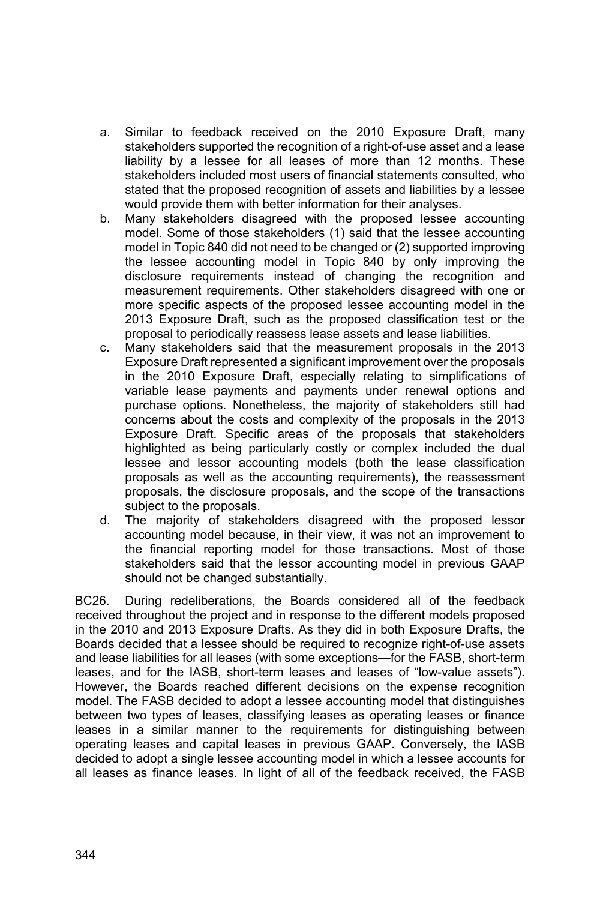- a. Similar to feedback received on the 2010 Exposure Draft, many stakeholders supported the recognition of a right-of-use asset and a lease liability by a lessee for all leases of more than 12 months. These stakeholders included most users of financial statements consulted, who stated that the proposed recognition of assets and liabilities by a lessee would provide them with better information for their analyses.
- b. Many stakeholders disagreed with the proposed lessee accounting model. Some of those stakeholders (1) said that the lessee accounting model in Topic 840 did not need to be changed or (2) supported improving the lessee accounting model in Topic 840 by only improving the disclosure requirements instead of changing the recognition and measurement requirements. Other stakeholders disagreed with one or more specific aspects of the proposed lessee accounting model in the 2013 Exposure Draft, such as the proposed classification test or the proposal to periodically reassess lease assets and lease liabilities.
- c. Many stakeholders said that the measurement proposals in the 2013 Exposure Draft represented a significant improvement over the proposals in the 2010 Exposure Draft, especially relating to simplifications of variable lease payments and payments under renewal options and purchase options. Nonetheless, the majority of stakeholders still had concerns about the costs and complexity of the proposals in the 2013 Exposure Draft. Specific areas of the proposals that stakeholders highlighted as being particularly costly or complex included the dual lessee and lessor accounting models (both the lease classification proposals as well as the accounting requirements), the reassessment proposals, the disclosure proposals, and the scope of the transactions subject to the proposals.
- d. The majority of stakeholders disagreed with the proposed lessor accounting model because, in their view, it was not an improvement to the financial reporting model for those transactions. Most of those stakeholders said that the lessor accounting model in previous GAAP should not be changed substantially.

BC26. During redeliberations, the Boards considered all of the feedback received throughout the project and in response to the different models proposed in the 2010 and 2013 Exposure Drafts. As they did in both Exposure Drafts, the Boards decided that a lessee should be required to recognize right-of-use assets and lease liabilities for all leases (with some exceptions—for the FASB, short-term leases, and for the IASB, short-term leases and leases of "low-value assets"). However, the Boards reached different decisions on the expense recognition model. The FASB decided to adopt a lessee accounting model that distinguishes between two types of leases, classifying leases as operating leases or finance leases in a similar manner to the requirements for distinguishing between operating leases and capital leases in previous GAAP. Conversely, the IASB decided to adopt a single lessee accounting model in which a lessee accounts for all leases as finance leases. In light of all of the feedback received, the FASB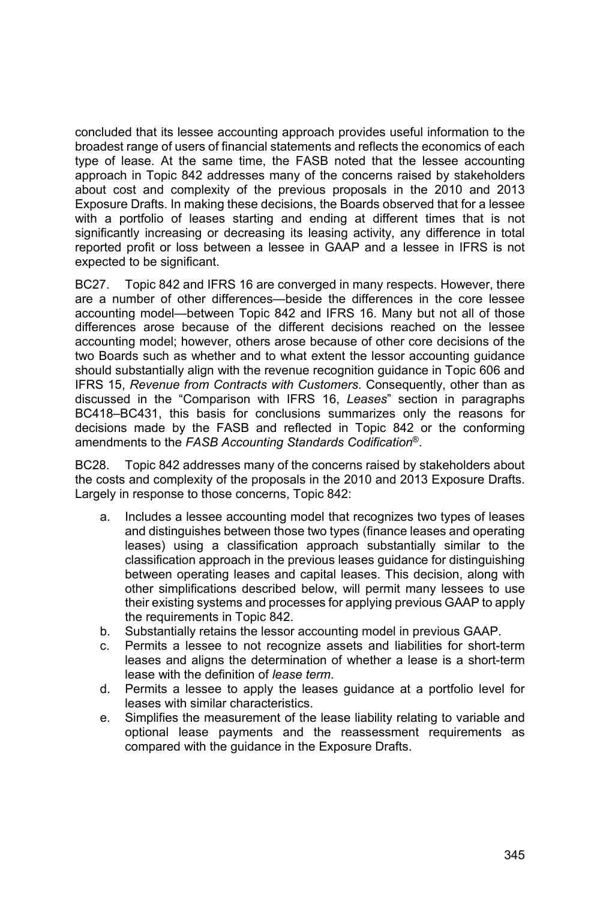concluded that its lessee accounting approach provides useful information to the broadest range of users of financial statements and reflects the economics of each type of lease. At the same time, the FASB noted that the lessee accounting approach in Topic 842 addresses many of the concerns raised by stakeholders about cost and complexity of the previous proposals in the 2010 and 2013 Exposure Drafts. In making these decisions, the Boards observed that for a lessee with a portfolio of leases starting and ending at different times that is not significantly increasing or decreasing its leasing activity, any difference in total reported profit or loss between a lessee in GAAP and a lessee in IFRS is not expected to be significant.

BC27. Topic 842 and IFRS 16 are converged in many respects. However, there are a number of other differences—beside the differences in the core lessee accounting model—between Topic 842 and IFRS 16. Many but not all of those differences arose because of the different decisions reached on the lessee accounting model; however, others arose because of other core decisions of the two Boards such as whether and to what extent the lessor accounting guidance should substantially align with the revenue recognition guidance in Topic 606 and IFRS 15, *Revenue from Contracts with Customers*. Consequently, other than as discussed in the "Comparison with IFRS 16, *Leases*" section in paragraphs BC418–BC431, this basis for conclusions summarizes only the reasons for decisions made by the FASB and reflected in Topic 842 or the conforming amendments to the *FASB Accounting Standards Codification*®.

BC28. Topic 842 addresses many of the concerns raised by stakeholders about the costs and complexity of the proposals in the 2010 and 2013 Exposure Drafts. Largely in response to those concerns, Topic 842:

- a. Includes a lessee accounting model that recognizes two types of leases and distinguishes between those two types (finance leases and operating leases) using a classification approach substantially similar to the classification approach in the previous leases guidance for distinguishing between operating leases and capital leases. This decision, along with other simplifications described below, will permit many lessees to use their existing systems and processes for applying previous GAAP to apply the requirements in Topic 842.
- b. Substantially retains the lessor accounting model in previous GAAP.
- c. Permits a lessee to not recognize assets and liabilities for short-term leases and aligns the determination of whether a lease is a short-term lease with the definition of *lease term*.
- d. Permits a lessee to apply the leases guidance at a portfolio level for leases with similar characteristics.
- e. Simplifies the measurement of the lease liability relating to variable and optional lease payments and the reassessment requirements as compared with the guidance in the Exposure Drafts.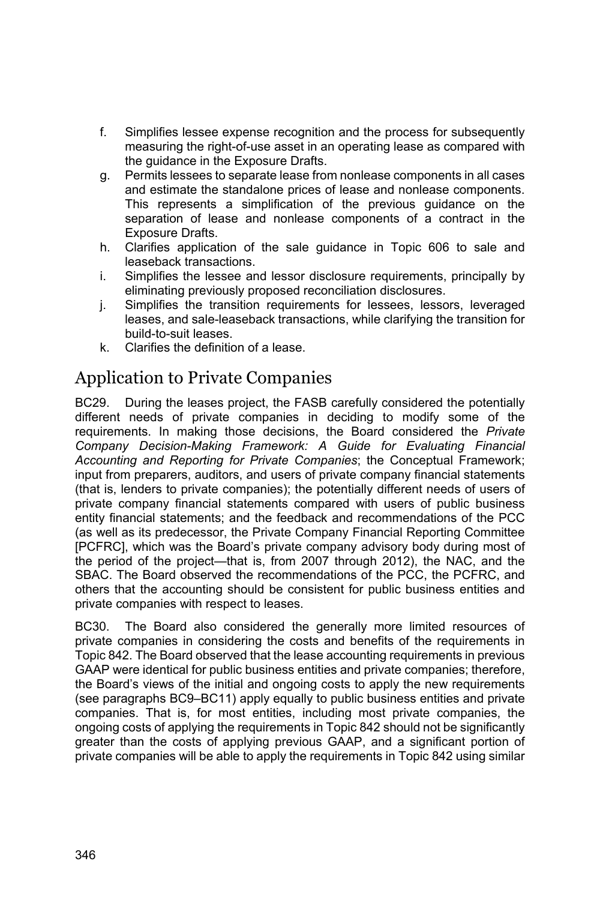- f. Simplifies lessee expense recognition and the process for subsequently measuring the right-of-use asset in an operating lease as compared with the guidance in the Exposure Drafts.
- g. Permits lessees to separate lease from nonlease components in all cases and estimate the standalone prices of lease and nonlease components. This represents a simplification of the previous guidance on the separation of lease and nonlease components of a contract in the Exposure Drafts.
- h. Clarifies application of the sale guidance in Topic 606 to sale and leaseback transactions.
- i. Simplifies the lessee and lessor disclosure requirements, principally by eliminating previously proposed reconciliation disclosures.
- j. Simplifies the transition requirements for lessees, lessors, leveraged leases, and sale-leaseback transactions, while clarifying the transition for build-to-suit leases.
- k. Clarifies the definition of a lease.

# Application to Private Companies

BC29. During the leases project, the FASB carefully considered the potentially different needs of private companies in deciding to modify some of the requirements. In making those decisions, the Board considered the *Private Company Decision-Making Framework: A Guide for Evaluating Financial Accounting and Reporting for Private Companies*; the Conceptual Framework; input from preparers, auditors, and users of private company financial statements (that is, lenders to private companies); the potentially different needs of users of private company financial statements compared with users of public business entity financial statements; and the feedback and recommendations of the PCC (as well as its predecessor, the Private Company Financial Reporting Committee [PCFRC], which was the Board's private company advisory body during most of the period of the project—that is, from 2007 through 2012), the NAC, and the SBAC. The Board observed the recommendations of the PCC, the PCFRC, and others that the accounting should be consistent for public business entities and private companies with respect to leases.

BC30. The Board also considered the generally more limited resources of private companies in considering the costs and benefits of the requirements in Topic 842. The Board observed that the lease accounting requirements in previous GAAP were identical for public business entities and private companies; therefore, the Board's views of the initial and ongoing costs to apply the new requirements (see paragraphs BC9–BC11) apply equally to public business entities and private companies. That is, for most entities, including most private companies, the ongoing costs of applying the requirements in Topic 842 should not be significantly greater than the costs of applying previous GAAP, and a significant portion of private companies will be able to apply the requirements in Topic 842 using similar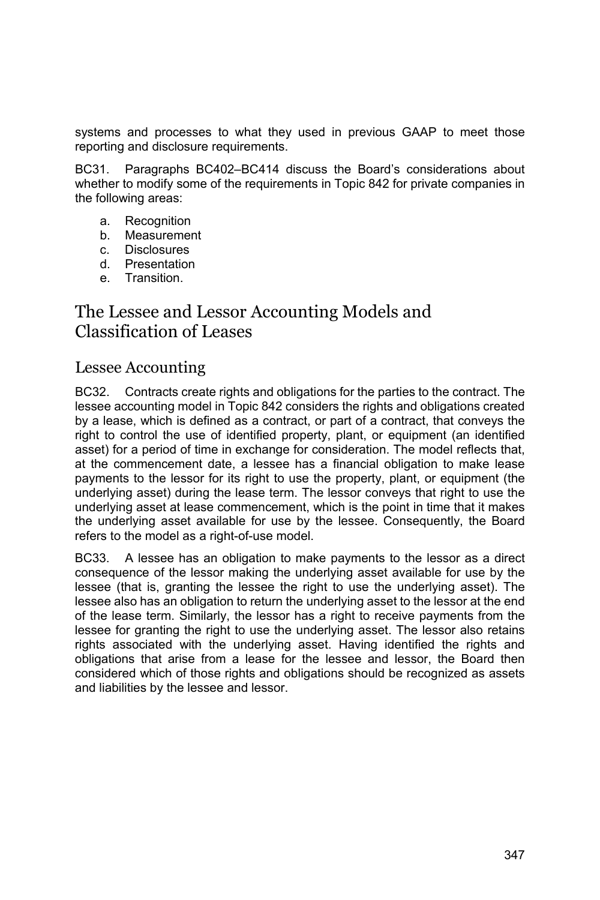systems and processes to what they used in previous GAAP to meet those reporting and disclosure requirements.

BC31. Paragraphs BC402–BC414 discuss the Board's considerations about whether to modify some of the requirements in Topic 842 for private companies in the following areas:

- a. Recognition
- b. Measurement
- c. Disclosures
- d. Presentation
- e. Transition.

# The Lessee and Lessor Accounting Models and Classification of Leases

### Lessee Accounting

BC32. Contracts create rights and obligations for the parties to the contract. The lessee accounting model in Topic 842 considers the rights and obligations created by a lease, which is defined as a contract, or part of a contract, that conveys the right to control the use of identified property, plant, or equipment (an identified asset) for a period of time in exchange for consideration. The model reflects that, at the commencement date, a lessee has a financial obligation to make lease payments to the lessor for its right to use the property, plant, or equipment (the underlying asset) during the lease term. The lessor conveys that right to use the underlying asset at lease commencement, which is the point in time that it makes the underlying asset available for use by the lessee. Consequently, the Board refers to the model as a right-of-use model.

BC33. A lessee has an obligation to make payments to the lessor as a direct consequence of the lessor making the underlying asset available for use by the lessee (that is, granting the lessee the right to use the underlying asset). The lessee also has an obligation to return the underlying asset to the lessor at the end of the lease term. Similarly, the lessor has a right to receive payments from the lessee for granting the right to use the underlying asset. The lessor also retains rights associated with the underlying asset. Having identified the rights and obligations that arise from a lease for the lessee and lessor, the Board then considered which of those rights and obligations should be recognized as assets and liabilities by the lessee and lessor.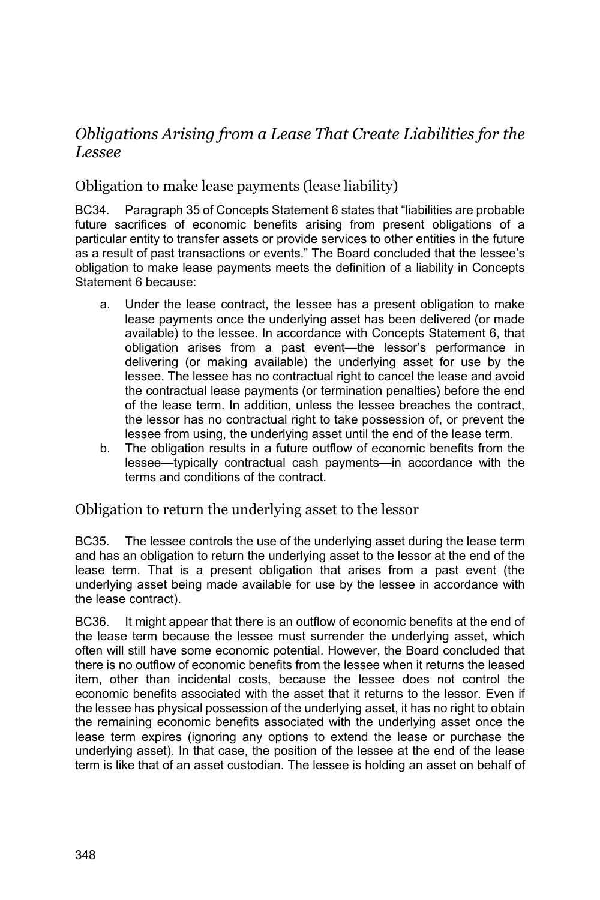# *Obligations Arising from a Lease That Create Liabilities for the Lessee*

### Obligation to make lease payments (lease liability)

BC34. Paragraph 35 of Concepts Statement 6 states that "liabilities are probable future sacrifices of economic benefits arising from present obligations of a particular entity to transfer assets or provide services to other entities in the future as a result of past transactions or events." The Board concluded that the lessee's obligation to make lease payments meets the definition of a liability in Concepts Statement 6 because:

- a. Under the lease contract, the lessee has a present obligation to make lease payments once the underlying asset has been delivered (or made available) to the lessee. In accordance with Concepts Statement 6, that obligation arises from a past event—the lessor's performance in delivering (or making available) the underlying asset for use by the lessee. The lessee has no contractual right to cancel the lease and avoid the contractual lease payments (or termination penalties) before the end of the lease term. In addition, unless the lessee breaches the contract, the lessor has no contractual right to take possession of, or prevent the lessee from using, the underlying asset until the end of the lease term.
- b. The obligation results in a future outflow of economic benefits from the lessee—typically contractual cash payments—in accordance with the terms and conditions of the contract.

#### Obligation to return the underlying asset to the lessor

BC35. The lessee controls the use of the underlying asset during the lease term and has an obligation to return the underlying asset to the lessor at the end of the lease term. That is a present obligation that arises from a past event (the underlying asset being made available for use by the lessee in accordance with the lease contract).

BC36. It might appear that there is an outflow of economic benefits at the end of the lease term because the lessee must surrender the underlying asset, which often will still have some economic potential. However, the Board concluded that there is no outflow of economic benefits from the lessee when it returns the leased item, other than incidental costs, because the lessee does not control the economic benefits associated with the asset that it returns to the lessor. Even if the lessee has physical possession of the underlying asset, it has no right to obtain the remaining economic benefits associated with the underlying asset once the lease term expires (ignoring any options to extend the lease or purchase the underlying asset). In that case, the position of the lessee at the end of the lease term is like that of an asset custodian. The lessee is holding an asset on behalf of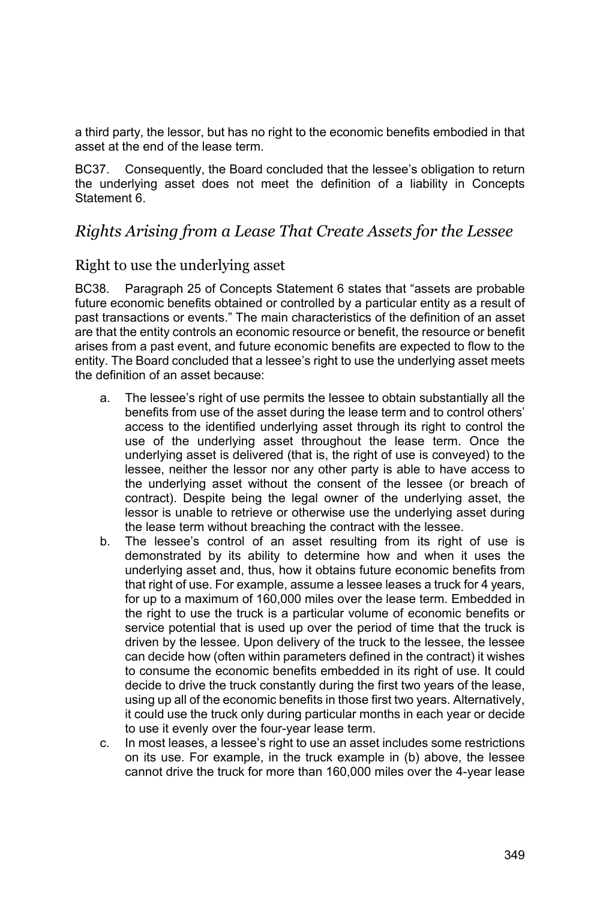a third party, the lessor, but has no right to the economic benefits embodied in that asset at the end of the lease term.

BC37. Consequently, the Board concluded that the lessee's obligation to return the underlying asset does not meet the definition of a liability in Concepts Statement 6.

### *Rights Arising from a Lease That Create Assets for the Lessee*

#### Right to use the underlying asset

BC38. Paragraph 25 of Concepts Statement 6 states that "assets are probable future economic benefits obtained or controlled by a particular entity as a result of past transactions or events." The main characteristics of the definition of an asset are that the entity controls an economic resource or benefit, the resource or benefit arises from a past event, and future economic benefits are expected to flow to the entity. The Board concluded that a lessee's right to use the underlying asset meets the definition of an asset because:

- a. The lessee's right of use permits the lessee to obtain substantially all the benefits from use of the asset during the lease term and to control others' access to the identified underlying asset through its right to control the use of the underlying asset throughout the lease term. Once the underlying asset is delivered (that is, the right of use is conveyed) to the lessee, neither the lessor nor any other party is able to have access to the underlying asset without the consent of the lessee (or breach of contract). Despite being the legal owner of the underlying asset, the lessor is unable to retrieve or otherwise use the underlying asset during the lease term without breaching the contract with the lessee.
- b. The lessee's control of an asset resulting from its right of use is demonstrated by its ability to determine how and when it uses the underlying asset and, thus, how it obtains future economic benefits from that right of use. For example, assume a lessee leases a truck for 4 years, for up to a maximum of 160,000 miles over the lease term. Embedded in the right to use the truck is a particular volume of economic benefits or service potential that is used up over the period of time that the truck is driven by the lessee. Upon delivery of the truck to the lessee, the lessee can decide how (often within parameters defined in the contract) it wishes to consume the economic benefits embedded in its right of use. It could decide to drive the truck constantly during the first two years of the lease, using up all of the economic benefits in those first two years. Alternatively, it could use the truck only during particular months in each year or decide to use it evenly over the four-year lease term.
- c. In most leases, a lessee's right to use an asset includes some restrictions on its use. For example, in the truck example in (b) above, the lessee cannot drive the truck for more than 160,000 miles over the 4-year lease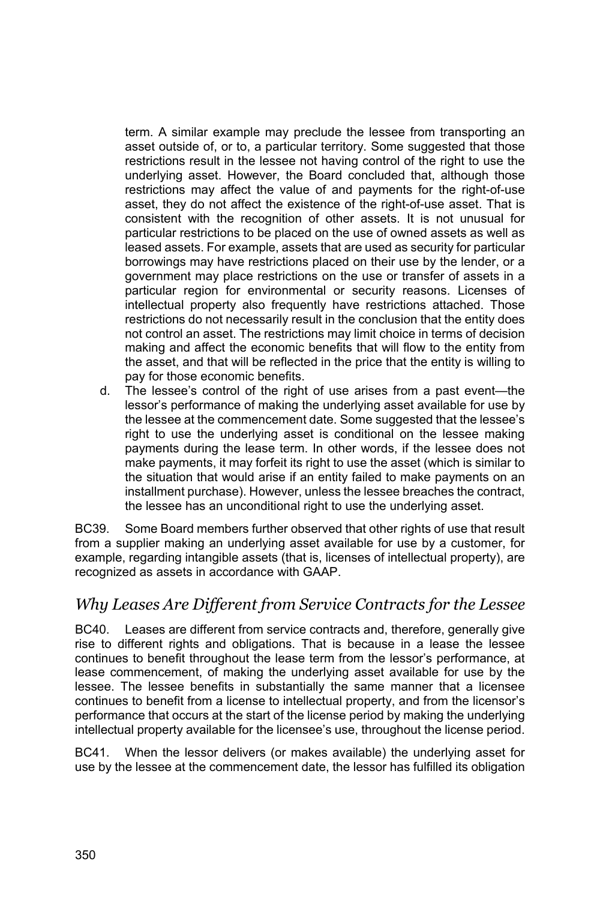term. A similar example may preclude the lessee from transporting an asset outside of, or to, a particular territory. Some suggested that those restrictions result in the lessee not having control of the right to use the underlying asset. However, the Board concluded that, although those restrictions may affect the value of and payments for the right-of-use asset, they do not affect the existence of the right-of-use asset. That is consistent with the recognition of other assets. It is not unusual for particular restrictions to be placed on the use of owned assets as well as leased assets. For example, assets that are used as security for particular borrowings may have restrictions placed on their use by the lender, or a government may place restrictions on the use or transfer of assets in a particular region for environmental or security reasons. Licenses of intellectual property also frequently have restrictions attached. Those restrictions do not necessarily result in the conclusion that the entity does not control an asset. The restrictions may limit choice in terms of decision making and affect the economic benefits that will flow to the entity from the asset, and that will be reflected in the price that the entity is willing to pay for those economic benefits.

d. The lessee's control of the right of use arises from a past event—the lessor's performance of making the underlying asset available for use by the lessee at the commencement date. Some suggested that the lessee's right to use the underlying asset is conditional on the lessee making payments during the lease term. In other words, if the lessee does not make payments, it may forfeit its right to use the asset (which is similar to the situation that would arise if an entity failed to make payments on an installment purchase). However, unless the lessee breaches the contract, the lessee has an unconditional right to use the underlying asset.

BC39. Some Board members further observed that other rights of use that result from a supplier making an underlying asset available for use by a customer, for example, regarding intangible assets (that is, licenses of intellectual property), are recognized as assets in accordance with GAAP.

### *Why Leases Are Different from Service Contracts for the Lessee*

BC40. Leases are different from service contracts and, therefore, generally give rise to different rights and obligations. That is because in a lease the lessee continues to benefit throughout the lease term from the lessor's performance, at lease commencement, of making the underlying asset available for use by the lessee. The lessee benefits in substantially the same manner that a licensee continues to benefit from a license to intellectual property, and from the licensor's performance that occurs at the start of the license period by making the underlying intellectual property available for the licensee's use, throughout the license period.

BC41. When the lessor delivers (or makes available) the underlying asset for use by the lessee at the commencement date, the lessor has fulfilled its obligation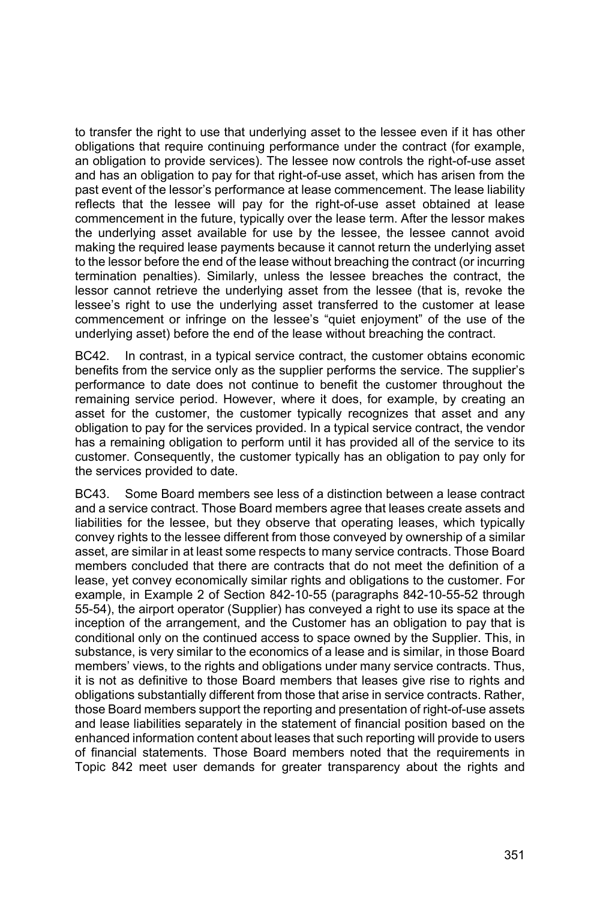to transfer the right to use that underlying asset to the lessee even if it has other obligations that require continuing performance under the contract (for example, an obligation to provide services). The lessee now controls the right-of-use asset and has an obligation to pay for that right-of-use asset, which has arisen from the past event of the lessor's performance at lease commencement. The lease liability reflects that the lessee will pay for the right-of-use asset obtained at lease commencement in the future, typically over the lease term. After the lessor makes the underlying asset available for use by the lessee, the lessee cannot avoid making the required lease payments because it cannot return the underlying asset to the lessor before the end of the lease without breaching the contract (or incurring termination penalties). Similarly, unless the lessee breaches the contract, the lessor cannot retrieve the underlying asset from the lessee (that is, revoke the lessee's right to use the underlying asset transferred to the customer at lease commencement or infringe on the lessee's "quiet enjoyment" of the use of the underlying asset) before the end of the lease without breaching the contract.

BC42. In contrast, in a typical service contract, the customer obtains economic benefits from the service only as the supplier performs the service. The supplier's performance to date does not continue to benefit the customer throughout the remaining service period. However, where it does, for example, by creating an asset for the customer, the customer typically recognizes that asset and any obligation to pay for the services provided. In a typical service contract, the vendor has a remaining obligation to perform until it has provided all of the service to its customer. Consequently, the customer typically has an obligation to pay only for the services provided to date.

BC43. Some Board members see less of a distinction between a lease contract and a service contract. Those Board members agree that leases create assets and liabilities for the lessee, but they observe that operating leases, which typically convey rights to the lessee different from those conveyed by ownership of a similar asset, are similar in at least some respects to many service contracts. Those Board members concluded that there are contracts that do not meet the definition of a lease, yet convey economically similar rights and obligations to the customer. For example, in Example 2 of Section 842-10-55 (paragraphs 842-10-55-52 through 55-54), the airport operator (Supplier) has conveyed a right to use its space at the inception of the arrangement, and the Customer has an obligation to pay that is conditional only on the continued access to space owned by the Supplier. This, in substance, is very similar to the economics of a lease and is similar, in those Board members' views, to the rights and obligations under many service contracts. Thus, it is not as definitive to those Board members that leases give rise to rights and obligations substantially different from those that arise in service contracts. Rather, those Board members support the reporting and presentation of right-of-use assets and lease liabilities separately in the statement of financial position based on the enhanced information content about leases that such reporting will provide to users of financial statements. Those Board members noted that the requirements in Topic 842 meet user demands for greater transparency about the rights and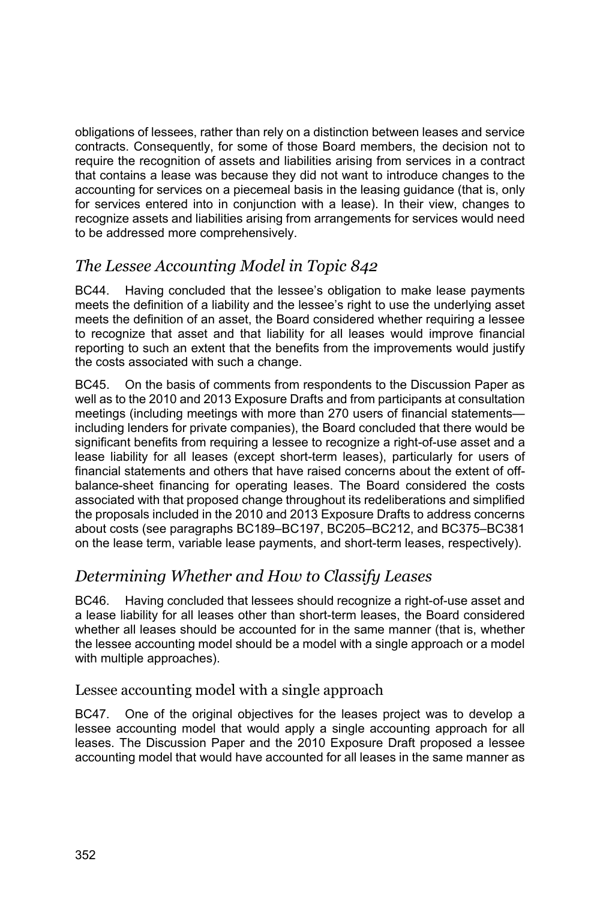obligations of lessees, rather than rely on a distinction between leases and service contracts. Consequently, for some of those Board members, the decision not to require the recognition of assets and liabilities arising from services in a contract that contains a lease was because they did not want to introduce changes to the accounting for services on a piecemeal basis in the leasing guidance (that is, only for services entered into in conjunction with a lease). In their view, changes to recognize assets and liabilities arising from arrangements for services would need to be addressed more comprehensively.

# *The Lessee Accounting Model in Topic 842*

BC44. Having concluded that the lessee's obligation to make lease payments meets the definition of a liability and the lessee's right to use the underlying asset meets the definition of an asset, the Board considered whether requiring a lessee to recognize that asset and that liability for all leases would improve financial reporting to such an extent that the benefits from the improvements would justify the costs associated with such a change.

BC45. On the basis of comments from respondents to the Discussion Paper as well as to the 2010 and 2013 Exposure Drafts and from participants at consultation meetings (including meetings with more than 270 users of financial statements including lenders for private companies), the Board concluded that there would be significant benefits from requiring a lessee to recognize a right-of-use asset and a lease liability for all leases (except short-term leases), particularly for users of financial statements and others that have raised concerns about the extent of offbalance-sheet financing for operating leases. The Board considered the costs associated with that proposed change throughout its redeliberations and simplified the proposals included in the 2010 and 2013 Exposure Drafts to address concerns about costs (see paragraphs BC189–BC197, BC205–BC212, and BC375–BC381 on the lease term, variable lease payments, and short-term leases, respectively).

# *Determining Whether and How to Classify Leases*

BC46. Having concluded that lessees should recognize a right-of-use asset and a lease liability for all leases other than short-term leases, the Board considered whether all leases should be accounted for in the same manner (that is, whether the lessee accounting model should be a model with a single approach or a model with multiple approaches).

### Lessee accounting model with a single approach

BC47. One of the original objectives for the leases project was to develop a lessee accounting model that would apply a single accounting approach for all leases. The Discussion Paper and the 2010 Exposure Draft proposed a lessee accounting model that would have accounted for all leases in the same manner as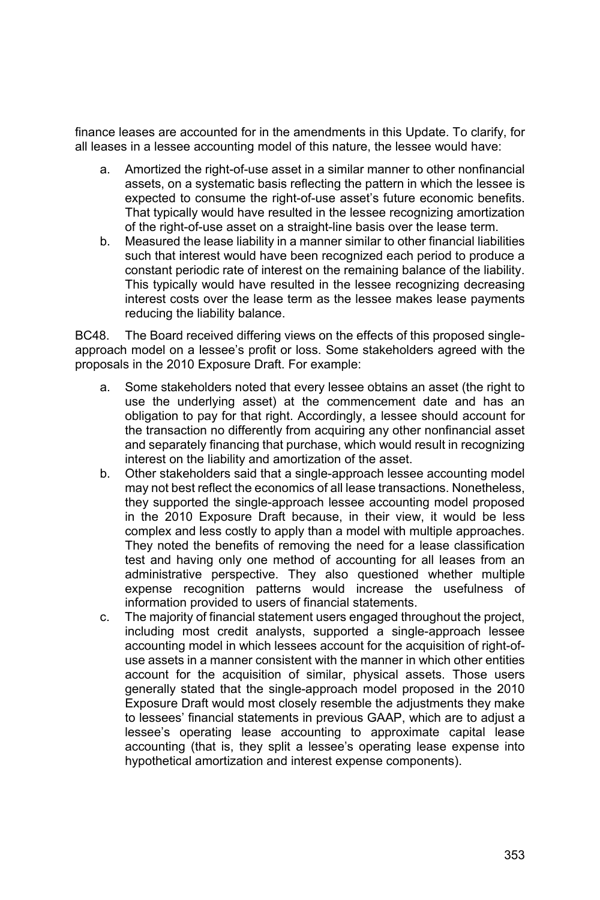finance leases are accounted for in the amendments in this Update. To clarify, for all leases in a lessee accounting model of this nature, the lessee would have:

- a. Amortized the right-of-use asset in a similar manner to other nonfinancial assets, on a systematic basis reflecting the pattern in which the lessee is expected to consume the right-of-use asset's future economic benefits. That typically would have resulted in the lessee recognizing amortization of the right-of-use asset on a straight-line basis over the lease term.
- b. Measured the lease liability in a manner similar to other financial liabilities such that interest would have been recognized each period to produce a constant periodic rate of interest on the remaining balance of the liability. This typically would have resulted in the lessee recognizing decreasing interest costs over the lease term as the lessee makes lease payments reducing the liability balance.

BC48. The Board received differing views on the effects of this proposed singleapproach model on a lessee's profit or loss. Some stakeholders agreed with the proposals in the 2010 Exposure Draft. For example:

- a. Some stakeholders noted that every lessee obtains an asset (the right to use the underlying asset) at the commencement date and has an obligation to pay for that right. Accordingly, a lessee should account for the transaction no differently from acquiring any other nonfinancial asset and separately financing that purchase, which would result in recognizing interest on the liability and amortization of the asset.
- b. Other stakeholders said that a single-approach lessee accounting model may not best reflect the economics of all lease transactions. Nonetheless, they supported the single-approach lessee accounting model proposed in the 2010 Exposure Draft because, in their view, it would be less complex and less costly to apply than a model with multiple approaches. They noted the benefits of removing the need for a lease classification test and having only one method of accounting for all leases from an administrative perspective. They also questioned whether multiple expense recognition patterns would increase the usefulness of information provided to users of financial statements.
- c. The majority of financial statement users engaged throughout the project, including most credit analysts, supported a single-approach lessee accounting model in which lessees account for the acquisition of right-ofuse assets in a manner consistent with the manner in which other entities account for the acquisition of similar, physical assets. Those users generally stated that the single-approach model proposed in the 2010 Exposure Draft would most closely resemble the adjustments they make to lessees' financial statements in previous GAAP, which are to adjust a lessee's operating lease accounting to approximate capital lease accounting (that is, they split a lessee's operating lease expense into hypothetical amortization and interest expense components).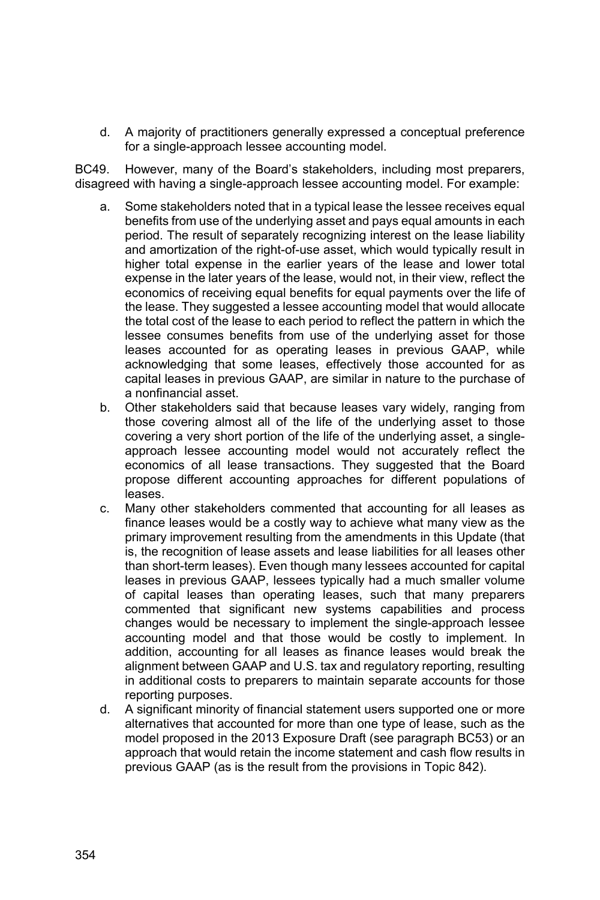d. A majority of practitioners generally expressed a conceptual preference for a single-approach lessee accounting model.

BC49. However, many of the Board's stakeholders, including most preparers, disagreed with having a single-approach lessee accounting model. For example:

- a. Some stakeholders noted that in a typical lease the lessee receives equal benefits from use of the underlying asset and pays equal amounts in each period. The result of separately recognizing interest on the lease liability and amortization of the right-of-use asset, which would typically result in higher total expense in the earlier years of the lease and lower total expense in the later years of the lease, would not, in their view, reflect the economics of receiving equal benefits for equal payments over the life of the lease. They suggested a lessee accounting model that would allocate the total cost of the lease to each period to reflect the pattern in which the lessee consumes benefits from use of the underlying asset for those leases accounted for as operating leases in previous GAAP, while acknowledging that some leases, effectively those accounted for as capital leases in previous GAAP, are similar in nature to the purchase of a nonfinancial asset.
- b. Other stakeholders said that because leases vary widely, ranging from those covering almost all of the life of the underlying asset to those covering a very short portion of the life of the underlying asset, a singleapproach lessee accounting model would not accurately reflect the economics of all lease transactions. They suggested that the Board propose different accounting approaches for different populations of leases.
- c. Many other stakeholders commented that accounting for all leases as finance leases would be a costly way to achieve what many view as the primary improvement resulting from the amendments in this Update (that is, the recognition of lease assets and lease liabilities for all leases other than short-term leases). Even though many lessees accounted for capital leases in previous GAAP, lessees typically had a much smaller volume of capital leases than operating leases, such that many preparers commented that significant new systems capabilities and process changes would be necessary to implement the single-approach lessee accounting model and that those would be costly to implement. In addition, accounting for all leases as finance leases would break the alignment between GAAP and U.S. tax and regulatory reporting, resulting in additional costs to preparers to maintain separate accounts for those reporting purposes.
- d. A significant minority of financial statement users supported one or more alternatives that accounted for more than one type of lease, such as the model proposed in the 2013 Exposure Draft (see paragraph BC53) or an approach that would retain the income statement and cash flow results in previous GAAP (as is the result from the provisions in Topic 842).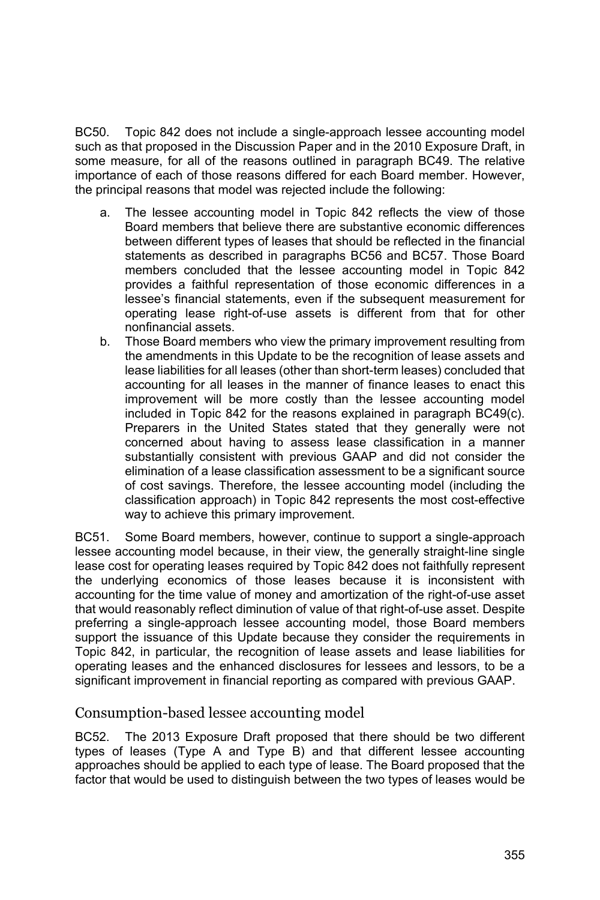BC50. Topic 842 does not include a single-approach lessee accounting model such as that proposed in the Discussion Paper and in the 2010 Exposure Draft, in some measure, for all of the reasons outlined in paragraph BC49. The relative importance of each of those reasons differed for each Board member. However, the principal reasons that model was rejected include the following:

- a. The lessee accounting model in Topic 842 reflects the view of those Board members that believe there are substantive economic differences between different types of leases that should be reflected in the financial statements as described in paragraphs BC56 and BC57. Those Board members concluded that the lessee accounting model in Topic 842 provides a faithful representation of those economic differences in a lessee's financial statements, even if the subsequent measurement for operating lease right-of-use assets is different from that for other nonfinancial assets.
- b. Those Board members who view the primary improvement resulting from the amendments in this Update to be the recognition of lease assets and lease liabilities for all leases (other than short-term leases) concluded that accounting for all leases in the manner of finance leases to enact this improvement will be more costly than the lessee accounting model included in Topic 842 for the reasons explained in paragraph BC49(c). Preparers in the United States stated that they generally were not concerned about having to assess lease classification in a manner substantially consistent with previous GAAP and did not consider the elimination of a lease classification assessment to be a significant source of cost savings. Therefore, the lessee accounting model (including the classification approach) in Topic 842 represents the most cost-effective way to achieve this primary improvement.

BC51. Some Board members, however, continue to support a single-approach lessee accounting model because, in their view, the generally straight-line single lease cost for operating leases required by Topic 842 does not faithfully represent the underlying economics of those leases because it is inconsistent with accounting for the time value of money and amortization of the right-of-use asset that would reasonably reflect diminution of value of that right-of-use asset. Despite preferring a single-approach lessee accounting model, those Board members support the issuance of this Update because they consider the requirements in Topic 842, in particular, the recognition of lease assets and lease liabilities for operating leases and the enhanced disclosures for lessees and lessors, to be a significant improvement in financial reporting as compared with previous GAAP.

#### Consumption-based lessee accounting model

BC52. The 2013 Exposure Draft proposed that there should be two different types of leases (Type A and Type B) and that different lessee accounting approaches should be applied to each type of lease. The Board proposed that the factor that would be used to distinguish between the two types of leases would be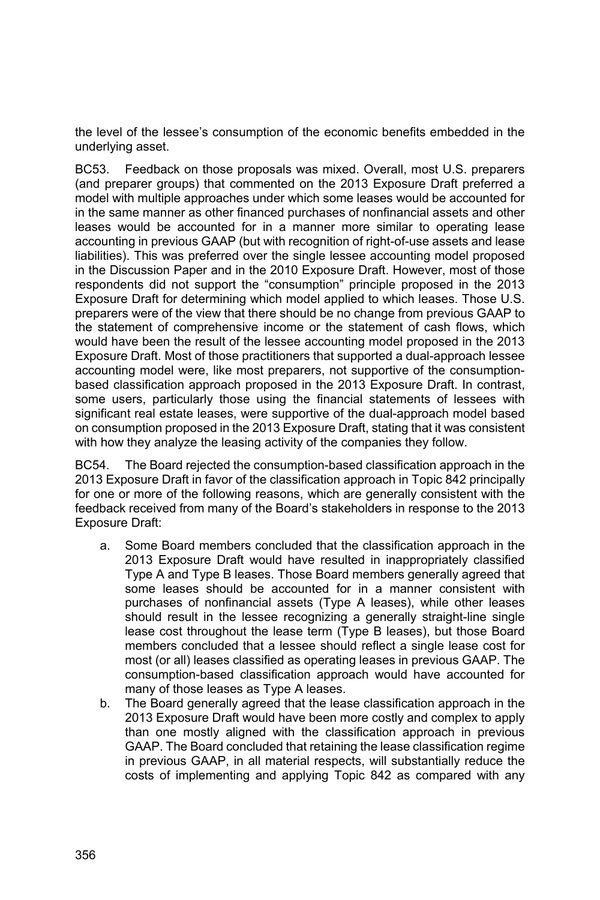the level of the lessee's consumption of the economic benefits embedded in the underlying asset.

BC53. Feedback on those proposals was mixed. Overall, most U.S. preparers (and preparer groups) that commented on the 2013 Exposure Draft preferred a model with multiple approaches under which some leases would be accounted for in the same manner as other financed purchases of nonfinancial assets and other leases would be accounted for in a manner more similar to operating lease accounting in previous GAAP (but with recognition of right-of-use assets and lease liabilities). This was preferred over the single lessee accounting model proposed in the Discussion Paper and in the 2010 Exposure Draft. However, most of those respondents did not support the "consumption" principle proposed in the 2013 Exposure Draft for determining which model applied to which leases. Those U.S. preparers were of the view that there should be no change from previous GAAP to the statement of comprehensive income or the statement of cash flows, which would have been the result of the lessee accounting model proposed in the 2013 Exposure Draft. Most of those practitioners that supported a dual-approach lessee accounting model were, like most preparers, not supportive of the consumptionbased classification approach proposed in the 2013 Exposure Draft. In contrast, some users, particularly those using the financial statements of lessees with significant real estate leases, were supportive of the dual-approach model based on consumption proposed in the 2013 Exposure Draft, stating that it was consistent with how they analyze the leasing activity of the companies they follow.

BC54. The Board rejected the consumption-based classification approach in the 2013 Exposure Draft in favor of the classification approach in Topic 842 principally for one or more of the following reasons, which are generally consistent with the feedback received from many of the Board's stakeholders in response to the 2013 Exposure Draft:

- a. Some Board members concluded that the classification approach in the 2013 Exposure Draft would have resulted in inappropriately classified Type A and Type B leases. Those Board members generally agreed that some leases should be accounted for in a manner consistent with purchases of nonfinancial assets (Type A leases), while other leases should result in the lessee recognizing a generally straight-line single lease cost throughout the lease term (Type B leases), but those Board members concluded that a lessee should reflect a single lease cost for most (or all) leases classified as operating leases in previous GAAP. The consumption-based classification approach would have accounted for many of those leases as Type A leases.
- b. The Board generally agreed that the lease classification approach in the 2013 Exposure Draft would have been more costly and complex to apply than one mostly aligned with the classification approach in previous GAAP. The Board concluded that retaining the lease classification regime in previous GAAP, in all material respects, will substantially reduce the costs of implementing and applying Topic 842 as compared with any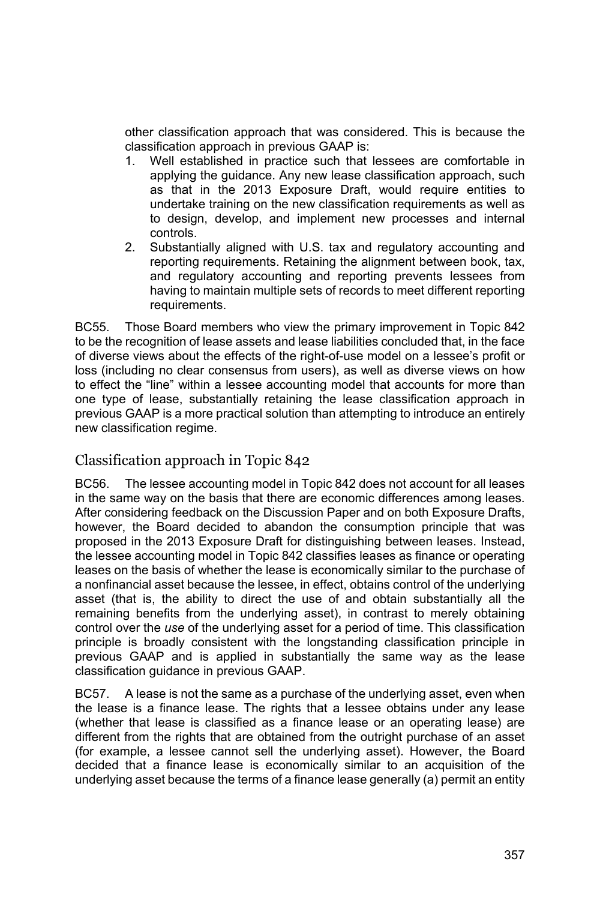other classification approach that was considered. This is because the classification approach in previous GAAP is:

- 1. Well established in practice such that lessees are comfortable in applying the guidance. Any new lease classification approach, such as that in the 2013 Exposure Draft, would require entities to undertake training on the new classification requirements as well as to design, develop, and implement new processes and internal controls.
- 2. Substantially aligned with U.S. tax and regulatory accounting and reporting requirements. Retaining the alignment between book, tax, and regulatory accounting and reporting prevents lessees from having to maintain multiple sets of records to meet different reporting requirements.

BC55. Those Board members who view the primary improvement in Topic 842 to be the recognition of lease assets and lease liabilities concluded that, in the face of diverse views about the effects of the right-of-use model on a lessee's profit or loss (including no clear consensus from users), as well as diverse views on how to effect the "line" within a lessee accounting model that accounts for more than one type of lease, substantially retaining the lease classification approach in previous GAAP is a more practical solution than attempting to introduce an entirely new classification regime.

### Classification approach in Topic 842

BC56. The lessee accounting model in Topic 842 does not account for all leases in the same way on the basis that there are economic differences among leases. After considering feedback on the Discussion Paper and on both Exposure Drafts, however, the Board decided to abandon the consumption principle that was proposed in the 2013 Exposure Draft for distinguishing between leases. Instead, the lessee accounting model in Topic 842 classifies leases as finance or operating leases on the basis of whether the lease is economically similar to the purchase of a nonfinancial asset because the lessee, in effect, obtains control of the underlying asset (that is, the ability to direct the use of and obtain substantially all the remaining benefits from the underlying asset), in contrast to merely obtaining control over the *use* of the underlying asset for a period of time. This classification principle is broadly consistent with the longstanding classification principle in previous GAAP and is applied in substantially the same way as the lease classification guidance in previous GAAP.

BC57. A lease is not the same as a purchase of the underlying asset, even when the lease is a finance lease. The rights that a lessee obtains under any lease (whether that lease is classified as a finance lease or an operating lease) are different from the rights that are obtained from the outright purchase of an asset (for example, a lessee cannot sell the underlying asset). However, the Board decided that a finance lease is economically similar to an acquisition of the underlying asset because the terms of a finance lease generally (a) permit an entity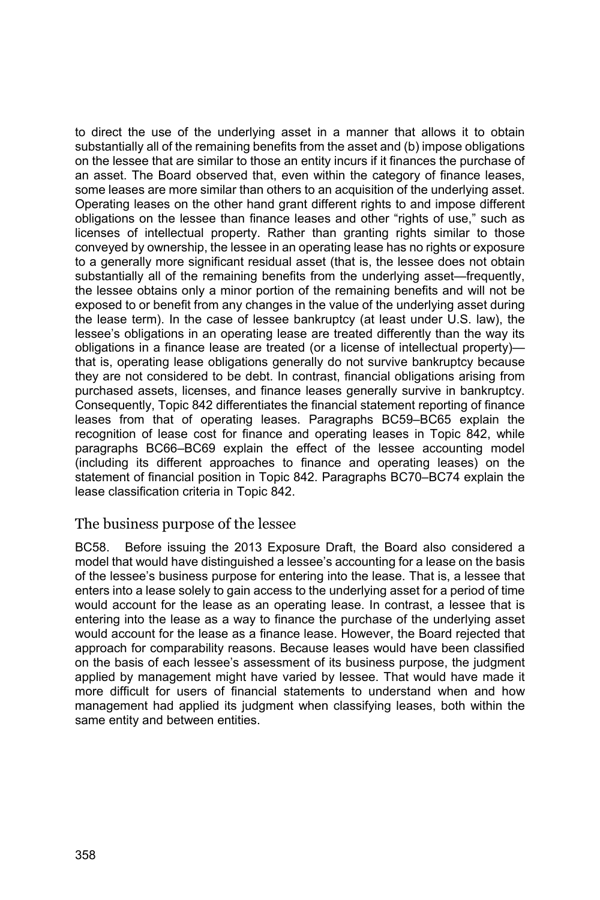to direct the use of the underlying asset in a manner that allows it to obtain substantially all of the remaining benefits from the asset and (b) impose obligations on the lessee that are similar to those an entity incurs if it finances the purchase of an asset. The Board observed that, even within the category of finance leases, some leases are more similar than others to an acquisition of the underlying asset. Operating leases on the other hand grant different rights to and impose different obligations on the lessee than finance leases and other "rights of use," such as licenses of intellectual property. Rather than granting rights similar to those conveyed by ownership, the lessee in an operating lease has no rights or exposure to a generally more significant residual asset (that is, the lessee does not obtain substantially all of the remaining benefits from the underlying asset—frequently, the lessee obtains only a minor portion of the remaining benefits and will not be exposed to or benefit from any changes in the value of the underlying asset during the lease term). In the case of lessee bankruptcy (at least under U.S. law), the lessee's obligations in an operating lease are treated differently than the way its obligations in a finance lease are treated (or a license of intellectual property) that is, operating lease obligations generally do not survive bankruptcy because they are not considered to be debt. In contrast, financial obligations arising from purchased assets, licenses, and finance leases generally survive in bankruptcy. Consequently, Topic 842 differentiates the financial statement reporting of finance leases from that of operating leases. Paragraphs BC59–BC65 explain the recognition of lease cost for finance and operating leases in Topic 842, while paragraphs BC66–BC69 explain the effect of the lessee accounting model (including its different approaches to finance and operating leases) on the statement of financial position in Topic 842. Paragraphs BC70–BC74 explain the lease classification criteria in Topic 842.

#### The business purpose of the lessee

BC58. Before issuing the 2013 Exposure Draft, the Board also considered a model that would have distinguished a lessee's accounting for a lease on the basis of the lessee's business purpose for entering into the lease. That is, a lessee that enters into a lease solely to gain access to the underlying asset for a period of time would account for the lease as an operating lease. In contrast, a lessee that is entering into the lease as a way to finance the purchase of the underlying asset would account for the lease as a finance lease. However, the Board rejected that approach for comparability reasons. Because leases would have been classified on the basis of each lessee's assessment of its business purpose, the judgment applied by management might have varied by lessee. That would have made it more difficult for users of financial statements to understand when and how management had applied its judgment when classifying leases, both within the same entity and between entities.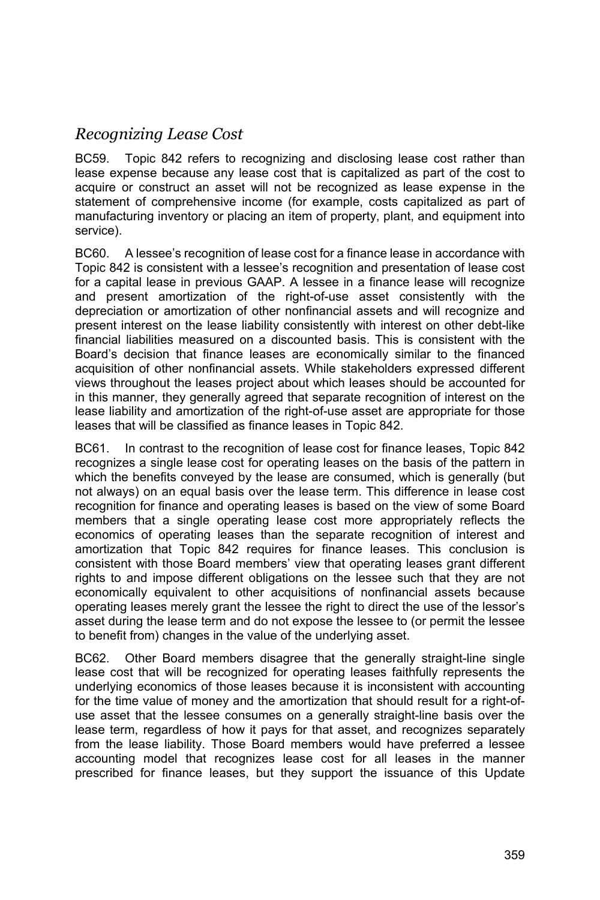# *Recognizing Lease Cost*

BC59. Topic 842 refers to recognizing and disclosing lease cost rather than lease expense because any lease cost that is capitalized as part of the cost to acquire or construct an asset will not be recognized as lease expense in the statement of comprehensive income (for example, costs capitalized as part of manufacturing inventory or placing an item of property, plant, and equipment into service).

BC60. A lessee's recognition of lease cost for a finance lease in accordance with Topic 842 is consistent with a lessee's recognition and presentation of lease cost for a capital lease in previous GAAP. A lessee in a finance lease will recognize and present amortization of the right-of-use asset consistently with the depreciation or amortization of other nonfinancial assets and will recognize and present interest on the lease liability consistently with interest on other debt-like financial liabilities measured on a discounted basis. This is consistent with the Board's decision that finance leases are economically similar to the financed acquisition of other nonfinancial assets. While stakeholders expressed different views throughout the leases project about which leases should be accounted for in this manner, they generally agreed that separate recognition of interest on the lease liability and amortization of the right-of-use asset are appropriate for those leases that will be classified as finance leases in Topic 842.

BC61. In contrast to the recognition of lease cost for finance leases, Topic 842 recognizes a single lease cost for operating leases on the basis of the pattern in which the benefits conveyed by the lease are consumed, which is generally (but not always) on an equal basis over the lease term. This difference in lease cost recognition for finance and operating leases is based on the view of some Board members that a single operating lease cost more appropriately reflects the economics of operating leases than the separate recognition of interest and amortization that Topic 842 requires for finance leases. This conclusion is consistent with those Board members' view that operating leases grant different rights to and impose different obligations on the lessee such that they are not economically equivalent to other acquisitions of nonfinancial assets because operating leases merely grant the lessee the right to direct the use of the lessor's asset during the lease term and do not expose the lessee to (or permit the lessee to benefit from) changes in the value of the underlying asset.

BC62. Other Board members disagree that the generally straight-line single lease cost that will be recognized for operating leases faithfully represents the underlying economics of those leases because it is inconsistent with accounting for the time value of money and the amortization that should result for a right-ofuse asset that the lessee consumes on a generally straight-line basis over the lease term, regardless of how it pays for that asset, and recognizes separately from the lease liability. Those Board members would have preferred a lessee accounting model that recognizes lease cost for all leases in the manner prescribed for finance leases, but they support the issuance of this Update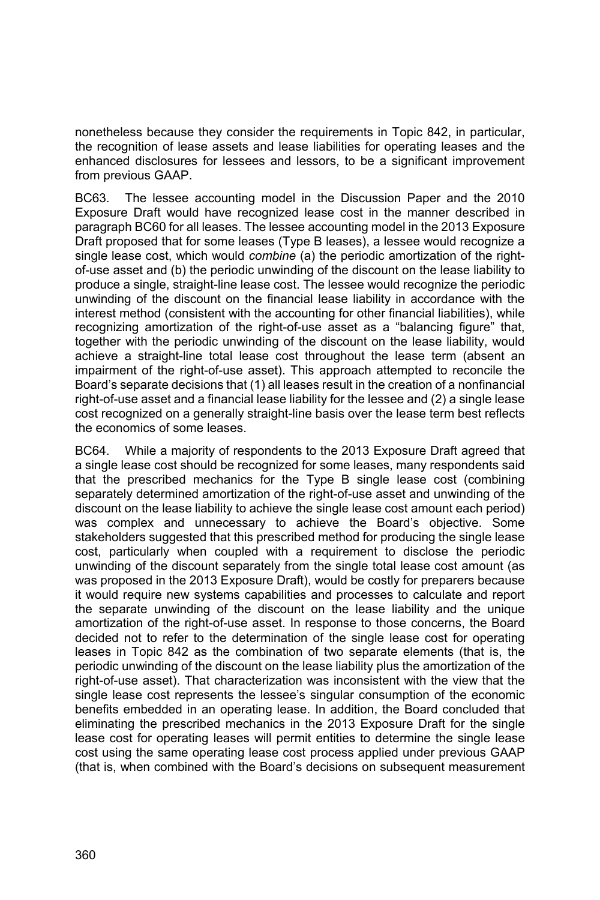nonetheless because they consider the requirements in Topic 842, in particular, the recognition of lease assets and lease liabilities for operating leases and the enhanced disclosures for lessees and lessors, to be a significant improvement from previous GAAP.

BC63. The lessee accounting model in the Discussion Paper and the 2010 Exposure Draft would have recognized lease cost in the manner described in paragraph BC60 for all leases. The lessee accounting model in the 2013 Exposure Draft proposed that for some leases (Type B leases), a lessee would recognize a single lease cost, which would *combine* (a) the periodic amortization of the rightof-use asset and (b) the periodic unwinding of the discount on the lease liability to produce a single, straight-line lease cost. The lessee would recognize the periodic unwinding of the discount on the financial lease liability in accordance with the interest method (consistent with the accounting for other financial liabilities), while recognizing amortization of the right-of-use asset as a "balancing figure" that, together with the periodic unwinding of the discount on the lease liability, would achieve a straight-line total lease cost throughout the lease term (absent an impairment of the right-of-use asset). This approach attempted to reconcile the Board's separate decisions that (1) all leases result in the creation of a nonfinancial right-of-use asset and a financial lease liability for the lessee and (2) a single lease cost recognized on a generally straight-line basis over the lease term best reflects the economics of some leases.

BC64. While a majority of respondents to the 2013 Exposure Draft agreed that a single lease cost should be recognized for some leases, many respondents said that the prescribed mechanics for the Type B single lease cost (combining separately determined amortization of the right-of-use asset and unwinding of the discount on the lease liability to achieve the single lease cost amount each period) was complex and unnecessary to achieve the Board's objective. Some stakeholders suggested that this prescribed method for producing the single lease cost, particularly when coupled with a requirement to disclose the periodic unwinding of the discount separately from the single total lease cost amount (as was proposed in the 2013 Exposure Draft), would be costly for preparers because it would require new systems capabilities and processes to calculate and report the separate unwinding of the discount on the lease liability and the unique amortization of the right-of-use asset. In response to those concerns, the Board decided not to refer to the determination of the single lease cost for operating leases in Topic 842 as the combination of two separate elements (that is, the periodic unwinding of the discount on the lease liability plus the amortization of the right-of-use asset). That characterization was inconsistent with the view that the single lease cost represents the lessee's singular consumption of the economic benefits embedded in an operating lease. In addition, the Board concluded that eliminating the prescribed mechanics in the 2013 Exposure Draft for the single lease cost for operating leases will permit entities to determine the single lease cost using the same operating lease cost process applied under previous GAAP (that is, when combined with the Board's decisions on subsequent measurement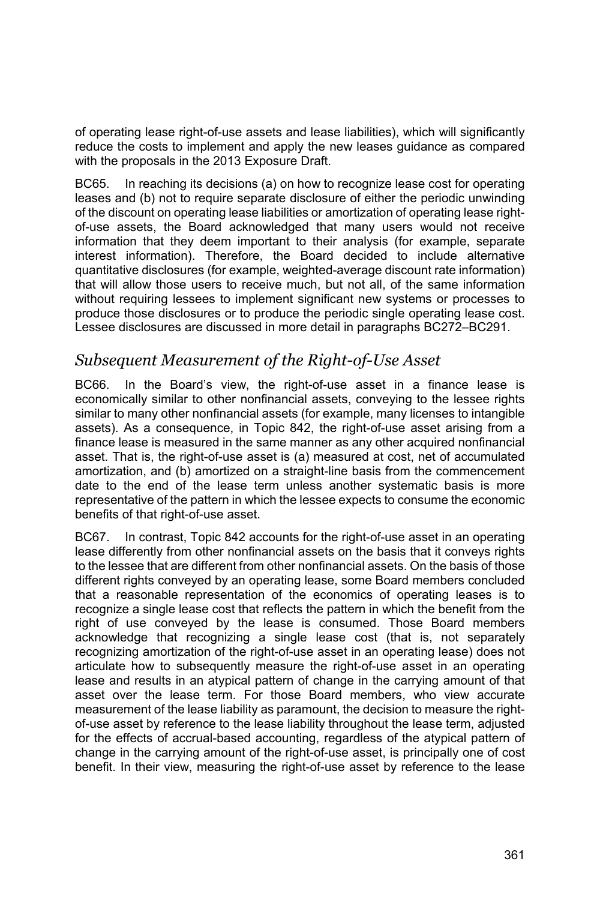of operating lease right-of-use assets and lease liabilities), which will significantly reduce the costs to implement and apply the new leases guidance as compared with the proposals in the 2013 Exposure Draft.

BC65. In reaching its decisions (a) on how to recognize lease cost for operating leases and (b) not to require separate disclosure of either the periodic unwinding of the discount on operating lease liabilities or amortization of operating lease rightof-use assets, the Board acknowledged that many users would not receive information that they deem important to their analysis (for example, separate interest information). Therefore, the Board decided to include alternative quantitative disclosures (for example, weighted-average discount rate information) that will allow those users to receive much, but not all, of the same information without requiring lessees to implement significant new systems or processes to produce those disclosures or to produce the periodic single operating lease cost. Lessee disclosures are discussed in more detail in paragraphs BC272–BC291.

### *Subsequent Measurement of the Right-of-Use Asset*

BC66. In the Board's view, the right-of-use asset in a finance lease is economically similar to other nonfinancial assets, conveying to the lessee rights similar to many other nonfinancial assets (for example, many licenses to intangible assets). As a consequence, in Topic 842, the right-of-use asset arising from a finance lease is measured in the same manner as any other acquired nonfinancial asset. That is, the right-of-use asset is (a) measured at cost, net of accumulated amortization, and (b) amortized on a straight-line basis from the commencement date to the end of the lease term unless another systematic basis is more representative of the pattern in which the lessee expects to consume the economic benefits of that right-of-use asset.

BC67. In contrast, Topic 842 accounts for the right-of-use asset in an operating lease differently from other nonfinancial assets on the basis that it conveys rights to the lessee that are different from other nonfinancial assets. On the basis of those different rights conveyed by an operating lease, some Board members concluded that a reasonable representation of the economics of operating leases is to recognize a single lease cost that reflects the pattern in which the benefit from the right of use conveyed by the lease is consumed. Those Board members acknowledge that recognizing a single lease cost (that is, not separately recognizing amortization of the right-of-use asset in an operating lease) does not articulate how to subsequently measure the right-of-use asset in an operating lease and results in an atypical pattern of change in the carrying amount of that asset over the lease term. For those Board members, who view accurate measurement of the lease liability as paramount, the decision to measure the rightof-use asset by reference to the lease liability throughout the lease term, adjusted for the effects of accrual-based accounting, regardless of the atypical pattern of change in the carrying amount of the right-of-use asset, is principally one of cost benefit. In their view, measuring the right-of-use asset by reference to the lease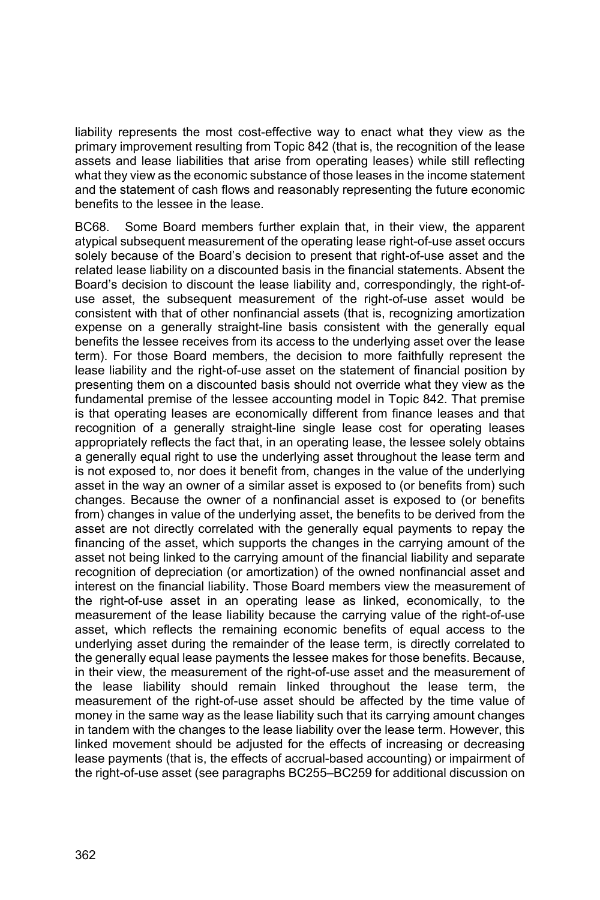liability represents the most cost-effective way to enact what they view as the primary improvement resulting from Topic 842 (that is, the recognition of the lease assets and lease liabilities that arise from operating leases) while still reflecting what they view as the economic substance of those leases in the income statement and the statement of cash flows and reasonably representing the future economic benefits to the lessee in the lease.

BC68. Some Board members further explain that, in their view, the apparent atypical subsequent measurement of the operating lease right-of-use asset occurs solely because of the Board's decision to present that right-of-use asset and the related lease liability on a discounted basis in the financial statements. Absent the Board's decision to discount the lease liability and, correspondingly, the right-ofuse asset, the subsequent measurement of the right-of-use asset would be consistent with that of other nonfinancial assets (that is, recognizing amortization expense on a generally straight-line basis consistent with the generally equal benefits the lessee receives from its access to the underlying asset over the lease term). For those Board members, the decision to more faithfully represent the lease liability and the right-of-use asset on the statement of financial position by presenting them on a discounted basis should not override what they view as the fundamental premise of the lessee accounting model in Topic 842. That premise is that operating leases are economically different from finance leases and that recognition of a generally straight-line single lease cost for operating leases appropriately reflects the fact that, in an operating lease, the lessee solely obtains a generally equal right to use the underlying asset throughout the lease term and is not exposed to, nor does it benefit from, changes in the value of the underlying asset in the way an owner of a similar asset is exposed to (or benefits from) such changes. Because the owner of a nonfinancial asset is exposed to (or benefits from) changes in value of the underlying asset, the benefits to be derived from the asset are not directly correlated with the generally equal payments to repay the financing of the asset, which supports the changes in the carrying amount of the asset not being linked to the carrying amount of the financial liability and separate recognition of depreciation (or amortization) of the owned nonfinancial asset and interest on the financial liability. Those Board members view the measurement of the right-of-use asset in an operating lease as linked, economically, to the measurement of the lease liability because the carrying value of the right-of-use asset, which reflects the remaining economic benefits of equal access to the underlying asset during the remainder of the lease term, is directly correlated to the generally equal lease payments the lessee makes for those benefits. Because, in their view, the measurement of the right-of-use asset and the measurement of the lease liability should remain linked throughout the lease term, the measurement of the right-of-use asset should be affected by the time value of money in the same way as the lease liability such that its carrying amount changes in tandem with the changes to the lease liability over the lease term. However, this linked movement should be adjusted for the effects of increasing or decreasing lease payments (that is, the effects of accrual-based accounting) or impairment of the right-of-use asset (see paragraphs BC255–BC259 for additional discussion on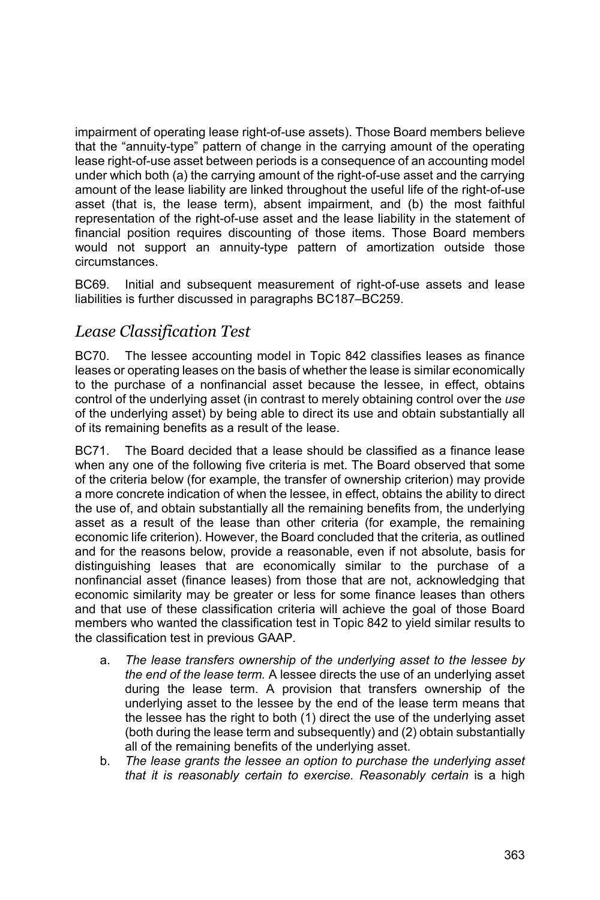impairment of operating lease right-of-use assets). Those Board members believe that the "annuity-type" pattern of change in the carrying amount of the operating lease right-of-use asset between periods is a consequence of an accounting model under which both (a) the carrying amount of the right-of-use asset and the carrying amount of the lease liability are linked throughout the useful life of the right-of-use asset (that is, the lease term), absent impairment, and (b) the most faithful representation of the right-of-use asset and the lease liability in the statement of financial position requires discounting of those items. Those Board members would not support an annuity-type pattern of amortization outside those circumstances.

BC69. Initial and subsequent measurement of right-of-use assets and lease liabilities is further discussed in paragraphs BC187–BC259.

## *Lease Classification Test*

BC70. The lessee accounting model in Topic 842 classifies leases as finance leases or operating leases on the basis of whether the lease is similar economically to the purchase of a nonfinancial asset because the lessee, in effect, obtains control of the underlying asset (in contrast to merely obtaining control over the *use* of the underlying asset) by being able to direct its use and obtain substantially all of its remaining benefits as a result of the lease.

BC71. The Board decided that a lease should be classified as a finance lease when any one of the following five criteria is met. The Board observed that some of the criteria below (for example, the transfer of ownership criterion) may provide a more concrete indication of when the lessee, in effect, obtains the ability to direct the use of, and obtain substantially all the remaining benefits from, the underlying asset as a result of the lease than other criteria (for example, the remaining economic life criterion). However, the Board concluded that the criteria, as outlined and for the reasons below, provide a reasonable, even if not absolute, basis for distinguishing leases that are economically similar to the purchase of a nonfinancial asset (finance leases) from those that are not, acknowledging that economic similarity may be greater or less for some finance leases than others and that use of these classification criteria will achieve the goal of those Board members who wanted the classification test in Topic 842 to yield similar results to the classification test in previous GAAP.

- a. *The lease transfers ownership of the underlying asset to the lessee by the end of the lease term.* A lessee directs the use of an underlying asset during the lease term. A provision that transfers ownership of the underlying asset to the lessee by the end of the lease term means that the lessee has the right to both (1) direct the use of the underlying asset (both during the lease term and subsequently) and (2) obtain substantially all of the remaining benefits of the underlying asset.
- b. *The lease grants the lessee an option to purchase the underlying asset that it is reasonably certain to exercise. Reasonably certain* is a high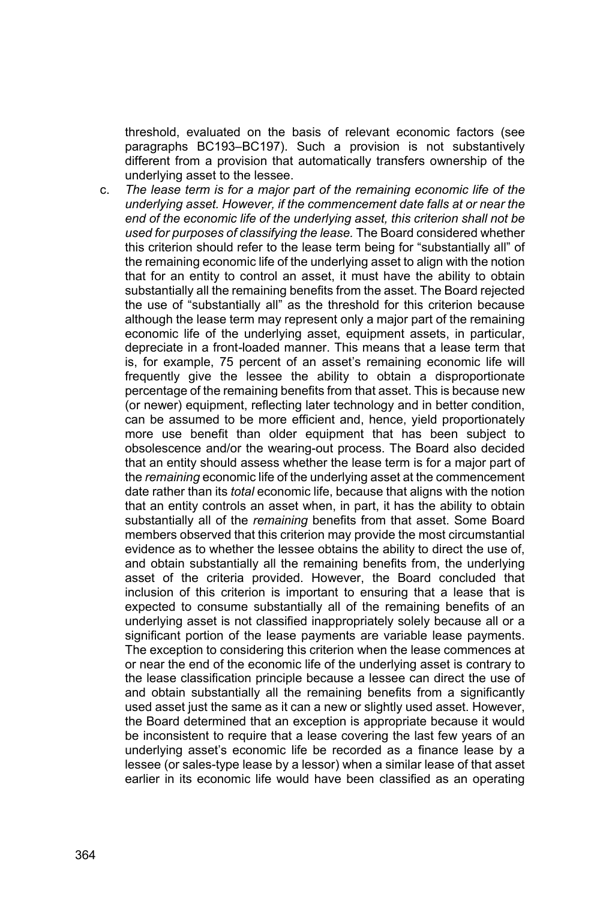threshold, evaluated on the basis of relevant economic factors (see paragraphs BC193–BC197). Such a provision is not substantively different from a provision that automatically transfers ownership of the underlying asset to the lessee.

c. *The lease term is for a major part of the remaining economic life of the underlying asset. However, if the commencement date falls at or near the end of the economic life of the underlying asset, this criterion shall not be used for purposes of classifying the lease.* The Board considered whether this criterion should refer to the lease term being for "substantially all" of the remaining economic life of the underlying asset to align with the notion that for an entity to control an asset, it must have the ability to obtain substantially all the remaining benefits from the asset. The Board rejected the use of "substantially all" as the threshold for this criterion because although the lease term may represent only a major part of the remaining economic life of the underlying asset, equipment assets, in particular, depreciate in a front*-*loaded manner. This means that a lease term that is, for example, 75 percent of an asset's remaining economic life will frequently give the lessee the ability to obtain a disproportionate percentage of the remaining benefits from that asset. This is because new (or newer) equipment, reflecting later technology and in better condition, can be assumed to be more efficient and, hence, yield proportionately more use benefit than older equipment that has been subject to obsolescence and/or the wearing-out process. The Board also decided that an entity should assess whether the lease term is for a major part of the *remaining* economic life of the underlying asset at the commencement date rather than its *total* economic life, because that aligns with the notion that an entity controls an asset when, in part, it has the ability to obtain substantially all of the *remaining* benefits from that asset. Some Board members observed that this criterion may provide the most circumstantial evidence as to whether the lessee obtains the ability to direct the use of, and obtain substantially all the remaining benefits from, the underlying asset of the criteria provided. However, the Board concluded that inclusion of this criterion is important to ensuring that a lease that is expected to consume substantially all of the remaining benefits of an underlying asset is not classified inappropriately solely because all or a significant portion of the lease payments are variable lease payments. The exception to considering this criterion when the lease commences at or near the end of the economic life of the underlying asset is contrary to the lease classification principle because a lessee can direct the use of and obtain substantially all the remaining benefits from a significantly used asset just the same as it can a new or slightly used asset. However, the Board determined that an exception is appropriate because it would be inconsistent to require that a lease covering the last few years of an underlying asset's economic life be recorded as a finance lease by a lessee (or sales-type lease by a lessor) when a similar lease of that asset earlier in its economic life would have been classified as an operating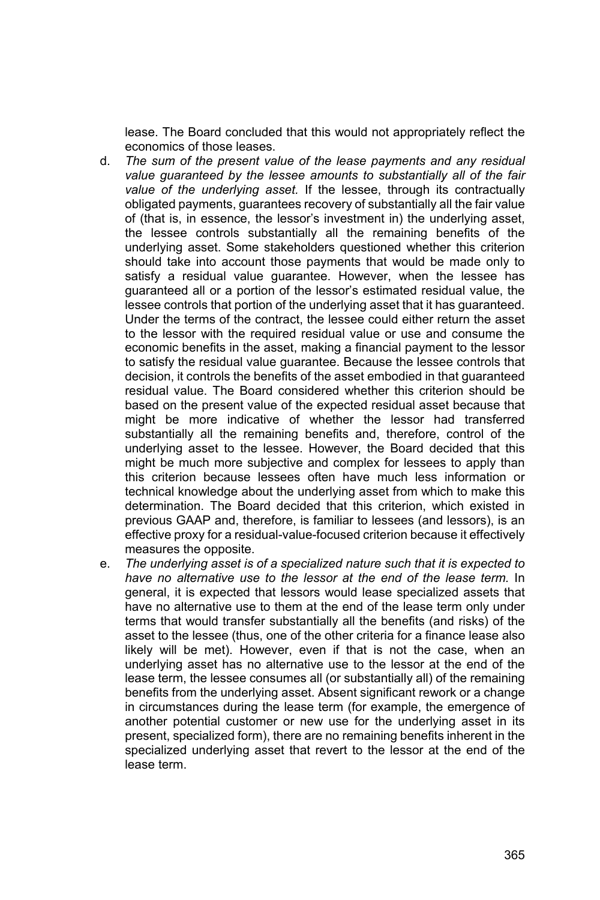lease. The Board concluded that this would not appropriately reflect the economics of those leases.

- d. *The sum of the present value of the lease payments and any residual value guaranteed by the lessee amounts to substantially all of the fair value of the underlying asset.* If the lessee, through its contractually obligated payments, guarantees recovery of substantially all the fair value of (that is, in essence, the lessor's investment in) the underlying asset, the lessee controls substantially all the remaining benefits of the underlying asset. Some stakeholders questioned whether this criterion should take into account those payments that would be made only to satisfy a residual value guarantee. However, when the lessee has guaranteed all or a portion of the lessor's estimated residual value, the lessee controls that portion of the underlying asset that it has guaranteed. Under the terms of the contract, the lessee could either return the asset to the lessor with the required residual value or use and consume the economic benefits in the asset, making a financial payment to the lessor to satisfy the residual value guarantee. Because the lessee controls that decision, it controls the benefits of the asset embodied in that guaranteed residual value. The Board considered whether this criterion should be based on the present value of the expected residual asset because that might be more indicative of whether the lessor had transferred substantially all the remaining benefits and, therefore, control of the underlying asset to the lessee. However, the Board decided that this might be much more subjective and complex for lessees to apply than this criterion because lessees often have much less information or technical knowledge about the underlying asset from which to make this determination. The Board decided that this criterion, which existed in previous GAAP and, therefore, is familiar to lessees (and lessors), is an effective proxy for a residual-value-focused criterion because it effectively measures the opposite.
- e. *The underlying asset is of a specialized nature such that it is expected to have no alternative use to the lessor at the end of the lease term.* In general, it is expected that lessors would lease specialized assets that have no alternative use to them at the end of the lease term only under terms that would transfer substantially all the benefits (and risks) of the asset to the lessee (thus, one of the other criteria for a finance lease also likely will be met). However, even if that is not the case, when an underlying asset has no alternative use to the lessor at the end of the lease term, the lessee consumes all (or substantially all) of the remaining benefits from the underlying asset. Absent significant rework or a change in circumstances during the lease term (for example, the emergence of another potential customer or new use for the underlying asset in its present, specialized form), there are no remaining benefits inherent in the specialized underlying asset that revert to the lessor at the end of the lease term.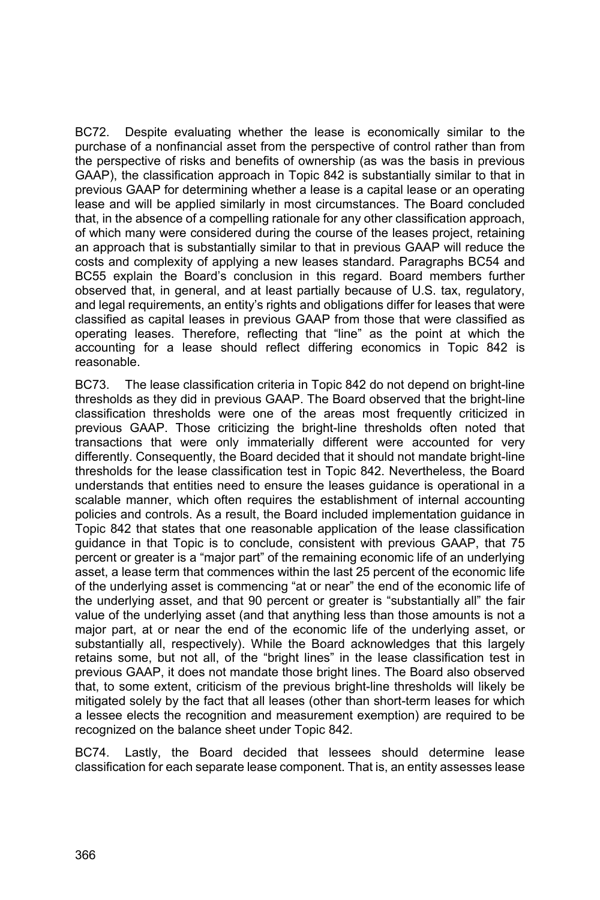BC72. Despite evaluating whether the lease is economically similar to the purchase of a nonfinancial asset from the perspective of control rather than from the perspective of risks and benefits of ownership (as was the basis in previous GAAP), the classification approach in Topic 842 is substantially similar to that in previous GAAP for determining whether a lease is a capital lease or an operating lease and will be applied similarly in most circumstances. The Board concluded that, in the absence of a compelling rationale for any other classification approach, of which many were considered during the course of the leases project, retaining an approach that is substantially similar to that in previous GAAP will reduce the costs and complexity of applying a new leases standard. Paragraphs BC54 and BC55 explain the Board's conclusion in this regard. Board members further observed that, in general, and at least partially because of U.S. tax, regulatory, and legal requirements, an entity's rights and obligations differ for leases that were classified as capital leases in previous GAAP from those that were classified as operating leases. Therefore, reflecting that "line" as the point at which the accounting for a lease should reflect differing economics in Topic 842 is reasonable.

BC73. The lease classification criteria in Topic 842 do not depend on bright-line thresholds as they did in previous GAAP. The Board observed that the bright-line classification thresholds were one of the areas most frequently criticized in previous GAAP. Those criticizing the bright-line thresholds often noted that transactions that were only immaterially different were accounted for very differently. Consequently, the Board decided that it should not mandate bright-line thresholds for the lease classification test in Topic 842. Nevertheless, the Board understands that entities need to ensure the leases guidance is operational in a scalable manner, which often requires the establishment of internal accounting policies and controls. As a result, the Board included implementation guidance in Topic 842 that states that one reasonable application of the lease classification guidance in that Topic is to conclude, consistent with previous GAAP, that 75 percent or greater is a "major part" of the remaining economic life of an underlying asset, a lease term that commences within the last 25 percent of the economic life of the underlying asset is commencing "at or near" the end of the economic life of the underlying asset, and that 90 percent or greater is "substantially all" the fair value of the underlying asset (and that anything less than those amounts is not a major part, at or near the end of the economic life of the underlying asset, or substantially all, respectively). While the Board acknowledges that this largely retains some, but not all, of the "bright lines" in the lease classification test in previous GAAP, it does not mandate those bright lines. The Board also observed that, to some extent, criticism of the previous bright-line thresholds will likely be mitigated solely by the fact that all leases (other than short-term leases for which a lessee elects the recognition and measurement exemption) are required to be recognized on the balance sheet under Topic 842.

BC74. Lastly, the Board decided that lessees should determine lease classification for each separate lease component. That is, an entity assesses lease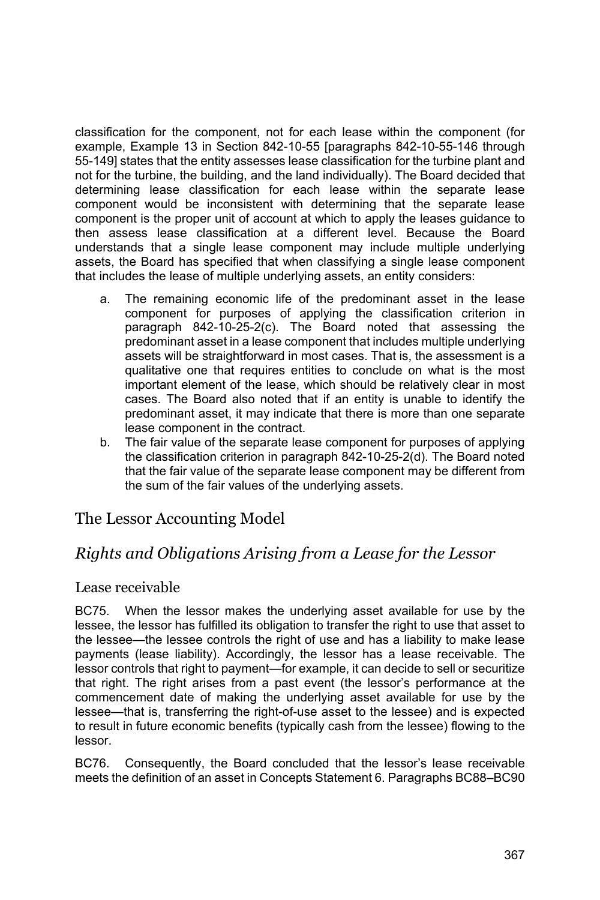classification for the component, not for each lease within the component (for example, Example 13 in Section 842-10-55 [paragraphs 842-10-55-146 through 55-149] states that the entity assesses lease classification for the turbine plant and not for the turbine, the building, and the land individually). The Board decided that determining lease classification for each lease within the separate lease component would be inconsistent with determining that the separate lease component is the proper unit of account at which to apply the leases guidance to then assess lease classification at a different level. Because the Board understands that a single lease component may include multiple underlying assets, the Board has specified that when classifying a single lease component that includes the lease of multiple underlying assets, an entity considers:

- a. The remaining economic life of the predominant asset in the lease component for purposes of applying the classification criterion in paragraph 842-10-25-2(c). The Board noted that assessing the predominant asset in a lease component that includes multiple underlying assets will be straightforward in most cases. That is, the assessment is a qualitative one that requires entities to conclude on what is the most important element of the lease, which should be relatively clear in most cases. The Board also noted that if an entity is unable to identify the predominant asset, it may indicate that there is more than one separate lease component in the contract.
- b. The fair value of the separate lease component for purposes of applying the classification criterion in paragraph 842-10-25-2(d). The Board noted that the fair value of the separate lease component may be different from the sum of the fair values of the underlying assets.

## The Lessor Accounting Model

## *Rights and Obligations Arising from a Lease for the Lessor*

### Lease receivable

BC75. When the lessor makes the underlying asset available for use by the lessee, the lessor has fulfilled its obligation to transfer the right to use that asset to the lessee—the lessee controls the right of use and has a liability to make lease payments (lease liability). Accordingly, the lessor has a lease receivable. The lessor controls that right to payment—for example, it can decide to sell or securitize that right. The right arises from a past event (the lessor's performance at the commencement date of making the underlying asset available for use by the lessee—that is, transferring the right-of-use asset to the lessee) and is expected to result in future economic benefits (typically cash from the lessee) flowing to the lessor.

BC76. Consequently, the Board concluded that the lessor's lease receivable meets the definition of an asset in Concepts Statement 6. Paragraphs BC88–BC90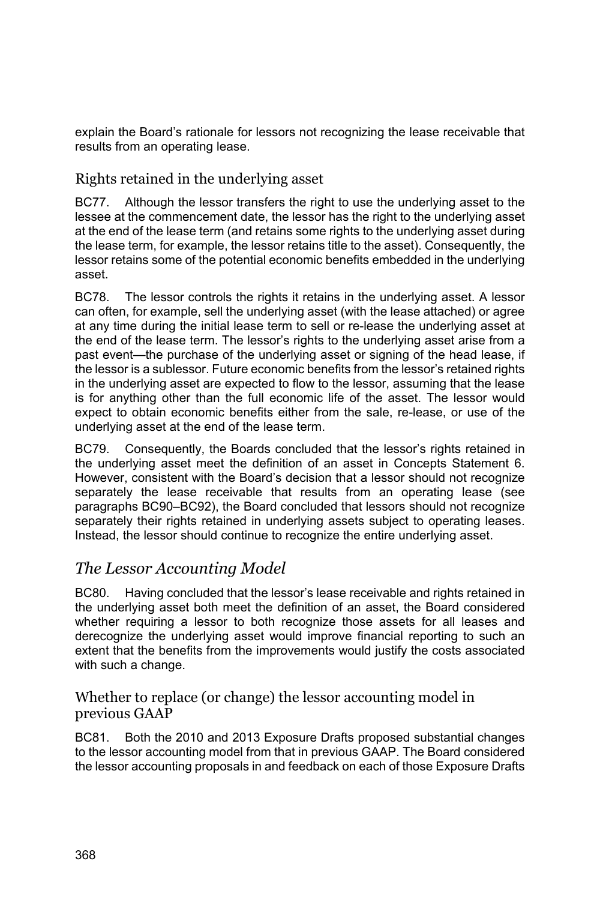explain the Board's rationale for lessors not recognizing the lease receivable that results from an operating lease.

### Rights retained in the underlying asset

BC77. Although the lessor transfers the right to use the underlying asset to the lessee at the commencement date, the lessor has the right to the underlying asset at the end of the lease term (and retains some rights to the underlying asset during the lease term, for example, the lessor retains title to the asset). Consequently, the lessor retains some of the potential economic benefits embedded in the underlying asset.

BC78. The lessor controls the rights it retains in the underlying asset. A lessor can often, for example, sell the underlying asset (with the lease attached) or agree at any time during the initial lease term to sell or re-lease the underlying asset at the end of the lease term. The lessor's rights to the underlying asset arise from a past event—the purchase of the underlying asset or signing of the head lease, if the lessor is a sublessor. Future economic benefits from the lessor's retained rights in the underlying asset are expected to flow to the lessor, assuming that the lease is for anything other than the full economic life of the asset. The lessor would expect to obtain economic benefits either from the sale, re-lease, or use of the underlying asset at the end of the lease term.

BC79. Consequently, the Boards concluded that the lessor's rights retained in the underlying asset meet the definition of an asset in Concepts Statement 6. However, consistent with the Board's decision that a lessor should not recognize separately the lease receivable that results from an operating lease (see paragraphs BC90–BC92), the Board concluded that lessors should not recognize separately their rights retained in underlying assets subject to operating leases. Instead, the lessor should continue to recognize the entire underlying asset.

## *The Lessor Accounting Model*

BC80. Having concluded that the lessor's lease receivable and rights retained in the underlying asset both meet the definition of an asset, the Board considered whether requiring a lessor to both recognize those assets for all leases and derecognize the underlying asset would improve financial reporting to such an extent that the benefits from the improvements would justify the costs associated with such a change.

### Whether to replace (or change) the lessor accounting model in previous GAAP

BC81. Both the 2010 and 2013 Exposure Drafts proposed substantial changes to the lessor accounting model from that in previous GAAP. The Board considered the lessor accounting proposals in and feedback on each of those Exposure Drafts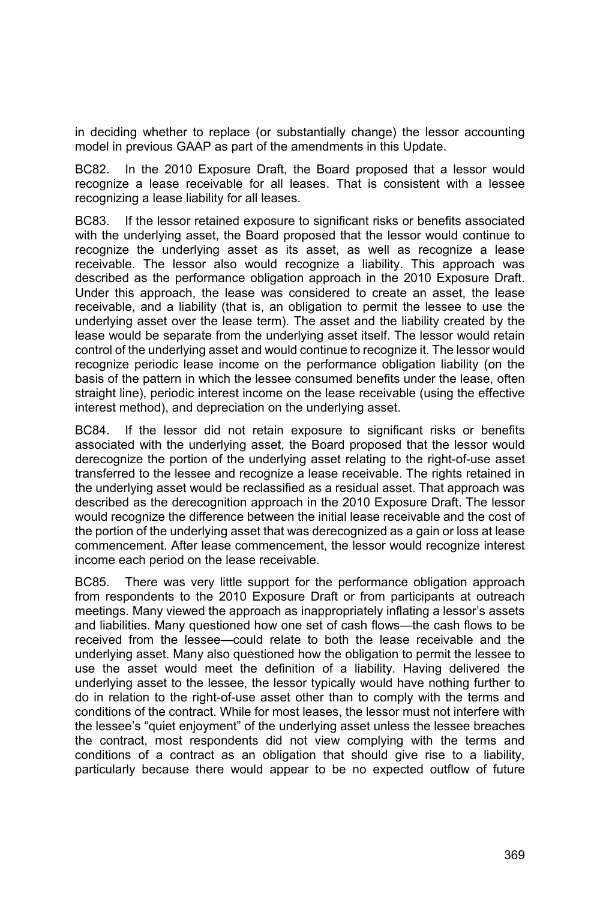in deciding whether to replace (or substantially change) the lessor accounting model in previous GAAP as part of the amendments in this Update.

BC82. In the 2010 Exposure Draft, the Board proposed that a lessor would recognize a lease receivable for all leases. That is consistent with a lessee recognizing a lease liability for all leases.

BC83. If the lessor retained exposure to significant risks or benefits associated with the underlying asset, the Board proposed that the lessor would continue to recognize the underlying asset as its asset, as well as recognize a lease receivable. The lessor also would recognize a liability. This approach was described as the performance obligation approach in the 2010 Exposure Draft. Under this approach, the lease was considered to create an asset, the lease receivable, and a liability (that is, an obligation to permit the lessee to use the underlying asset over the lease term). The asset and the liability created by the lease would be separate from the underlying asset itself. The lessor would retain control of the underlying asset and would continue to recognize it. The lessor would recognize periodic lease income on the performance obligation liability (on the basis of the pattern in which the lessee consumed benefits under the lease, often straight line), periodic interest income on the lease receivable (using the effective interest method), and depreciation on the underlying asset.

BC84. If the lessor did not retain exposure to significant risks or benefits associated with the underlying asset, the Board proposed that the lessor would derecognize the portion of the underlying asset relating to the right-of-use asset transferred to the lessee and recognize a lease receivable. The rights retained in the underlying asset would be reclassified as a residual asset. That approach was described as the derecognition approach in the 2010 Exposure Draft. The lessor would recognize the difference between the initial lease receivable and the cost of the portion of the underlying asset that was derecognized as a gain or loss at lease commencement. After lease commencement, the lessor would recognize interest income each period on the lease receivable.

BC85. There was very little support for the performance obligation approach from respondents to the 2010 Exposure Draft or from participants at outreach meetings. Many viewed the approach as inappropriately inflating a lessor's assets and liabilities. Many questioned how one set of cash flows—the cash flows to be received from the lessee—could relate to both the lease receivable and the underlying asset. Many also questioned how the obligation to permit the lessee to use the asset would meet the definition of a liability. Having delivered the underlying asset to the lessee, the lessor typically would have nothing further to do in relation to the right-of-use asset other than to comply with the terms and conditions of the contract. While for most leases, the lessor must not interfere with the lessee's "quiet enjoyment" of the underlying asset unless the lessee breaches the contract, most respondents did not view complying with the terms and conditions of a contract as an obligation that should give rise to a liability, particularly because there would appear to be no expected outflow of future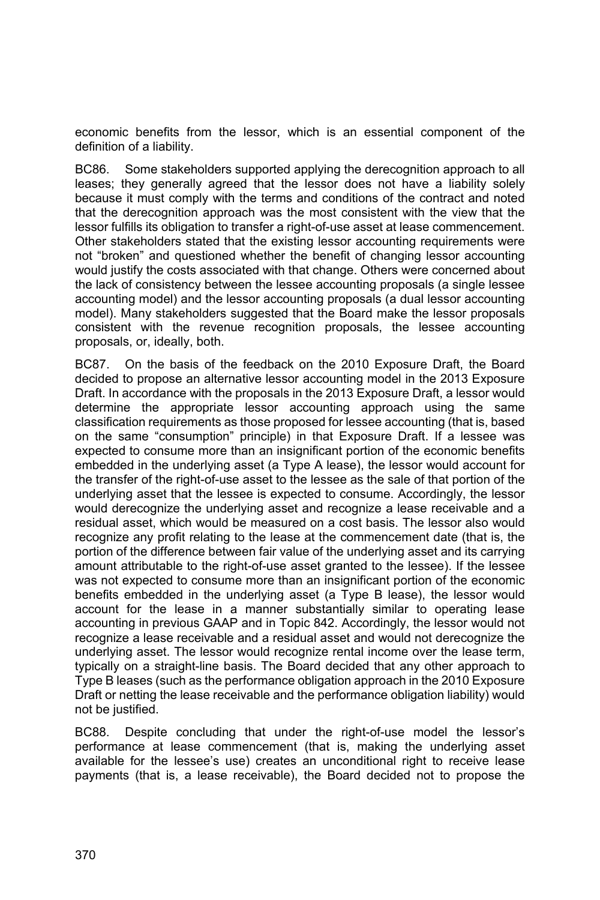economic benefits from the lessor, which is an essential component of the definition of a liability.

BC86. Some stakeholders supported applying the derecognition approach to all leases; they generally agreed that the lessor does not have a liability solely because it must comply with the terms and conditions of the contract and noted that the derecognition approach was the most consistent with the view that the lessor fulfills its obligation to transfer a right-of-use asset at lease commencement. Other stakeholders stated that the existing lessor accounting requirements were not "broken" and questioned whether the benefit of changing lessor accounting would justify the costs associated with that change. Others were concerned about the lack of consistency between the lessee accounting proposals (a single lessee accounting model) and the lessor accounting proposals (a dual lessor accounting model). Many stakeholders suggested that the Board make the lessor proposals consistent with the revenue recognition proposals, the lessee accounting proposals, or, ideally, both.

BC87. On the basis of the feedback on the 2010 Exposure Draft, the Board decided to propose an alternative lessor accounting model in the 2013 Exposure Draft. In accordance with the proposals in the 2013 Exposure Draft, a lessor would determine the appropriate lessor accounting approach using the same classification requirements as those proposed for lessee accounting (that is, based on the same "consumption" principle) in that Exposure Draft. If a lessee was expected to consume more than an insignificant portion of the economic benefits embedded in the underlying asset (a Type A lease), the lessor would account for the transfer of the right-of-use asset to the lessee as the sale of that portion of the underlying asset that the lessee is expected to consume. Accordingly, the lessor would derecognize the underlying asset and recognize a lease receivable and a residual asset, which would be measured on a cost basis. The lessor also would recognize any profit relating to the lease at the commencement date (that is, the portion of the difference between fair value of the underlying asset and its carrying amount attributable to the right-of-use asset granted to the lessee). If the lessee was not expected to consume more than an insignificant portion of the economic benefits embedded in the underlying asset (a Type B lease), the lessor would account for the lease in a manner substantially similar to operating lease accounting in previous GAAP and in Topic 842. Accordingly, the lessor would not recognize a lease receivable and a residual asset and would not derecognize the underlying asset. The lessor would recognize rental income over the lease term, typically on a straight-line basis. The Board decided that any other approach to Type B leases (such as the performance obligation approach in the 2010 Exposure Draft or netting the lease receivable and the performance obligation liability) would not be justified.

BC88. Despite concluding that under the right-of-use model the lessor's performance at lease commencement (that is, making the underlying asset available for the lessee's use) creates an unconditional right to receive lease payments (that is, a lease receivable), the Board decided not to propose the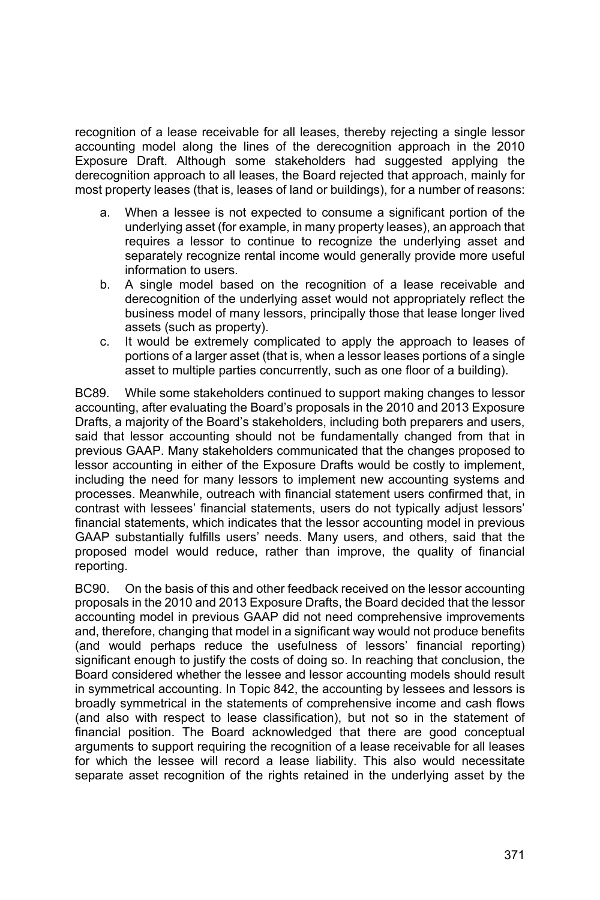recognition of a lease receivable for all leases, thereby rejecting a single lessor accounting model along the lines of the derecognition approach in the 2010 Exposure Draft. Although some stakeholders had suggested applying the derecognition approach to all leases, the Board rejected that approach, mainly for most property leases (that is, leases of land or buildings), for a number of reasons:

- a. When a lessee is not expected to consume a significant portion of the underlying asset (for example, in many property leases), an approach that requires a lessor to continue to recognize the underlying asset and separately recognize rental income would generally provide more useful information to users.
- b. A single model based on the recognition of a lease receivable and derecognition of the underlying asset would not appropriately reflect the business model of many lessors, principally those that lease longer lived assets (such as property).
- c. It would be extremely complicated to apply the approach to leases of portions of a larger asset (that is, when a lessor leases portions of a single asset to multiple parties concurrently, such as one floor of a building).

BC89. While some stakeholders continued to support making changes to lessor accounting, after evaluating the Board's proposals in the 2010 and 2013 Exposure Drafts, a majority of the Board's stakeholders, including both preparers and users, said that lessor accounting should not be fundamentally changed from that in previous GAAP. Many stakeholders communicated that the changes proposed to lessor accounting in either of the Exposure Drafts would be costly to implement, including the need for many lessors to implement new accounting systems and processes. Meanwhile, outreach with financial statement users confirmed that, in contrast with lessees' financial statements, users do not typically adjust lessors' financial statements, which indicates that the lessor accounting model in previous GAAP substantially fulfills users' needs. Many users, and others, said that the proposed model would reduce, rather than improve, the quality of financial reporting.

BC90. On the basis of this and other feedback received on the lessor accounting proposals in the 2010 and 2013 Exposure Drafts, the Board decided that the lessor accounting model in previous GAAP did not need comprehensive improvements and, therefore, changing that model in a significant way would not produce benefits (and would perhaps reduce the usefulness of lessors' financial reporting) significant enough to justify the costs of doing so. In reaching that conclusion, the Board considered whether the lessee and lessor accounting models should result in symmetrical accounting. In Topic 842, the accounting by lessees and lessors is broadly symmetrical in the statements of comprehensive income and cash flows (and also with respect to lease classification), but not so in the statement of financial position. The Board acknowledged that there are good conceptual arguments to support requiring the recognition of a lease receivable for all leases for which the lessee will record a lease liability. This also would necessitate separate asset recognition of the rights retained in the underlying asset by the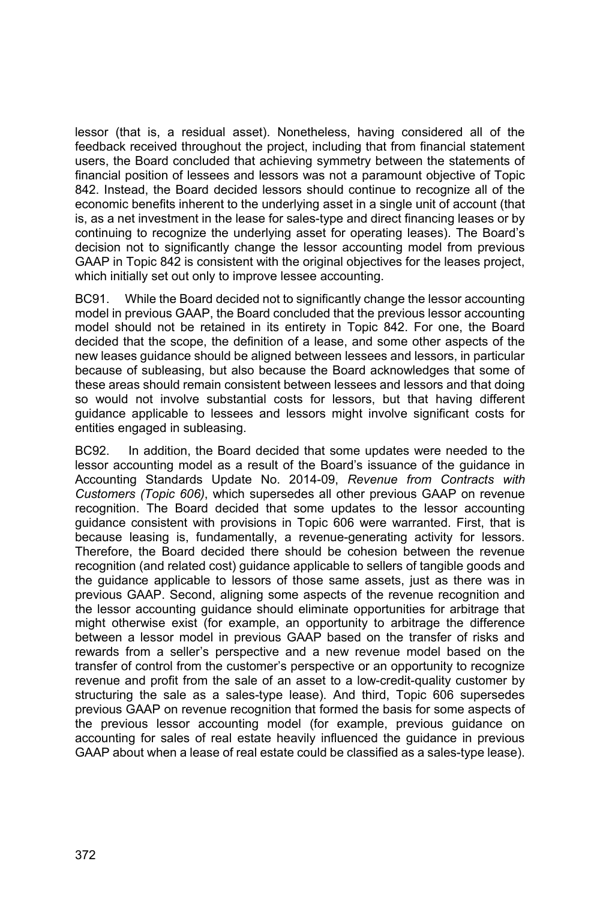lessor (that is, a residual asset). Nonetheless, having considered all of the feedback received throughout the project, including that from financial statement users, the Board concluded that achieving symmetry between the statements of financial position of lessees and lessors was not a paramount objective of Topic 842. Instead, the Board decided lessors should continue to recognize all of the economic benefits inherent to the underlying asset in a single unit of account (that is, as a net investment in the lease for sales-type and direct financing leases or by continuing to recognize the underlying asset for operating leases). The Board's decision not to significantly change the lessor accounting model from previous GAAP in Topic 842 is consistent with the original objectives for the leases project, which initially set out only to improve lessee accounting.

BC91. While the Board decided not to significantly change the lessor accounting model in previous GAAP, the Board concluded that the previous lessor accounting model should not be retained in its entirety in Topic 842. For one, the Board decided that the scope, the definition of a lease, and some other aspects of the new leases guidance should be aligned between lessees and lessors, in particular because of subleasing, but also because the Board acknowledges that some of these areas should remain consistent between lessees and lessors and that doing so would not involve substantial costs for lessors, but that having different guidance applicable to lessees and lessors might involve significant costs for entities engaged in subleasing.

BC92. In addition, the Board decided that some updates were needed to the lessor accounting model as a result of the Board's issuance of the guidance in Accounting Standards Update No. 2014-09, *Revenue from Contracts with Customers (Topic 606)*, which supersedes all other previous GAAP on revenue recognition. The Board decided that some updates to the lessor accounting guidance consistent with provisions in Topic 606 were warranted. First, that is because leasing is, fundamentally, a revenue-generating activity for lessors. Therefore, the Board decided there should be cohesion between the revenue recognition (and related cost) guidance applicable to sellers of tangible goods and the guidance applicable to lessors of those same assets, just as there was in previous GAAP. Second, aligning some aspects of the revenue recognition and the lessor accounting guidance should eliminate opportunities for arbitrage that might otherwise exist (for example, an opportunity to arbitrage the difference between a lessor model in previous GAAP based on the transfer of risks and rewards from a seller's perspective and a new revenue model based on the transfer of control from the customer's perspective or an opportunity to recognize revenue and profit from the sale of an asset to a low-credit-quality customer by structuring the sale as a sales-type lease). And third, Topic 606 supersedes previous GAAP on revenue recognition that formed the basis for some aspects of the previous lessor accounting model (for example, previous guidance on accounting for sales of real estate heavily influenced the guidance in previous GAAP about when a lease of real estate could be classified as a sales-type lease).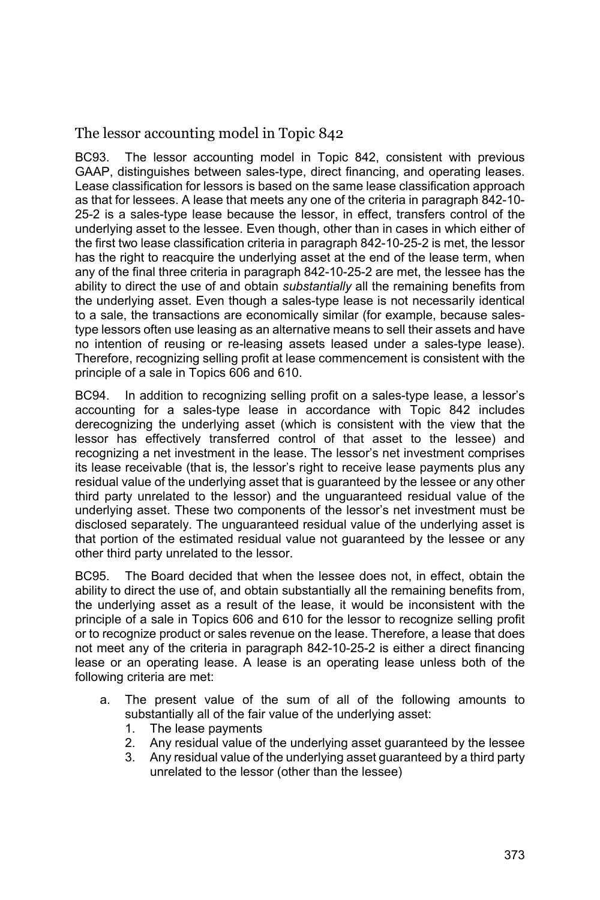The lessor accounting model in Topic 842

BC93. The lessor accounting model in Topic 842, consistent with previous GAAP, distinguishes between sales-type, direct financing, and operating leases. Lease classification for lessors is based on the same lease classification approach as that for lessees. A lease that meets any one of the criteria in paragraph 842-10- 25-2 is a sales-type lease because the lessor, in effect, transfers control of the underlying asset to the lessee. Even though, other than in cases in which either of the first two lease classification criteria in paragraph 842-10-25-2 is met, the lessor has the right to reacquire the underlying asset at the end of the lease term, when any of the final three criteria in paragraph 842-10-25-2 are met, the lessee has the ability to direct the use of and obtain *substantially* all the remaining benefits from the underlying asset. Even though a sales-type lease is not necessarily identical to a sale, the transactions are economically similar (for example, because salestype lessors often use leasing as an alternative means to sell their assets and have no intention of reusing or re-leasing assets leased under a sales-type lease). Therefore, recognizing selling profit at lease commencement is consistent with the principle of a sale in Topics 606 and 610.

BC94. In addition to recognizing selling profit on a sales-type lease, a lessor's accounting for a sales-type lease in accordance with Topic 842 includes derecognizing the underlying asset (which is consistent with the view that the lessor has effectively transferred control of that asset to the lessee) and recognizing a net investment in the lease. The lessor's net investment comprises its lease receivable (that is, the lessor's right to receive lease payments plus any residual value of the underlying asset that is guaranteed by the lessee or any other third party unrelated to the lessor) and the unguaranteed residual value of the underlying asset. These two components of the lessor's net investment must be disclosed separately. The unguaranteed residual value of the underlying asset is that portion of the estimated residual value not guaranteed by the lessee or any other third party unrelated to the lessor.

BC95. The Board decided that when the lessee does not, in effect, obtain the ability to direct the use of, and obtain substantially all the remaining benefits from, the underlying asset as a result of the lease, it would be inconsistent with the principle of a sale in Topics 606 and 610 for the lessor to recognize selling profit or to recognize product or sales revenue on the lease. Therefore, a lease that does not meet any of the criteria in paragraph 842-10-25-2 is either a direct financing lease or an operating lease. A lease is an operating lease unless both of the following criteria are met:

- a. The present value of the sum of all of the following amounts to substantially all of the fair value of the underlying asset:
	- 1. The lease payments
	- 2. Any residual value of the underlying asset guaranteed by the lessee
	- 3. Any residual value of the underlying asset guaranteed by a third party unrelated to the lessor (other than the lessee)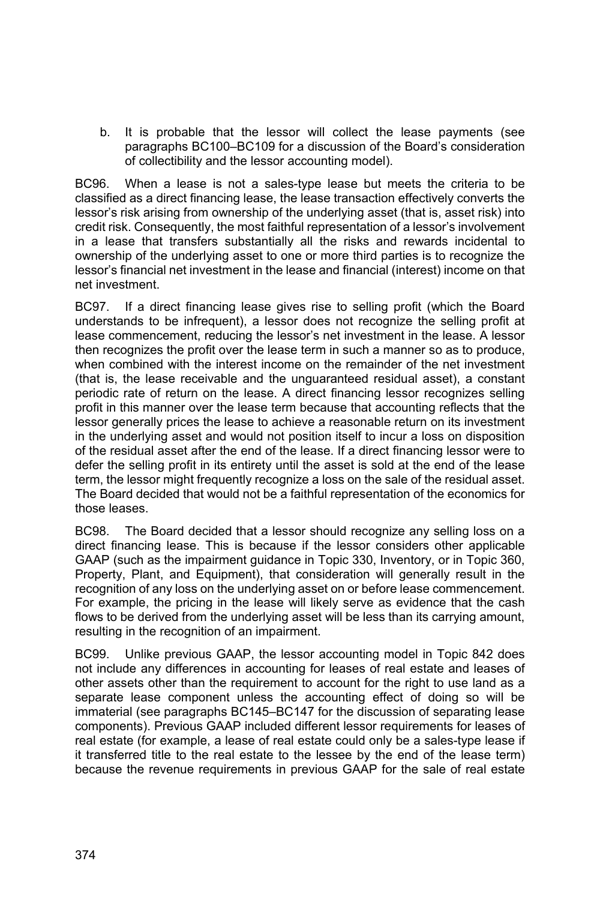b. It is probable that the lessor will collect the lease payments (see paragraphs BC100–BC109 for a discussion of the Board's consideration of collectibility and the lessor accounting model).

BC96. When a lease is not a sales-type lease but meets the criteria to be classified as a direct financing lease, the lease transaction effectively converts the lessor's risk arising from ownership of the underlying asset (that is, asset risk) into credit risk. Consequently, the most faithful representation of a lessor's involvement in a lease that transfers substantially all the risks and rewards incidental to ownership of the underlying asset to one or more third parties is to recognize the lessor's financial net investment in the lease and financial (interest) income on that net investment.

BC97. If a direct financing lease gives rise to selling profit (which the Board understands to be infrequent), a lessor does not recognize the selling profit at lease commencement, reducing the lessor's net investment in the lease. A lessor then recognizes the profit over the lease term in such a manner so as to produce, when combined with the interest income on the remainder of the net investment (that is, the lease receivable and the unguaranteed residual asset), a constant periodic rate of return on the lease. A direct financing lessor recognizes selling profit in this manner over the lease term because that accounting reflects that the lessor generally prices the lease to achieve a reasonable return on its investment in the underlying asset and would not position itself to incur a loss on disposition of the residual asset after the end of the lease. If a direct financing lessor were to defer the selling profit in its entirety until the asset is sold at the end of the lease term, the lessor might frequently recognize a loss on the sale of the residual asset. The Board decided that would not be a faithful representation of the economics for those leases.

BC98. The Board decided that a lessor should recognize any selling loss on a direct financing lease. This is because if the lessor considers other applicable GAAP (such as the impairment guidance in Topic 330, Inventory, or in Topic 360, Property, Plant, and Equipment), that consideration will generally result in the recognition of any loss on the underlying asset on or before lease commencement. For example, the pricing in the lease will likely serve as evidence that the cash flows to be derived from the underlying asset will be less than its carrying amount, resulting in the recognition of an impairment.

BC99. Unlike previous GAAP, the lessor accounting model in Topic 842 does not include any differences in accounting for leases of real estate and leases of other assets other than the requirement to account for the right to use land as a separate lease component unless the accounting effect of doing so will be immaterial (see paragraphs BC145–BC147 for the discussion of separating lease components). Previous GAAP included different lessor requirements for leases of real estate (for example, a lease of real estate could only be a sales-type lease if it transferred title to the real estate to the lessee by the end of the lease term) because the revenue requirements in previous GAAP for the sale of real estate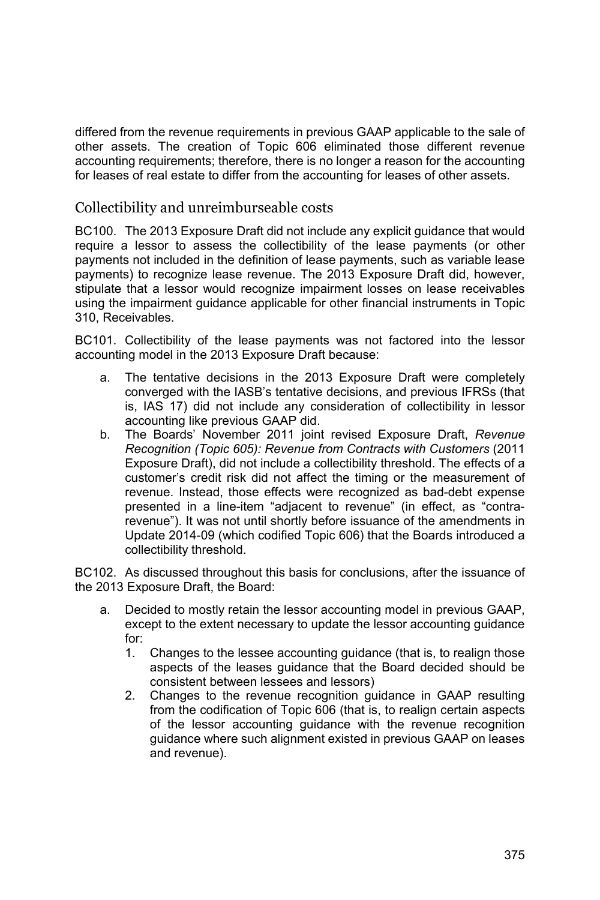differed from the revenue requirements in previous GAAP applicable to the sale of other assets. The creation of Topic 606 eliminated those different revenue accounting requirements; therefore, there is no longer a reason for the accounting for leases of real estate to differ from the accounting for leases of other assets.

#### Collectibility and unreimburseable costs

BC100. The 2013 Exposure Draft did not include any explicit guidance that would require a lessor to assess the collectibility of the lease payments (or other payments not included in the definition of lease payments, such as variable lease payments) to recognize lease revenue. The 2013 Exposure Draft did, however, stipulate that a lessor would recognize impairment losses on lease receivables using the impairment guidance applicable for other financial instruments in Topic 310, Receivables.

BC101. Collectibility of the lease payments was not factored into the lessor accounting model in the 2013 Exposure Draft because:

- a. The tentative decisions in the 2013 Exposure Draft were completely converged with the IASB's tentative decisions, and previous IFRSs (that is, IAS 17) did not include any consideration of collectibility in lessor accounting like previous GAAP did.
- b. The Boards' November 2011 joint revised Exposure Draft, *Revenue Recognition (Topic 605): Revenue from Contracts with Customers* (2011 Exposure Draft), did not include a collectibility threshold. The effects of a customer's credit risk did not affect the timing or the measurement of revenue. Instead, those effects were recognized as bad-debt expense presented in a line-item "adjacent to revenue" (in effect, as "contrarevenue"). It was not until shortly before issuance of the amendments in Update 2014-09 (which codified Topic 606) that the Boards introduced a collectibility threshold.

BC102. As discussed throughout this basis for conclusions, after the issuance of the 2013 Exposure Draft, the Board:

- a. Decided to mostly retain the lessor accounting model in previous GAAP, except to the extent necessary to update the lessor accounting guidance for:
	- 1. Changes to the lessee accounting guidance (that is, to realign those aspects of the leases guidance that the Board decided should be consistent between lessees and lessors)
	- 2. Changes to the revenue recognition guidance in GAAP resulting from the codification of Topic 606 (that is, to realign certain aspects of the lessor accounting guidance with the revenue recognition guidance where such alignment existed in previous GAAP on leases and revenue).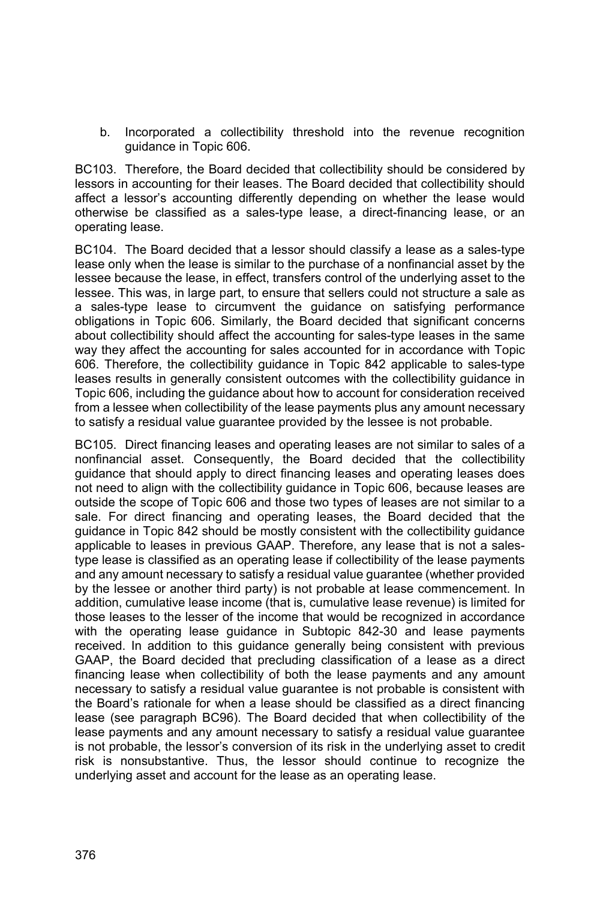b. Incorporated a collectibility threshold into the revenue recognition guidance in Topic 606.

BC103. Therefore, the Board decided that collectibility should be considered by lessors in accounting for their leases. The Board decided that collectibility should affect a lessor's accounting differently depending on whether the lease would otherwise be classified as a sales-type lease, a direct-financing lease, or an operating lease.

BC104. The Board decided that a lessor should classify a lease as a sales-type lease only when the lease is similar to the purchase of a nonfinancial asset by the lessee because the lease, in effect, transfers control of the underlying asset to the lessee. This was, in large part, to ensure that sellers could not structure a sale as a sales-type lease to circumvent the guidance on satisfying performance obligations in Topic 606. Similarly, the Board decided that significant concerns about collectibility should affect the accounting for sales-type leases in the same way they affect the accounting for sales accounted for in accordance with Topic 606. Therefore, the collectibility guidance in Topic 842 applicable to sales-type leases results in generally consistent outcomes with the collectibility guidance in Topic 606, including the guidance about how to account for consideration received from a lessee when collectibility of the lease payments plus any amount necessary to satisfy a residual value guarantee provided by the lessee is not probable.

BC105. Direct financing leases and operating leases are not similar to sales of a nonfinancial asset. Consequently, the Board decided that the collectibility guidance that should apply to direct financing leases and operating leases does not need to align with the collectibility guidance in Topic 606, because leases are outside the scope of Topic 606 and those two types of leases are not similar to a sale. For direct financing and operating leases, the Board decided that the guidance in Topic 842 should be mostly consistent with the collectibility guidance applicable to leases in previous GAAP. Therefore, any lease that is not a salestype lease is classified as an operating lease if collectibility of the lease payments and any amount necessary to satisfy a residual value guarantee (whether provided by the lessee or another third party) is not probable at lease commencement. In addition, cumulative lease income (that is, cumulative lease revenue) is limited for those leases to the lesser of the income that would be recognized in accordance with the operating lease guidance in Subtopic 842-30 and lease payments received. In addition to this guidance generally being consistent with previous GAAP, the Board decided that precluding classification of a lease as a direct financing lease when collectibility of both the lease payments and any amount necessary to satisfy a residual value guarantee is not probable is consistent with the Board's rationale for when a lease should be classified as a direct financing lease (see paragraph BC96). The Board decided that when collectibility of the lease payments and any amount necessary to satisfy a residual value guarantee is not probable, the lessor's conversion of its risk in the underlying asset to credit risk is nonsubstantive. Thus, the lessor should continue to recognize the underlying asset and account for the lease as an operating lease.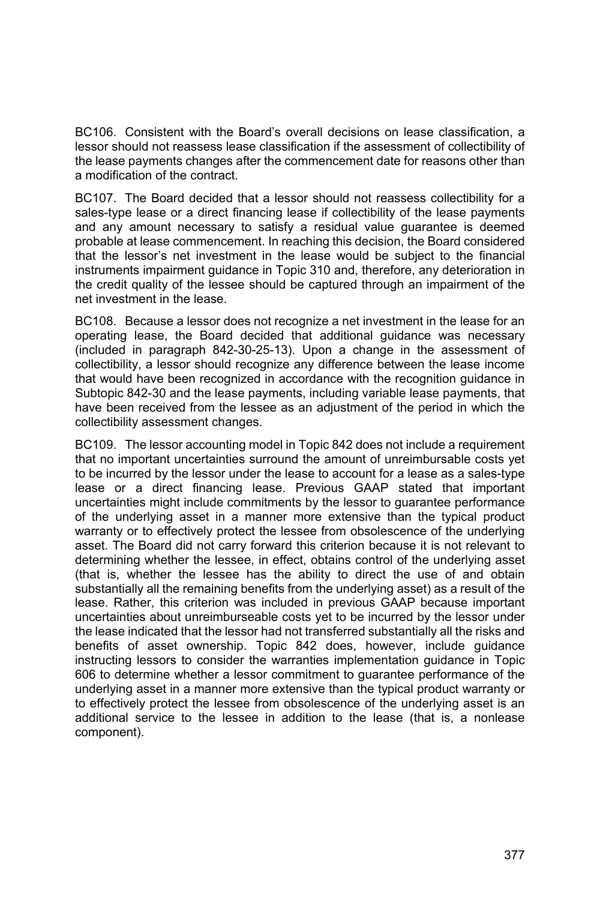BC106. Consistent with the Board's overall decisions on lease classification, a lessor should not reassess lease classification if the assessment of collectibility of the lease payments changes after the commencement date for reasons other than a modification of the contract.

BC107. The Board decided that a lessor should not reassess collectibility for a sales-type lease or a direct financing lease if collectibility of the lease payments and any amount necessary to satisfy a residual value guarantee is deemed probable at lease commencement. In reaching this decision, the Board considered that the lessor's net investment in the lease would be subject to the financial instruments impairment guidance in Topic 310 and, therefore, any deterioration in the credit quality of the lessee should be captured through an impairment of the net investment in the lease.

BC108. Because a lessor does not recognize a net investment in the lease for an operating lease, the Board decided that additional guidance was necessary (included in paragraph 842-30-25-13). Upon a change in the assessment of collectibility, a lessor should recognize any difference between the lease income that would have been recognized in accordance with the recognition guidance in Subtopic 842-30 and the lease payments, including variable lease payments, that have been received from the lessee as an adjustment of the period in which the collectibility assessment changes.

BC109. The lessor accounting model in Topic 842 does not include a requirement that no important uncertainties surround the amount of unreimbursable costs yet to be incurred by the lessor under the lease to account for a lease as a sales-type lease or a direct financing lease. Previous GAAP stated that important uncertainties might include commitments by the lessor to guarantee performance of the underlying asset in a manner more extensive than the typical product warranty or to effectively protect the lessee from obsolescence of the underlying asset. The Board did not carry forward this criterion because it is not relevant to determining whether the lessee, in effect, obtains control of the underlying asset (that is, whether the lessee has the ability to direct the use of and obtain substantially all the remaining benefits from the underlying asset) as a result of the lease. Rather, this criterion was included in previous GAAP because important uncertainties about unreimburseable costs yet to be incurred by the lessor under the lease indicated that the lessor had not transferred substantially all the risks and benefits of asset ownership. Topic 842 does, however, include guidance instructing lessors to consider the warranties implementation guidance in Topic 606 to determine whether a lessor commitment to guarantee performance of the underlying asset in a manner more extensive than the typical product warranty or to effectively protect the lessee from obsolescence of the underlying asset is an additional service to the lessee in addition to the lease (that is, a nonlease component).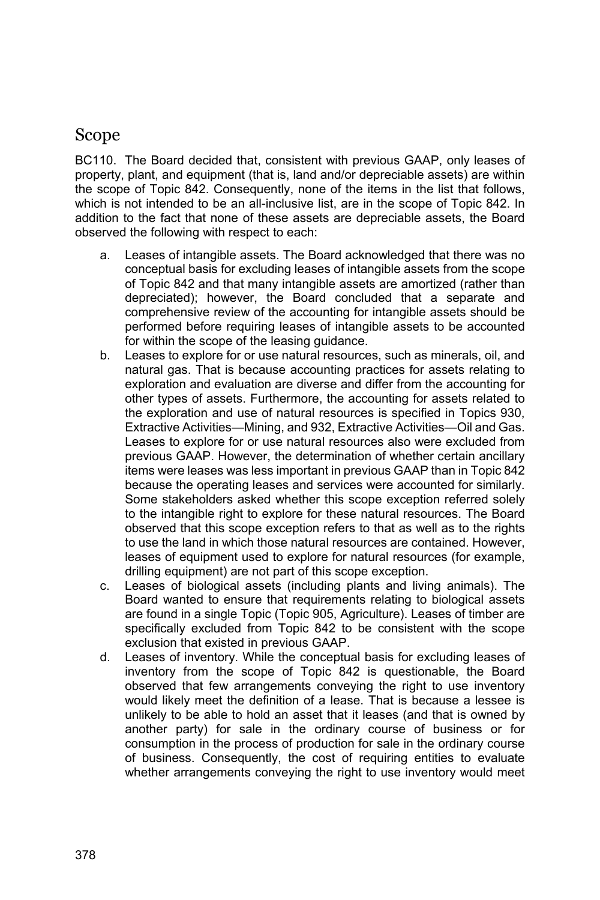## Scope

BC110. The Board decided that, consistent with previous GAAP, only leases of property, plant, and equipment (that is, land and/or depreciable assets) are within the scope of Topic 842. Consequently, none of the items in the list that follows, which is not intended to be an all-inclusive list, are in the scope of Topic 842. In addition to the fact that none of these assets are depreciable assets, the Board observed the following with respect to each:

- a. Leases of intangible assets. The Board acknowledged that there was no conceptual basis for excluding leases of intangible assets from the scope of Topic 842 and that many intangible assets are amortized (rather than depreciated); however, the Board concluded that a separate and comprehensive review of the accounting for intangible assets should be performed before requiring leases of intangible assets to be accounted for within the scope of the leasing guidance.
- b. Leases to explore for or use natural resources, such as minerals, oil, and natural gas. That is because accounting practices for assets relating to exploration and evaluation are diverse and differ from the accounting for other types of assets. Furthermore, the accounting for assets related to the exploration and use of natural resources is specified in Topics 930, Extractive Activities—Mining, and 932, Extractive Activities—Oil and Gas. Leases to explore for or use natural resources also were excluded from previous GAAP. However, the determination of whether certain ancillary items were leases was less important in previous GAAP than in Topic 842 because the operating leases and services were accounted for similarly. Some stakeholders asked whether this scope exception referred solely to the intangible right to explore for these natural resources. The Board observed that this scope exception refers to that as well as to the rights to use the land in which those natural resources are contained. However, leases of equipment used to explore for natural resources (for example, drilling equipment) are not part of this scope exception.
- c. Leases of biological assets (including plants and living animals). The Board wanted to ensure that requirements relating to biological assets are found in a single Topic (Topic 905, Agriculture). Leases of timber are specifically excluded from Topic 842 to be consistent with the scope exclusion that existed in previous GAAP.
- d. Leases of inventory. While the conceptual basis for excluding leases of inventory from the scope of Topic 842 is questionable, the Board observed that few arrangements conveying the right to use inventory would likely meet the definition of a lease. That is because a lessee is unlikely to be able to hold an asset that it leases (and that is owned by another party) for sale in the ordinary course of business or for consumption in the process of production for sale in the ordinary course of business. Consequently, the cost of requiring entities to evaluate whether arrangements conveying the right to use inventory would meet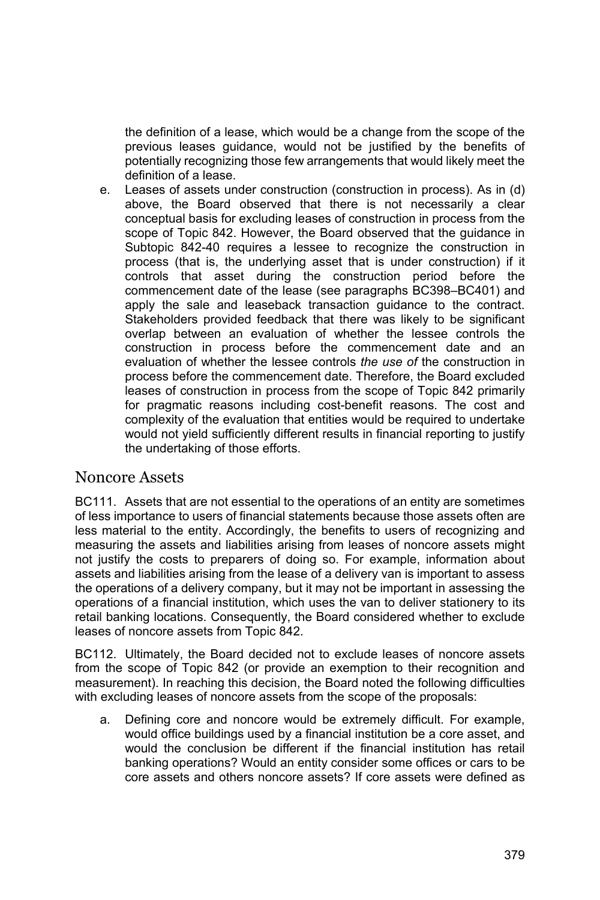the definition of a lease, which would be a change from the scope of the previous leases guidance, would not be justified by the benefits of potentially recognizing those few arrangements that would likely meet the definition of a lease.

e. Leases of assets under construction (construction in process). As in (d) above, the Board observed that there is not necessarily a clear conceptual basis for excluding leases of construction in process from the scope of Topic 842. However, the Board observed that the guidance in Subtopic 842-40 requires a lessee to recognize the construction in process (that is, the underlying asset that is under construction) if it controls that asset during the construction period before the commencement date of the lease (see paragraphs BC398–BC401) and apply the sale and leaseback transaction guidance to the contract. Stakeholders provided feedback that there was likely to be significant overlap between an evaluation of whether the lessee controls the construction in process before the commencement date and an evaluation of whether the lessee controls *the use of* the construction in process before the commencement date. Therefore, the Board excluded leases of construction in process from the scope of Topic 842 primarily for pragmatic reasons including cost-benefit reasons. The cost and complexity of the evaluation that entities would be required to undertake would not yield sufficiently different results in financial reporting to justify the undertaking of those efforts.

#### Noncore Assets

BC111. Assets that are not essential to the operations of an entity are sometimes of less importance to users of financial statements because those assets often are less material to the entity. Accordingly, the benefits to users of recognizing and measuring the assets and liabilities arising from leases of noncore assets might not justify the costs to preparers of doing so. For example, information about assets and liabilities arising from the lease of a delivery van is important to assess the operations of a delivery company, but it may not be important in assessing the operations of a financial institution, which uses the van to deliver stationery to its retail banking locations. Consequently, the Board considered whether to exclude leases of noncore assets from Topic 842.

BC112. Ultimately, the Board decided not to exclude leases of noncore assets from the scope of Topic 842 (or provide an exemption to their recognition and measurement). In reaching this decision, the Board noted the following difficulties with excluding leases of noncore assets from the scope of the proposals:

a. Defining core and noncore would be extremely difficult. For example, would office buildings used by a financial institution be a core asset, and would the conclusion be different if the financial institution has retail banking operations? Would an entity consider some offices or cars to be core assets and others noncore assets? If core assets were defined as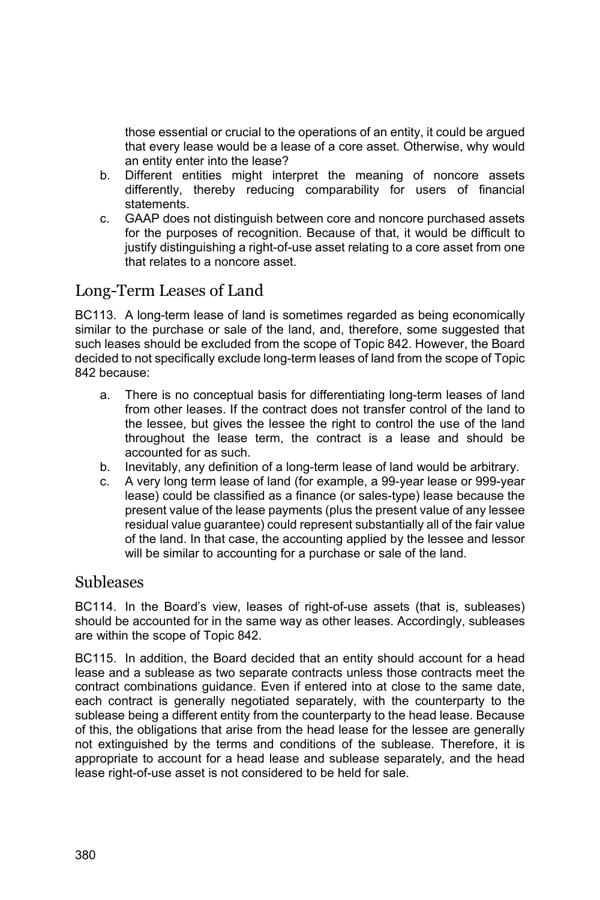those essential or crucial to the operations of an entity, it could be argued that every lease would be a lease of a core asset. Otherwise, why would an entity enter into the lease?

- b. Different entities might interpret the meaning of noncore assets differently, thereby reducing comparability for users of financial statements.
- c. GAAP does not distinguish between core and noncore purchased assets for the purposes of recognition. Because of that, it would be difficult to justify distinguishing a right-of-use asset relating to a core asset from one that relates to a noncore asset.

### Long-Term Leases of Land

BC113. A long-term lease of land is sometimes regarded as being economically similar to the purchase or sale of the land, and, therefore, some suggested that such leases should be excluded from the scope of Topic 842. However, the Board decided to not specifically exclude long-term leases of land from the scope of Topic 842 because:

- a. There is no conceptual basis for differentiating long-term leases of land from other leases. If the contract does not transfer control of the land to the lessee, but gives the lessee the right to control the use of the land throughout the lease term, the contract is a lease and should be accounted for as such.
- b. Inevitably, any definition of a long-term lease of land would be arbitrary.
- c. A very long term lease of land (for example, a 99-year lease or 999-year lease) could be classified as a finance (or sales-type) lease because the present value of the lease payments (plus the present value of any lessee residual value guarantee) could represent substantially all of the fair value of the land. In that case, the accounting applied by the lessee and lessor will be similar to accounting for a purchase or sale of the land.

#### Subleases

BC114. In the Board's view, leases of right-of-use assets (that is, subleases) should be accounted for in the same way as other leases. Accordingly, subleases are within the scope of Topic 842.

BC115. In addition, the Board decided that an entity should account for a head lease and a sublease as two separate contracts unless those contracts meet the contract combinations guidance. Even if entered into at close to the same date, each contract is generally negotiated separately, with the counterparty to the sublease being a different entity from the counterparty to the head lease. Because of this, the obligations that arise from the head lease for the lessee are generally not extinguished by the terms and conditions of the sublease. Therefore, it is appropriate to account for a head lease and sublease separately, and the head lease right-of-use asset is not considered to be held for sale.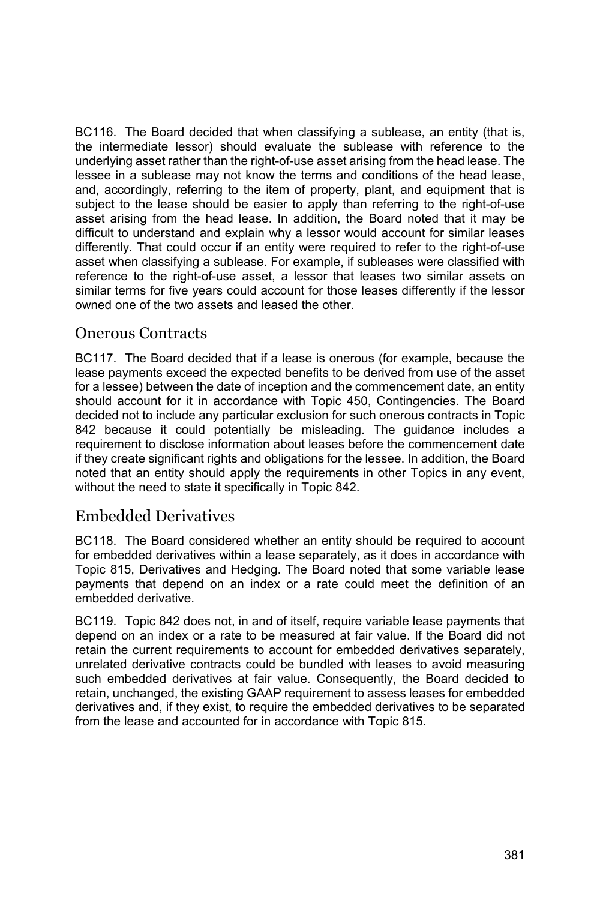BC116. The Board decided that when classifying a sublease, an entity (that is, the intermediate lessor) should evaluate the sublease with reference to the underlying asset rather than the right-of-use asset arising from the head lease. The lessee in a sublease may not know the terms and conditions of the head lease, and, accordingly, referring to the item of property, plant, and equipment that is subject to the lease should be easier to apply than referring to the right-of-use asset arising from the head lease. In addition, the Board noted that it may be difficult to understand and explain why a lessor would account for similar leases differently. That could occur if an entity were required to refer to the right-of-use asset when classifying a sublease. For example, if subleases were classified with reference to the right-of-use asset, a lessor that leases two similar assets on similar terms for five years could account for those leases differently if the lessor owned one of the two assets and leased the other.

### Onerous Contracts

BC117. The Board decided that if a lease is onerous (for example, because the lease payments exceed the expected benefits to be derived from use of the asset for a lessee) between the date of inception and the commencement date, an entity should account for it in accordance with Topic 450, Contingencies. The Board decided not to include any particular exclusion for such onerous contracts in Topic 842 because it could potentially be misleading. The guidance includes a requirement to disclose information about leases before the commencement date if they create significant rights and obligations for the lessee. In addition, the Board noted that an entity should apply the requirements in other Topics in any event, without the need to state it specifically in Topic 842.

### Embedded Derivatives

BC118. The Board considered whether an entity should be required to account for embedded derivatives within a lease separately, as it does in accordance with Topic 815, Derivatives and Hedging. The Board noted that some variable lease payments that depend on an index or a rate could meet the definition of an embedded derivative.

BC119. Topic 842 does not, in and of itself, require variable lease payments that depend on an index or a rate to be measured at fair value. If the Board did not retain the current requirements to account for embedded derivatives separately, unrelated derivative contracts could be bundled with leases to avoid measuring such embedded derivatives at fair value. Consequently, the Board decided to retain, unchanged, the existing GAAP requirement to assess leases for embedded derivatives and, if they exist, to require the embedded derivatives to be separated from the lease and accounted for in accordance with Topic 815.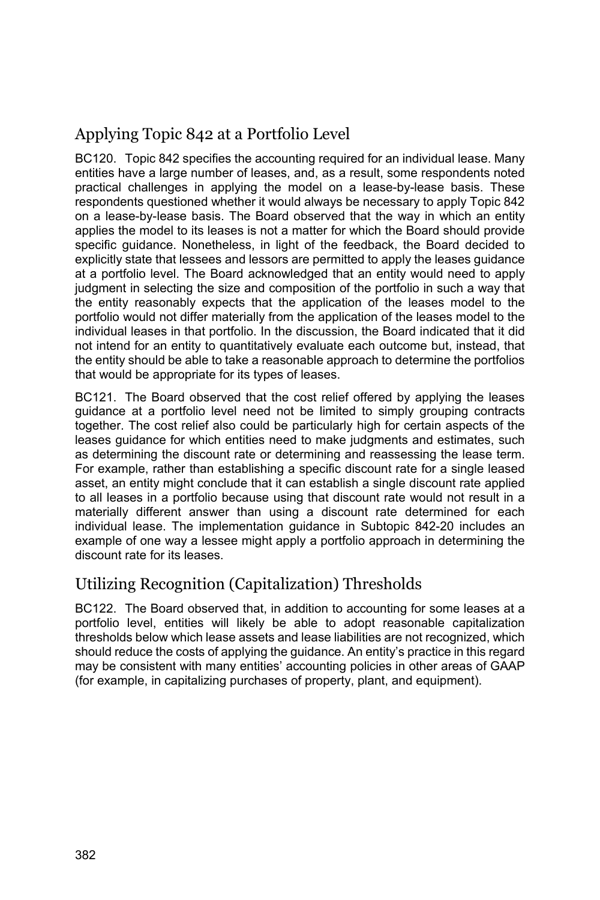# Applying Topic 842 at a Portfolio Level

BC120. Topic 842 specifies the accounting required for an individual lease. Many entities have a large number of leases, and, as a result, some respondents noted practical challenges in applying the model on a lease-by-lease basis. These respondents questioned whether it would always be necessary to apply Topic 842 on a lease-by-lease basis. The Board observed that the way in which an entity applies the model to its leases is not a matter for which the Board should provide specific guidance. Nonetheless, in light of the feedback, the Board decided to explicitly state that lessees and lessors are permitted to apply the leases guidance at a portfolio level. The Board acknowledged that an entity would need to apply judgment in selecting the size and composition of the portfolio in such a way that the entity reasonably expects that the application of the leases model to the portfolio would not differ materially from the application of the leases model to the individual leases in that portfolio. In the discussion, the Board indicated that it did not intend for an entity to quantitatively evaluate each outcome but, instead, that the entity should be able to take a reasonable approach to determine the portfolios that would be appropriate for its types of leases.

BC121. The Board observed that the cost relief offered by applying the leases guidance at a portfolio level need not be limited to simply grouping contracts together. The cost relief also could be particularly high for certain aspects of the leases guidance for which entities need to make judgments and estimates, such as determining the discount rate or determining and reassessing the lease term. For example, rather than establishing a specific discount rate for a single leased asset, an entity might conclude that it can establish a single discount rate applied to all leases in a portfolio because using that discount rate would not result in a materially different answer than using a discount rate determined for each individual lease. The implementation guidance in Subtopic 842-20 includes an example of one way a lessee might apply a portfolio approach in determining the discount rate for its leases.

## Utilizing Recognition (Capitalization) Thresholds

BC122. The Board observed that, in addition to accounting for some leases at a portfolio level, entities will likely be able to adopt reasonable capitalization thresholds below which lease assets and lease liabilities are not recognized, which should reduce the costs of applying the guidance. An entity's practice in this regard may be consistent with many entities' accounting policies in other areas of GAAP (for example, in capitalizing purchases of property, plant, and equipment).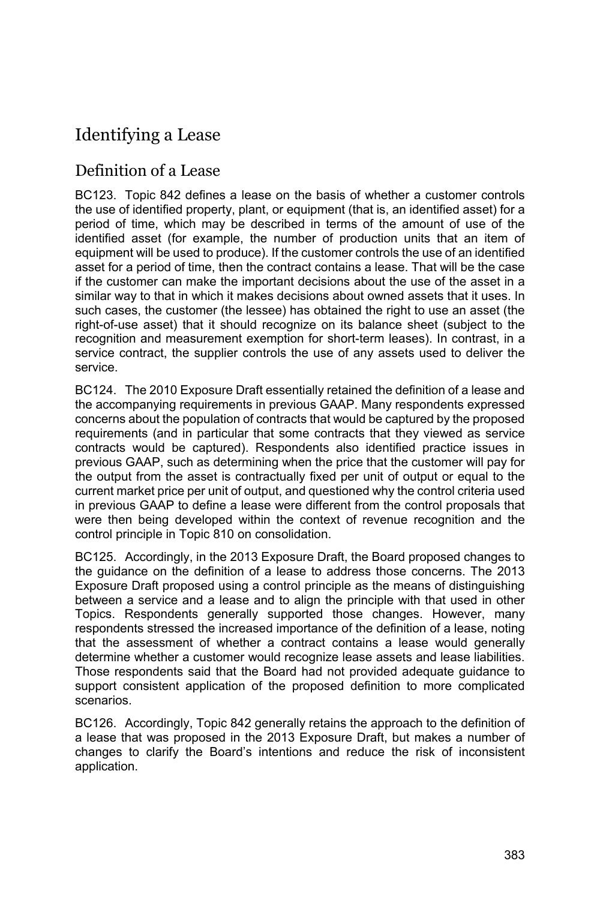# Identifying a Lease

### Definition of a Lease

BC123. Topic 842 defines a lease on the basis of whether a customer controls the use of identified property, plant, or equipment (that is, an identified asset) for a period of time, which may be described in terms of the amount of use of the identified asset (for example, the number of production units that an item of equipment will be used to produce). If the customer controls the use of an identified asset for a period of time, then the contract contains a lease. That will be the case if the customer can make the important decisions about the use of the asset in a similar way to that in which it makes decisions about owned assets that it uses. In such cases, the customer (the lessee) has obtained the right to use an asset (the right-of-use asset) that it should recognize on its balance sheet (subject to the recognition and measurement exemption for short-term leases). In contrast, in a service contract, the supplier controls the use of any assets used to deliver the service.

BC124. The 2010 Exposure Draft essentially retained the definition of a lease and the accompanying requirements in previous GAAP. Many respondents expressed concerns about the population of contracts that would be captured by the proposed requirements (and in particular that some contracts that they viewed as service contracts would be captured). Respondents also identified practice issues in previous GAAP, such as determining when the price that the customer will pay for the output from the asset is contractually fixed per unit of output or equal to the current market price per unit of output, and questioned why the control criteria used in previous GAAP to define a lease were different from the control proposals that were then being developed within the context of revenue recognition and the control principle in Topic 810 on consolidation.

BC125. Accordingly, in the 2013 Exposure Draft, the Board proposed changes to the guidance on the definition of a lease to address those concerns. The 2013 Exposure Draft proposed using a control principle as the means of distinguishing between a service and a lease and to align the principle with that used in other Topics. Respondents generally supported those changes. However, many respondents stressed the increased importance of the definition of a lease, noting that the assessment of whether a contract contains a lease would generally determine whether a customer would recognize lease assets and lease liabilities. Those respondents said that the Board had not provided adequate guidance to support consistent application of the proposed definition to more complicated scenarios.

BC126. Accordingly, Topic 842 generally retains the approach to the definition of a lease that was proposed in the 2013 Exposure Draft, but makes a number of changes to clarify the Board's intentions and reduce the risk of inconsistent application.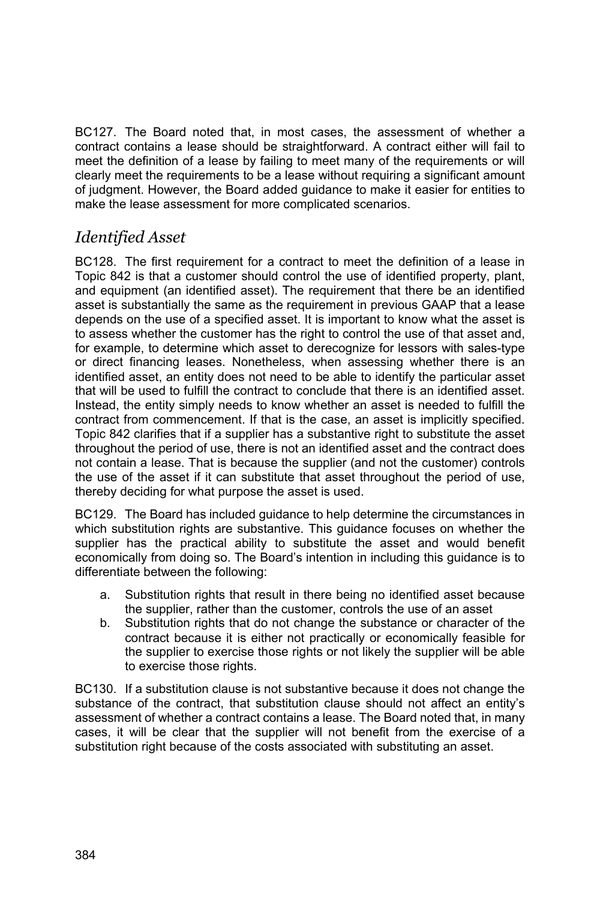BC127. The Board noted that, in most cases, the assessment of whether a contract contains a lease should be straightforward. A contract either will fail to meet the definition of a lease by failing to meet many of the requirements or will clearly meet the requirements to be a lease without requiring a significant amount of judgment. However, the Board added guidance to make it easier for entities to make the lease assessment for more complicated scenarios.

## *Identified Asset*

BC128. The first requirement for a contract to meet the definition of a lease in Topic 842 is that a customer should control the use of identified property, plant, and equipment (an identified asset). The requirement that there be an identified asset is substantially the same as the requirement in previous GAAP that a lease depends on the use of a specified asset. It is important to know what the asset is to assess whether the customer has the right to control the use of that asset and, for example, to determine which asset to derecognize for lessors with sales-type or direct financing leases. Nonetheless, when assessing whether there is an identified asset, an entity does not need to be able to identify the particular asset that will be used to fulfill the contract to conclude that there is an identified asset. Instead, the entity simply needs to know whether an asset is needed to fulfill the contract from commencement. If that is the case, an asset is implicitly specified. Topic 842 clarifies that if a supplier has a substantive right to substitute the asset throughout the period of use, there is not an identified asset and the contract does not contain a lease. That is because the supplier (and not the customer) controls the use of the asset if it can substitute that asset throughout the period of use, thereby deciding for what purpose the asset is used.

BC129. The Board has included guidance to help determine the circumstances in which substitution rights are substantive. This guidance focuses on whether the supplier has the practical ability to substitute the asset and would benefit economically from doing so. The Board's intention in including this guidance is to differentiate between the following:

- a. Substitution rights that result in there being no identified asset because the supplier, rather than the customer, controls the use of an asset
- b. Substitution rights that do not change the substance or character of the contract because it is either not practically or economically feasible for the supplier to exercise those rights or not likely the supplier will be able to exercise those rights.

BC130. If a substitution clause is not substantive because it does not change the substance of the contract, that substitution clause should not affect an entity's assessment of whether a contract contains a lease. The Board noted that, in many cases, it will be clear that the supplier will not benefit from the exercise of a substitution right because of the costs associated with substituting an asset.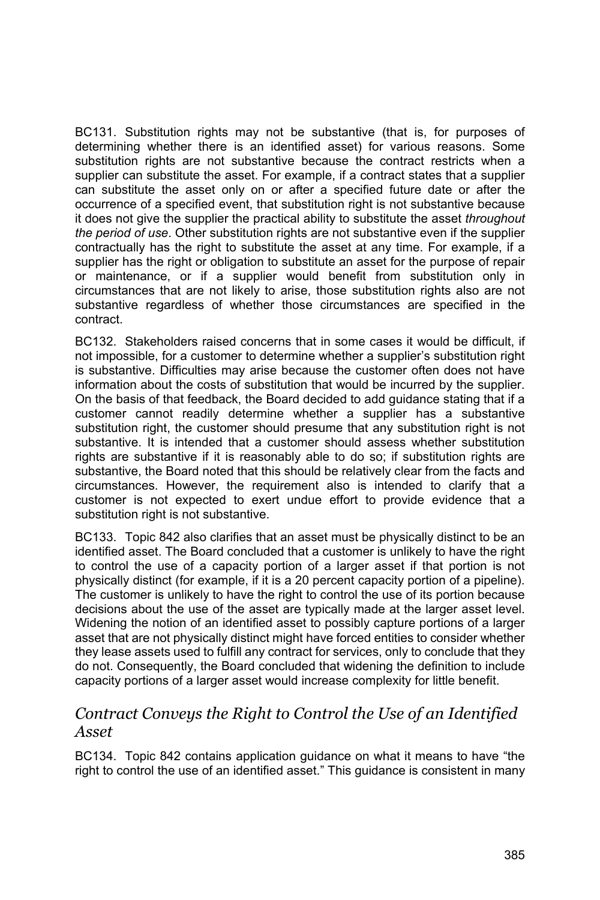BC131. Substitution rights may not be substantive (that is, for purposes of determining whether there is an identified asset) for various reasons. Some substitution rights are not substantive because the contract restricts when a supplier can substitute the asset. For example, if a contract states that a supplier can substitute the asset only on or after a specified future date or after the occurrence of a specified event, that substitution right is not substantive because it does not give the supplier the practical ability to substitute the asset *throughout the period of use*. Other substitution rights are not substantive even if the supplier contractually has the right to substitute the asset at any time. For example, if a supplier has the right or obligation to substitute an asset for the purpose of repair or maintenance, or if a supplier would benefit from substitution only in circumstances that are not likely to arise, those substitution rights also are not substantive regardless of whether those circumstances are specified in the contract.

BC132. Stakeholders raised concerns that in some cases it would be difficult, if not impossible, for a customer to determine whether a supplier's substitution right is substantive. Difficulties may arise because the customer often does not have information about the costs of substitution that would be incurred by the supplier. On the basis of that feedback, the Board decided to add guidance stating that if a customer cannot readily determine whether a supplier has a substantive substitution right, the customer should presume that any substitution right is not substantive. It is intended that a customer should assess whether substitution rights are substantive if it is reasonably able to do so; if substitution rights are substantive, the Board noted that this should be relatively clear from the facts and circumstances. However, the requirement also is intended to clarify that a customer is not expected to exert undue effort to provide evidence that a substitution right is not substantive.

BC133. Topic 842 also clarifies that an asset must be physically distinct to be an identified asset. The Board concluded that a customer is unlikely to have the right to control the use of a capacity portion of a larger asset if that portion is not physically distinct (for example, if it is a 20 percent capacity portion of a pipeline). The customer is unlikely to have the right to control the use of its portion because decisions about the use of the asset are typically made at the larger asset level. Widening the notion of an identified asset to possibly capture portions of a larger asset that are not physically distinct might have forced entities to consider whether they lease assets used to fulfill any contract for services, only to conclude that they do not. Consequently, the Board concluded that widening the definition to include capacity portions of a larger asset would increase complexity for little benefit.

### *Contract Conveys the Right to Control the Use of an Identified Asset*

BC134. Topic 842 contains application guidance on what it means to have "the right to control the use of an identified asset." This guidance is consistent in many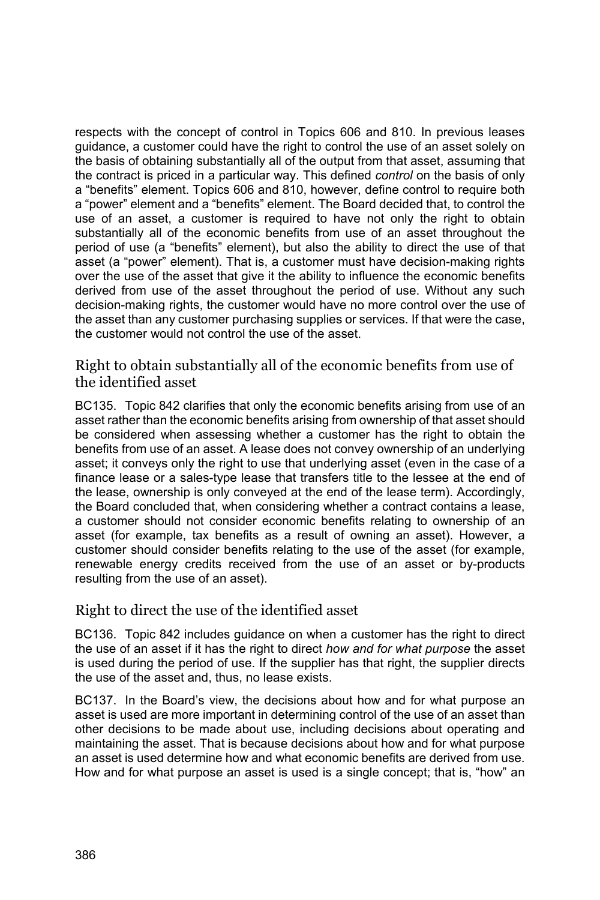respects with the concept of control in Topics 606 and 810. In previous leases guidance, a customer could have the right to control the use of an asset solely on the basis of obtaining substantially all of the output from that asset, assuming that the contract is priced in a particular way. This defined *control* on the basis of only a "benefits" element. Topics 606 and 810, however, define control to require both a "power" element and a "benefits" element. The Board decided that, to control the use of an asset, a customer is required to have not only the right to obtain substantially all of the economic benefits from use of an asset throughout the period of use (a "benefits" element), but also the ability to direct the use of that asset (a "power" element). That is, a customer must have decision-making rights over the use of the asset that give it the ability to influence the economic benefits derived from use of the asset throughout the period of use. Without any such decision-making rights, the customer would have no more control over the use of the asset than any customer purchasing supplies or services. If that were the case, the customer would not control the use of the asset.

Right to obtain substantially all of the economic benefits from use of the identified asset

BC135. Topic 842 clarifies that only the economic benefits arising from use of an asset rather than the economic benefits arising from ownership of that asset should be considered when assessing whether a customer has the right to obtain the benefits from use of an asset. A lease does not convey ownership of an underlying asset; it conveys only the right to use that underlying asset (even in the case of a finance lease or a sales-type lease that transfers title to the lessee at the end of the lease, ownership is only conveyed at the end of the lease term). Accordingly, the Board concluded that, when considering whether a contract contains a lease, a customer should not consider economic benefits relating to ownership of an asset (for example, tax benefits as a result of owning an asset). However, a customer should consider benefits relating to the use of the asset (for example, renewable energy credits received from the use of an asset or by-products resulting from the use of an asset).

#### Right to direct the use of the identified asset

BC136. Topic 842 includes guidance on when a customer has the right to direct the use of an asset if it has the right to direct *how and for what purpose* the asset is used during the period of use. If the supplier has that right, the supplier directs the use of the asset and, thus, no lease exists.

BC137. In the Board's view, the decisions about how and for what purpose an asset is used are more important in determining control of the use of an asset than other decisions to be made about use, including decisions about operating and maintaining the asset. That is because decisions about how and for what purpose an asset is used determine how and what economic benefits are derived from use. How and for what purpose an asset is used is a single concept; that is, "how" an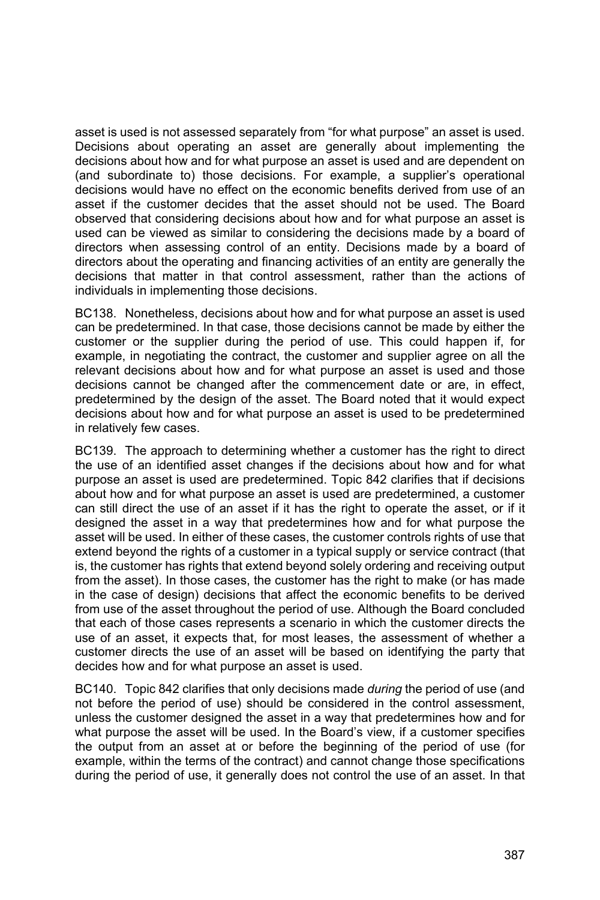asset is used is not assessed separately from "for what purpose" an asset is used. Decisions about operating an asset are generally about implementing the decisions about how and for what purpose an asset is used and are dependent on (and subordinate to) those decisions. For example, a supplier's operational decisions would have no effect on the economic benefits derived from use of an asset if the customer decides that the asset should not be used. The Board observed that considering decisions about how and for what purpose an asset is used can be viewed as similar to considering the decisions made by a board of directors when assessing control of an entity. Decisions made by a board of directors about the operating and financing activities of an entity are generally the decisions that matter in that control assessment, rather than the actions of individuals in implementing those decisions.

BC138. Nonetheless, decisions about how and for what purpose an asset is used can be predetermined. In that case, those decisions cannot be made by either the customer or the supplier during the period of use. This could happen if, for example, in negotiating the contract, the customer and supplier agree on all the relevant decisions about how and for what purpose an asset is used and those decisions cannot be changed after the commencement date or are, in effect, predetermined by the design of the asset. The Board noted that it would expect decisions about how and for what purpose an asset is used to be predetermined in relatively few cases.

BC139. The approach to determining whether a customer has the right to direct the use of an identified asset changes if the decisions about how and for what purpose an asset is used are predetermined. Topic 842 clarifies that if decisions about how and for what purpose an asset is used are predetermined, a customer can still direct the use of an asset if it has the right to operate the asset, or if it designed the asset in a way that predetermines how and for what purpose the asset will be used. In either of these cases, the customer controls rights of use that extend beyond the rights of a customer in a typical supply or service contract (that is, the customer has rights that extend beyond solely ordering and receiving output from the asset). In those cases, the customer has the right to make (or has made in the case of design) decisions that affect the economic benefits to be derived from use of the asset throughout the period of use. Although the Board concluded that each of those cases represents a scenario in which the customer directs the use of an asset, it expects that, for most leases, the assessment of whether a customer directs the use of an asset will be based on identifying the party that decides how and for what purpose an asset is used.

BC140. Topic 842 clarifies that only decisions made *during* the period of use (and not before the period of use) should be considered in the control assessment, unless the customer designed the asset in a way that predetermines how and for what purpose the asset will be used. In the Board's view, if a customer specifies the output from an asset at or before the beginning of the period of use (for example, within the terms of the contract) and cannot change those specifications during the period of use, it generally does not control the use of an asset. In that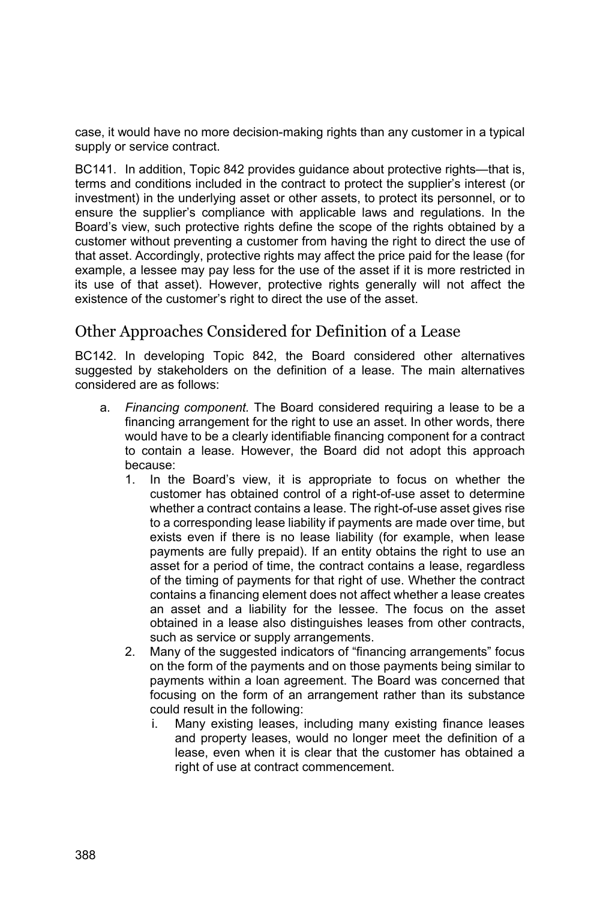case, it would have no more decision-making rights than any customer in a typical supply or service contract.

BC141. In addition, Topic 842 provides guidance about protective rights—that is, terms and conditions included in the contract to protect the supplier's interest (or investment) in the underlying asset or other assets, to protect its personnel, or to ensure the supplier's compliance with applicable laws and regulations. In the Board's view, such protective rights define the scope of the rights obtained by a customer without preventing a customer from having the right to direct the use of that asset. Accordingly, protective rights may affect the price paid for the lease (for example, a lessee may pay less for the use of the asset if it is more restricted in its use of that asset). However, protective rights generally will not affect the existence of the customer's right to direct the use of the asset.

#### Other Approaches Considered for Definition of a Lease

BC142. In developing Topic 842, the Board considered other alternatives suggested by stakeholders on the definition of a lease. The main alternatives considered are as follows:

- a. *Financing component.* The Board considered requiring a lease to be a financing arrangement for the right to use an asset. In other words, there would have to be a clearly identifiable financing component for a contract to contain a lease. However, the Board did not adopt this approach because:
	- 1. In the Board's view, it is appropriate to focus on whether the customer has obtained control of a right-of-use asset to determine whether a contract contains a lease. The right-of-use asset gives rise to a corresponding lease liability if payments are made over time, but exists even if there is no lease liability (for example, when lease payments are fully prepaid). If an entity obtains the right to use an asset for a period of time, the contract contains a lease, regardless of the timing of payments for that right of use. Whether the contract contains a financing element does not affect whether a lease creates an asset and a liability for the lessee. The focus on the asset obtained in a lease also distinguishes leases from other contracts, such as service or supply arrangements.
	- 2. Many of the suggested indicators of "financing arrangements" focus on the form of the payments and on those payments being similar to payments within a loan agreement. The Board was concerned that focusing on the form of an arrangement rather than its substance could result in the following:
		- i. Many existing leases, including many existing finance leases and property leases, would no longer meet the definition of a lease, even when it is clear that the customer has obtained a right of use at contract commencement.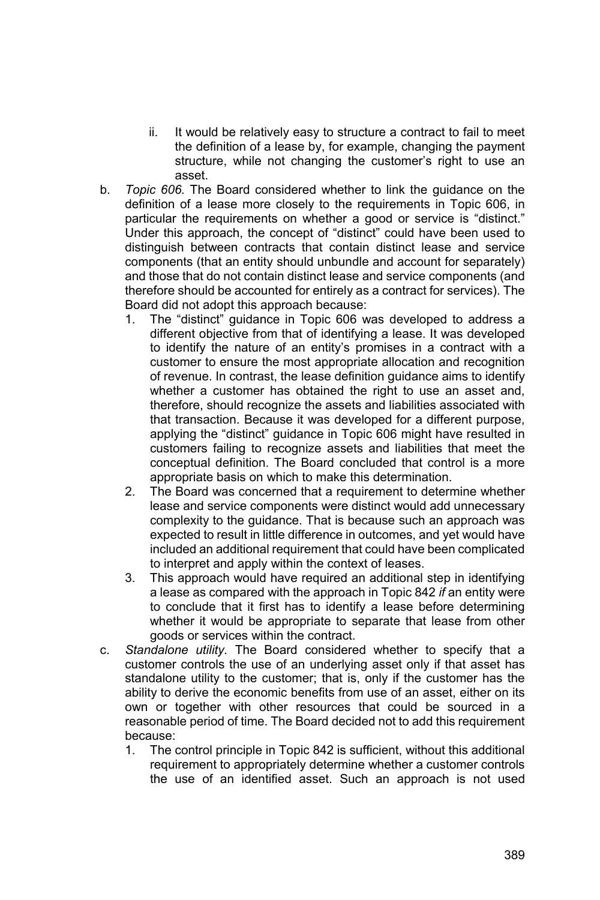- ii. It would be relatively easy to structure a contract to fail to meet the definition of a lease by, for example, changing the payment structure, while not changing the customer's right to use an asset.
- b. *Topic 606.* The Board considered whether to link the guidance on the definition of a lease more closely to the requirements in Topic 606, in particular the requirements on whether a good or service is "distinct." Under this approach, the concept of "distinct" could have been used to distinguish between contracts that contain distinct lease and service components (that an entity should unbundle and account for separately) and those that do not contain distinct lease and service components (and therefore should be accounted for entirely as a contract for services). The Board did not adopt this approach because:
	- 1. The "distinct" guidance in Topic 606 was developed to address a different objective from that of identifying a lease. It was developed to identify the nature of an entity's promises in a contract with a customer to ensure the most appropriate allocation and recognition of revenue. In contrast, the lease definition guidance aims to identify whether a customer has obtained the right to use an asset and, therefore, should recognize the assets and liabilities associated with that transaction. Because it was developed for a different purpose, applying the "distinct" guidance in Topic 606 might have resulted in customers failing to recognize assets and liabilities that meet the conceptual definition. The Board concluded that control is a more appropriate basis on which to make this determination.
	- 2. The Board was concerned that a requirement to determine whether lease and service components were distinct would add unnecessary complexity to the guidance. That is because such an approach was expected to result in little difference in outcomes, and yet would have included an additional requirement that could have been complicated to interpret and apply within the context of leases.
	- 3. This approach would have required an additional step in identifying a lease as compared with the approach in Topic 842 *if* an entity were to conclude that it first has to identify a lease before determining whether it would be appropriate to separate that lease from other goods or services within the contract.
- c. *Standalone utility.* The Board considered whether to specify that a customer controls the use of an underlying asset only if that asset has standalone utility to the customer; that is, only if the customer has the ability to derive the economic benefits from use of an asset, either on its own or together with other resources that could be sourced in a reasonable period of time. The Board decided not to add this requirement because:
	- 1. The control principle in Topic 842 is sufficient, without this additional requirement to appropriately determine whether a customer controls the use of an identified asset. Such an approach is not used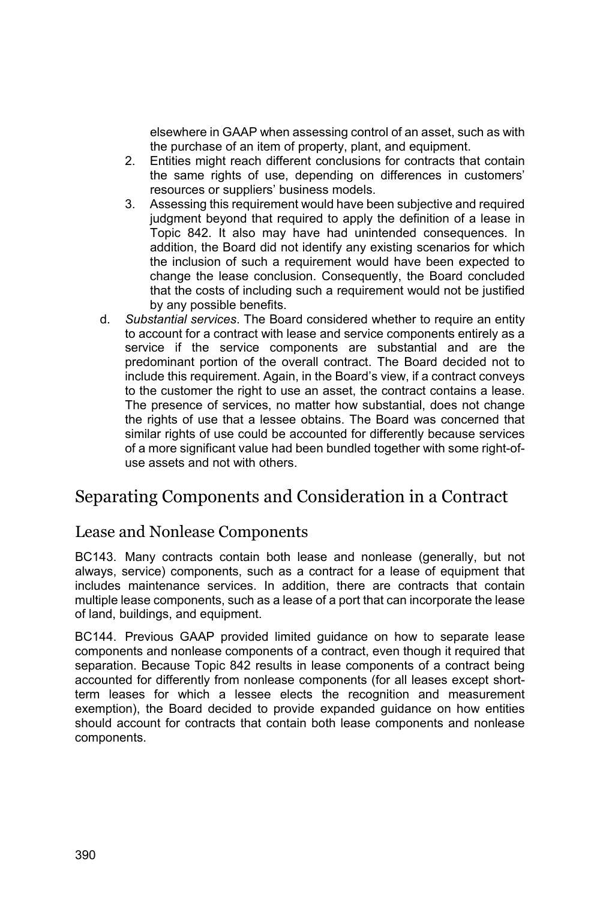elsewhere in GAAP when assessing control of an asset, such as with the purchase of an item of property, plant, and equipment.

- 2. Entities might reach different conclusions for contracts that contain the same rights of use, depending on differences in customers' resources or suppliers' business models.
- 3. Assessing this requirement would have been subjective and required judgment beyond that required to apply the definition of a lease in Topic 842. It also may have had unintended consequences. In addition, the Board did not identify any existing scenarios for which the inclusion of such a requirement would have been expected to change the lease conclusion. Consequently, the Board concluded that the costs of including such a requirement would not be justified by any possible benefits.
- d. *Substantial services*. The Board considered whether to require an entity to account for a contract with lease and service components entirely as a service if the service components are substantial and are the predominant portion of the overall contract. The Board decided not to include this requirement. Again, in the Board's view, if a contract conveys to the customer the right to use an asset, the contract contains a lease. The presence of services, no matter how substantial, does not change the rights of use that a lessee obtains. The Board was concerned that similar rights of use could be accounted for differently because services of a more significant value had been bundled together with some right-ofuse assets and not with others.

## Separating Components and Consideration in a Contract

#### Lease and Nonlease Components

BC143. Many contracts contain both lease and nonlease (generally, but not always, service) components, such as a contract for a lease of equipment that includes maintenance services. In addition, there are contracts that contain multiple lease components, such as a lease of a port that can incorporate the lease of land, buildings, and equipment.

BC144. Previous GAAP provided limited guidance on how to separate lease components and nonlease components of a contract, even though it required that separation. Because Topic 842 results in lease components of a contract being accounted for differently from nonlease components (for all leases except shortterm leases for which a lessee elects the recognition and measurement exemption), the Board decided to provide expanded guidance on how entities should account for contracts that contain both lease components and nonlease components.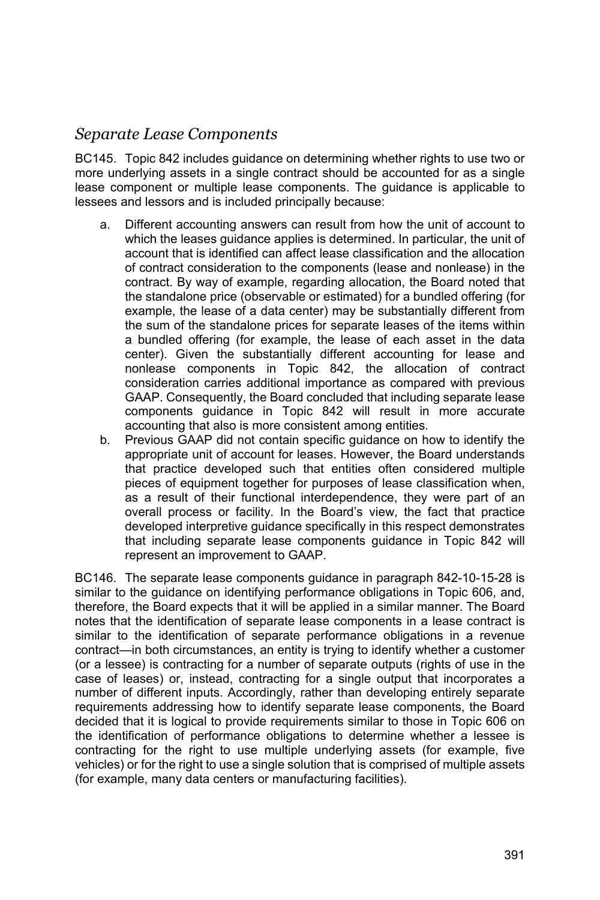### *Separate Lease Components*

BC145. Topic 842 includes guidance on determining whether rights to use two or more underlying assets in a single contract should be accounted for as a single lease component or multiple lease components. The guidance is applicable to lessees and lessors and is included principally because:

- a. Different accounting answers can result from how the unit of account to which the leases guidance applies is determined. In particular, the unit of account that is identified can affect lease classification and the allocation of contract consideration to the components (lease and nonlease) in the contract. By way of example, regarding allocation, the Board noted that the standalone price (observable or estimated) for a bundled offering (for example, the lease of a data center) may be substantially different from the sum of the standalone prices for separate leases of the items within a bundled offering (for example, the lease of each asset in the data center). Given the substantially different accounting for lease and nonlease components in Topic 842, the allocation of contract consideration carries additional importance as compared with previous GAAP. Consequently, the Board concluded that including separate lease components guidance in Topic 842 will result in more accurate accounting that also is more consistent among entities.
- b. Previous GAAP did not contain specific guidance on how to identify the appropriate unit of account for leases. However, the Board understands that practice developed such that entities often considered multiple pieces of equipment together for purposes of lease classification when, as a result of their functional interdependence, they were part of an overall process or facility. In the Board's view, the fact that practice developed interpretive guidance specifically in this respect demonstrates that including separate lease components guidance in Topic 842 will represent an improvement to GAAP.

BC146. The separate lease components guidance in paragraph 842-10-15-28 is similar to the guidance on identifying performance obligations in Topic 606, and, therefore, the Board expects that it will be applied in a similar manner. The Board notes that the identification of separate lease components in a lease contract is similar to the identification of separate performance obligations in a revenue contract—in both circumstances, an entity is trying to identify whether a customer (or a lessee) is contracting for a number of separate outputs (rights of use in the case of leases) or, instead, contracting for a single output that incorporates a number of different inputs. Accordingly, rather than developing entirely separate requirements addressing how to identify separate lease components, the Board decided that it is logical to provide requirements similar to those in Topic 606 on the identification of performance obligations to determine whether a lessee is contracting for the right to use multiple underlying assets (for example, five vehicles) or for the right to use a single solution that is comprised of multiple assets (for example, many data centers or manufacturing facilities).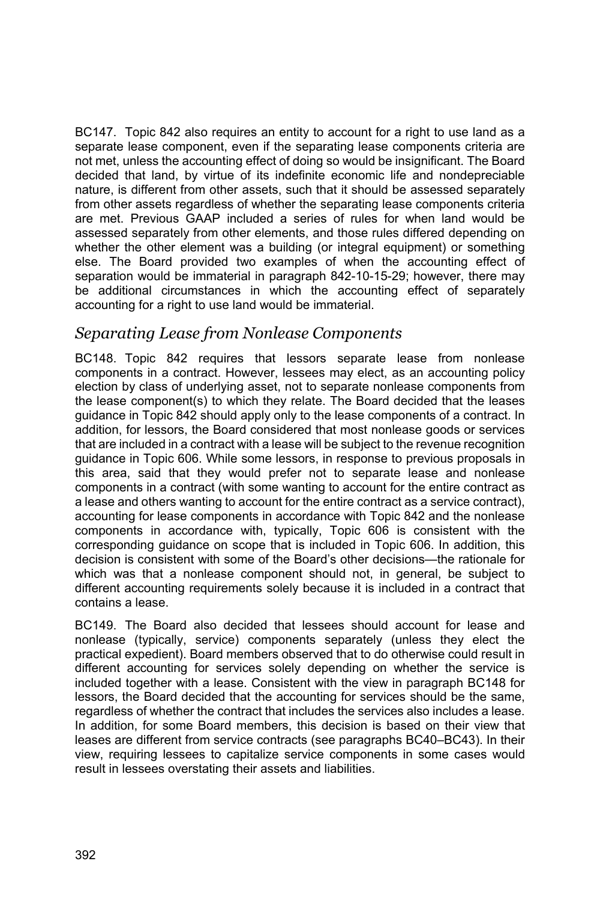BC147. Topic 842 also requires an entity to account for a right to use land as a separate lease component, even if the separating lease components criteria are not met, unless the accounting effect of doing so would be insignificant. The Board decided that land, by virtue of its indefinite economic life and nondepreciable nature, is different from other assets, such that it should be assessed separately from other assets regardless of whether the separating lease components criteria are met. Previous GAAP included a series of rules for when land would be assessed separately from other elements, and those rules differed depending on whether the other element was a building (or integral equipment) or something else. The Board provided two examples of when the accounting effect of separation would be immaterial in paragraph 842-10-15-29; however, there may be additional circumstances in which the accounting effect of separately accounting for a right to use land would be immaterial.

#### *Separating Lease from Nonlease Components*

BC148. Topic 842 requires that lessors separate lease from nonlease components in a contract. However, lessees may elect, as an accounting policy election by class of underlying asset, not to separate nonlease components from the lease component(s) to which they relate. The Board decided that the leases guidance in Topic 842 should apply only to the lease components of a contract. In addition, for lessors, the Board considered that most nonlease goods or services that are included in a contract with a lease will be subject to the revenue recognition guidance in Topic 606. While some lessors, in response to previous proposals in this area, said that they would prefer not to separate lease and nonlease components in a contract (with some wanting to account for the entire contract as a lease and others wanting to account for the entire contract as a service contract), accounting for lease components in accordance with Topic 842 and the nonlease components in accordance with, typically, Topic 606 is consistent with the corresponding guidance on scope that is included in Topic 606. In addition, this decision is consistent with some of the Board's other decisions—the rationale for which was that a nonlease component should not, in general, be subject to different accounting requirements solely because it is included in a contract that contains a lease.

BC149. The Board also decided that lessees should account for lease and nonlease (typically, service) components separately (unless they elect the practical expedient). Board members observed that to do otherwise could result in different accounting for services solely depending on whether the service is included together with a lease. Consistent with the view in paragraph BC148 for lessors, the Board decided that the accounting for services should be the same, regardless of whether the contract that includes the services also includes a lease. In addition, for some Board members, this decision is based on their view that leases are different from service contracts (see paragraphs BC40–BC43). In their view, requiring lessees to capitalize service components in some cases would result in lessees overstating their assets and liabilities.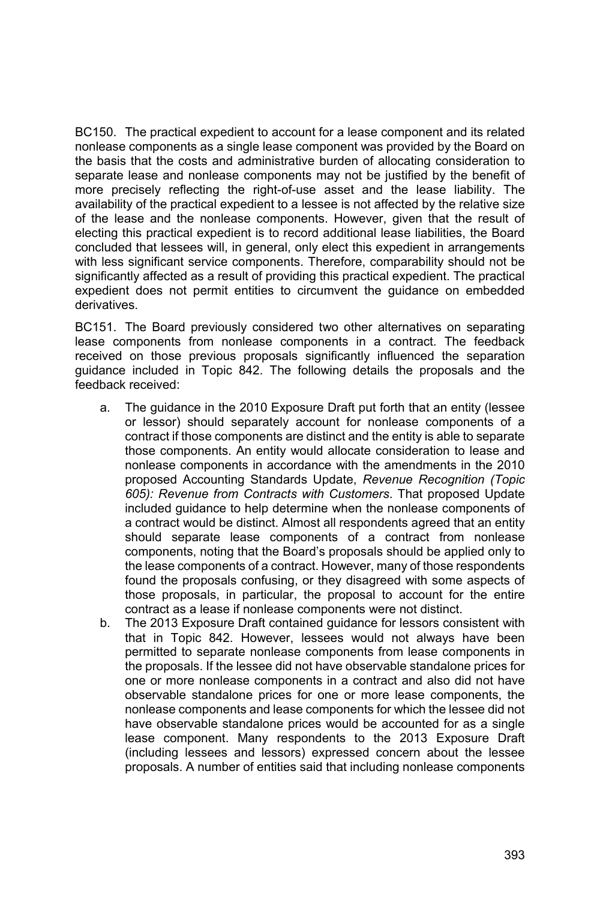BC150. The practical expedient to account for a lease component and its related nonlease components as a single lease component was provided by the Board on the basis that the costs and administrative burden of allocating consideration to separate lease and nonlease components may not be justified by the benefit of more precisely reflecting the right-of-use asset and the lease liability. The availability of the practical expedient to a lessee is not affected by the relative size of the lease and the nonlease components. However, given that the result of electing this practical expedient is to record additional lease liabilities, the Board concluded that lessees will, in general, only elect this expedient in arrangements with less significant service components. Therefore, comparability should not be significantly affected as a result of providing this practical expedient. The practical expedient does not permit entities to circumvent the guidance on embedded derivatives.

BC151. The Board previously considered two other alternatives on separating lease components from nonlease components in a contract. The feedback received on those previous proposals significantly influenced the separation guidance included in Topic 842. The following details the proposals and the feedback received:

- a. The guidance in the 2010 Exposure Draft put forth that an entity (lessee or lessor) should separately account for nonlease components of a contract if those components are distinct and the entity is able to separate those components. An entity would allocate consideration to lease and nonlease components in accordance with the amendments in the 2010 proposed Accounting Standards Update, *Revenue Recognition (Topic 605): Revenue from Contracts with Customers*. That proposed Update included guidance to help determine when the nonlease components of a contract would be distinct. Almost all respondents agreed that an entity should separate lease components of a contract from nonlease components, noting that the Board's proposals should be applied only to the lease components of a contract. However, many of those respondents found the proposals confusing, or they disagreed with some aspects of those proposals, in particular, the proposal to account for the entire contract as a lease if nonlease components were not distinct.
- b. The 2013 Exposure Draft contained guidance for lessors consistent with that in Topic 842. However, lessees would not always have been permitted to separate nonlease components from lease components in the proposals. If the lessee did not have observable standalone prices for one or more nonlease components in a contract and also did not have observable standalone prices for one or more lease components, the nonlease components and lease components for which the lessee did not have observable standalone prices would be accounted for as a single lease component. Many respondents to the 2013 Exposure Draft (including lessees and lessors) expressed concern about the lessee proposals. A number of entities said that including nonlease components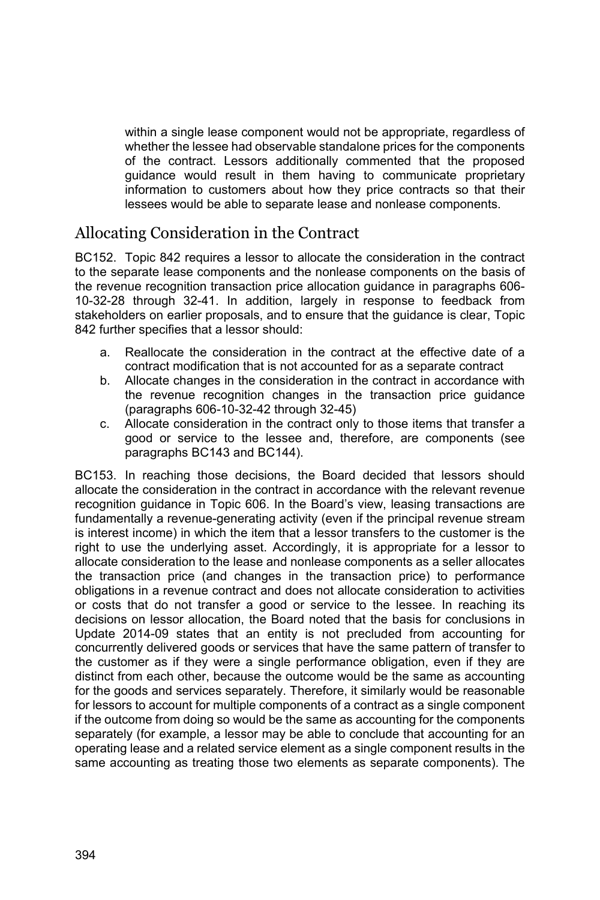within a single lease component would not be appropriate, regardless of whether the lessee had observable standalone prices for the components of the contract. Lessors additionally commented that the proposed guidance would result in them having to communicate proprietary information to customers about how they price contracts so that their lessees would be able to separate lease and nonlease components.

## Allocating Consideration in the Contract

BC152. Topic 842 requires a lessor to allocate the consideration in the contract to the separate lease components and the nonlease components on the basis of the revenue recognition transaction price allocation guidance in paragraphs 606- 10-32-28 through 32-41. In addition, largely in response to feedback from stakeholders on earlier proposals, and to ensure that the guidance is clear, Topic 842 further specifies that a lessor should:

- a. Reallocate the consideration in the contract at the effective date of a contract modification that is not accounted for as a separate contract
- b. Allocate changes in the consideration in the contract in accordance with the revenue recognition changes in the transaction price guidance (paragraphs 606-10-32-42 through 32-45)
- c. Allocate consideration in the contract only to those items that transfer a good or service to the lessee and, therefore, are components (see paragraphs BC143 and BC144).

BC153. In reaching those decisions, the Board decided that lessors should allocate the consideration in the contract in accordance with the relevant revenue recognition guidance in Topic 606. In the Board's view, leasing transactions are fundamentally a revenue-generating activity (even if the principal revenue stream is interest income) in which the item that a lessor transfers to the customer is the right to use the underlying asset. Accordingly, it is appropriate for a lessor to allocate consideration to the lease and nonlease components as a seller allocates the transaction price (and changes in the transaction price) to performance obligations in a revenue contract and does not allocate consideration to activities or costs that do not transfer a good or service to the lessee. In reaching its decisions on lessor allocation, the Board noted that the basis for conclusions in Update 2014-09 states that an entity is not precluded from accounting for concurrently delivered goods or services that have the same pattern of transfer to the customer as if they were a single performance obligation, even if they are distinct from each other, because the outcome would be the same as accounting for the goods and services separately. Therefore, it similarly would be reasonable for lessors to account for multiple components of a contract as a single component if the outcome from doing so would be the same as accounting for the components separately (for example, a lessor may be able to conclude that accounting for an operating lease and a related service element as a single component results in the same accounting as treating those two elements as separate components). The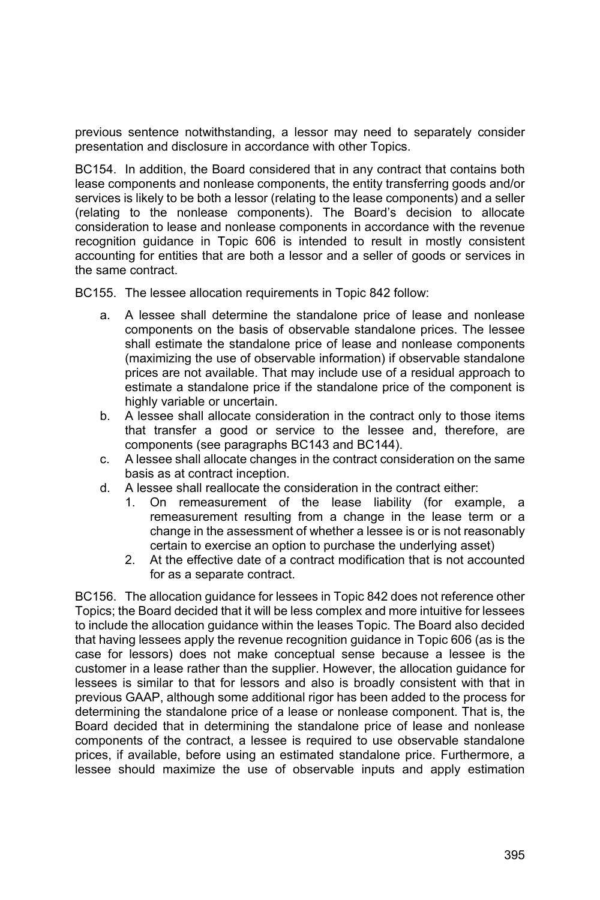previous sentence notwithstanding, a lessor may need to separately consider presentation and disclosure in accordance with other Topics.

BC154. In addition, the Board considered that in any contract that contains both lease components and nonlease components, the entity transferring goods and/or services is likely to be both a lessor (relating to the lease components) and a seller (relating to the nonlease components). The Board's decision to allocate consideration to lease and nonlease components in accordance with the revenue recognition guidance in Topic 606 is intended to result in mostly consistent accounting for entities that are both a lessor and a seller of goods or services in the same contract.

BC155. The lessee allocation requirements in Topic 842 follow:

- a. A lessee shall determine the standalone price of lease and nonlease components on the basis of observable standalone prices. The lessee shall estimate the standalone price of lease and nonlease components (maximizing the use of observable information) if observable standalone prices are not available. That may include use of a residual approach to estimate a standalone price if the standalone price of the component is highly variable or uncertain.
- b. A lessee shall allocate consideration in the contract only to those items that transfer a good or service to the lessee and, therefore, are components (see paragraphs BC143 and BC144).
- c. A lessee shall allocate changes in the contract consideration on the same basis as at contract inception.
- d. A lessee shall reallocate the consideration in the contract either:
	- 1. On remeasurement of the lease liability (for example, a remeasurement resulting from a change in the lease term or a change in the assessment of whether a lessee is or is not reasonably certain to exercise an option to purchase the underlying asset)
	- 2. At the effective date of a contract modification that is not accounted for as a separate contract.

BC156. The allocation guidance for lessees in Topic 842 does not reference other Topics; the Board decided that it will be less complex and more intuitive for lessees to include the allocation guidance within the leases Topic. The Board also decided that having lessees apply the revenue recognition guidance in Topic 606 (as is the case for lessors) does not make conceptual sense because a lessee is the customer in a lease rather than the supplier. However, the allocation guidance for lessees is similar to that for lessors and also is broadly consistent with that in previous GAAP, although some additional rigor has been added to the process for determining the standalone price of a lease or nonlease component. That is, the Board decided that in determining the standalone price of lease and nonlease components of the contract, a lessee is required to use observable standalone prices, if available, before using an estimated standalone price. Furthermore, a lessee should maximize the use of observable inputs and apply estimation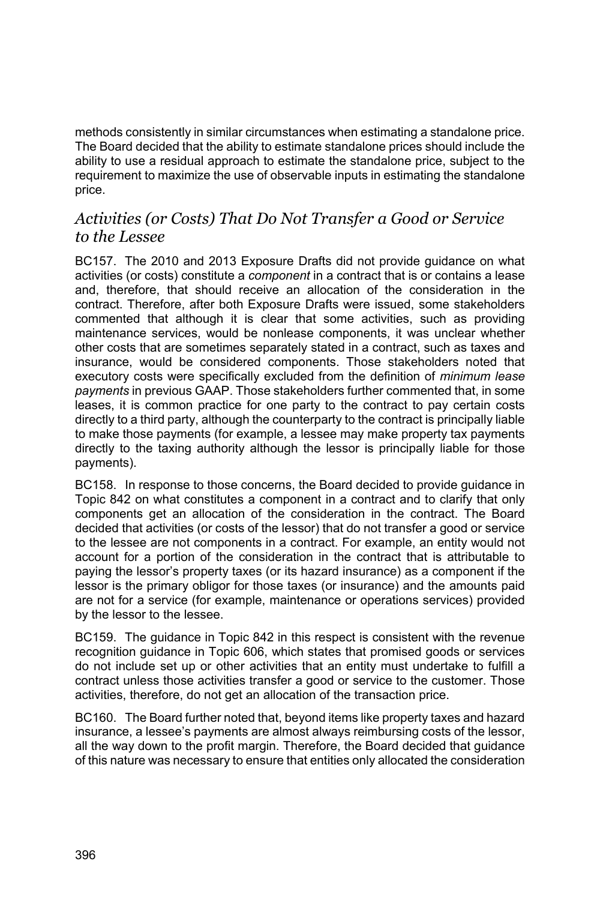methods consistently in similar circumstances when estimating a standalone price. The Board decided that the ability to estimate standalone prices should include the ability to use a residual approach to estimate the standalone price, subject to the requirement to maximize the use of observable inputs in estimating the standalone price.

#### *Activities (or Costs) That Do Not Transfer a Good or Service to the Lessee*

BC157. The 2010 and 2013 Exposure Drafts did not provide guidance on what activities (or costs) constitute a *component* in a contract that is or contains a lease and, therefore, that should receive an allocation of the consideration in the contract. Therefore, after both Exposure Drafts were issued, some stakeholders commented that although it is clear that some activities, such as providing maintenance services, would be nonlease components, it was unclear whether other costs that are sometimes separately stated in a contract, such as taxes and insurance, would be considered components. Those stakeholders noted that executory costs were specifically excluded from the definition of *minimum lease payments* in previous GAAP. Those stakeholders further commented that, in some leases, it is common practice for one party to the contract to pay certain costs directly to a third party, although the counterparty to the contract is principally liable to make those payments (for example, a lessee may make property tax payments directly to the taxing authority although the lessor is principally liable for those payments).

BC158. In response to those concerns, the Board decided to provide guidance in Topic 842 on what constitutes a component in a contract and to clarify that only components get an allocation of the consideration in the contract. The Board decided that activities (or costs of the lessor) that do not transfer a good or service to the lessee are not components in a contract. For example, an entity would not account for a portion of the consideration in the contract that is attributable to paying the lessor's property taxes (or its hazard insurance) as a component if the lessor is the primary obligor for those taxes (or insurance) and the amounts paid are not for a service (for example, maintenance or operations services) provided by the lessor to the lessee.

BC159. The guidance in Topic 842 in this respect is consistent with the revenue recognition guidance in Topic 606, which states that promised goods or services do not include set up or other activities that an entity must undertake to fulfill a contract unless those activities transfer a good or service to the customer. Those activities, therefore, do not get an allocation of the transaction price.

BC160. The Board further noted that, beyond items like property taxes and hazard insurance, a lessee's payments are almost always reimbursing costs of the lessor, all the way down to the profit margin. Therefore, the Board decided that guidance of this nature was necessary to ensure that entities only allocated the consideration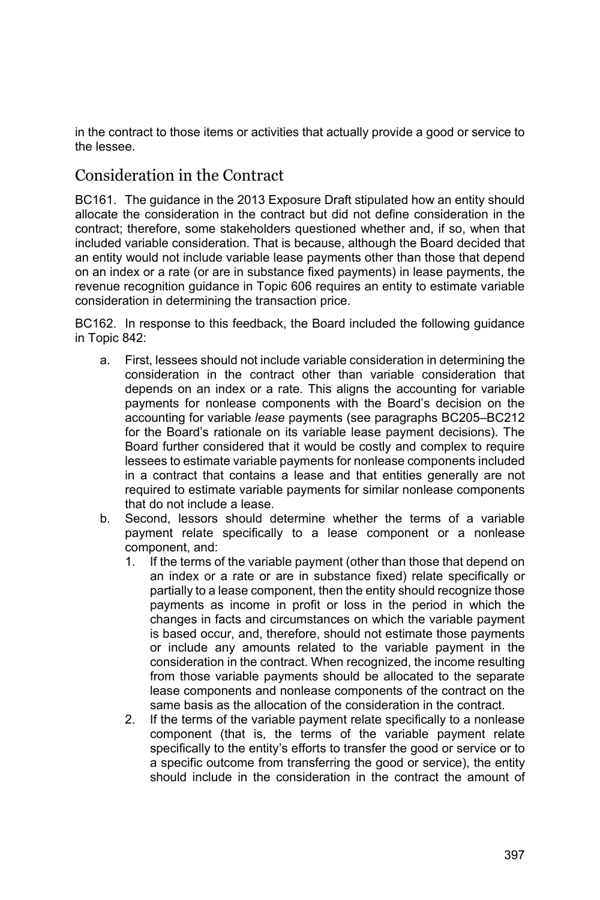in the contract to those items or activities that actually provide a good or service to the lessee.

### Consideration in the Contract

BC161. The guidance in the 2013 Exposure Draft stipulated how an entity should allocate the consideration in the contract but did not define consideration in the contract; therefore, some stakeholders questioned whether and, if so, when that included variable consideration. That is because, although the Board decided that an entity would not include variable lease payments other than those that depend on an index or a rate (or are in substance fixed payments) in lease payments, the revenue recognition guidance in Topic 606 requires an entity to estimate variable consideration in determining the transaction price.

BC162. In response to this feedback, the Board included the following guidance in Topic 842:

- a. First, lessees should not include variable consideration in determining the consideration in the contract other than variable consideration that depends on an index or a rate. This aligns the accounting for variable payments for nonlease components with the Board's decision on the accounting for variable *lease* payments (see paragraphs BC205–BC212 for the Board's rationale on its variable lease payment decisions). The Board further considered that it would be costly and complex to require lessees to estimate variable payments for nonlease components included in a contract that contains a lease and that entities generally are not required to estimate variable payments for similar nonlease components that do not include a lease.
- b. Second, lessors should determine whether the terms of a variable payment relate specifically to a lease component or a nonlease component, and:
	- 1. If the terms of the variable payment (other than those that depend on an index or a rate or are in substance fixed) relate specifically or partially to a lease component, then the entity should recognize those payments as income in profit or loss in the period in which the changes in facts and circumstances on which the variable payment is based occur, and, therefore, should not estimate those payments or include any amounts related to the variable payment in the consideration in the contract. When recognized, the income resulting from those variable payments should be allocated to the separate lease components and nonlease components of the contract on the same basis as the allocation of the consideration in the contract.
	- 2. If the terms of the variable payment relate specifically to a nonlease component (that is, the terms of the variable payment relate specifically to the entity's efforts to transfer the good or service or to a specific outcome from transferring the good or service), the entity should include in the consideration in the contract the amount of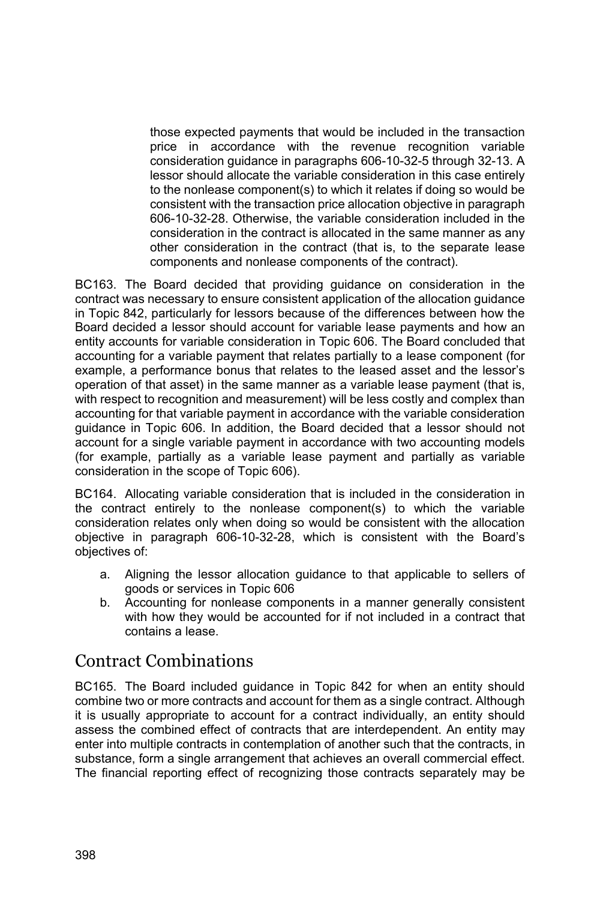those expected payments that would be included in the transaction price in accordance with the revenue recognition variable consideration guidance in paragraphs 606-10-32-5 through 32-13. A lessor should allocate the variable consideration in this case entirely to the nonlease component(s) to which it relates if doing so would be consistent with the transaction price allocation objective in paragraph 606-10-32-28. Otherwise, the variable consideration included in the consideration in the contract is allocated in the same manner as any other consideration in the contract (that is, to the separate lease components and nonlease components of the contract).

BC163. The Board decided that providing guidance on consideration in the contract was necessary to ensure consistent application of the allocation guidance in Topic 842, particularly for lessors because of the differences between how the Board decided a lessor should account for variable lease payments and how an entity accounts for variable consideration in Topic 606. The Board concluded that accounting for a variable payment that relates partially to a lease component (for example, a performance bonus that relates to the leased asset and the lessor's operation of that asset) in the same manner as a variable lease payment (that is, with respect to recognition and measurement) will be less costly and complex than accounting for that variable payment in accordance with the variable consideration guidance in Topic 606. In addition, the Board decided that a lessor should not account for a single variable payment in accordance with two accounting models (for example, partially as a variable lease payment and partially as variable consideration in the scope of Topic 606).

BC164. Allocating variable consideration that is included in the consideration in the contract entirely to the nonlease component(s) to which the variable consideration relates only when doing so would be consistent with the allocation objective in paragraph 606-10-32-28, which is consistent with the Board's objectives of:

- a. Aligning the lessor allocation guidance to that applicable to sellers of goods or services in Topic 606
- b. Accounting for nonlease components in a manner generally consistent with how they would be accounted for if not included in a contract that contains a lease.

# Contract Combinations

BC165. The Board included guidance in Topic 842 for when an entity should combine two or more contracts and account for them as a single contract. Although it is usually appropriate to account for a contract individually, an entity should assess the combined effect of contracts that are interdependent. An entity may enter into multiple contracts in contemplation of another such that the contracts, in substance, form a single arrangement that achieves an overall commercial effect. The financial reporting effect of recognizing those contracts separately may be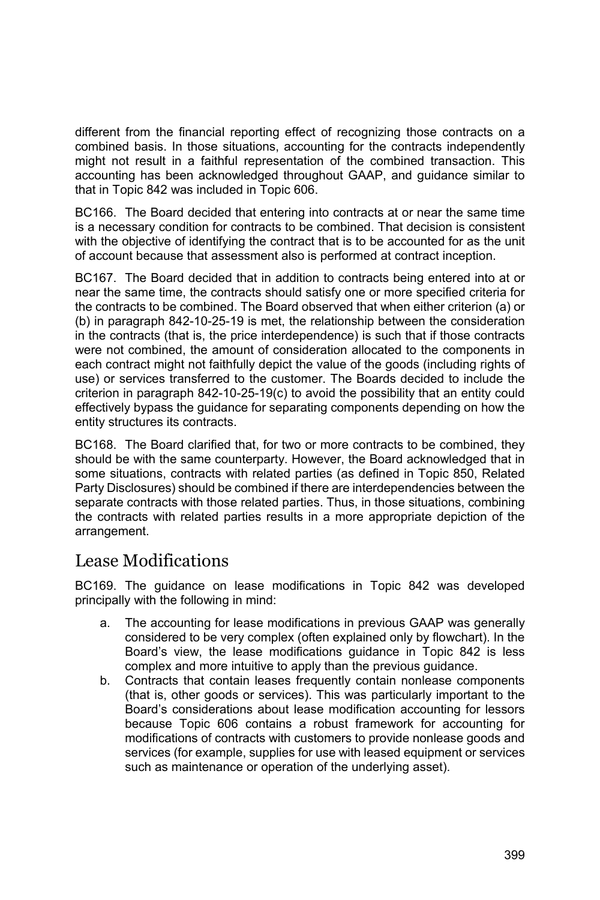different from the financial reporting effect of recognizing those contracts on a combined basis. In those situations, accounting for the contracts independently might not result in a faithful representation of the combined transaction. This accounting has been acknowledged throughout GAAP, and guidance similar to that in Topic 842 was included in Topic 606.

BC166. The Board decided that entering into contracts at or near the same time is a necessary condition for contracts to be combined. That decision is consistent with the objective of identifying the contract that is to be accounted for as the unit of account because that assessment also is performed at contract inception.

BC167. The Board decided that in addition to contracts being entered into at or near the same time, the contracts should satisfy one or more specified criteria for the contracts to be combined. The Board observed that when either criterion (a) or (b) in paragraph 842-10-25-19 is met, the relationship between the consideration in the contracts (that is, the price interdependence) is such that if those contracts were not combined, the amount of consideration allocated to the components in each contract might not faithfully depict the value of the goods (including rights of use) or services transferred to the customer. The Boards decided to include the criterion in paragraph 842-10-25-19(c) to avoid the possibility that an entity could effectively bypass the guidance for separating components depending on how the entity structures its contracts.

BC168. The Board clarified that, for two or more contracts to be combined, they should be with the same counterparty. However, the Board acknowledged that in some situations, contracts with related parties (as defined in Topic 850, Related Party Disclosures) should be combined if there are interdependencies between the separate contracts with those related parties. Thus, in those situations, combining the contracts with related parties results in a more appropriate depiction of the arrangement.

## Lease Modifications

BC169. The guidance on lease modifications in Topic 842 was developed principally with the following in mind:

- a. The accounting for lease modifications in previous GAAP was generally considered to be very complex (often explained only by flowchart). In the Board's view, the lease modifications guidance in Topic 842 is less complex and more intuitive to apply than the previous guidance.
- b. Contracts that contain leases frequently contain nonlease components (that is, other goods or services). This was particularly important to the Board's considerations about lease modification accounting for lessors because Topic 606 contains a robust framework for accounting for modifications of contracts with customers to provide nonlease goods and services (for example, supplies for use with leased equipment or services such as maintenance or operation of the underlying asset).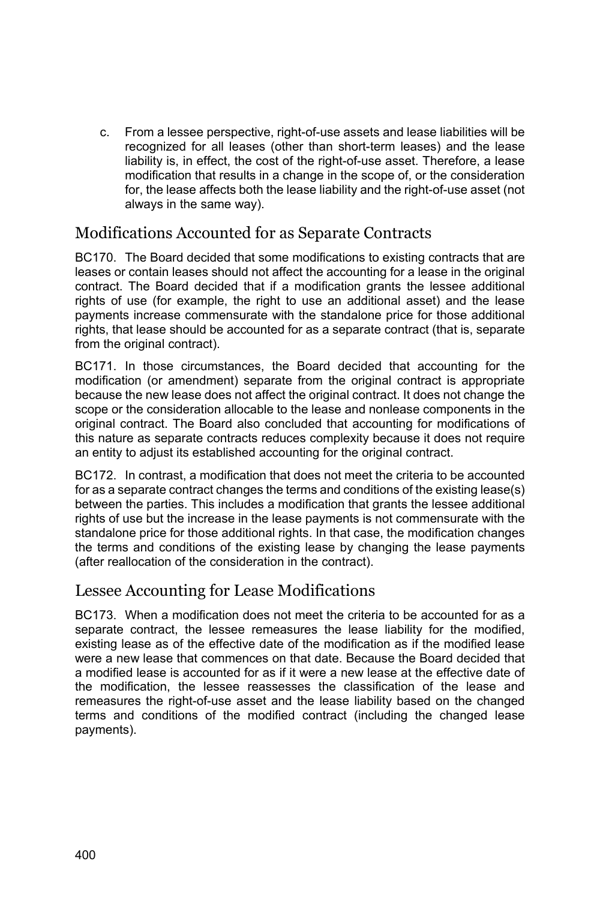c. From a lessee perspective, right-of-use assets and lease liabilities will be recognized for all leases (other than short-term leases) and the lease liability is, in effect, the cost of the right-of-use asset. Therefore, a lease modification that results in a change in the scope of, or the consideration for, the lease affects both the lease liability and the right-of-use asset (not always in the same way).

### Modifications Accounted for as Separate Contracts

BC170. The Board decided that some modifications to existing contracts that are leases or contain leases should not affect the accounting for a lease in the original contract. The Board decided that if a modification grants the lessee additional rights of use (for example, the right to use an additional asset) and the lease payments increase commensurate with the standalone price for those additional rights, that lease should be accounted for as a separate contract (that is, separate from the original contract).

BC171. In those circumstances, the Board decided that accounting for the modification (or amendment) separate from the original contract is appropriate because the new lease does not affect the original contract. It does not change the scope or the consideration allocable to the lease and nonlease components in the original contract. The Board also concluded that accounting for modifications of this nature as separate contracts reduces complexity because it does not require an entity to adjust its established accounting for the original contract.

BC172. In contrast, a modification that does not meet the criteria to be accounted for as a separate contract changes the terms and conditions of the existing lease(s) between the parties. This includes a modification that grants the lessee additional rights of use but the increase in the lease payments is not commensurate with the standalone price for those additional rights. In that case, the modification changes the terms and conditions of the existing lease by changing the lease payments (after reallocation of the consideration in the contract).

#### Lessee Accounting for Lease Modifications

BC173. When a modification does not meet the criteria to be accounted for as a separate contract, the lessee remeasures the lease liability for the modified, existing lease as of the effective date of the modification as if the modified lease were a new lease that commences on that date. Because the Board decided that a modified lease is accounted for as if it were a new lease at the effective date of the modification, the lessee reassesses the classification of the lease and remeasures the right-of-use asset and the lease liability based on the changed terms and conditions of the modified contract (including the changed lease payments).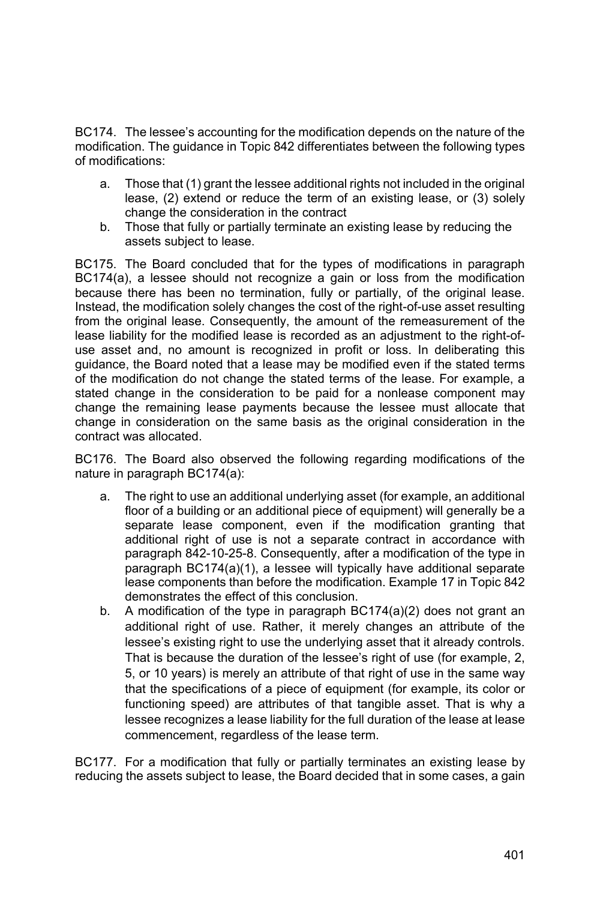BC174. The lessee's accounting for the modification depends on the nature of the modification. The guidance in Topic 842 differentiates between the following types of modifications:

- a. Those that (1) grant the lessee additional rights not included in the original lease, (2) extend or reduce the term of an existing lease, or (3) solely change the consideration in the contract
- b. Those that fully or partially terminate an existing lease by reducing the assets subject to lease.

BC175. The Board concluded that for the types of modifications in paragraph BC174(a), a lessee should not recognize a gain or loss from the modification because there has been no termination, fully or partially, of the original lease. Instead, the modification solely changes the cost of the right-of-use asset resulting from the original lease. Consequently, the amount of the remeasurement of the lease liability for the modified lease is recorded as an adjustment to the right-ofuse asset and, no amount is recognized in profit or loss. In deliberating this guidance, the Board noted that a lease may be modified even if the stated terms of the modification do not change the stated terms of the lease. For example, a stated change in the consideration to be paid for a nonlease component may change the remaining lease payments because the lessee must allocate that change in consideration on the same basis as the original consideration in the contract was allocated.

BC176. The Board also observed the following regarding modifications of the nature in paragraph BC174(a):

- a. The right to use an additional underlying asset (for example, an additional floor of a building or an additional piece of equipment) will generally be a separate lease component, even if the modification granting that additional right of use is not a separate contract in accordance with paragraph 842-10-25-8. Consequently, after a modification of the type in paragraph BC174(a)(1), a lessee will typically have additional separate lease components than before the modification. Example 17 in Topic 842 demonstrates the effect of this conclusion.
- b. A modification of the type in paragraph BC174(a)(2) does not grant an additional right of use. Rather, it merely changes an attribute of the lessee's existing right to use the underlying asset that it already controls. That is because the duration of the lessee's right of use (for example, 2, 5, or 10 years) is merely an attribute of that right of use in the same way that the specifications of a piece of equipment (for example, its color or functioning speed) are attributes of that tangible asset. That is why a lessee recognizes a lease liability for the full duration of the lease at lease commencement, regardless of the lease term.

BC177. For a modification that fully or partially terminates an existing lease by reducing the assets subject to lease, the Board decided that in some cases, a gain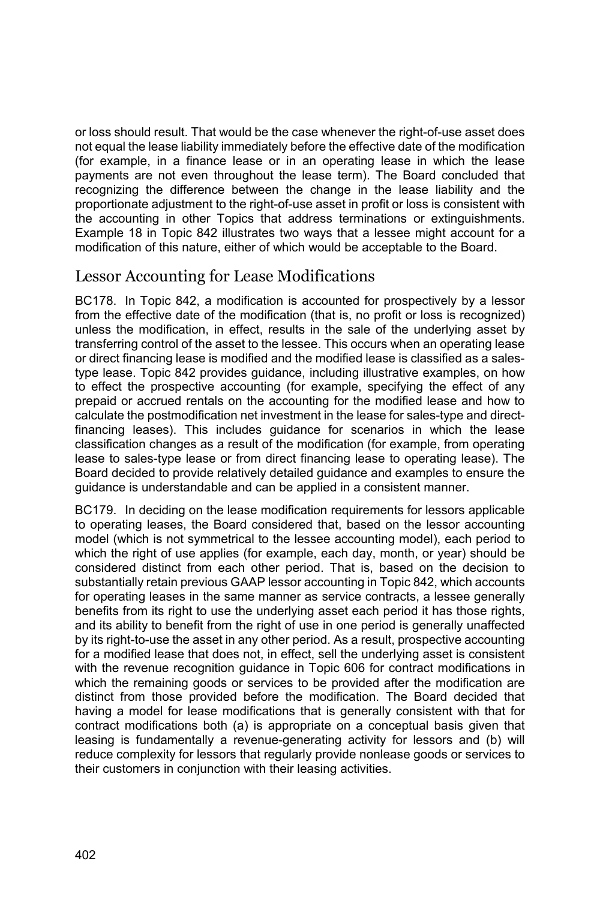or loss should result. That would be the case whenever the right-of-use asset does not equal the lease liability immediately before the effective date of the modification (for example, in a finance lease or in an operating lease in which the lease payments are not even throughout the lease term). The Board concluded that recognizing the difference between the change in the lease liability and the proportionate adjustment to the right-of-use asset in profit or loss is consistent with the accounting in other Topics that address terminations or extinguishments. Example 18 in Topic 842 illustrates two ways that a lessee might account for a modification of this nature, either of which would be acceptable to the Board.

#### Lessor Accounting for Lease Modifications

BC178. In Topic 842, a modification is accounted for prospectively by a lessor from the effective date of the modification (that is, no profit or loss is recognized) unless the modification, in effect, results in the sale of the underlying asset by transferring control of the asset to the lessee. This occurs when an operating lease or direct financing lease is modified and the modified lease is classified as a salestype lease. Topic 842 provides guidance, including illustrative examples, on how to effect the prospective accounting (for example, specifying the effect of any prepaid or accrued rentals on the accounting for the modified lease and how to calculate the postmodification net investment in the lease for sales-type and directfinancing leases). This includes guidance for scenarios in which the lease classification changes as a result of the modification (for example, from operating lease to sales-type lease or from direct financing lease to operating lease). The Board decided to provide relatively detailed guidance and examples to ensure the guidance is understandable and can be applied in a consistent manner.

BC179. In deciding on the lease modification requirements for lessors applicable to operating leases, the Board considered that, based on the lessor accounting model (which is not symmetrical to the lessee accounting model), each period to which the right of use applies (for example, each day, month, or year) should be considered distinct from each other period. That is, based on the decision to substantially retain previous GAAP lessor accounting in Topic 842, which accounts for operating leases in the same manner as service contracts, a lessee generally benefits from its right to use the underlying asset each period it has those rights, and its ability to benefit from the right of use in one period is generally unaffected by its right-to-use the asset in any other period. As a result, prospective accounting for a modified lease that does not, in effect, sell the underlying asset is consistent with the revenue recognition guidance in Topic 606 for contract modifications in which the remaining goods or services to be provided after the modification are distinct from those provided before the modification. The Board decided that having a model for lease modifications that is generally consistent with that for contract modifications both (a) is appropriate on a conceptual basis given that leasing is fundamentally a revenue-generating activity for lessors and (b) will reduce complexity for lessors that regularly provide nonlease goods or services to their customers in conjunction with their leasing activities.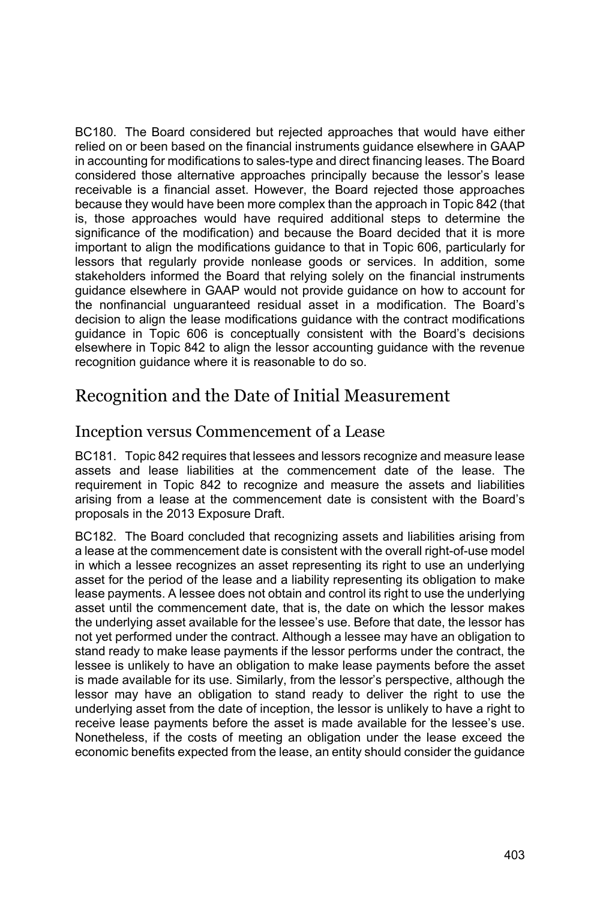BC180. The Board considered but rejected approaches that would have either relied on or been based on the financial instruments guidance elsewhere in GAAP in accounting for modifications to sales-type and direct financing leases. The Board considered those alternative approaches principally because the lessor's lease receivable is a financial asset. However, the Board rejected those approaches because they would have been more complex than the approach in Topic 842 (that is, those approaches would have required additional steps to determine the significance of the modification) and because the Board decided that it is more important to align the modifications guidance to that in Topic 606, particularly for lessors that regularly provide nonlease goods or services. In addition, some stakeholders informed the Board that relying solely on the financial instruments guidance elsewhere in GAAP would not provide guidance on how to account for the nonfinancial unguaranteed residual asset in a modification. The Board's decision to align the lease modifications guidance with the contract modifications guidance in Topic 606 is conceptually consistent with the Board's decisions elsewhere in Topic 842 to align the lessor accounting guidance with the revenue recognition guidance where it is reasonable to do so.

### Recognition and the Date of Initial Measurement

#### Inception versus Commencement of a Lease

BC181. Topic 842 requires that lessees and lessors recognize and measure lease assets and lease liabilities at the commencement date of the lease. The requirement in Topic 842 to recognize and measure the assets and liabilities arising from a lease at the commencement date is consistent with the Board's proposals in the 2013 Exposure Draft.

BC182. The Board concluded that recognizing assets and liabilities arising from a lease at the commencement date is consistent with the overall right-of-use model in which a lessee recognizes an asset representing its right to use an underlying asset for the period of the lease and a liability representing its obligation to make lease payments. A lessee does not obtain and control its right to use the underlying asset until the commencement date, that is, the date on which the lessor makes the underlying asset available for the lessee's use. Before that date, the lessor has not yet performed under the contract. Although a lessee may have an obligation to stand ready to make lease payments if the lessor performs under the contract, the lessee is unlikely to have an obligation to make lease payments before the asset is made available for its use. Similarly, from the lessor's perspective, although the lessor may have an obligation to stand ready to deliver the right to use the underlying asset from the date of inception, the lessor is unlikely to have a right to receive lease payments before the asset is made available for the lessee's use. Nonetheless, if the costs of meeting an obligation under the lease exceed the economic benefits expected from the lease, an entity should consider the guidance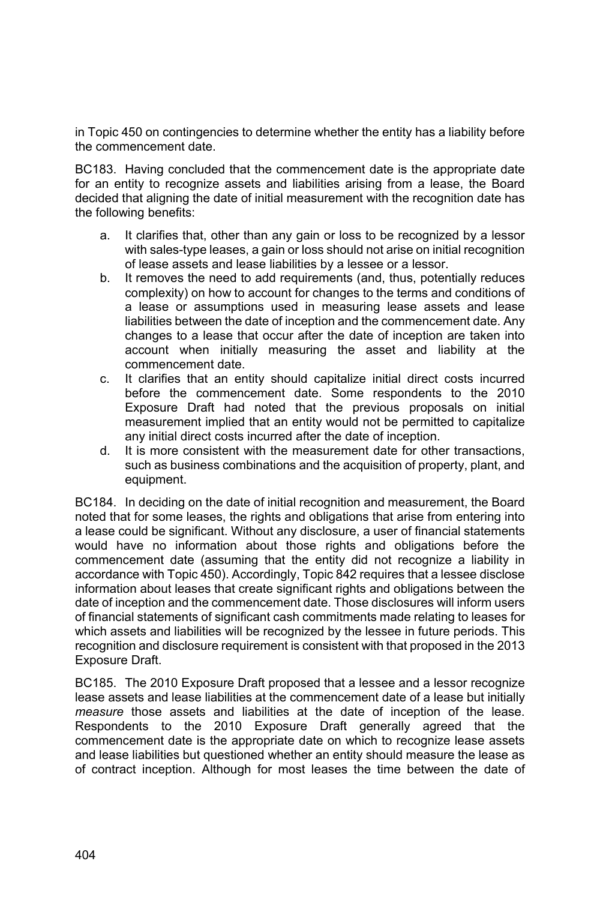in Topic 450 on contingencies to determine whether the entity has a liability before the commencement date.

BC183. Having concluded that the commencement date is the appropriate date for an entity to recognize assets and liabilities arising from a lease, the Board decided that aligning the date of initial measurement with the recognition date has the following benefits:

- a. It clarifies that, other than any gain or loss to be recognized by a lessor with sales-type leases, a gain or loss should not arise on initial recognition of lease assets and lease liabilities by a lessee or a lessor.
- b. It removes the need to add requirements (and, thus, potentially reduces complexity) on how to account for changes to the terms and conditions of a lease or assumptions used in measuring lease assets and lease liabilities between the date of inception and the commencement date. Any changes to a lease that occur after the date of inception are taken into account when initially measuring the asset and liability at the commencement date.
- c. It clarifies that an entity should capitalize initial direct costs incurred before the commencement date. Some respondents to the 2010 Exposure Draft had noted that the previous proposals on initial measurement implied that an entity would not be permitted to capitalize any initial direct costs incurred after the date of inception.
- d. It is more consistent with the measurement date for other transactions, such as business combinations and the acquisition of property, plant, and equipment.

BC184. In deciding on the date of initial recognition and measurement, the Board noted that for some leases, the rights and obligations that arise from entering into a lease could be significant. Without any disclosure, a user of financial statements would have no information about those rights and obligations before the commencement date (assuming that the entity did not recognize a liability in accordance with Topic 450). Accordingly, Topic 842 requires that a lessee disclose information about leases that create significant rights and obligations between the date of inception and the commencement date. Those disclosures will inform users of financial statements of significant cash commitments made relating to leases for which assets and liabilities will be recognized by the lessee in future periods. This recognition and disclosure requirement is consistent with that proposed in the 2013 Exposure Draft.

BC185. The 2010 Exposure Draft proposed that a lessee and a lessor recognize lease assets and lease liabilities at the commencement date of a lease but initially *measure* those assets and liabilities at the date of inception of the lease. Respondents to the 2010 Exposure Draft generally agreed that the commencement date is the appropriate date on which to recognize lease assets and lease liabilities but questioned whether an entity should measure the lease as of contract inception. Although for most leases the time between the date of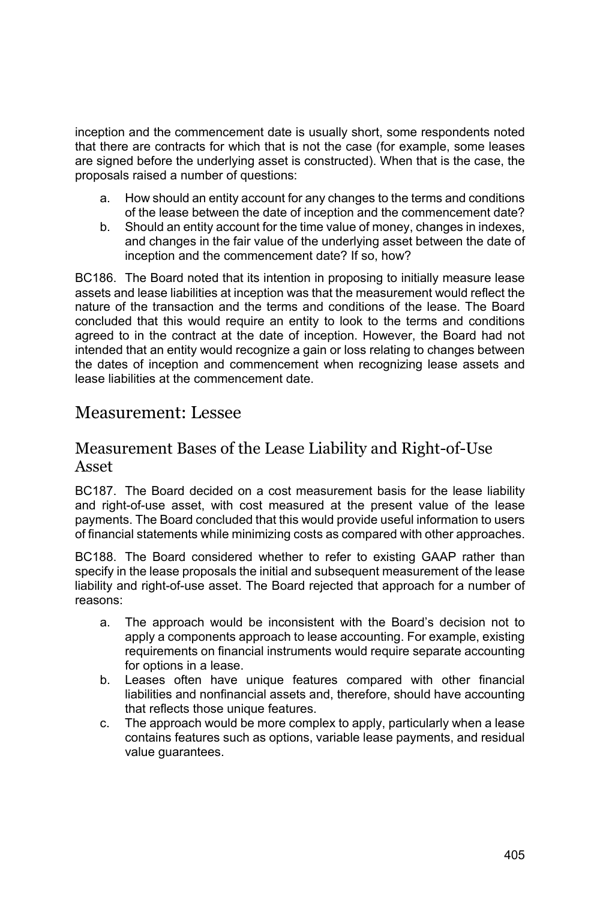inception and the commencement date is usually short, some respondents noted that there are contracts for which that is not the case (for example, some leases are signed before the underlying asset is constructed). When that is the case, the proposals raised a number of questions:

- a. How should an entity account for any changes to the terms and conditions of the lease between the date of inception and the commencement date?
- b. Should an entity account for the time value of money, changes in indexes, and changes in the fair value of the underlying asset between the date of inception and the commencement date? If so, how?

BC186. The Board noted that its intention in proposing to initially measure lease assets and lease liabilities at inception was that the measurement would reflect the nature of the transaction and the terms and conditions of the lease. The Board concluded that this would require an entity to look to the terms and conditions agreed to in the contract at the date of inception. However, the Board had not intended that an entity would recognize a gain or loss relating to changes between the dates of inception and commencement when recognizing lease assets and lease liabilities at the commencement date.

### Measurement: Lessee

#### Measurement Bases of the Lease Liability and Right-of-Use Asset

BC187. The Board decided on a cost measurement basis for the lease liability and right-of-use asset, with cost measured at the present value of the lease payments. The Board concluded that this would provide useful information to users of financial statements while minimizing costs as compared with other approaches.

BC188. The Board considered whether to refer to existing GAAP rather than specify in the lease proposals the initial and subsequent measurement of the lease liability and right-of-use asset. The Board rejected that approach for a number of reasons:

- a. The approach would be inconsistent with the Board's decision not to apply a components approach to lease accounting. For example, existing requirements on financial instruments would require separate accounting for options in a lease.
- b. Leases often have unique features compared with other financial liabilities and nonfinancial assets and, therefore, should have accounting that reflects those unique features.
- c. The approach would be more complex to apply, particularly when a lease contains features such as options, variable lease payments, and residual value guarantees.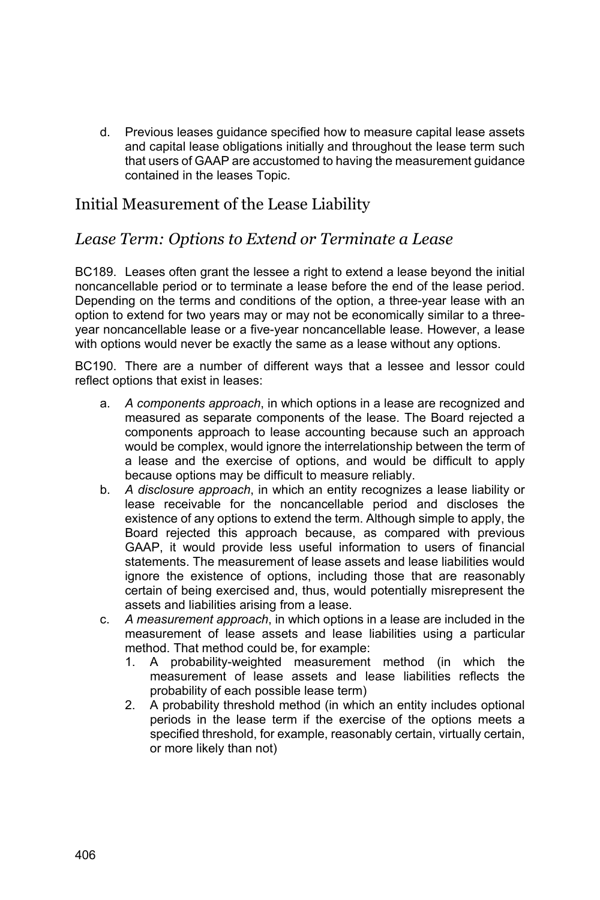d. Previous leases guidance specified how to measure capital lease assets and capital lease obligations initially and throughout the lease term such that users of GAAP are accustomed to having the measurement guidance contained in the leases Topic.

### Initial Measurement of the Lease Liability

### *Lease Term: Options to Extend or Terminate a Lease*

BC189. Leases often grant the lessee a right to extend a lease beyond the initial noncancellable period or to terminate a lease before the end of the lease period. Depending on the terms and conditions of the option, a three-year lease with an option to extend for two years may or may not be economically similar to a threeyear noncancellable lease or a five-year noncancellable lease. However, a lease with options would never be exactly the same as a lease without any options.

BC190. There are a number of different ways that a lessee and lessor could reflect options that exist in leases:

- a. *A components approach*, in which options in a lease are recognized and measured as separate components of the lease. The Board rejected a components approach to lease accounting because such an approach would be complex, would ignore the interrelationship between the term of a lease and the exercise of options, and would be difficult to apply because options may be difficult to measure reliably.
- b. *A disclosure approach*, in which an entity recognizes a lease liability or lease receivable for the noncancellable period and discloses the existence of any options to extend the term. Although simple to apply, the Board rejected this approach because, as compared with previous GAAP, it would provide less useful information to users of financial statements. The measurement of lease assets and lease liabilities would ignore the existence of options, including those that are reasonably certain of being exercised and, thus, would potentially misrepresent the assets and liabilities arising from a lease.
- c. *A measurement approach*, in which options in a lease are included in the measurement of lease assets and lease liabilities using a particular method. That method could be, for example:
	- 1. A probability-weighted measurement method (in which the measurement of lease assets and lease liabilities reflects the probability of each possible lease term)
	- 2. A probability threshold method (in which an entity includes optional periods in the lease term if the exercise of the options meets a specified threshold, for example, reasonably certain, virtually certain, or more likely than not)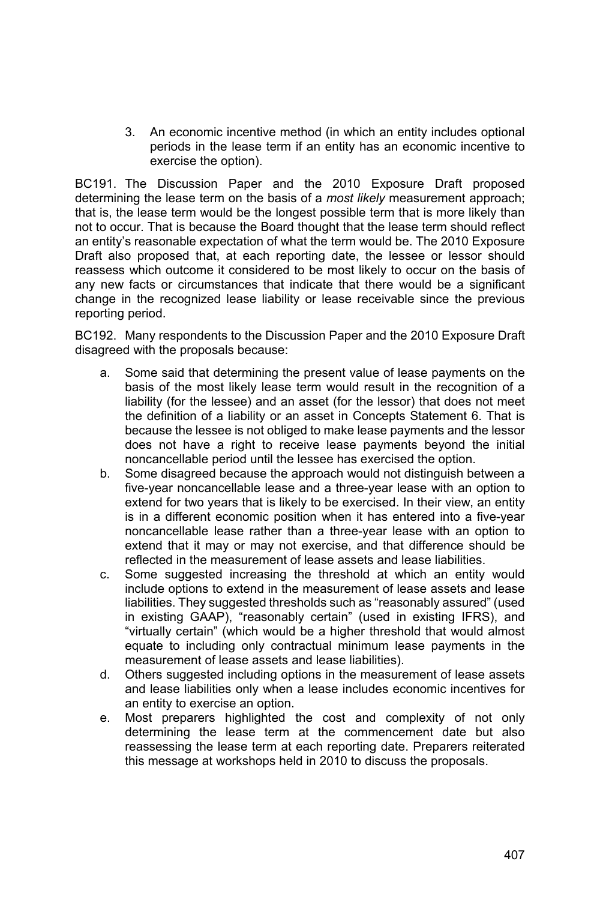3. An economic incentive method (in which an entity includes optional periods in the lease term if an entity has an economic incentive to exercise the option).

BC191. The Discussion Paper and the 2010 Exposure Draft proposed determining the lease term on the basis of a *most likely* measurement approach; that is, the lease term would be the longest possible term that is more likely than not to occur. That is because the Board thought that the lease term should reflect an entity's reasonable expectation of what the term would be. The 2010 Exposure Draft also proposed that, at each reporting date, the lessee or lessor should reassess which outcome it considered to be most likely to occur on the basis of any new facts or circumstances that indicate that there would be a significant change in the recognized lease liability or lease receivable since the previous reporting period.

BC192. Many respondents to the Discussion Paper and the 2010 Exposure Draft disagreed with the proposals because:

- a. Some said that determining the present value of lease payments on the basis of the most likely lease term would result in the recognition of a liability (for the lessee) and an asset (for the lessor) that does not meet the definition of a liability or an asset in Concepts Statement 6. That is because the lessee is not obliged to make lease payments and the lessor does not have a right to receive lease payments beyond the initial noncancellable period until the lessee has exercised the option.
- b. Some disagreed because the approach would not distinguish between a five-year noncancellable lease and a three-year lease with an option to extend for two years that is likely to be exercised. In their view, an entity is in a different economic position when it has entered into a five-year noncancellable lease rather than a three-year lease with an option to extend that it may or may not exercise, and that difference should be reflected in the measurement of lease assets and lease liabilities.
- c. Some suggested increasing the threshold at which an entity would include options to extend in the measurement of lease assets and lease liabilities. They suggested thresholds such as "reasonably assured" (used in existing GAAP), "reasonably certain" (used in existing IFRS), and "virtually certain" (which would be a higher threshold that would almost equate to including only contractual minimum lease payments in the measurement of lease assets and lease liabilities).
- d. Others suggested including options in the measurement of lease assets and lease liabilities only when a lease includes economic incentives for an entity to exercise an option.
- e. Most preparers highlighted the cost and complexity of not only determining the lease term at the commencement date but also reassessing the lease term at each reporting date. Preparers reiterated this message at workshops held in 2010 to discuss the proposals.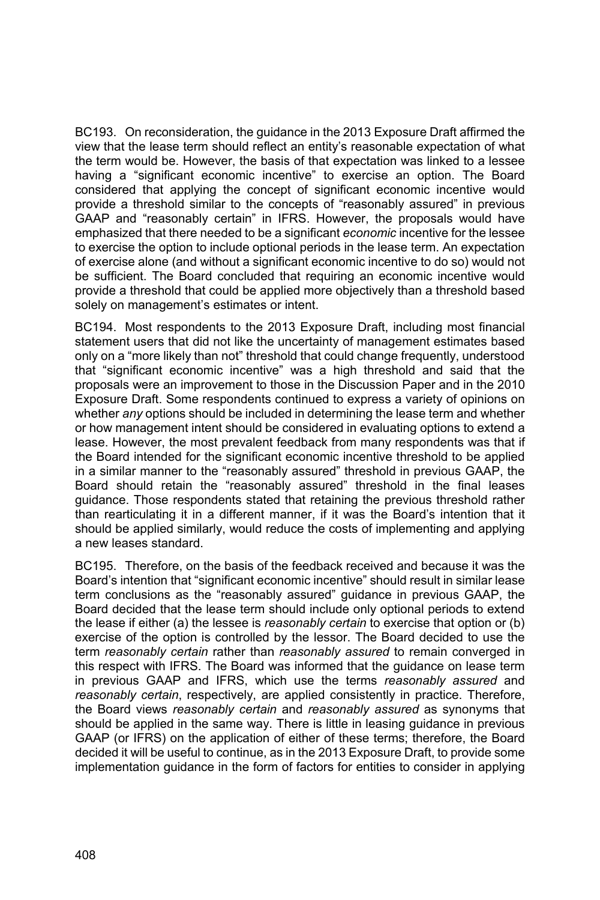BC193. On reconsideration, the guidance in the 2013 Exposure Draft affirmed the view that the lease term should reflect an entity's reasonable expectation of what the term would be. However, the basis of that expectation was linked to a lessee having a "significant economic incentive" to exercise an option. The Board considered that applying the concept of significant economic incentive would provide a threshold similar to the concepts of "reasonably assured" in previous GAAP and "reasonably certain" in IFRS. However, the proposals would have emphasized that there needed to be a significant *economic* incentive for the lessee to exercise the option to include optional periods in the lease term. An expectation of exercise alone (and without a significant economic incentive to do so) would not be sufficient. The Board concluded that requiring an economic incentive would provide a threshold that could be applied more objectively than a threshold based solely on management's estimates or intent.

BC194. Most respondents to the 2013 Exposure Draft, including most financial statement users that did not like the uncertainty of management estimates based only on a "more likely than not" threshold that could change frequently, understood that "significant economic incentive" was a high threshold and said that the proposals were an improvement to those in the Discussion Paper and in the 2010 Exposure Draft. Some respondents continued to express a variety of opinions on whether *any* options should be included in determining the lease term and whether or how management intent should be considered in evaluating options to extend a lease. However, the most prevalent feedback from many respondents was that if the Board intended for the significant economic incentive threshold to be applied in a similar manner to the "reasonably assured" threshold in previous GAAP, the Board should retain the "reasonably assured" threshold in the final leases guidance. Those respondents stated that retaining the previous threshold rather than rearticulating it in a different manner, if it was the Board's intention that it should be applied similarly, would reduce the costs of implementing and applying a new leases standard.

BC195. Therefore, on the basis of the feedback received and because it was the Board's intention that "significant economic incentive" should result in similar lease term conclusions as the "reasonably assured" guidance in previous GAAP, the Board decided that the lease term should include only optional periods to extend the lease if either (a) the lessee is *reasonably certain* to exercise that option or (b) exercise of the option is controlled by the lessor. The Board decided to use the term *reasonably certain* rather than *reasonably assured* to remain converged in this respect with IFRS. The Board was informed that the guidance on lease term in previous GAAP and IFRS, which use the terms *reasonably assured* and *reasonably certain*, respectively, are applied consistently in practice. Therefore, the Board views *reasonably certain* and *reasonably assured* as synonyms that should be applied in the same way. There is little in leasing guidance in previous GAAP (or IFRS) on the application of either of these terms; therefore, the Board decided it will be useful to continue, as in the 2013 Exposure Draft, to provide some implementation guidance in the form of factors for entities to consider in applying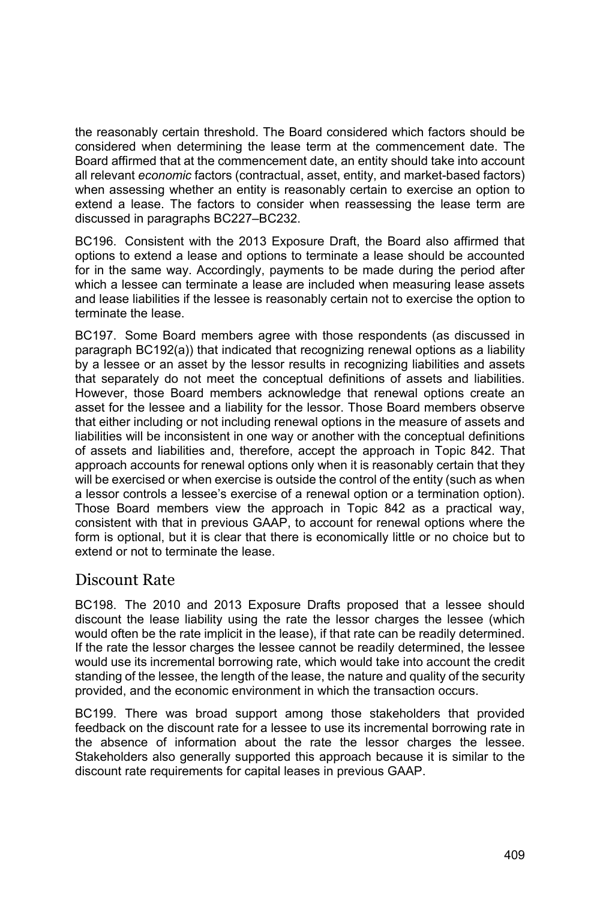the reasonably certain threshold. The Board considered which factors should be considered when determining the lease term at the commencement date. The Board affirmed that at the commencement date, an entity should take into account all relevant *economic* factors (contractual, asset, entity, and market-based factors) when assessing whether an entity is reasonably certain to exercise an option to extend a lease. The factors to consider when reassessing the lease term are discussed in paragraphs BC227–BC232.

BC196. Consistent with the 2013 Exposure Draft, the Board also affirmed that options to extend a lease and options to terminate a lease should be accounted for in the same way. Accordingly, payments to be made during the period after which a lessee can terminate a lease are included when measuring lease assets and lease liabilities if the lessee is reasonably certain not to exercise the option to terminate the lease.

BC197. Some Board members agree with those respondents (as discussed in paragraph BC192(a)) that indicated that recognizing renewal options as a liability by a lessee or an asset by the lessor results in recognizing liabilities and assets that separately do not meet the conceptual definitions of assets and liabilities. However, those Board members acknowledge that renewal options create an asset for the lessee and a liability for the lessor. Those Board members observe that either including or not including renewal options in the measure of assets and liabilities will be inconsistent in one way or another with the conceptual definitions of assets and liabilities and, therefore, accept the approach in Topic 842. That approach accounts for renewal options only when it is reasonably certain that they will be exercised or when exercise is outside the control of the entity (such as when a lessor controls a lessee's exercise of a renewal option or a termination option). Those Board members view the approach in Topic 842 as a practical way, consistent with that in previous GAAP, to account for renewal options where the form is optional, but it is clear that there is economically little or no choice but to extend or not to terminate the lease.

### Discount Rate

BC198. The 2010 and 2013 Exposure Drafts proposed that a lessee should discount the lease liability using the rate the lessor charges the lessee (which would often be the rate implicit in the lease), if that rate can be readily determined. If the rate the lessor charges the lessee cannot be readily determined, the lessee would use its incremental borrowing rate, which would take into account the credit standing of the lessee, the length of the lease, the nature and quality of the security provided, and the economic environment in which the transaction occurs.

BC199. There was broad support among those stakeholders that provided feedback on the discount rate for a lessee to use its incremental borrowing rate in the absence of information about the rate the lessor charges the lessee. Stakeholders also generally supported this approach because it is similar to the discount rate requirements for capital leases in previous GAAP.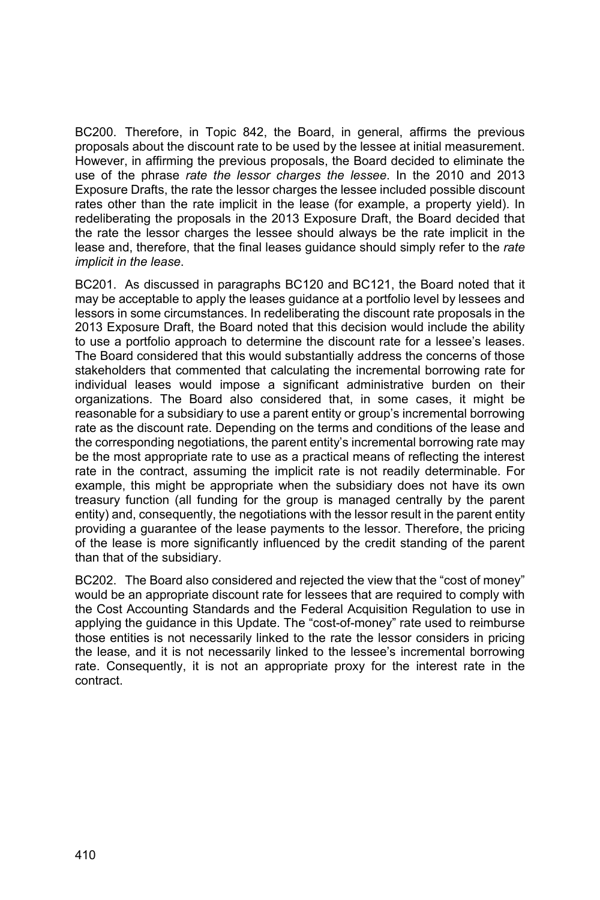BC200. Therefore, in Topic 842, the Board, in general, affirms the previous proposals about the discount rate to be used by the lessee at initial measurement. However, in affirming the previous proposals, the Board decided to eliminate the use of the phrase *rate the lessor charges the lessee*. In the 2010 and 2013 Exposure Drafts, the rate the lessor charges the lessee included possible discount rates other than the rate implicit in the lease (for example, a property yield). In redeliberating the proposals in the 2013 Exposure Draft, the Board decided that the rate the lessor charges the lessee should always be the rate implicit in the lease and, therefore, that the final leases guidance should simply refer to the *rate implicit in the lease*.

BC201. As discussed in paragraphs BC120 and BC121, the Board noted that it may be acceptable to apply the leases guidance at a portfolio level by lessees and lessors in some circumstances. In redeliberating the discount rate proposals in the 2013 Exposure Draft, the Board noted that this decision would include the ability to use a portfolio approach to determine the discount rate for a lessee's leases. The Board considered that this would substantially address the concerns of those stakeholders that commented that calculating the incremental borrowing rate for individual leases would impose a significant administrative burden on their organizations. The Board also considered that, in some cases, it might be reasonable for a subsidiary to use a parent entity or group's incremental borrowing rate as the discount rate. Depending on the terms and conditions of the lease and the corresponding negotiations, the parent entity's incremental borrowing rate may be the most appropriate rate to use as a practical means of reflecting the interest rate in the contract, assuming the implicit rate is not readily determinable. For example, this might be appropriate when the subsidiary does not have its own treasury function (all funding for the group is managed centrally by the parent entity) and, consequently, the negotiations with the lessor result in the parent entity providing a guarantee of the lease payments to the lessor. Therefore, the pricing of the lease is more significantly influenced by the credit standing of the parent than that of the subsidiary.

BC202. The Board also considered and rejected the view that the "cost of money" would be an appropriate discount rate for lessees that are required to comply with the Cost Accounting Standards and the Federal Acquisition Regulation to use in applying the guidance in this Update. The "cost-of-money" rate used to reimburse those entities is not necessarily linked to the rate the lessor considers in pricing the lease, and it is not necessarily linked to the lessee's incremental borrowing rate. Consequently, it is not an appropriate proxy for the interest rate in the contract.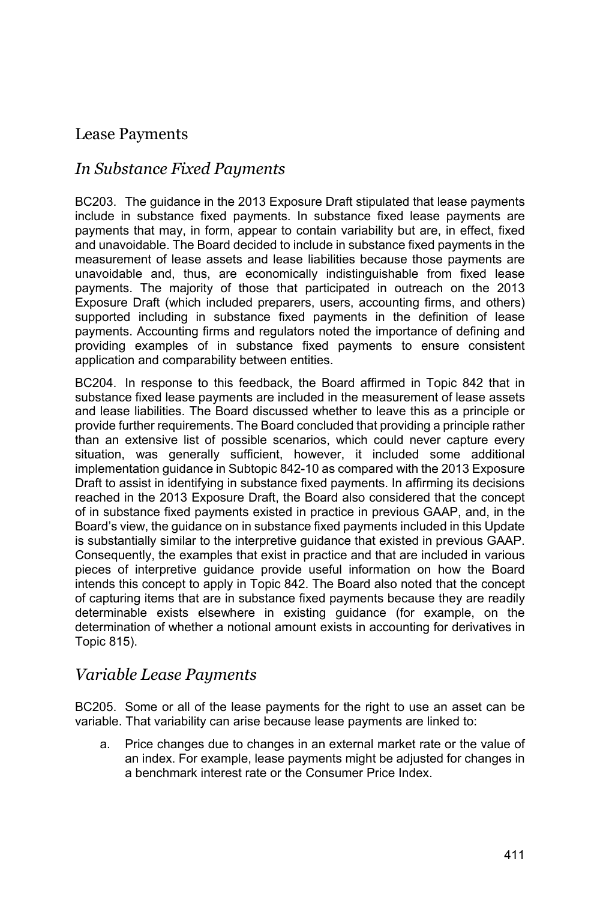### Lease Payments

### *In Substance Fixed Payments*

BC203. The guidance in the 2013 Exposure Draft stipulated that lease payments include in substance fixed payments. In substance fixed lease payments are payments that may, in form, appear to contain variability but are, in effect, fixed and unavoidable. The Board decided to include in substance fixed payments in the measurement of lease assets and lease liabilities because those payments are unavoidable and, thus, are economically indistinguishable from fixed lease payments. The majority of those that participated in outreach on the 2013 Exposure Draft (which included preparers, users, accounting firms, and others) supported including in substance fixed payments in the definition of lease payments. Accounting firms and regulators noted the importance of defining and providing examples of in substance fixed payments to ensure consistent application and comparability between entities.

BC204. In response to this feedback, the Board affirmed in Topic 842 that in substance fixed lease payments are included in the measurement of lease assets and lease liabilities. The Board discussed whether to leave this as a principle or provide further requirements. The Board concluded that providing a principle rather than an extensive list of possible scenarios, which could never capture every situation, was generally sufficient, however, it included some additional implementation guidance in Subtopic 842-10 as compared with the 2013 Exposure Draft to assist in identifying in substance fixed payments. In affirming its decisions reached in the 2013 Exposure Draft, the Board also considered that the concept of in substance fixed payments existed in practice in previous GAAP, and, in the Board's view, the guidance on in substance fixed payments included in this Update is substantially similar to the interpretive guidance that existed in previous GAAP. Consequently, the examples that exist in practice and that are included in various pieces of interpretive guidance provide useful information on how the Board intends this concept to apply in Topic 842. The Board also noted that the concept of capturing items that are in substance fixed payments because they are readily determinable exists elsewhere in existing guidance (for example, on the determination of whether a notional amount exists in accounting for derivatives in Topic 815).

### *Variable Lease Payments*

BC205. Some or all of the lease payments for the right to use an asset can be variable. That variability can arise because lease payments are linked to:

a. Price changes due to changes in an external market rate or the value of an index. For example, lease payments might be adjusted for changes in a benchmark interest rate or the Consumer Price Index.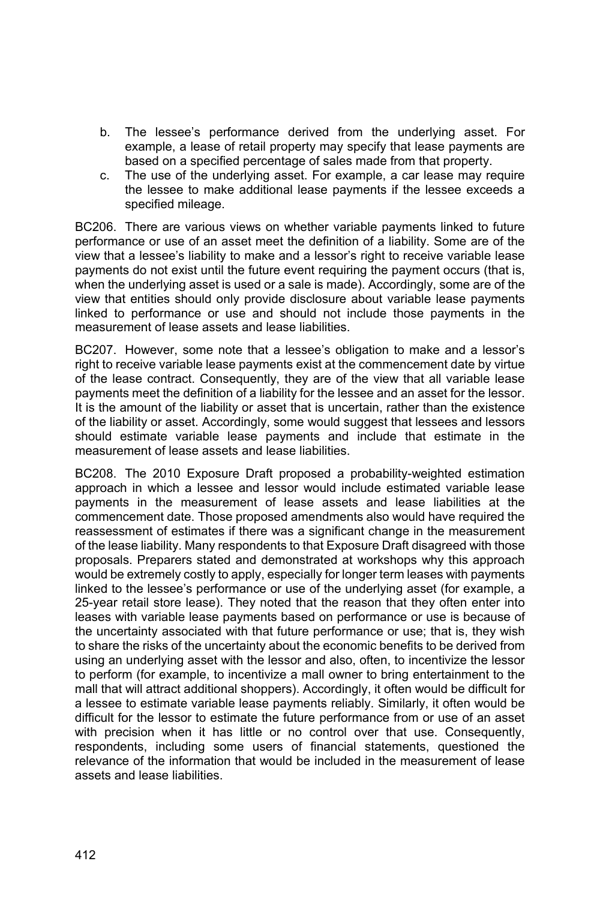- b. The lessee's performance derived from the underlying asset. For example, a lease of retail property may specify that lease payments are based on a specified percentage of sales made from that property.
- c. The use of the underlying asset. For example, a car lease may require the lessee to make additional lease payments if the lessee exceeds a specified mileage.

BC206. There are various views on whether variable payments linked to future performance or use of an asset meet the definition of a liability. Some are of the view that a lessee's liability to make and a lessor's right to receive variable lease payments do not exist until the future event requiring the payment occurs (that is, when the underlying asset is used or a sale is made). Accordingly, some are of the view that entities should only provide disclosure about variable lease payments linked to performance or use and should not include those payments in the measurement of lease assets and lease liabilities.

BC207. However, some note that a lessee's obligation to make and a lessor's right to receive variable lease payments exist at the commencement date by virtue of the lease contract. Consequently, they are of the view that all variable lease payments meet the definition of a liability for the lessee and an asset for the lessor. It is the amount of the liability or asset that is uncertain, rather than the existence of the liability or asset. Accordingly, some would suggest that lessees and lessors should estimate variable lease payments and include that estimate in the measurement of lease assets and lease liabilities.

BC208. The 2010 Exposure Draft proposed a probability-weighted estimation approach in which a lessee and lessor would include estimated variable lease payments in the measurement of lease assets and lease liabilities at the commencement date. Those proposed amendments also would have required the reassessment of estimates if there was a significant change in the measurement of the lease liability. Many respondents to that Exposure Draft disagreed with those proposals. Preparers stated and demonstrated at workshops why this approach would be extremely costly to apply, especially for longer term leases with payments linked to the lessee's performance or use of the underlying asset (for example, a 25-year retail store lease). They noted that the reason that they often enter into leases with variable lease payments based on performance or use is because of the uncertainty associated with that future performance or use; that is, they wish to share the risks of the uncertainty about the economic benefits to be derived from using an underlying asset with the lessor and also, often, to incentivize the lessor to perform (for example, to incentivize a mall owner to bring entertainment to the mall that will attract additional shoppers). Accordingly, it often would be difficult for a lessee to estimate variable lease payments reliably. Similarly, it often would be difficult for the lessor to estimate the future performance from or use of an asset with precision when it has little or no control over that use. Consequently, respondents, including some users of financial statements, questioned the relevance of the information that would be included in the measurement of lease assets and lease liabilities.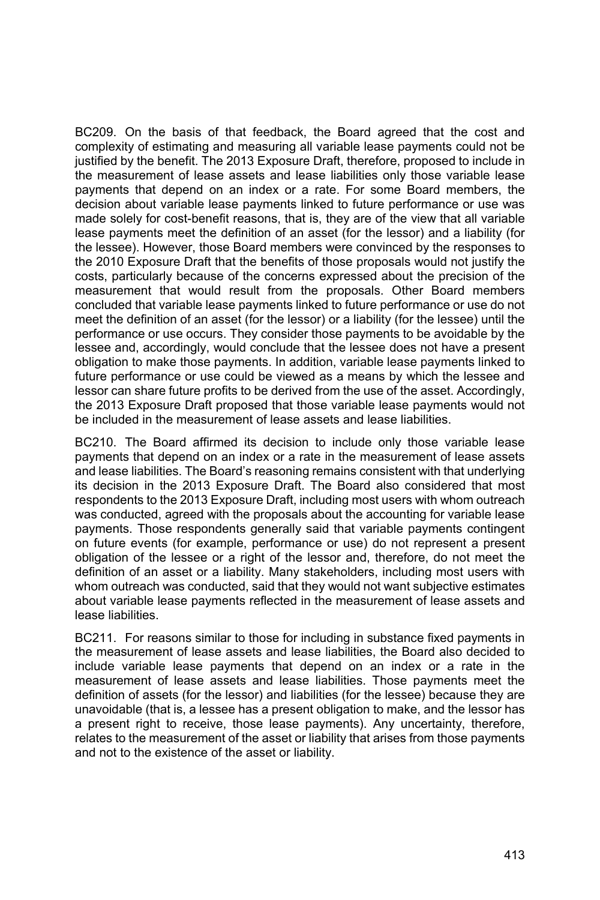BC209. On the basis of that feedback, the Board agreed that the cost and complexity of estimating and measuring all variable lease payments could not be justified by the benefit. The 2013 Exposure Draft, therefore, proposed to include in the measurement of lease assets and lease liabilities only those variable lease payments that depend on an index or a rate. For some Board members, the decision about variable lease payments linked to future performance or use was made solely for cost-benefit reasons, that is, they are of the view that all variable lease payments meet the definition of an asset (for the lessor) and a liability (for the lessee). However, those Board members were convinced by the responses to the 2010 Exposure Draft that the benefits of those proposals would not justify the costs, particularly because of the concerns expressed about the precision of the measurement that would result from the proposals. Other Board members concluded that variable lease payments linked to future performance or use do not meet the definition of an asset (for the lessor) or a liability (for the lessee) until the performance or use occurs. They consider those payments to be avoidable by the lessee and, accordingly, would conclude that the lessee does not have a present obligation to make those payments. In addition, variable lease payments linked to future performance or use could be viewed as a means by which the lessee and lessor can share future profits to be derived from the use of the asset. Accordingly, the 2013 Exposure Draft proposed that those variable lease payments would not be included in the measurement of lease assets and lease liabilities.

BC210. The Board affirmed its decision to include only those variable lease payments that depend on an index or a rate in the measurement of lease assets and lease liabilities. The Board's reasoning remains consistent with that underlying its decision in the 2013 Exposure Draft. The Board also considered that most respondents to the 2013 Exposure Draft, including most users with whom outreach was conducted, agreed with the proposals about the accounting for variable lease payments. Those respondents generally said that variable payments contingent on future events (for example, performance or use) do not represent a present obligation of the lessee or a right of the lessor and, therefore, do not meet the definition of an asset or a liability. Many stakeholders, including most users with whom outreach was conducted, said that they would not want subjective estimates about variable lease payments reflected in the measurement of lease assets and lease liabilities.

BC211. For reasons similar to those for including in substance fixed payments in the measurement of lease assets and lease liabilities, the Board also decided to include variable lease payments that depend on an index or a rate in the measurement of lease assets and lease liabilities. Those payments meet the definition of assets (for the lessor) and liabilities (for the lessee) because they are unavoidable (that is, a lessee has a present obligation to make, and the lessor has a present right to receive, those lease payments). Any uncertainty, therefore, relates to the measurement of the asset or liability that arises from those payments and not to the existence of the asset or liability.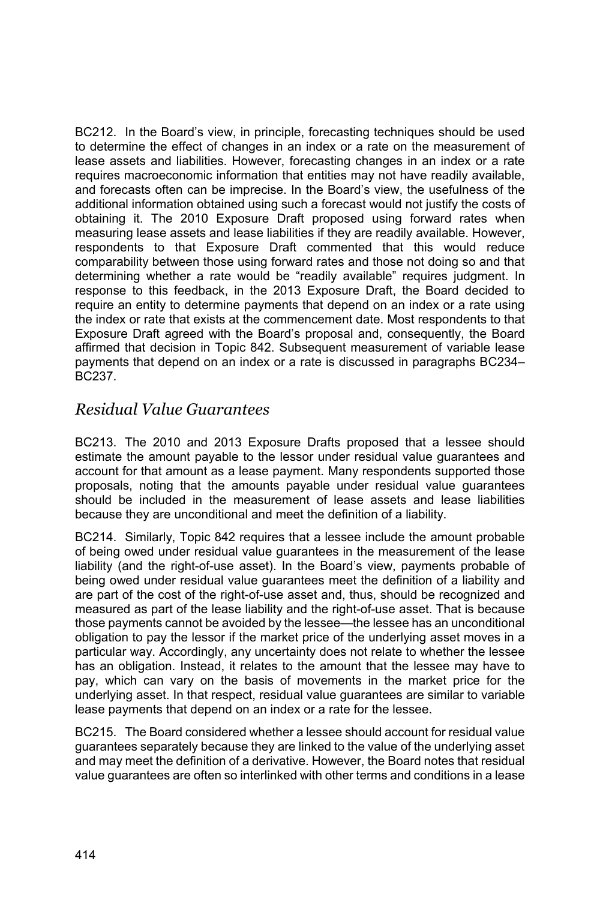BC212. In the Board's view, in principle, forecasting techniques should be used to determine the effect of changes in an index or a rate on the measurement of lease assets and liabilities. However, forecasting changes in an index or a rate requires macroeconomic information that entities may not have readily available, and forecasts often can be imprecise. In the Board's view, the usefulness of the additional information obtained using such a forecast would not justify the costs of obtaining it. The 2010 Exposure Draft proposed using forward rates when measuring lease assets and lease liabilities if they are readily available. However, respondents to that Exposure Draft commented that this would reduce comparability between those using forward rates and those not doing so and that determining whether a rate would be "readily available" requires judgment. In response to this feedback, in the 2013 Exposure Draft, the Board decided to require an entity to determine payments that depend on an index or a rate using the index or rate that exists at the commencement date. Most respondents to that Exposure Draft agreed with the Board's proposal and, consequently, the Board affirmed that decision in Topic 842. Subsequent measurement of variable lease payments that depend on an index or a rate is discussed in paragraphs BC234– BC237.

### *Residual Value Guarantees*

BC213. The 2010 and 2013 Exposure Drafts proposed that a lessee should estimate the amount payable to the lessor under residual value guarantees and account for that amount as a lease payment. Many respondents supported those proposals, noting that the amounts payable under residual value guarantees should be included in the measurement of lease assets and lease liabilities because they are unconditional and meet the definition of a liability.

BC214. Similarly, Topic 842 requires that a lessee include the amount probable of being owed under residual value guarantees in the measurement of the lease liability (and the right-of-use asset). In the Board's view, payments probable of being owed under residual value guarantees meet the definition of a liability and are part of the cost of the right-of-use asset and, thus, should be recognized and measured as part of the lease liability and the right-of-use asset. That is because those payments cannot be avoided by the lessee—the lessee has an unconditional obligation to pay the lessor if the market price of the underlying asset moves in a particular way. Accordingly, any uncertainty does not relate to whether the lessee has an obligation. Instead, it relates to the amount that the lessee may have to pay, which can vary on the basis of movements in the market price for the underlying asset. In that respect, residual value guarantees are similar to variable lease payments that depend on an index or a rate for the lessee.

BC215. The Board considered whether a lessee should account for residual value guarantees separately because they are linked to the value of the underlying asset and may meet the definition of a derivative. However, the Board notes that residual value guarantees are often so interlinked with other terms and conditions in a lease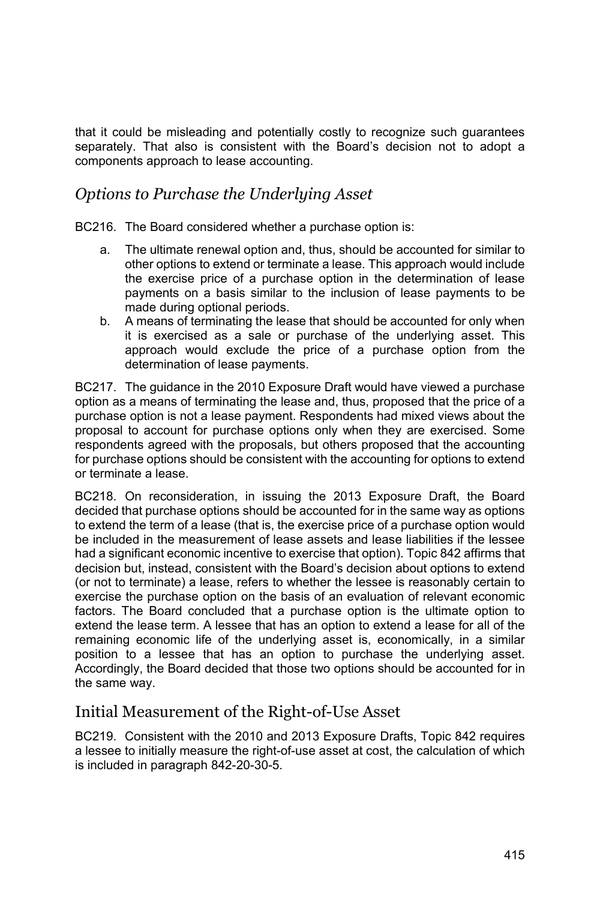that it could be misleading and potentially costly to recognize such guarantees separately. That also is consistent with the Board's decision not to adopt a components approach to lease accounting.

### *Options to Purchase the Underlying Asset*

BC216. The Board considered whether a purchase option is:

- a. The ultimate renewal option and, thus, should be accounted for similar to other options to extend or terminate a lease. This approach would include the exercise price of a purchase option in the determination of lease payments on a basis similar to the inclusion of lease payments to be made during optional periods.
- b. A means of terminating the lease that should be accounted for only when it is exercised as a sale or purchase of the underlying asset. This approach would exclude the price of a purchase option from the determination of lease payments.

BC217. The guidance in the 2010 Exposure Draft would have viewed a purchase option as a means of terminating the lease and, thus, proposed that the price of a purchase option is not a lease payment. Respondents had mixed views about the proposal to account for purchase options only when they are exercised. Some respondents agreed with the proposals, but others proposed that the accounting for purchase options should be consistent with the accounting for options to extend or terminate a lease.

BC218. On reconsideration, in issuing the 2013 Exposure Draft, the Board decided that purchase options should be accounted for in the same way as options to extend the term of a lease (that is, the exercise price of a purchase option would be included in the measurement of lease assets and lease liabilities if the lessee had a significant economic incentive to exercise that option). Topic 842 affirms that decision but, instead, consistent with the Board's decision about options to extend (or not to terminate) a lease, refers to whether the lessee is reasonably certain to exercise the purchase option on the basis of an evaluation of relevant economic factors. The Board concluded that a purchase option is the ultimate option to extend the lease term. A lessee that has an option to extend a lease for all of the remaining economic life of the underlying asset is, economically, in a similar position to a lessee that has an option to purchase the underlying asset. Accordingly, the Board decided that those two options should be accounted for in the same way.

### Initial Measurement of the Right-of-Use Asset

BC219. Consistent with the 2010 and 2013 Exposure Drafts, Topic 842 requires a lessee to initially measure the right-of-use asset at cost, the calculation of which is included in paragraph 842-20-30-5.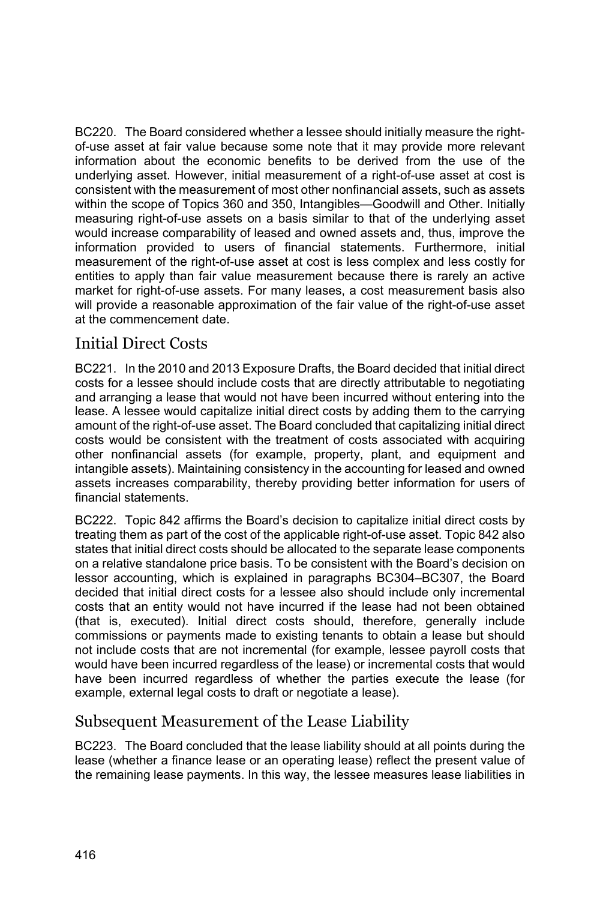BC220. The Board considered whether a lessee should initially measure the rightof-use asset at fair value because some note that it may provide more relevant information about the economic benefits to be derived from the use of the underlying asset. However, initial measurement of a right-of-use asset at cost is consistent with the measurement of most other nonfinancial assets, such as assets within the scope of Topics 360 and 350, Intangibles—Goodwill and Other. Initially measuring right-of-use assets on a basis similar to that of the underlying asset would increase comparability of leased and owned assets and, thus, improve the information provided to users of financial statements. Furthermore, initial measurement of the right-of-use asset at cost is less complex and less costly for entities to apply than fair value measurement because there is rarely an active market for right-of-use assets. For many leases, a cost measurement basis also will provide a reasonable approximation of the fair value of the right-of-use asset at the commencement date.

## Initial Direct Costs

BC221. In the 2010 and 2013 Exposure Drafts, the Board decided that initial direct costs for a lessee should include costs that are directly attributable to negotiating and arranging a lease that would not have been incurred without entering into the lease. A lessee would capitalize initial direct costs by adding them to the carrying amount of the right-of-use asset. The Board concluded that capitalizing initial direct costs would be consistent with the treatment of costs associated with acquiring other nonfinancial assets (for example, property, plant, and equipment and intangible assets). Maintaining consistency in the accounting for leased and owned assets increases comparability, thereby providing better information for users of financial statements.

BC222. Topic 842 affirms the Board's decision to capitalize initial direct costs by treating them as part of the cost of the applicable right-of-use asset. Topic 842 also states that initial direct costs should be allocated to the separate lease components on a relative standalone price basis. To be consistent with the Board's decision on lessor accounting, which is explained in paragraphs BC304–BC307, the Board decided that initial direct costs for a lessee also should include only incremental costs that an entity would not have incurred if the lease had not been obtained (that is, executed). Initial direct costs should, therefore, generally include commissions or payments made to existing tenants to obtain a lease but should not include costs that are not incremental (for example, lessee payroll costs that would have been incurred regardless of the lease) or incremental costs that would have been incurred regardless of whether the parties execute the lease (for example, external legal costs to draft or negotiate a lease).

## Subsequent Measurement of the Lease Liability

BC223. The Board concluded that the lease liability should at all points during the lease (whether a finance lease or an operating lease) reflect the present value of the remaining lease payments. In this way, the lessee measures lease liabilities in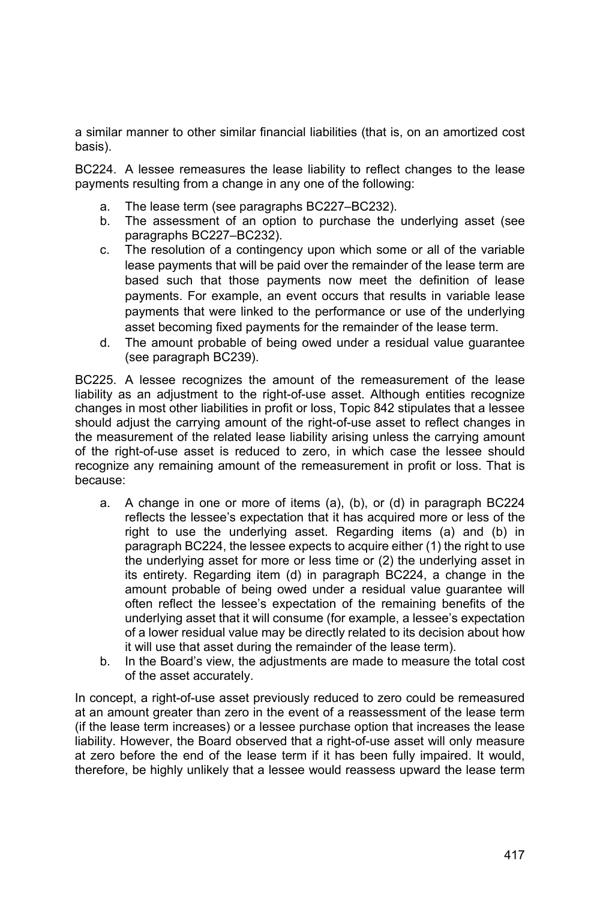a similar manner to other similar financial liabilities (that is, on an amortized cost basis).

BC224. A lessee remeasures the lease liability to reflect changes to the lease payments resulting from a change in any one of the following:

- a. The lease term (see paragraphs BC227–BC232).
- b. The assessment of an option to purchase the underlying asset (see paragraphs BC227–BC232).
- c. The resolution of a contingency upon which some or all of the variable lease payments that will be paid over the remainder of the lease term are based such that those payments now meet the definition of lease payments. For example, an event occurs that results in variable lease payments that were linked to the performance or use of the underlying asset becoming fixed payments for the remainder of the lease term.
- d. The amount probable of being owed under a residual value guarantee (see paragraph BC239).

BC225. A lessee recognizes the amount of the remeasurement of the lease liability as an adjustment to the right-of-use asset. Although entities recognize changes in most other liabilities in profit or loss, Topic 842 stipulates that a lessee should adjust the carrying amount of the right-of-use asset to reflect changes in the measurement of the related lease liability arising unless the carrying amount of the right-of-use asset is reduced to zero, in which case the lessee should recognize any remaining amount of the remeasurement in profit or loss. That is because:

- a. A change in one or more of items (a), (b), or (d) in paragraph BC224 reflects the lessee's expectation that it has acquired more or less of the right to use the underlying asset. Regarding items (a) and (b) in paragraph BC224, the lessee expects to acquire either (1) the right to use the underlying asset for more or less time or (2) the underlying asset in its entirety. Regarding item (d) in paragraph BC224, a change in the amount probable of being owed under a residual value guarantee will often reflect the lessee's expectation of the remaining benefits of the underlying asset that it will consume (for example, a lessee's expectation of a lower residual value may be directly related to its decision about how it will use that asset during the remainder of the lease term).
- b. In the Board's view, the adjustments are made to measure the total cost of the asset accurately.

In concept, a right-of-use asset previously reduced to zero could be remeasured at an amount greater than zero in the event of a reassessment of the lease term (if the lease term increases) or a lessee purchase option that increases the lease liability. However, the Board observed that a right-of-use asset will only measure at zero before the end of the lease term if it has been fully impaired. It would, therefore, be highly unlikely that a lessee would reassess upward the lease term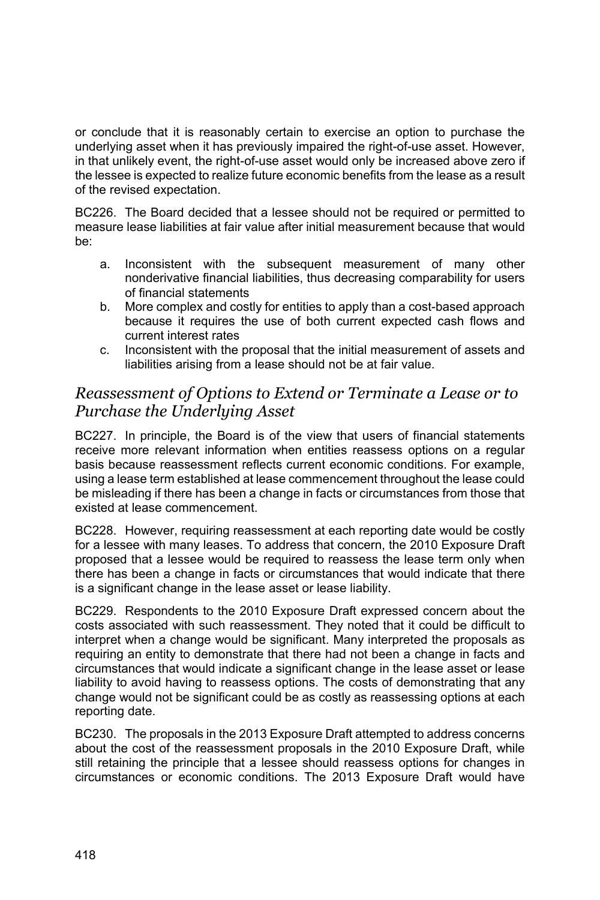or conclude that it is reasonably certain to exercise an option to purchase the underlying asset when it has previously impaired the right-of-use asset. However, in that unlikely event, the right-of-use asset would only be increased above zero if the lessee is expected to realize future economic benefits from the lease as a result of the revised expectation.

BC226. The Board decided that a lessee should not be required or permitted to measure lease liabilities at fair value after initial measurement because that would be:

- a. Inconsistent with the subsequent measurement of many other nonderivative financial liabilities, thus decreasing comparability for users of financial statements
- b. More complex and costly for entities to apply than a cost-based approach because it requires the use of both current expected cash flows and current interest rates
- c. Inconsistent with the proposal that the initial measurement of assets and liabilities arising from a lease should not be at fair value.

#### *Reassessment of Options to Extend or Terminate a Lease or to Purchase the Underlying Asset*

BC227. In principle, the Board is of the view that users of financial statements receive more relevant information when entities reassess options on a regular basis because reassessment reflects current economic conditions. For example, using a lease term established at lease commencement throughout the lease could be misleading if there has been a change in facts or circumstances from those that existed at lease commencement.

BC228. However, requiring reassessment at each reporting date would be costly for a lessee with many leases. To address that concern, the 2010 Exposure Draft proposed that a lessee would be required to reassess the lease term only when there has been a change in facts or circumstances that would indicate that there is a significant change in the lease asset or lease liability.

BC229. Respondents to the 2010 Exposure Draft expressed concern about the costs associated with such reassessment. They noted that it could be difficult to interpret when a change would be significant. Many interpreted the proposals as requiring an entity to demonstrate that there had not been a change in facts and circumstances that would indicate a significant change in the lease asset or lease liability to avoid having to reassess options. The costs of demonstrating that any change would not be significant could be as costly as reassessing options at each reporting date.

BC230. The proposals in the 2013 Exposure Draft attempted to address concerns about the cost of the reassessment proposals in the 2010 Exposure Draft, while still retaining the principle that a lessee should reassess options for changes in circumstances or economic conditions. The 2013 Exposure Draft would have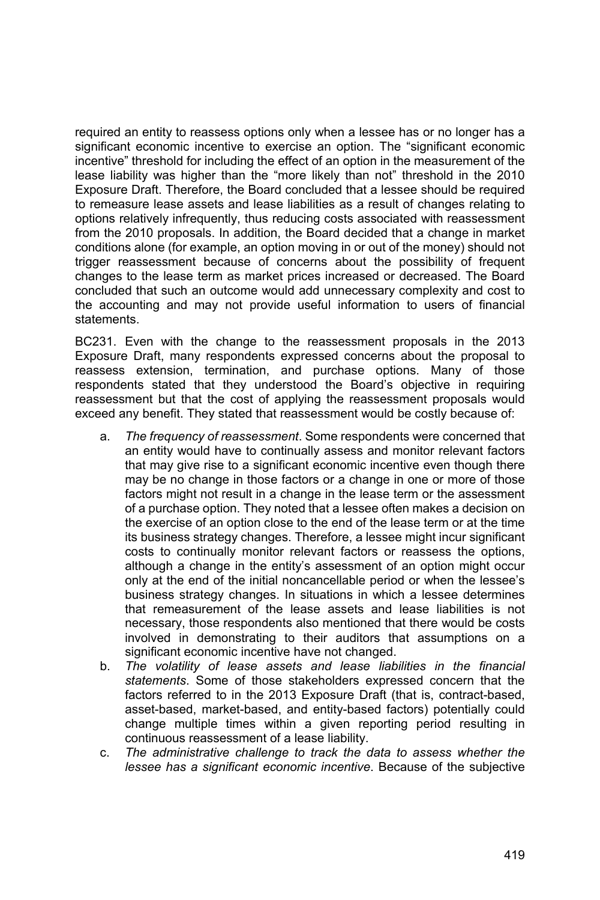required an entity to reassess options only when a lessee has or no longer has a significant economic incentive to exercise an option. The "significant economic incentive" threshold for including the effect of an option in the measurement of the lease liability was higher than the "more likely than not" threshold in the 2010 Exposure Draft. Therefore, the Board concluded that a lessee should be required to remeasure lease assets and lease liabilities as a result of changes relating to options relatively infrequently, thus reducing costs associated with reassessment from the 2010 proposals. In addition, the Board decided that a change in market conditions alone (for example, an option moving in or out of the money) should not trigger reassessment because of concerns about the possibility of frequent changes to the lease term as market prices increased or decreased. The Board concluded that such an outcome would add unnecessary complexity and cost to the accounting and may not provide useful information to users of financial statements.

BC231. Even with the change to the reassessment proposals in the 2013 Exposure Draft, many respondents expressed concerns about the proposal to reassess extension, termination, and purchase options. Many of those respondents stated that they understood the Board's objective in requiring reassessment but that the cost of applying the reassessment proposals would exceed any benefit. They stated that reassessment would be costly because of:

- a. *The frequency of reassessment*. Some respondents were concerned that an entity would have to continually assess and monitor relevant factors that may give rise to a significant economic incentive even though there may be no change in those factors or a change in one or more of those factors might not result in a change in the lease term or the assessment of a purchase option. They noted that a lessee often makes a decision on the exercise of an option close to the end of the lease term or at the time its business strategy changes. Therefore, a lessee might incur significant costs to continually monitor relevant factors or reassess the options, although a change in the entity's assessment of an option might occur only at the end of the initial noncancellable period or when the lessee's business strategy changes. In situations in which a lessee determines that remeasurement of the lease assets and lease liabilities is not necessary, those respondents also mentioned that there would be costs involved in demonstrating to their auditors that assumptions on a significant economic incentive have not changed.
- b. *The volatility of lease assets and lease liabilities in the financial statements*. Some of those stakeholders expressed concern that the factors referred to in the 2013 Exposure Draft (that is, contract-based, asset-based, market-based, and entity-based factors) potentially could change multiple times within a given reporting period resulting in continuous reassessment of a lease liability.
- c. *The administrative challenge to track the data to assess whether the lessee has a significant economic incentive*. Because of the subjective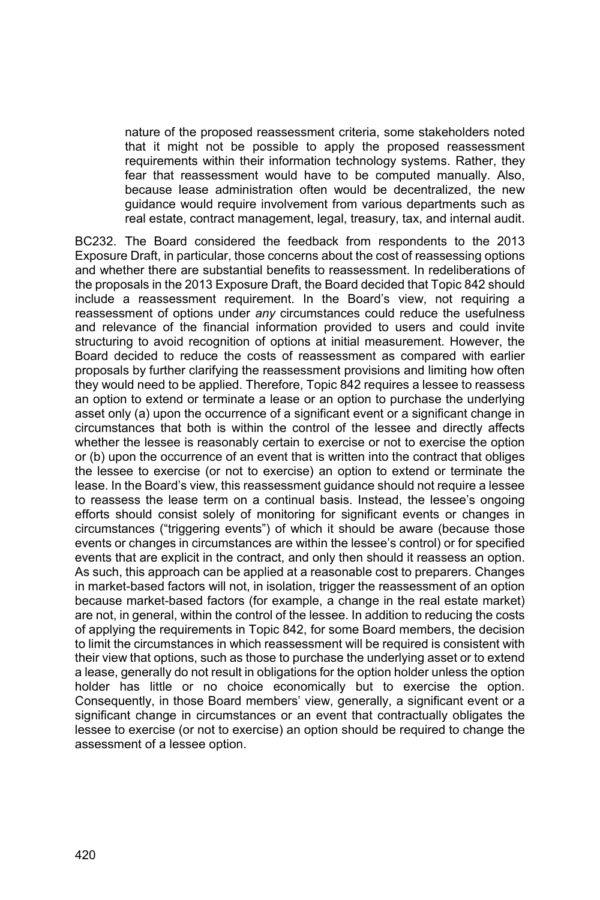nature of the proposed reassessment criteria, some stakeholders noted that it might not be possible to apply the proposed reassessment requirements within their information technology systems. Rather, they fear that reassessment would have to be computed manually. Also, because lease administration often would be decentralized, the new guidance would require involvement from various departments such as real estate, contract management, legal, treasury, tax, and internal audit.

BC232. The Board considered the feedback from respondents to the 2013 Exposure Draft, in particular, those concerns about the cost of reassessing options and whether there are substantial benefits to reassessment. In redeliberations of the proposals in the 2013 Exposure Draft, the Board decided that Topic 842 should include a reassessment requirement. In the Board's view, not requiring a reassessment of options under *any* circumstances could reduce the usefulness and relevance of the financial information provided to users and could invite structuring to avoid recognition of options at initial measurement. However, the Board decided to reduce the costs of reassessment as compared with earlier proposals by further clarifying the reassessment provisions and limiting how often they would need to be applied. Therefore, Topic 842 requires a lessee to reassess an option to extend or terminate a lease or an option to purchase the underlying asset only (a) upon the occurrence of a significant event or a significant change in circumstances that both is within the control of the lessee and directly affects whether the lessee is reasonably certain to exercise or not to exercise the option or (b) upon the occurrence of an event that is written into the contract that obliges the lessee to exercise (or not to exercise) an option to extend or terminate the lease. In the Board's view, this reassessment guidance should not require a lessee to reassess the lease term on a continual basis. Instead, the lessee's ongoing efforts should consist solely of monitoring for significant events or changes in circumstances ("triggering events") of which it should be aware (because those events or changes in circumstances are within the lessee's control) or for specified events that are explicit in the contract, and only then should it reassess an option. As such, this approach can be applied at a reasonable cost to preparers. Changes in market-based factors will not, in isolation, trigger the reassessment of an option because market-based factors (for example, a change in the real estate market) are not, in general, within the control of the lessee. In addition to reducing the costs of applying the requirements in Topic 842, for some Board members, the decision to limit the circumstances in which reassessment will be required is consistent with their view that options, such as those to purchase the underlying asset or to extend a lease, generally do not result in obligations for the option holder unless the option holder has little or no choice economically but to exercise the option. Consequently, in those Board members' view, generally, a significant event or a significant change in circumstances or an event that contractually obligates the lessee to exercise (or not to exercise) an option should be required to change the assessment of a lessee option.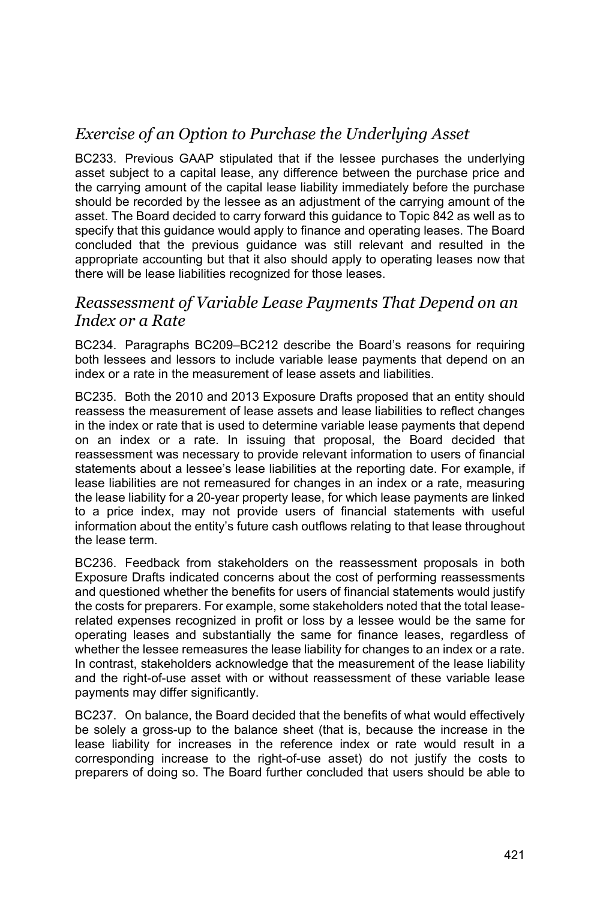# *Exercise of an Option to Purchase the Underlying Asset*

BC233. Previous GAAP stipulated that if the lessee purchases the underlying asset subject to a capital lease, any difference between the purchase price and the carrying amount of the capital lease liability immediately before the purchase should be recorded by the lessee as an adjustment of the carrying amount of the asset. The Board decided to carry forward this guidance to Topic 842 as well as to specify that this guidance would apply to finance and operating leases. The Board concluded that the previous guidance was still relevant and resulted in the appropriate accounting but that it also should apply to operating leases now that there will be lease liabilities recognized for those leases.

#### *Reassessment of Variable Lease Payments That Depend on an Index or a Rate*

BC234. Paragraphs BC209–BC212 describe the Board's reasons for requiring both lessees and lessors to include variable lease payments that depend on an index or a rate in the measurement of lease assets and liabilities.

BC235. Both the 2010 and 2013 Exposure Drafts proposed that an entity should reassess the measurement of lease assets and lease liabilities to reflect changes in the index or rate that is used to determine variable lease payments that depend on an index or a rate. In issuing that proposal, the Board decided that reassessment was necessary to provide relevant information to users of financial statements about a lessee's lease liabilities at the reporting date. For example, if lease liabilities are not remeasured for changes in an index or a rate, measuring the lease liability for a 20-year property lease, for which lease payments are linked to a price index, may not provide users of financial statements with useful information about the entity's future cash outflows relating to that lease throughout the lease term.

BC236. Feedback from stakeholders on the reassessment proposals in both Exposure Drafts indicated concerns about the cost of performing reassessments and questioned whether the benefits for users of financial statements would justify the costs for preparers. For example, some stakeholders noted that the total leaserelated expenses recognized in profit or loss by a lessee would be the same for operating leases and substantially the same for finance leases, regardless of whether the lessee remeasures the lease liability for changes to an index or a rate. In contrast, stakeholders acknowledge that the measurement of the lease liability and the right-of-use asset with or without reassessment of these variable lease payments may differ significantly.

BC237. On balance, the Board decided that the benefits of what would effectively be solely a gross-up to the balance sheet (that is, because the increase in the lease liability for increases in the reference index or rate would result in a corresponding increase to the right-of-use asset) do not justify the costs to preparers of doing so. The Board further concluded that users should be able to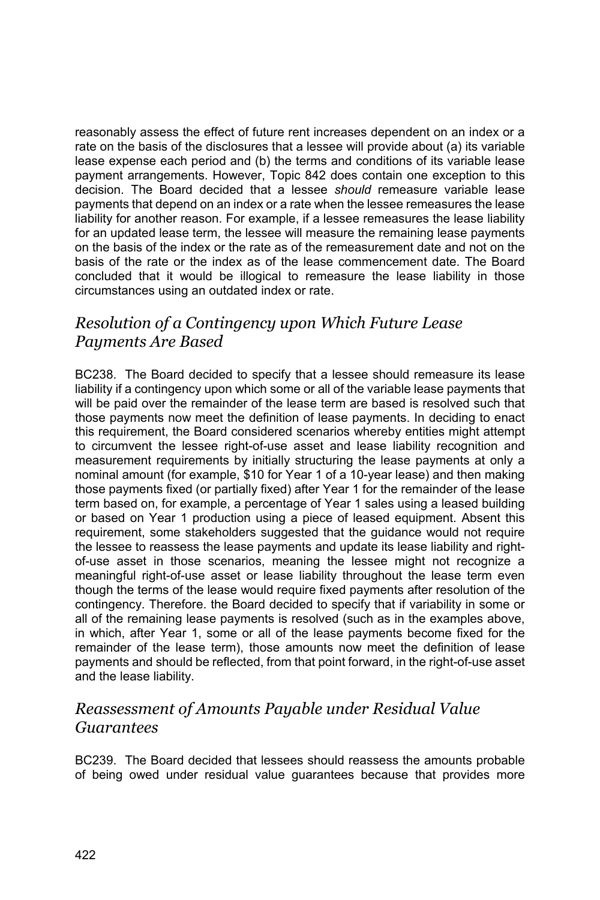reasonably assess the effect of future rent increases dependent on an index or a rate on the basis of the disclosures that a lessee will provide about (a) its variable lease expense each period and (b) the terms and conditions of its variable lease payment arrangements. However, Topic 842 does contain one exception to this decision. The Board decided that a lessee *should* remeasure variable lease payments that depend on an index or a rate when the lessee remeasures the lease liability for another reason. For example, if a lessee remeasures the lease liability for an updated lease term, the lessee will measure the remaining lease payments on the basis of the index or the rate as of the remeasurement date and not on the basis of the rate or the index as of the lease commencement date. The Board concluded that it would be illogical to remeasure the lease liability in those circumstances using an outdated index or rate.

### *Resolution of a Contingency upon Which Future Lease Payments Are Based*

BC238. The Board decided to specify that a lessee should remeasure its lease liability if a contingency upon which some or all of the variable lease payments that will be paid over the remainder of the lease term are based is resolved such that those payments now meet the definition of lease payments. In deciding to enact this requirement, the Board considered scenarios whereby entities might attempt to circumvent the lessee right-of-use asset and lease liability recognition and measurement requirements by initially structuring the lease payments at only a nominal amount (for example, \$10 for Year 1 of a 10-year lease) and then making those payments fixed (or partially fixed) after Year 1 for the remainder of the lease term based on, for example, a percentage of Year 1 sales using a leased building or based on Year 1 production using a piece of leased equipment. Absent this requirement, some stakeholders suggested that the guidance would not require the lessee to reassess the lease payments and update its lease liability and rightof-use asset in those scenarios, meaning the lessee might not recognize a meaningful right-of-use asset or lease liability throughout the lease term even though the terms of the lease would require fixed payments after resolution of the contingency. Therefore. the Board decided to specify that if variability in some or all of the remaining lease payments is resolved (such as in the examples above, in which, after Year 1, some or all of the lease payments become fixed for the remainder of the lease term), those amounts now meet the definition of lease payments and should be reflected, from that point forward, in the right-of-use asset and the lease liability.

### *Reassessment of Amounts Payable under Residual Value Guarantees*

BC239. The Board decided that lessees should reassess the amounts probable of being owed under residual value guarantees because that provides more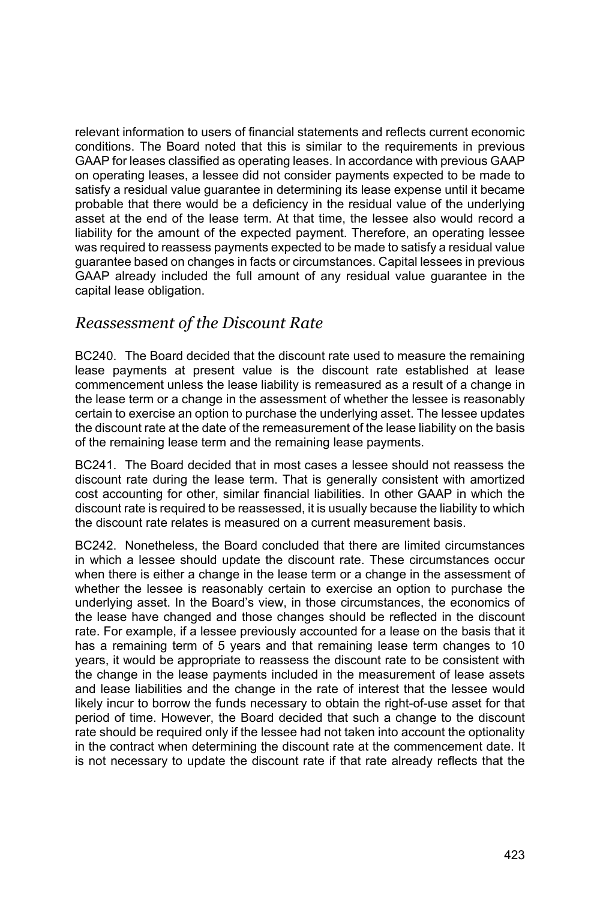relevant information to users of financial statements and reflects current economic conditions. The Board noted that this is similar to the requirements in previous GAAP for leases classified as operating leases. In accordance with previous GAAP on operating leases, a lessee did not consider payments expected to be made to satisfy a residual value guarantee in determining its lease expense until it became probable that there would be a deficiency in the residual value of the underlying asset at the end of the lease term. At that time, the lessee also would record a liability for the amount of the expected payment. Therefore, an operating lessee was required to reassess payments expected to be made to satisfy a residual value guarantee based on changes in facts or circumstances. Capital lessees in previous GAAP already included the full amount of any residual value guarantee in the capital lease obligation.

### *Reassessment of the Discount Rate*

BC240. The Board decided that the discount rate used to measure the remaining lease payments at present value is the discount rate established at lease commencement unless the lease liability is remeasured as a result of a change in the lease term or a change in the assessment of whether the lessee is reasonably certain to exercise an option to purchase the underlying asset. The lessee updates the discount rate at the date of the remeasurement of the lease liability on the basis of the remaining lease term and the remaining lease payments.

BC241. The Board decided that in most cases a lessee should not reassess the discount rate during the lease term. That is generally consistent with amortized cost accounting for other, similar financial liabilities. In other GAAP in which the discount rate is required to be reassessed, it is usually because the liability to which the discount rate relates is measured on a current measurement basis.

BC242. Nonetheless, the Board concluded that there are limited circumstances in which a lessee should update the discount rate. These circumstances occur when there is either a change in the lease term or a change in the assessment of whether the lessee is reasonably certain to exercise an option to purchase the underlying asset. In the Board's view, in those circumstances, the economics of the lease have changed and those changes should be reflected in the discount rate. For example, if a lessee previously accounted for a lease on the basis that it has a remaining term of 5 years and that remaining lease term changes to 10 years, it would be appropriate to reassess the discount rate to be consistent with the change in the lease payments included in the measurement of lease assets and lease liabilities and the change in the rate of interest that the lessee would likely incur to borrow the funds necessary to obtain the right-of-use asset for that period of time. However, the Board decided that such a change to the discount rate should be required only if the lessee had not taken into account the optionality in the contract when determining the discount rate at the commencement date. It is not necessary to update the discount rate if that rate already reflects that the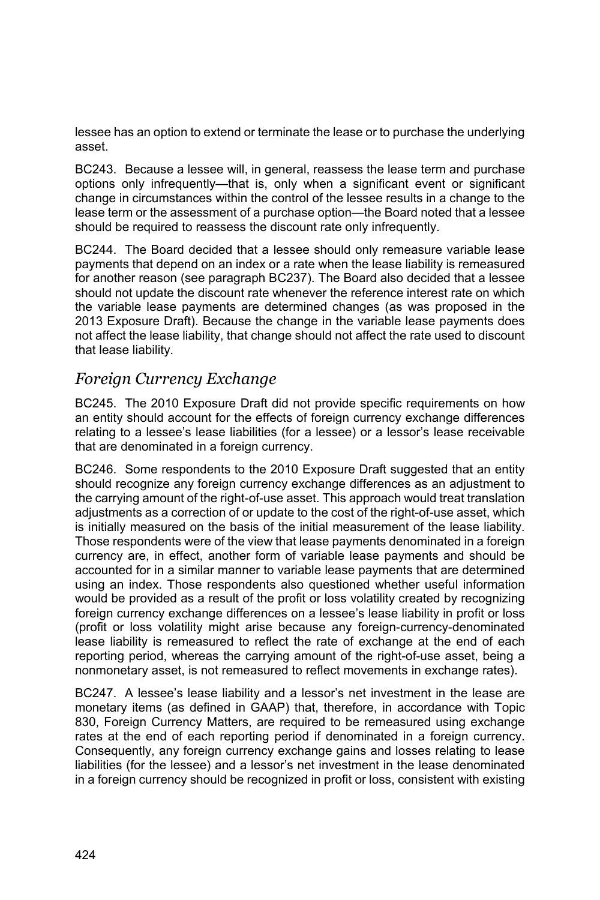lessee has an option to extend or terminate the lease or to purchase the underlying asset.

BC243. Because a lessee will, in general, reassess the lease term and purchase options only infrequently—that is, only when a significant event or significant change in circumstances within the control of the lessee results in a change to the lease term or the assessment of a purchase option—the Board noted that a lessee should be required to reassess the discount rate only infrequently.

BC244. The Board decided that a lessee should only remeasure variable lease payments that depend on an index or a rate when the lease liability is remeasured for another reason (see paragraph BC237). The Board also decided that a lessee should not update the discount rate whenever the reference interest rate on which the variable lease payments are determined changes (as was proposed in the 2013 Exposure Draft). Because the change in the variable lease payments does not affect the lease liability, that change should not affect the rate used to discount that lease liability.

### *Foreign Currency Exchange*

BC245. The 2010 Exposure Draft did not provide specific requirements on how an entity should account for the effects of foreign currency exchange differences relating to a lessee's lease liabilities (for a lessee) or a lessor's lease receivable that are denominated in a foreign currency.

BC246. Some respondents to the 2010 Exposure Draft suggested that an entity should recognize any foreign currency exchange differences as an adjustment to the carrying amount of the right-of-use asset. This approach would treat translation adjustments as a correction of or update to the cost of the right-of-use asset, which is initially measured on the basis of the initial measurement of the lease liability. Those respondents were of the view that lease payments denominated in a foreign currency are, in effect, another form of variable lease payments and should be accounted for in a similar manner to variable lease payments that are determined using an index. Those respondents also questioned whether useful information would be provided as a result of the profit or loss volatility created by recognizing foreign currency exchange differences on a lessee's lease liability in profit or loss (profit or loss volatility might arise because any foreign-currency-denominated lease liability is remeasured to reflect the rate of exchange at the end of each reporting period, whereas the carrying amount of the right-of-use asset, being a nonmonetary asset, is not remeasured to reflect movements in exchange rates).

BC247. A lessee's lease liability and a lessor's net investment in the lease are monetary items (as defined in GAAP) that, therefore, in accordance with Topic 830, Foreign Currency Matters, are required to be remeasured using exchange rates at the end of each reporting period if denominated in a foreign currency. Consequently, any foreign currency exchange gains and losses relating to lease liabilities (for the lessee) and a lessor's net investment in the lease denominated in a foreign currency should be recognized in profit or loss, consistent with existing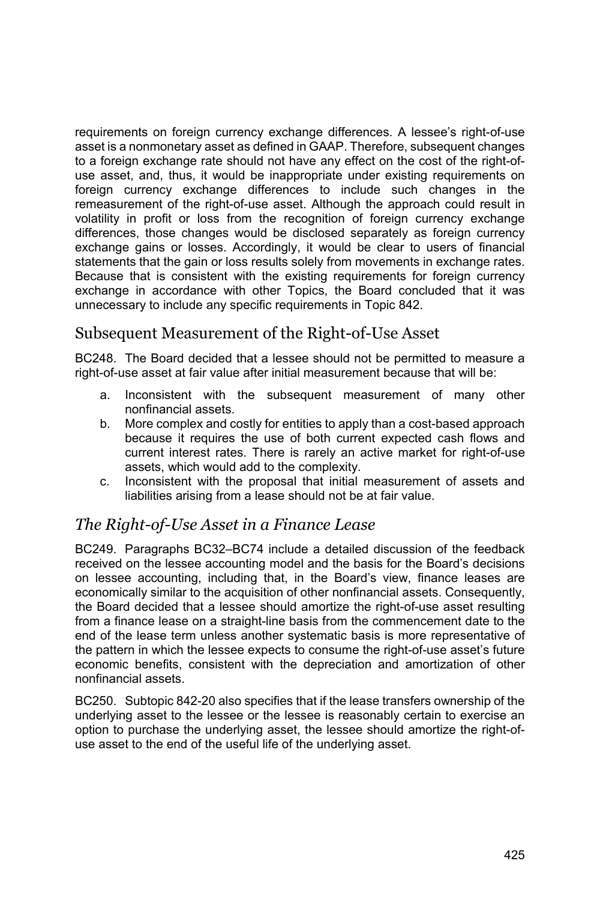requirements on foreign currency exchange differences. A lessee's right-of-use asset is a nonmonetary asset as defined in GAAP. Therefore, subsequent changes to a foreign exchange rate should not have any effect on the cost of the right-ofuse asset, and, thus, it would be inappropriate under existing requirements on foreign currency exchange differences to include such changes in the remeasurement of the right-of-use asset. Although the approach could result in volatility in profit or loss from the recognition of foreign currency exchange differences, those changes would be disclosed separately as foreign currency exchange gains or losses. Accordingly, it would be clear to users of financial statements that the gain or loss results solely from movements in exchange rates. Because that is consistent with the existing requirements for foreign currency exchange in accordance with other Topics, the Board concluded that it was unnecessary to include any specific requirements in Topic 842.

### Subsequent Measurement of the Right-of-Use Asset

BC248. The Board decided that a lessee should not be permitted to measure a right-of-use asset at fair value after initial measurement because that will be:

- a. Inconsistent with the subsequent measurement of many other nonfinancial assets.
- b. More complex and costly for entities to apply than a cost-based approach because it requires the use of both current expected cash flows and current interest rates. There is rarely an active market for right-of-use assets, which would add to the complexity.
- c. Inconsistent with the proposal that initial measurement of assets and liabilities arising from a lease should not be at fair value.

## *The Right-of-Use Asset in a Finance Lease*

BC249. Paragraphs BC32–BC74 include a detailed discussion of the feedback received on the lessee accounting model and the basis for the Board's decisions on lessee accounting, including that, in the Board's view, finance leases are economically similar to the acquisition of other nonfinancial assets. Consequently, the Board decided that a lessee should amortize the right-of-use asset resulting from a finance lease on a straight-line basis from the commencement date to the end of the lease term unless another systematic basis is more representative of the pattern in which the lessee expects to consume the right-of-use asset's future economic benefits, consistent with the depreciation and amortization of other nonfinancial assets.

BC250. Subtopic 842-20 also specifies that if the lease transfers ownership of the underlying asset to the lessee or the lessee is reasonably certain to exercise an option to purchase the underlying asset, the lessee should amortize the right-ofuse asset to the end of the useful life of the underlying asset.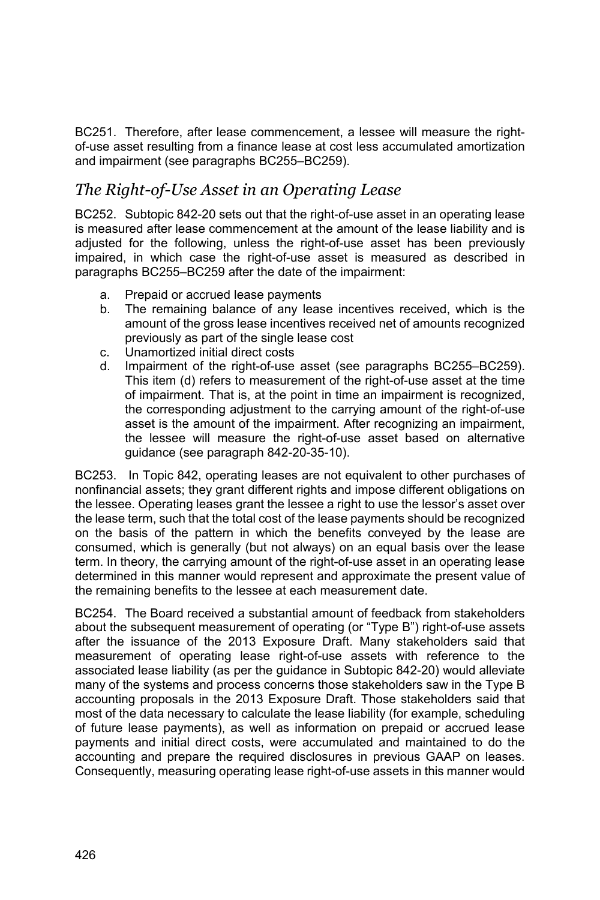BC251. Therefore, after lease commencement, a lessee will measure the rightof-use asset resulting from a finance lease at cost less accumulated amortization and impairment (see paragraphs BC255–BC259).

### *The Right-of-Use Asset in an Operating Lease*

BC252. Subtopic 842-20 sets out that the right-of-use asset in an operating lease is measured after lease commencement at the amount of the lease liability and is adjusted for the following, unless the right-of-use asset has been previously impaired, in which case the right-of-use asset is measured as described in paragraphs BC255–BC259 after the date of the impairment:

- a. Prepaid or accrued lease payments
- b. The remaining balance of any lease incentives received, which is the amount of the gross lease incentives received net of amounts recognized previously as part of the single lease cost
- c. Unamortized initial direct costs
- d. Impairment of the right-of-use asset (see paragraphs BC255–BC259). This item (d) refers to measurement of the right-of-use asset at the time of impairment. That is, at the point in time an impairment is recognized, the corresponding adjustment to the carrying amount of the right-of-use asset is the amount of the impairment. After recognizing an impairment, the lessee will measure the right-of-use asset based on alternative guidance (see paragraph 842-20-35-10).

BC253. In Topic 842, operating leases are not equivalent to other purchases of nonfinancial assets; they grant different rights and impose different obligations on the lessee. Operating leases grant the lessee a right to use the lessor's asset over the lease term, such that the total cost of the lease payments should be recognized on the basis of the pattern in which the benefits conveyed by the lease are consumed, which is generally (but not always) on an equal basis over the lease term. In theory, the carrying amount of the right-of-use asset in an operating lease determined in this manner would represent and approximate the present value of the remaining benefits to the lessee at each measurement date.

BC254. The Board received a substantial amount of feedback from stakeholders about the subsequent measurement of operating (or "Type B") right-of-use assets after the issuance of the 2013 Exposure Draft. Many stakeholders said that measurement of operating lease right-of-use assets with reference to the associated lease liability (as per the guidance in Subtopic 842-20) would alleviate many of the systems and process concerns those stakeholders saw in the Type B accounting proposals in the 2013 Exposure Draft. Those stakeholders said that most of the data necessary to calculate the lease liability (for example, scheduling of future lease payments), as well as information on prepaid or accrued lease payments and initial direct costs, were accumulated and maintained to do the accounting and prepare the required disclosures in previous GAAP on leases. Consequently, measuring operating lease right-of-use assets in this manner would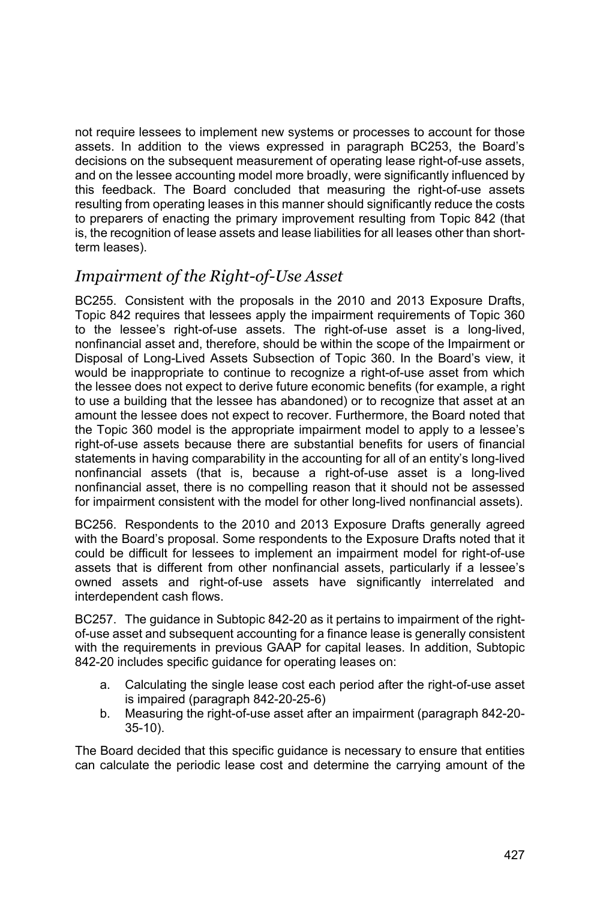not require lessees to implement new systems or processes to account for those assets. In addition to the views expressed in paragraph BC253, the Board's decisions on the subsequent measurement of operating lease right-of-use assets, and on the lessee accounting model more broadly, were significantly influenced by this feedback. The Board concluded that measuring the right-of-use assets resulting from operating leases in this manner should significantly reduce the costs to preparers of enacting the primary improvement resulting from Topic 842 (that is, the recognition of lease assets and lease liabilities for all leases other than shortterm leases).

## *Impairment of the Right-of-Use Asset*

BC255. Consistent with the proposals in the 2010 and 2013 Exposure Drafts, Topic 842 requires that lessees apply the impairment requirements of Topic 360 to the lessee's right-of-use assets. The right-of-use asset is a long-lived, nonfinancial asset and, therefore, should be within the scope of the Impairment or Disposal of Long-Lived Assets Subsection of Topic 360. In the Board's view, it would be inappropriate to continue to recognize a right-of-use asset from which the lessee does not expect to derive future economic benefits (for example, a right to use a building that the lessee has abandoned) or to recognize that asset at an amount the lessee does not expect to recover. Furthermore, the Board noted that the Topic 360 model is the appropriate impairment model to apply to a lessee's right-of-use assets because there are substantial benefits for users of financial statements in having comparability in the accounting for all of an entity's long-lived nonfinancial assets (that is, because a right-of-use asset is a long-lived nonfinancial asset, there is no compelling reason that it should not be assessed for impairment consistent with the model for other long-lived nonfinancial assets).

BC256. Respondents to the 2010 and 2013 Exposure Drafts generally agreed with the Board's proposal. Some respondents to the Exposure Drafts noted that it could be difficult for lessees to implement an impairment model for right-of-use assets that is different from other nonfinancial assets, particularly if a lessee's owned assets and right-of-use assets have significantly interrelated and interdependent cash flows.

BC257. The guidance in Subtopic 842-20 as it pertains to impairment of the rightof-use asset and subsequent accounting for a finance lease is generally consistent with the requirements in previous GAAP for capital leases. In addition, Subtopic 842-20 includes specific guidance for operating leases on:

- a. Calculating the single lease cost each period after the right-of-use asset is impaired (paragraph 842-20-25-6)
- b. Measuring the right-of-use asset after an impairment (paragraph 842-20- 35-10).

The Board decided that this specific guidance is necessary to ensure that entities can calculate the periodic lease cost and determine the carrying amount of the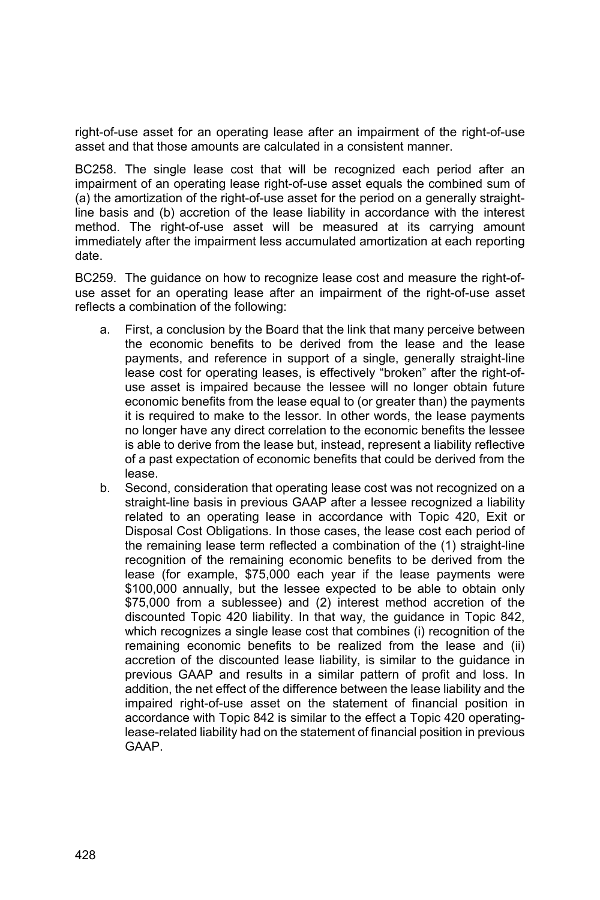right-of-use asset for an operating lease after an impairment of the right-of-use asset and that those amounts are calculated in a consistent manner.

BC258. The single lease cost that will be recognized each period after an impairment of an operating lease right-of-use asset equals the combined sum of (a) the amortization of the right-of-use asset for the period on a generally straightline basis and (b) accretion of the lease liability in accordance with the interest method. The right-of-use asset will be measured at its carrying amount immediately after the impairment less accumulated amortization at each reporting date.

BC259. The guidance on how to recognize lease cost and measure the right-ofuse asset for an operating lease after an impairment of the right-of-use asset reflects a combination of the following:

- a. First, a conclusion by the Board that the link that many perceive between the economic benefits to be derived from the lease and the lease payments, and reference in support of a single, generally straight-line lease cost for operating leases, is effectively "broken" after the right-ofuse asset is impaired because the lessee will no longer obtain future economic benefits from the lease equal to (or greater than) the payments it is required to make to the lessor. In other words, the lease payments no longer have any direct correlation to the economic benefits the lessee is able to derive from the lease but, instead, represent a liability reflective of a past expectation of economic benefits that could be derived from the lease.
- b. Second, consideration that operating lease cost was not recognized on a straight-line basis in previous GAAP after a lessee recognized a liability related to an operating lease in accordance with Topic 420, Exit or Disposal Cost Obligations. In those cases, the lease cost each period of the remaining lease term reflected a combination of the (1) straight-line recognition of the remaining economic benefits to be derived from the lease (for example, \$75,000 each year if the lease payments were \$100,000 annually, but the lessee expected to be able to obtain only \$75,000 from a sublessee) and (2) interest method accretion of the discounted Topic 420 liability. In that way, the guidance in Topic 842, which recognizes a single lease cost that combines (i) recognition of the remaining economic benefits to be realized from the lease and (ii) accretion of the discounted lease liability, is similar to the guidance in previous GAAP and results in a similar pattern of profit and loss. In addition, the net effect of the difference between the lease liability and the impaired right-of-use asset on the statement of financial position in accordance with Topic 842 is similar to the effect a Topic 420 operatinglease-related liability had on the statement of financial position in previous GAAP.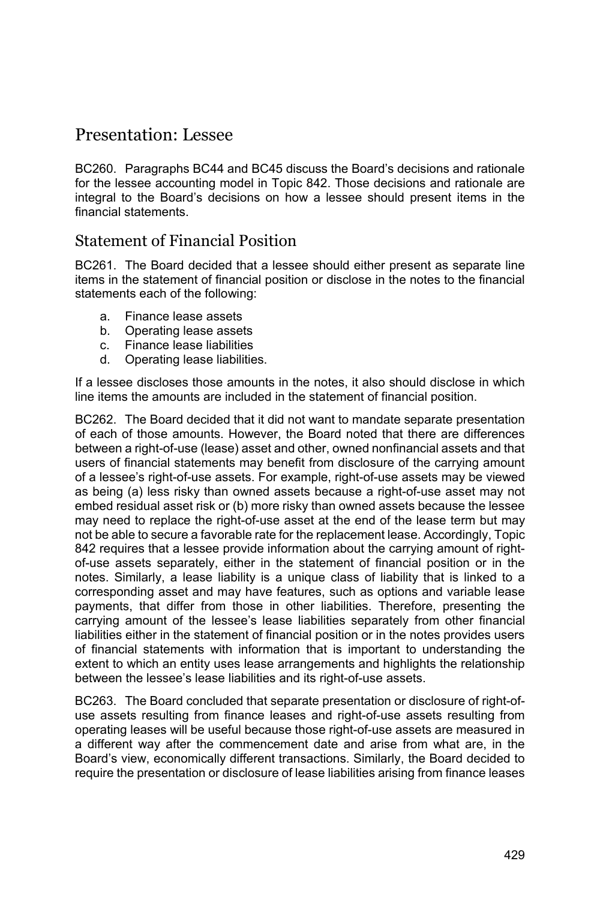## Presentation: Lessee

BC260. Paragraphs BC44 and BC45 discuss the Board's decisions and rationale for the lessee accounting model in Topic 842. Those decisions and rationale are integral to the Board's decisions on how a lessee should present items in the financial statements.

#### Statement of Financial Position

BC261. The Board decided that a lessee should either present as separate line items in the statement of financial position or disclose in the notes to the financial statements each of the following:

- a. Finance lease assets
- b. Operating lease assets
- c. Finance lease liabilities
- d. Operating lease liabilities.

If a lessee discloses those amounts in the notes, it also should disclose in which line items the amounts are included in the statement of financial position.

BC262. The Board decided that it did not want to mandate separate presentation of each of those amounts. However, the Board noted that there are differences between a right-of-use (lease) asset and other, owned nonfinancial assets and that users of financial statements may benefit from disclosure of the carrying amount of a lessee's right-of-use assets. For example, right-of-use assets may be viewed as being (a) less risky than owned assets because a right-of-use asset may not embed residual asset risk or (b) more risky than owned assets because the lessee may need to replace the right-of-use asset at the end of the lease term but may not be able to secure a favorable rate for the replacement lease. Accordingly, Topic 842 requires that a lessee provide information about the carrying amount of rightof-use assets separately, either in the statement of financial position or in the notes. Similarly, a lease liability is a unique class of liability that is linked to a corresponding asset and may have features, such as options and variable lease payments, that differ from those in other liabilities. Therefore, presenting the carrying amount of the lessee's lease liabilities separately from other financial liabilities either in the statement of financial position or in the notes provides users of financial statements with information that is important to understanding the extent to which an entity uses lease arrangements and highlights the relationship between the lessee's lease liabilities and its right-of-use assets.

BC263. The Board concluded that separate presentation or disclosure of right-ofuse assets resulting from finance leases and right-of-use assets resulting from operating leases will be useful because those right-of-use assets are measured in a different way after the commencement date and arise from what are, in the Board's view, economically different transactions. Similarly, the Board decided to require the presentation or disclosure of lease liabilities arising from finance leases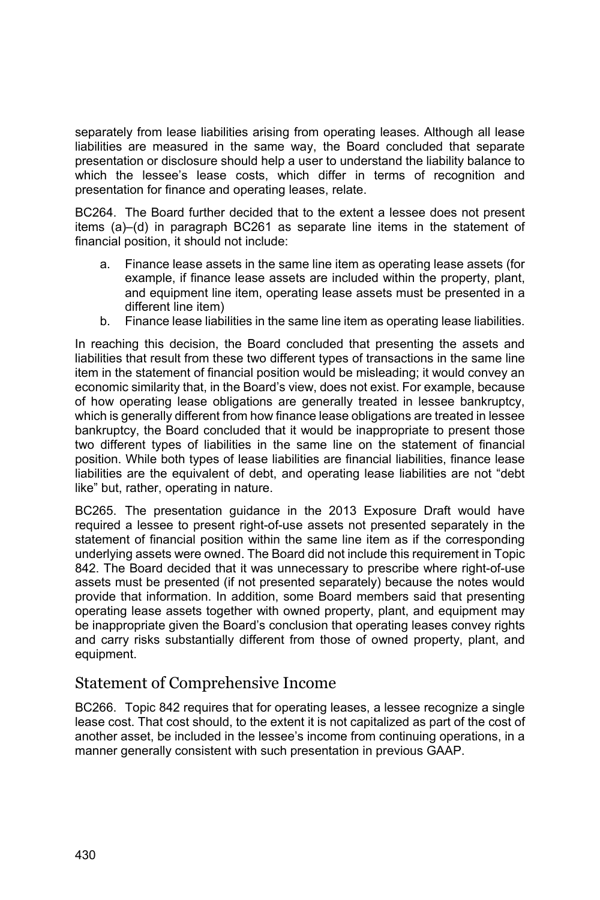separately from lease liabilities arising from operating leases. Although all lease liabilities are measured in the same way, the Board concluded that separate presentation or disclosure should help a user to understand the liability balance to which the lessee's lease costs, which differ in terms of recognition and presentation for finance and operating leases, relate.

BC264. The Board further decided that to the extent a lessee does not present items (a)–(d) in paragraph BC261 as separate line items in the statement of financial position, it should not include:

- a. Finance lease assets in the same line item as operating lease assets (for example, if finance lease assets are included within the property, plant, and equipment line item, operating lease assets must be presented in a different line item)
- b. Finance lease liabilities in the same line item as operating lease liabilities.

In reaching this decision, the Board concluded that presenting the assets and liabilities that result from these two different types of transactions in the same line item in the statement of financial position would be misleading; it would convey an economic similarity that, in the Board's view, does not exist. For example, because of how operating lease obligations are generally treated in lessee bankruptcy, which is generally different from how finance lease obligations are treated in lessee bankruptcy, the Board concluded that it would be inappropriate to present those two different types of liabilities in the same line on the statement of financial position. While both types of lease liabilities are financial liabilities, finance lease liabilities are the equivalent of debt, and operating lease liabilities are not "debt like" but, rather, operating in nature.

BC265. The presentation guidance in the 2013 Exposure Draft would have required a lessee to present right-of-use assets not presented separately in the statement of financial position within the same line item as if the corresponding underlying assets were owned. The Board did not include this requirement in Topic 842. The Board decided that it was unnecessary to prescribe where right-of-use assets must be presented (if not presented separately) because the notes would provide that information. In addition, some Board members said that presenting operating lease assets together with owned property, plant, and equipment may be inappropriate given the Board's conclusion that operating leases convey rights and carry risks substantially different from those of owned property, plant, and equipment.

### Statement of Comprehensive Income

BC266. Topic 842 requires that for operating leases, a lessee recognize a single lease cost. That cost should, to the extent it is not capitalized as part of the cost of another asset, be included in the lessee's income from continuing operations, in a manner generally consistent with such presentation in previous GAAP.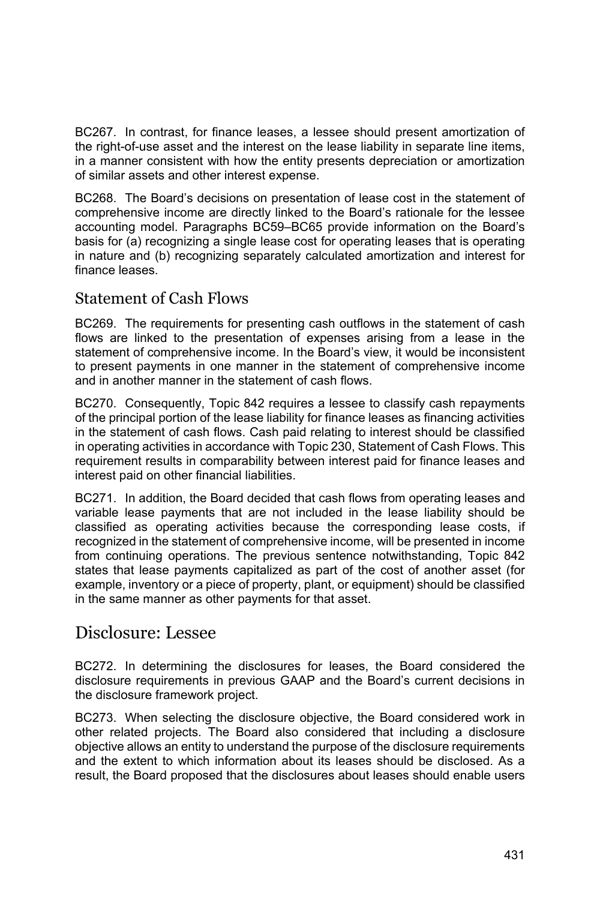BC267. In contrast, for finance leases, a lessee should present amortization of the right-of-use asset and the interest on the lease liability in separate line items, in a manner consistent with how the entity presents depreciation or amortization of similar assets and other interest expense.

BC268. The Board's decisions on presentation of lease cost in the statement of comprehensive income are directly linked to the Board's rationale for the lessee accounting model. Paragraphs BC59–BC65 provide information on the Board's basis for (a) recognizing a single lease cost for operating leases that is operating in nature and (b) recognizing separately calculated amortization and interest for finance leases.

#### Statement of Cash Flows

BC269. The requirements for presenting cash outflows in the statement of cash flows are linked to the presentation of expenses arising from a lease in the statement of comprehensive income. In the Board's view, it would be inconsistent to present payments in one manner in the statement of comprehensive income and in another manner in the statement of cash flows.

BC270. Consequently, Topic 842 requires a lessee to classify cash repayments of the principal portion of the lease liability for finance leases as financing activities in the statement of cash flows. Cash paid relating to interest should be classified in operating activities in accordance with Topic 230, Statement of Cash Flows. This requirement results in comparability between interest paid for finance leases and interest paid on other financial liabilities.

BC271. In addition, the Board decided that cash flows from operating leases and variable lease payments that are not included in the lease liability should be classified as operating activities because the corresponding lease costs, if recognized in the statement of comprehensive income, will be presented in income from continuing operations. The previous sentence notwithstanding, Topic 842 states that lease payments capitalized as part of the cost of another asset (for example, inventory or a piece of property, plant, or equipment) should be classified in the same manner as other payments for that asset.

## Disclosure: Lessee

BC272. In determining the disclosures for leases, the Board considered the disclosure requirements in previous GAAP and the Board's current decisions in the disclosure framework project.

BC273. When selecting the disclosure objective, the Board considered work in other related projects. The Board also considered that including a disclosure objective allows an entity to understand the purpose of the disclosure requirements and the extent to which information about its leases should be disclosed. As a result, the Board proposed that the disclosures about leases should enable users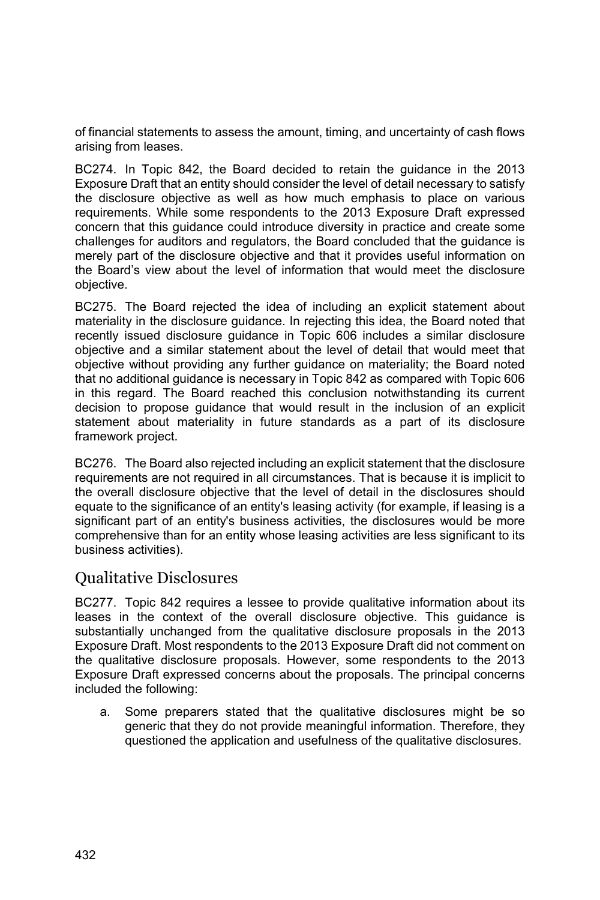of financial statements to assess the amount, timing, and uncertainty of cash flows arising from leases.

BC274. In Topic 842, the Board decided to retain the guidance in the 2013 Exposure Draft that an entity should consider the level of detail necessary to satisfy the disclosure objective as well as how much emphasis to place on various requirements. While some respondents to the 2013 Exposure Draft expressed concern that this guidance could introduce diversity in practice and create some challenges for auditors and regulators, the Board concluded that the guidance is merely part of the disclosure objective and that it provides useful information on the Board's view about the level of information that would meet the disclosure objective.

BC275. The Board rejected the idea of including an explicit statement about materiality in the disclosure guidance. In rejecting this idea, the Board noted that recently issued disclosure guidance in Topic 606 includes a similar disclosure objective and a similar statement about the level of detail that would meet that objective without providing any further guidance on materiality; the Board noted that no additional guidance is necessary in Topic 842 as compared with Topic 606 in this regard. The Board reached this conclusion notwithstanding its current decision to propose guidance that would result in the inclusion of an explicit statement about materiality in future standards as a part of its disclosure framework project.

BC276. The Board also rejected including an explicit statement that the disclosure requirements are not required in all circumstances. That is because it is implicit to the overall disclosure objective that the level of detail in the disclosures should equate to the significance of an entity's leasing activity (for example, if leasing is a significant part of an entity's business activities, the disclosures would be more comprehensive than for an entity whose leasing activities are less significant to its business activities).

### Qualitative Disclosures

BC277. Topic 842 requires a lessee to provide qualitative information about its leases in the context of the overall disclosure objective. This guidance is substantially unchanged from the qualitative disclosure proposals in the 2013 Exposure Draft. Most respondents to the 2013 Exposure Draft did not comment on the qualitative disclosure proposals. However, some respondents to the 2013 Exposure Draft expressed concerns about the proposals. The principal concerns included the following:

a. Some preparers stated that the qualitative disclosures might be so generic that they do not provide meaningful information. Therefore, they questioned the application and usefulness of the qualitative disclosures.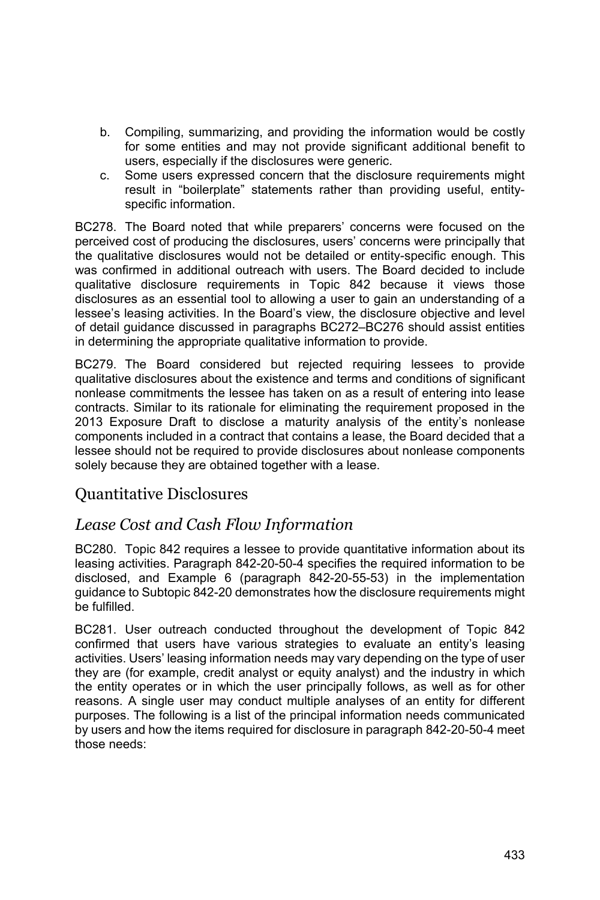- b. Compiling, summarizing, and providing the information would be costly for some entities and may not provide significant additional benefit to users, especially if the disclosures were generic.
- c. Some users expressed concern that the disclosure requirements might result in "boilerplate" statements rather than providing useful, entityspecific information.

BC278. The Board noted that while preparers' concerns were focused on the perceived cost of producing the disclosures, users' concerns were principally that the qualitative disclosures would not be detailed or entity-specific enough. This was confirmed in additional outreach with users. The Board decided to include qualitative disclosure requirements in Topic 842 because it views those disclosures as an essential tool to allowing a user to gain an understanding of a lessee's leasing activities. In the Board's view, the disclosure objective and level of detail guidance discussed in paragraphs BC272–BC276 should assist entities in determining the appropriate qualitative information to provide.

BC279. The Board considered but rejected requiring lessees to provide qualitative disclosures about the existence and terms and conditions of significant nonlease commitments the lessee has taken on as a result of entering into lease contracts. Similar to its rationale for eliminating the requirement proposed in the 2013 Exposure Draft to disclose a maturity analysis of the entity's nonlease components included in a contract that contains a lease, the Board decided that a lessee should not be required to provide disclosures about nonlease components solely because they are obtained together with a lease.

### Quantitative Disclosures

### *Lease Cost and Cash Flow Information*

BC280. Topic 842 requires a lessee to provide quantitative information about its leasing activities. Paragraph 842-20-50-4 specifies the required information to be disclosed, and Example 6 (paragraph 842-20-55-53) in the implementation guidance to Subtopic 842-20 demonstrates how the disclosure requirements might be fulfilled.

BC281. User outreach conducted throughout the development of Topic 842 confirmed that users have various strategies to evaluate an entity's leasing activities. Users' leasing information needs may vary depending on the type of user they are (for example, credit analyst or equity analyst) and the industry in which the entity operates or in which the user principally follows, as well as for other reasons. A single user may conduct multiple analyses of an entity for different purposes. The following is a list of the principal information needs communicated by users and how the items required for disclosure in paragraph 842-20-50-4 meet those needs: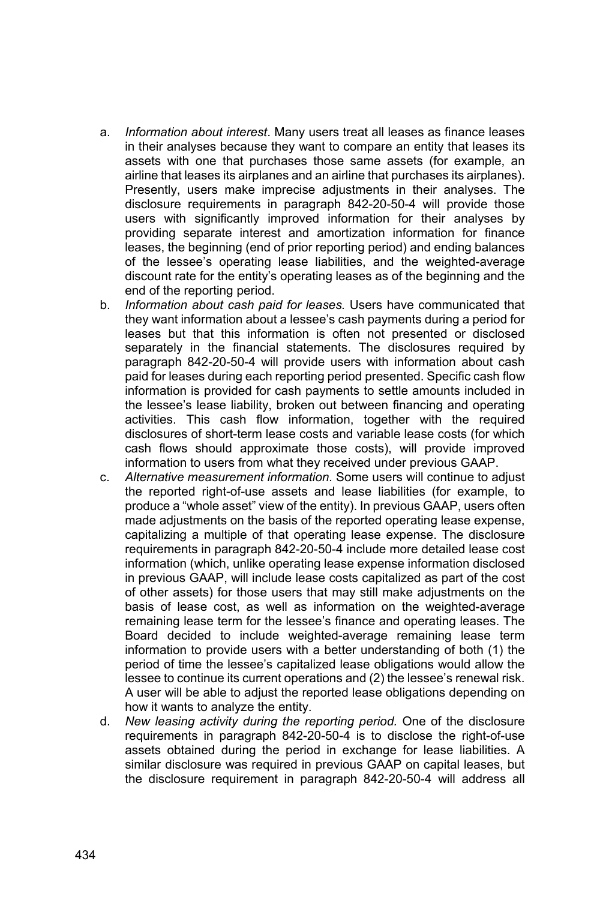- a. *Information about interest*. Many users treat all leases as finance leases in their analyses because they want to compare an entity that leases its assets with one that purchases those same assets (for example, an airline that leases its airplanes and an airline that purchases its airplanes). Presently, users make imprecise adjustments in their analyses. The disclosure requirements in paragraph 842-20-50-4 will provide those users with significantly improved information for their analyses by providing separate interest and amortization information for finance leases, the beginning (end of prior reporting period) and ending balances of the lessee's operating lease liabilities, and the weighted-average discount rate for the entity's operating leases as of the beginning and the end of the reporting period.
- b. *Information about cash paid for leases.* Users have communicated that they want information about a lessee's cash payments during a period for leases but that this information is often not presented or disclosed separately in the financial statements. The disclosures required by paragraph 842-20-50-4 will provide users with information about cash paid for leases during each reporting period presented. Specific cash flow information is provided for cash payments to settle amounts included in the lessee's lease liability, broken out between financing and operating activities. This cash flow information, together with the required disclosures of short-term lease costs and variable lease costs (for which cash flows should approximate those costs), will provide improved information to users from what they received under previous GAAP.
- c. *Alternative measurement information.* Some users will continue to adjust the reported right-of-use assets and lease liabilities (for example, to produce a "whole asset" view of the entity). In previous GAAP, users often made adjustments on the basis of the reported operating lease expense, capitalizing a multiple of that operating lease expense. The disclosure requirements in paragraph 842-20-50-4 include more detailed lease cost information (which, unlike operating lease expense information disclosed in previous GAAP, will include lease costs capitalized as part of the cost of other assets) for those users that may still make adjustments on the basis of lease cost, as well as information on the weighted-average remaining lease term for the lessee's finance and operating leases. The Board decided to include weighted-average remaining lease term information to provide users with a better understanding of both (1) the period of time the lessee's capitalized lease obligations would allow the lessee to continue its current operations and (2) the lessee's renewal risk. A user will be able to adjust the reported lease obligations depending on how it wants to analyze the entity.
- d. *New leasing activity during the reporting period.* One of the disclosure requirements in paragraph 842-20-50-4 is to disclose the right-of-use assets obtained during the period in exchange for lease liabilities. A similar disclosure was required in previous GAAP on capital leases, but the disclosure requirement in paragraph 842-20-50-4 will address all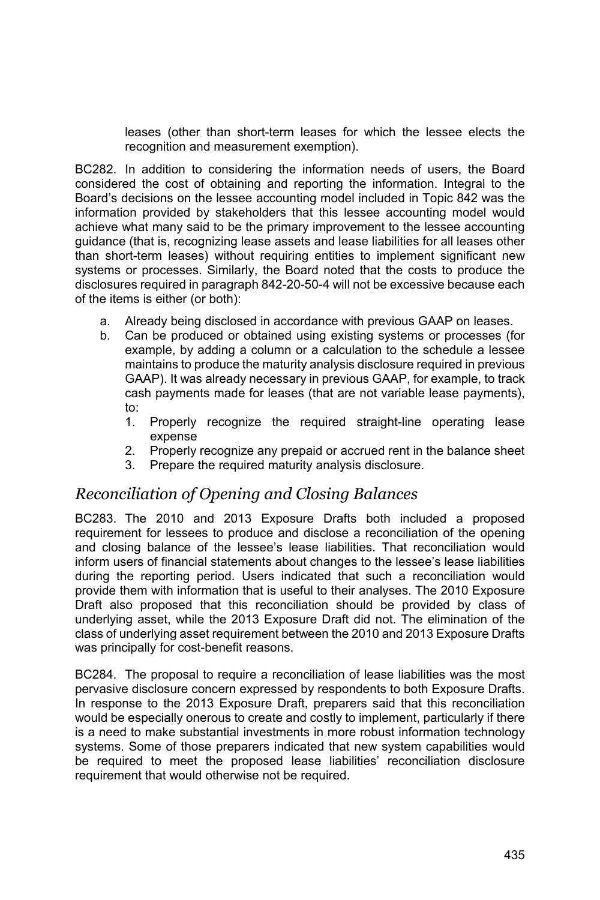leases (other than short-term leases for which the lessee elects the recognition and measurement exemption).

BC282. In addition to considering the information needs of users, the Board considered the cost of obtaining and reporting the information. Integral to the Board's decisions on the lessee accounting model included in Topic 842 was the information provided by stakeholders that this lessee accounting model would achieve what many said to be the primary improvement to the lessee accounting guidance (that is, recognizing lease assets and lease liabilities for all leases other than short-term leases) without requiring entities to implement significant new systems or processes. Similarly, the Board noted that the costs to produce the disclosures required in paragraph 842-20-50-4 will not be excessive because each of the items is either (or both):

- a. Already being disclosed in accordance with previous GAAP on leases.
- b. Can be produced or obtained using existing systems or processes (for example, by adding a column or a calculation to the schedule a lessee maintains to produce the maturity analysis disclosure required in previous GAAP). It was already necessary in previous GAAP, for example, to track cash payments made for leases (that are not variable lease payments), to:
	- 1. Properly recognize the required straight-line operating lease expense
	- 2. Properly recognize any prepaid or accrued rent in the balance sheet
	- 3. Prepare the required maturity analysis disclosure.

#### *Reconciliation of Opening and Closing Balances*

BC283. The 2010 and 2013 Exposure Drafts both included a proposed requirement for lessees to produce and disclose a reconciliation of the opening and closing balance of the lessee's lease liabilities. That reconciliation would inform users of financial statements about changes to the lessee's lease liabilities during the reporting period. Users indicated that such a reconciliation would provide them with information that is useful to their analyses. The 2010 Exposure Draft also proposed that this reconciliation should be provided by class of underlying asset, while the 2013 Exposure Draft did not. The elimination of the class of underlying asset requirement between the 2010 and 2013 Exposure Drafts was principally for cost-benefit reasons.

BC284. The proposal to require a reconciliation of lease liabilities was the most pervasive disclosure concern expressed by respondents to both Exposure Drafts. In response to the 2013 Exposure Draft, preparers said that this reconciliation would be especially onerous to create and costly to implement, particularly if there is a need to make substantial investments in more robust information technology systems. Some of those preparers indicated that new system capabilities would be required to meet the proposed lease liabilities' reconciliation disclosure requirement that would otherwise not be required.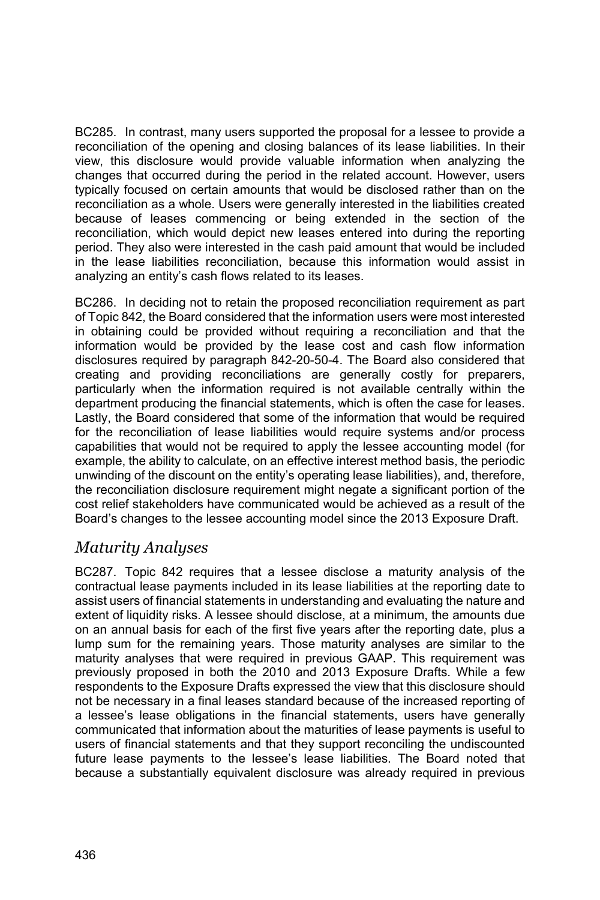BC285. In contrast, many users supported the proposal for a lessee to provide a reconciliation of the opening and closing balances of its lease liabilities. In their view, this disclosure would provide valuable information when analyzing the changes that occurred during the period in the related account. However, users typically focused on certain amounts that would be disclosed rather than on the reconciliation as a whole. Users were generally interested in the liabilities created because of leases commencing or being extended in the section of the reconciliation, which would depict new leases entered into during the reporting period. They also were interested in the cash paid amount that would be included in the lease liabilities reconciliation, because this information would assist in analyzing an entity's cash flows related to its leases.

BC286. In deciding not to retain the proposed reconciliation requirement as part of Topic 842, the Board considered that the information users were most interested in obtaining could be provided without requiring a reconciliation and that the information would be provided by the lease cost and cash flow information disclosures required by paragraph 842-20-50-4. The Board also considered that creating and providing reconciliations are generally costly for preparers, particularly when the information required is not available centrally within the department producing the financial statements, which is often the case for leases. Lastly, the Board considered that some of the information that would be required for the reconciliation of lease liabilities would require systems and/or process capabilities that would not be required to apply the lessee accounting model (for example, the ability to calculate, on an effective interest method basis, the periodic unwinding of the discount on the entity's operating lease liabilities), and, therefore, the reconciliation disclosure requirement might negate a significant portion of the cost relief stakeholders have communicated would be achieved as a result of the Board's changes to the lessee accounting model since the 2013 Exposure Draft.

## *Maturity Analyses*

BC287. Topic 842 requires that a lessee disclose a maturity analysis of the contractual lease payments included in its lease liabilities at the reporting date to assist users of financial statements in understanding and evaluating the nature and extent of liquidity risks. A lessee should disclose, at a minimum, the amounts due on an annual basis for each of the first five years after the reporting date, plus a lump sum for the remaining years. Those maturity analyses are similar to the maturity analyses that were required in previous GAAP. This requirement was previously proposed in both the 2010 and 2013 Exposure Drafts. While a few respondents to the Exposure Drafts expressed the view that this disclosure should not be necessary in a final leases standard because of the increased reporting of a lessee's lease obligations in the financial statements, users have generally communicated that information about the maturities of lease payments is useful to users of financial statements and that they support reconciling the undiscounted future lease payments to the lessee's lease liabilities. The Board noted that because a substantially equivalent disclosure was already required in previous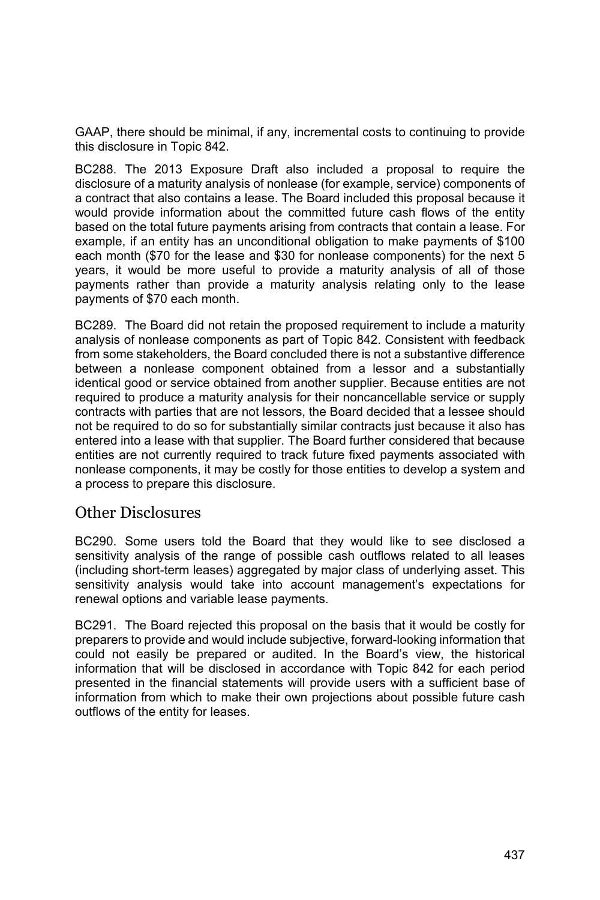GAAP, there should be minimal, if any, incremental costs to continuing to provide this disclosure in Topic 842.

BC288. The 2013 Exposure Draft also included a proposal to require the disclosure of a maturity analysis of nonlease (for example, service) components of a contract that also contains a lease. The Board included this proposal because it would provide information about the committed future cash flows of the entity based on the total future payments arising from contracts that contain a lease. For example, if an entity has an unconditional obligation to make payments of \$100 each month (\$70 for the lease and \$30 for nonlease components) for the next 5 years, it would be more useful to provide a maturity analysis of all of those payments rather than provide a maturity analysis relating only to the lease payments of \$70 each month.

BC289. The Board did not retain the proposed requirement to include a maturity analysis of nonlease components as part of Topic 842. Consistent with feedback from some stakeholders, the Board concluded there is not a substantive difference between a nonlease component obtained from a lessor and a substantially identical good or service obtained from another supplier. Because entities are not required to produce a maturity analysis for their noncancellable service or supply contracts with parties that are not lessors, the Board decided that a lessee should not be required to do so for substantially similar contracts just because it also has entered into a lease with that supplier. The Board further considered that because entities are not currently required to track future fixed payments associated with nonlease components, it may be costly for those entities to develop a system and a process to prepare this disclosure.

### Other Disclosures

BC290. Some users told the Board that they would like to see disclosed a sensitivity analysis of the range of possible cash outflows related to all leases (including short-term leases) aggregated by major class of underlying asset. This sensitivity analysis would take into account management's expectations for renewal options and variable lease payments.

BC291. The Board rejected this proposal on the basis that it would be costly for preparers to provide and would include subjective, forward-looking information that could not easily be prepared or audited. In the Board's view, the historical information that will be disclosed in accordance with Topic 842 for each period presented in the financial statements will provide users with a sufficient base of information from which to make their own projections about possible future cash outflows of the entity for leases.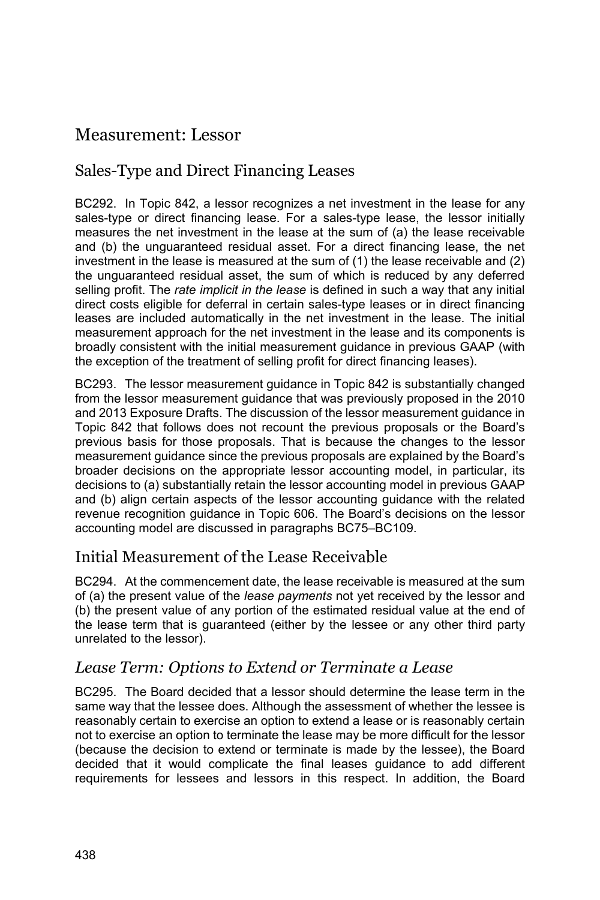# Measurement: Lessor

## Sales-Type and Direct Financing Leases

BC292. In Topic 842, a lessor recognizes a net investment in the lease for any sales-type or direct financing lease. For a sales-type lease, the lessor initially measures the net investment in the lease at the sum of (a) the lease receivable and (b) the unguaranteed residual asset. For a direct financing lease, the net investment in the lease is measured at the sum of (1) the lease receivable and (2) the unguaranteed residual asset, the sum of which is reduced by any deferred selling profit. The *rate implicit in the lease* is defined in such a way that any initial direct costs eligible for deferral in certain sales-type leases or in direct financing leases are included automatically in the net investment in the lease. The initial measurement approach for the net investment in the lease and its components is broadly consistent with the initial measurement guidance in previous GAAP (with the exception of the treatment of selling profit for direct financing leases).

BC293. The lessor measurement guidance in Topic 842 is substantially changed from the lessor measurement guidance that was previously proposed in the 2010 and 2013 Exposure Drafts. The discussion of the lessor measurement guidance in Topic 842 that follows does not recount the previous proposals or the Board's previous basis for those proposals. That is because the changes to the lessor measurement guidance since the previous proposals are explained by the Board's broader decisions on the appropriate lessor accounting model, in particular, its decisions to (a) substantially retain the lessor accounting model in previous GAAP and (b) align certain aspects of the lessor accounting guidance with the related revenue recognition guidance in Topic 606. The Board's decisions on the lessor accounting model are discussed in paragraphs BC75–BC109.

## Initial Measurement of the Lease Receivable

BC294. At the commencement date, the lease receivable is measured at the sum of (a) the present value of the *lease payments* not yet received by the lessor and (b) the present value of any portion of the estimated residual value at the end of the lease term that is guaranteed (either by the lessee or any other third party unrelated to the lessor).

### *Lease Term: Options to Extend or Terminate a Lease*

BC295. The Board decided that a lessor should determine the lease term in the same way that the lessee does. Although the assessment of whether the lessee is reasonably certain to exercise an option to extend a lease or is reasonably certain not to exercise an option to terminate the lease may be more difficult for the lessor (because the decision to extend or terminate is made by the lessee), the Board decided that it would complicate the final leases guidance to add different requirements for lessees and lessors in this respect. In addition, the Board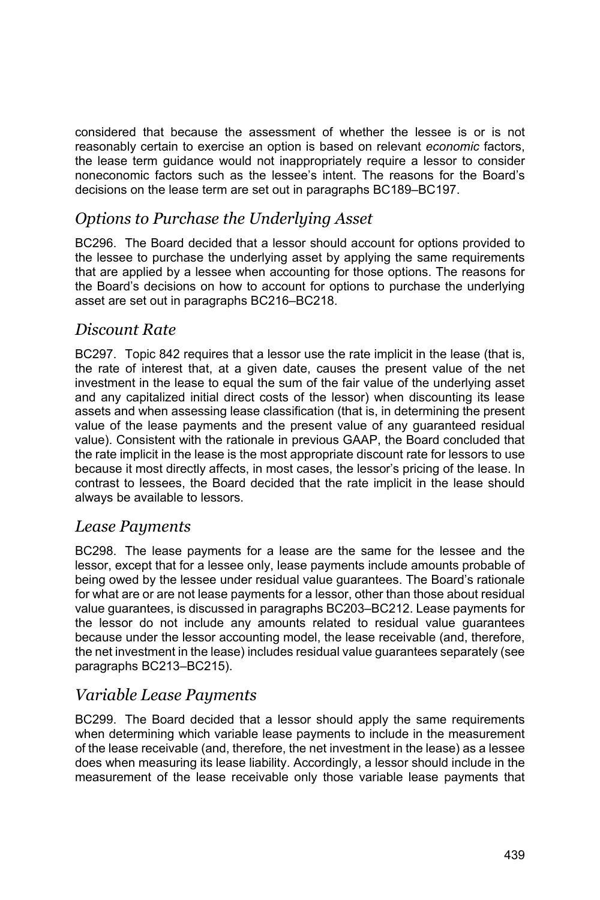considered that because the assessment of whether the lessee is or is not reasonably certain to exercise an option is based on relevant *economic* factors, the lease term guidance would not inappropriately require a lessor to consider noneconomic factors such as the lessee's intent. The reasons for the Board's decisions on the lease term are set out in paragraphs BC189–BC197.

## *Options to Purchase the Underlying Asset*

BC296. The Board decided that a lessor should account for options provided to the lessee to purchase the underlying asset by applying the same requirements that are applied by a lessee when accounting for those options. The reasons for the Board's decisions on how to account for options to purchase the underlying asset are set out in paragraphs BC216–BC218.

### *Discount Rate*

BC297. Topic 842 requires that a lessor use the rate implicit in the lease (that is, the rate of interest that, at a given date, causes the present value of the net investment in the lease to equal the sum of the fair value of the underlying asset and any capitalized initial direct costs of the lessor) when discounting its lease assets and when assessing lease classification (that is, in determining the present value of the lease payments and the present value of any guaranteed residual value). Consistent with the rationale in previous GAAP, the Board concluded that the rate implicit in the lease is the most appropriate discount rate for lessors to use because it most directly affects, in most cases, the lessor's pricing of the lease. In contrast to lessees, the Board decided that the rate implicit in the lease should always be available to lessors.

### *Lease Payments*

BC298. The lease payments for a lease are the same for the lessee and the lessor, except that for a lessee only, lease payments include amounts probable of being owed by the lessee under residual value guarantees. The Board's rationale for what are or are not lease payments for a lessor, other than those about residual value guarantees, is discussed in paragraphs BC203–BC212. Lease payments for the lessor do not include any amounts related to residual value guarantees because under the lessor accounting model, the lease receivable (and, therefore, the net investment in the lease) includes residual value guarantees separately (see paragraphs BC213–BC215).

### *Variable Lease Payments*

BC299. The Board decided that a lessor should apply the same requirements when determining which variable lease payments to include in the measurement of the lease receivable (and, therefore, the net investment in the lease) as a lessee does when measuring its lease liability. Accordingly, a lessor should include in the measurement of the lease receivable only those variable lease payments that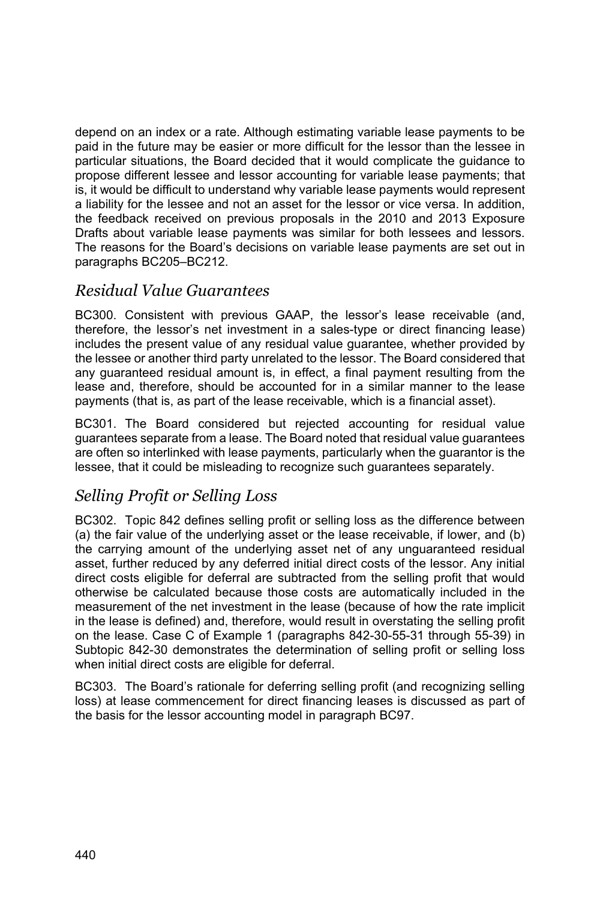depend on an index or a rate. Although estimating variable lease payments to be paid in the future may be easier or more difficult for the lessor than the lessee in particular situations, the Board decided that it would complicate the guidance to propose different lessee and lessor accounting for variable lease payments; that is, it would be difficult to understand why variable lease payments would represent a liability for the lessee and not an asset for the lessor or vice versa. In addition, the feedback received on previous proposals in the 2010 and 2013 Exposure Drafts about variable lease payments was similar for both lessees and lessors. The reasons for the Board's decisions on variable lease payments are set out in paragraphs BC205–BC212.

### *Residual Value Guarantees*

BC300. Consistent with previous GAAP, the lessor's lease receivable (and, therefore, the lessor's net investment in a sales-type or direct financing lease) includes the present value of any residual value guarantee, whether provided by the lessee or another third party unrelated to the lessor. The Board considered that any guaranteed residual amount is, in effect, a final payment resulting from the lease and, therefore, should be accounted for in a similar manner to the lease payments (that is, as part of the lease receivable, which is a financial asset).

BC301. The Board considered but rejected accounting for residual value guarantees separate from a lease. The Board noted that residual value guarantees are often so interlinked with lease payments, particularly when the guarantor is the lessee, that it could be misleading to recognize such guarantees separately.

## *Selling Profit or Selling Loss*

BC302. Topic 842 defines selling profit or selling loss as the difference between (a) the fair value of the underlying asset or the lease receivable, if lower, and (b) the carrying amount of the underlying asset net of any unguaranteed residual asset, further reduced by any deferred initial direct costs of the lessor. Any initial direct costs eligible for deferral are subtracted from the selling profit that would otherwise be calculated because those costs are automatically included in the measurement of the net investment in the lease (because of how the rate implicit in the lease is defined) and, therefore, would result in overstating the selling profit on the lease. Case C of Example 1 (paragraphs 842-30-55-31 through 55-39) in Subtopic 842-30 demonstrates the determination of selling profit or selling loss when initial direct costs are eligible for deferral.

BC303. The Board's rationale for deferring selling profit (and recognizing selling loss) at lease commencement for direct financing leases is discussed as part of the basis for the lessor accounting model in paragraph BC97.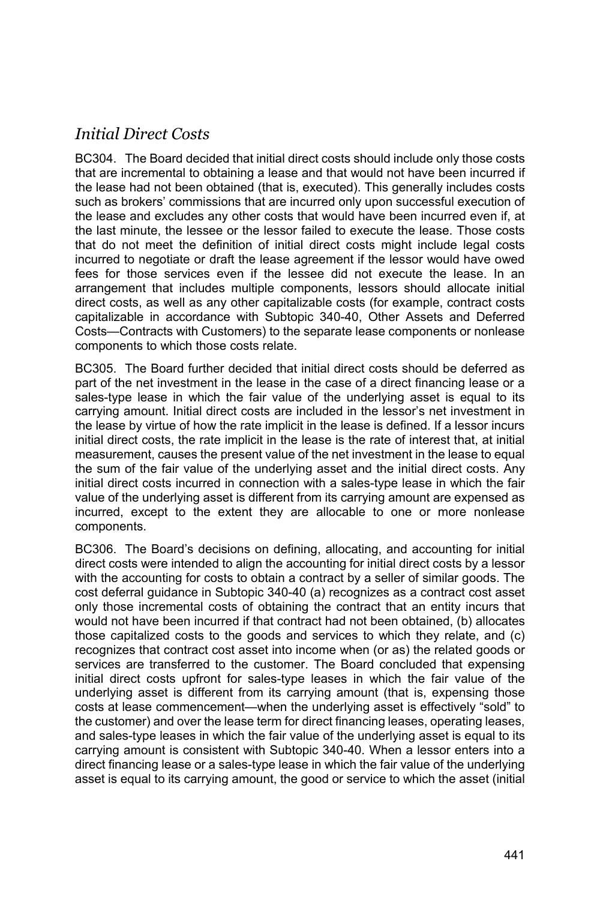# *Initial Direct Costs*

BC304. The Board decided that initial direct costs should include only those costs that are incremental to obtaining a lease and that would not have been incurred if the lease had not been obtained (that is, executed). This generally includes costs such as brokers' commissions that are incurred only upon successful execution of the lease and excludes any other costs that would have been incurred even if, at the last minute, the lessee or the lessor failed to execute the lease. Those costs that do not meet the definition of initial direct costs might include legal costs incurred to negotiate or draft the lease agreement if the lessor would have owed fees for those services even if the lessee did not execute the lease. In an arrangement that includes multiple components, lessors should allocate initial direct costs, as well as any other capitalizable costs (for example, contract costs capitalizable in accordance with Subtopic 340-40, Other Assets and Deferred Costs—Contracts with Customers) to the separate lease components or nonlease components to which those costs relate.

BC305. The Board further decided that initial direct costs should be deferred as part of the net investment in the lease in the case of a direct financing lease or a sales-type lease in which the fair value of the underlying asset is equal to its carrying amount. Initial direct costs are included in the lessor's net investment in the lease by virtue of how the rate implicit in the lease is defined. If a lessor incurs initial direct costs, the rate implicit in the lease is the rate of interest that, at initial measurement, causes the present value of the net investment in the lease to equal the sum of the fair value of the underlying asset and the initial direct costs. Any initial direct costs incurred in connection with a sales-type lease in which the fair value of the underlying asset is different from its carrying amount are expensed as incurred, except to the extent they are allocable to one or more nonlease components.

BC306. The Board's decisions on defining, allocating, and accounting for initial direct costs were intended to align the accounting for initial direct costs by a lessor with the accounting for costs to obtain a contract by a seller of similar goods. The cost deferral guidance in Subtopic 340-40 (a) recognizes as a contract cost asset only those incremental costs of obtaining the contract that an entity incurs that would not have been incurred if that contract had not been obtained, (b) allocates those capitalized costs to the goods and services to which they relate, and (c) recognizes that contract cost asset into income when (or as) the related goods or services are transferred to the customer. The Board concluded that expensing initial direct costs upfront for sales-type leases in which the fair value of the underlying asset is different from its carrying amount (that is, expensing those costs at lease commencement—when the underlying asset is effectively "sold" to the customer) and over the lease term for direct financing leases, operating leases, and sales-type leases in which the fair value of the underlying asset is equal to its carrying amount is consistent with Subtopic 340-40. When a lessor enters into a direct financing lease or a sales-type lease in which the fair value of the underlying asset is equal to its carrying amount, the good or service to which the asset (initial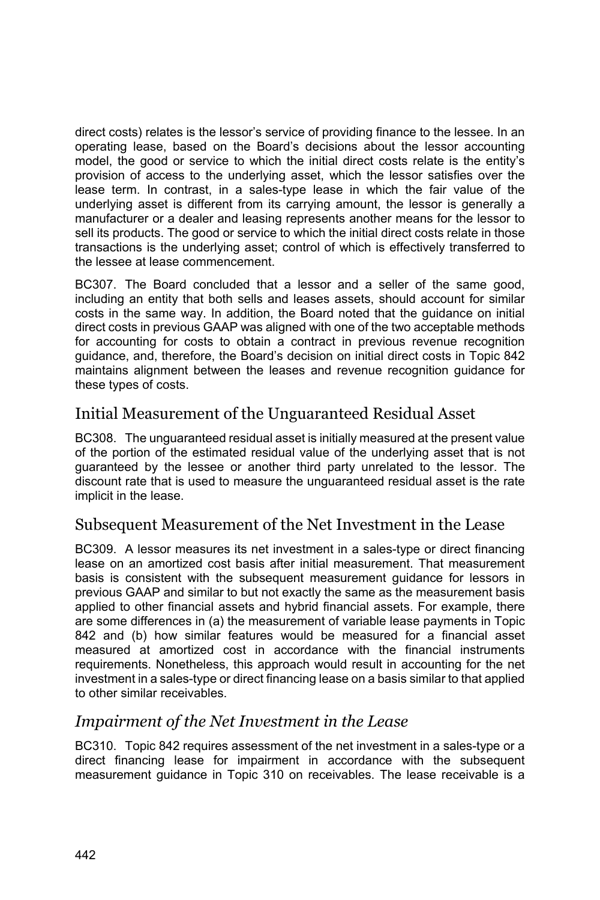direct costs) relates is the lessor's service of providing finance to the lessee. In an operating lease, based on the Board's decisions about the lessor accounting model, the good or service to which the initial direct costs relate is the entity's provision of access to the underlying asset, which the lessor satisfies over the lease term. In contrast, in a sales-type lease in which the fair value of the underlying asset is different from its carrying amount, the lessor is generally a manufacturer or a dealer and leasing represents another means for the lessor to sell its products. The good or service to which the initial direct costs relate in those transactions is the underlying asset; control of which is effectively transferred to the lessee at lease commencement.

BC307. The Board concluded that a lessor and a seller of the same good, including an entity that both sells and leases assets, should account for similar costs in the same way. In addition, the Board noted that the guidance on initial direct costs in previous GAAP was aligned with one of the two acceptable methods for accounting for costs to obtain a contract in previous revenue recognition guidance, and, therefore, the Board's decision on initial direct costs in Topic 842 maintains alignment between the leases and revenue recognition guidance for these types of costs.

### Initial Measurement of the Unguaranteed Residual Asset

BC308. The unguaranteed residual asset is initially measured at the present value of the portion of the estimated residual value of the underlying asset that is not guaranteed by the lessee or another third party unrelated to the lessor. The discount rate that is used to measure the unguaranteed residual asset is the rate implicit in the lease.

### Subsequent Measurement of the Net Investment in the Lease

BC309. A lessor measures its net investment in a sales-type or direct financing lease on an amortized cost basis after initial measurement. That measurement basis is consistent with the subsequent measurement guidance for lessors in previous GAAP and similar to but not exactly the same as the measurement basis applied to other financial assets and hybrid financial assets. For example, there are some differences in (a) the measurement of variable lease payments in Topic 842 and (b) how similar features would be measured for a financial asset measured at amortized cost in accordance with the financial instruments requirements. Nonetheless, this approach would result in accounting for the net investment in a sales-type or direct financing lease on a basis similar to that applied to other similar receivables.

### *Impairment of the Net Investment in the Lease*

BC310. Topic 842 requires assessment of the net investment in a sales-type or a direct financing lease for impairment in accordance with the subsequent measurement guidance in Topic 310 on receivables. The lease receivable is a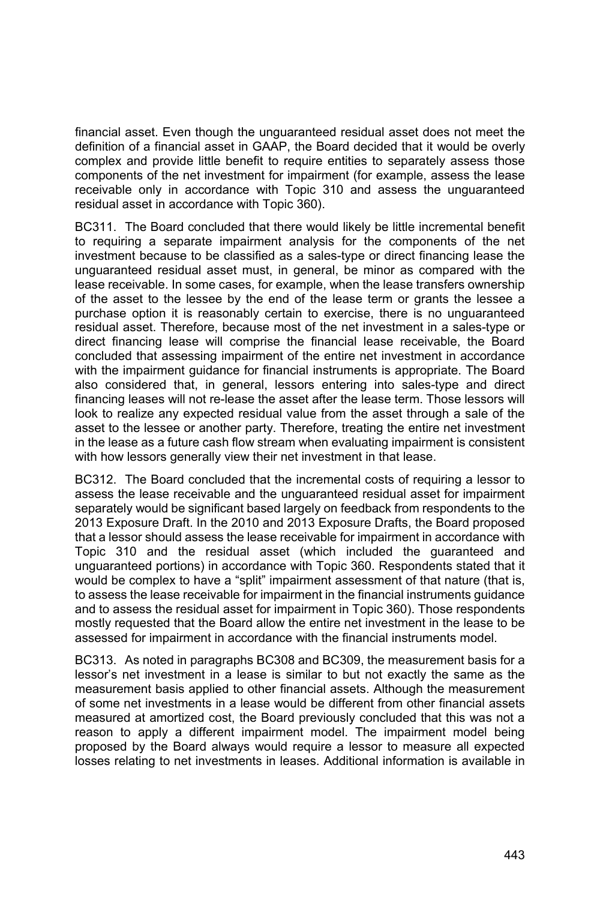financial asset. Even though the unguaranteed residual asset does not meet the definition of a financial asset in GAAP, the Board decided that it would be overly complex and provide little benefit to require entities to separately assess those components of the net investment for impairment (for example, assess the lease receivable only in accordance with Topic 310 and assess the unguaranteed residual asset in accordance with Topic 360).

BC311. The Board concluded that there would likely be little incremental benefit to requiring a separate impairment analysis for the components of the net investment because to be classified as a sales-type or direct financing lease the unguaranteed residual asset must, in general, be minor as compared with the lease receivable. In some cases, for example, when the lease transfers ownership of the asset to the lessee by the end of the lease term or grants the lessee a purchase option it is reasonably certain to exercise, there is no unguaranteed residual asset. Therefore, because most of the net investment in a sales-type or direct financing lease will comprise the financial lease receivable, the Board concluded that assessing impairment of the entire net investment in accordance with the impairment guidance for financial instruments is appropriate. The Board also considered that, in general, lessors entering into sales-type and direct financing leases will not re-lease the asset after the lease term. Those lessors will look to realize any expected residual value from the asset through a sale of the asset to the lessee or another party. Therefore, treating the entire net investment in the lease as a future cash flow stream when evaluating impairment is consistent with how lessors generally view their net investment in that lease.

BC312. The Board concluded that the incremental costs of requiring a lessor to assess the lease receivable and the unguaranteed residual asset for impairment separately would be significant based largely on feedback from respondents to the 2013 Exposure Draft. In the 2010 and 2013 Exposure Drafts, the Board proposed that a lessor should assess the lease receivable for impairment in accordance with Topic 310 and the residual asset (which included the guaranteed and unguaranteed portions) in accordance with Topic 360. Respondents stated that it would be complex to have a "split" impairment assessment of that nature (that is, to assess the lease receivable for impairment in the financial instruments guidance and to assess the residual asset for impairment in Topic 360). Those respondents mostly requested that the Board allow the entire net investment in the lease to be assessed for impairment in accordance with the financial instruments model.

BC313. As noted in paragraphs BC308 and BC309, the measurement basis for a lessor's net investment in a lease is similar to but not exactly the same as the measurement basis applied to other financial assets. Although the measurement of some net investments in a lease would be different from other financial assets measured at amortized cost, the Board previously concluded that this was not a reason to apply a different impairment model. The impairment model being proposed by the Board always would require a lessor to measure all expected losses relating to net investments in leases. Additional information is available in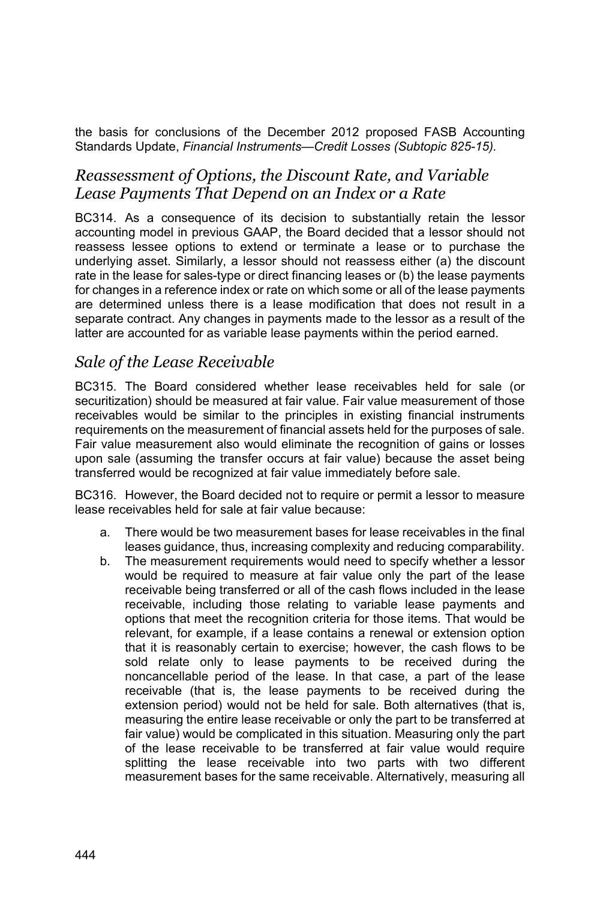the basis for conclusions of the December 2012 proposed FASB Accounting Standards Update, *Financial Instruments—Credit Losses (Subtopic 825-15).*

### *Reassessment of Options, the Discount Rate, and Variable Lease Payments That Depend on an Index or a Rate*

BC314. As a consequence of its decision to substantially retain the lessor accounting model in previous GAAP, the Board decided that a lessor should not reassess lessee options to extend or terminate a lease or to purchase the underlying asset. Similarly, a lessor should not reassess either (a) the discount rate in the lease for sales-type or direct financing leases or (b) the lease payments for changes in a reference index or rate on which some or all of the lease payments are determined unless there is a lease modification that does not result in a separate contract. Any changes in payments made to the lessor as a result of the latter are accounted for as variable lease payments within the period earned.

### *Sale of the Lease Receivable*

BC315. The Board considered whether lease receivables held for sale (or securitization) should be measured at fair value. Fair value measurement of those receivables would be similar to the principles in existing financial instruments requirements on the measurement of financial assets held for the purposes of sale. Fair value measurement also would eliminate the recognition of gains or losses upon sale (assuming the transfer occurs at fair value) because the asset being transferred would be recognized at fair value immediately before sale.

BC316. However, the Board decided not to require or permit a lessor to measure lease receivables held for sale at fair value because:

- a. There would be two measurement bases for lease receivables in the final leases guidance, thus, increasing complexity and reducing comparability.
- b. The measurement requirements would need to specify whether a lessor would be required to measure at fair value only the part of the lease receivable being transferred or all of the cash flows included in the lease receivable, including those relating to variable lease payments and options that meet the recognition criteria for those items. That would be relevant, for example, if a lease contains a renewal or extension option that it is reasonably certain to exercise; however, the cash flows to be sold relate only to lease payments to be received during the noncancellable period of the lease. In that case, a part of the lease receivable (that is, the lease payments to be received during the extension period) would not be held for sale. Both alternatives (that is, measuring the entire lease receivable or only the part to be transferred at fair value) would be complicated in this situation. Measuring only the part of the lease receivable to be transferred at fair value would require splitting the lease receivable into two parts with two different measurement bases for the same receivable. Alternatively, measuring all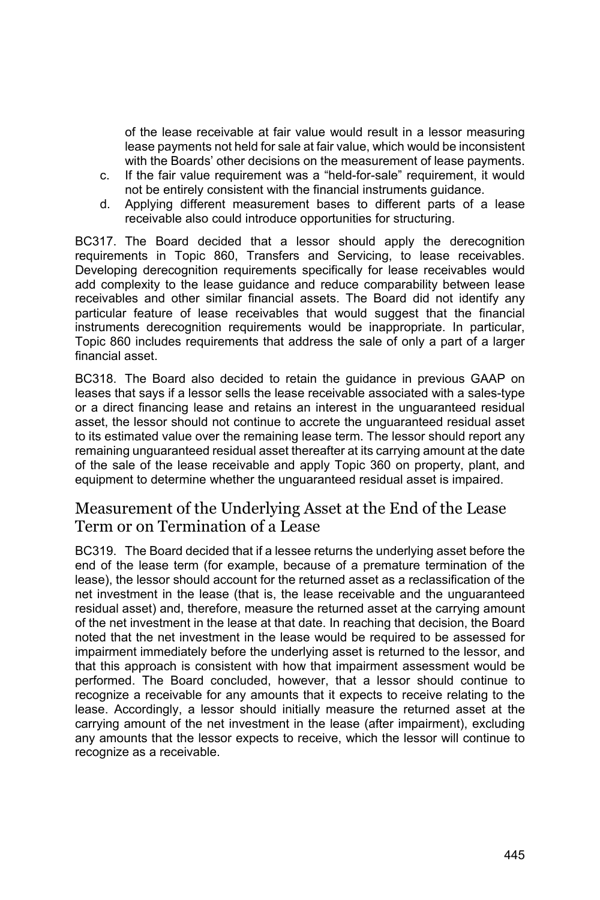of the lease receivable at fair value would result in a lessor measuring lease payments not held for sale at fair value, which would be inconsistent with the Boards' other decisions on the measurement of lease payments.

- c. If the fair value requirement was a "held-for-sale" requirement, it would not be entirely consistent with the financial instruments guidance.
- d. Applying different measurement bases to different parts of a lease receivable also could introduce opportunities for structuring.

BC317. The Board decided that a lessor should apply the derecognition requirements in Topic 860, Transfers and Servicing, to lease receivables. Developing derecognition requirements specifically for lease receivables would add complexity to the lease guidance and reduce comparability between lease receivables and other similar financial assets. The Board did not identify any particular feature of lease receivables that would suggest that the financial instruments derecognition requirements would be inappropriate. In particular, Topic 860 includes requirements that address the sale of only a part of a larger financial asset.

BC318. The Board also decided to retain the guidance in previous GAAP on leases that says if a lessor sells the lease receivable associated with a sales-type or a direct financing lease and retains an interest in the unguaranteed residual asset, the lessor should not continue to accrete the unguaranteed residual asset to its estimated value over the remaining lease term. The lessor should report any remaining unguaranteed residual asset thereafter at its carrying amount at the date of the sale of the lease receivable and apply Topic 360 on property, plant, and equipment to determine whether the unguaranteed residual asset is impaired.

### Measurement of the Underlying Asset at the End of the Lease Term or on Termination of a Lease

BC319. The Board decided that if a lessee returns the underlying asset before the end of the lease term (for example, because of a premature termination of the lease), the lessor should account for the returned asset as a reclassification of the net investment in the lease (that is, the lease receivable and the unguaranteed residual asset) and, therefore, measure the returned asset at the carrying amount of the net investment in the lease at that date. In reaching that decision, the Board noted that the net investment in the lease would be required to be assessed for impairment immediately before the underlying asset is returned to the lessor, and that this approach is consistent with how that impairment assessment would be performed. The Board concluded, however, that a lessor should continue to recognize a receivable for any amounts that it expects to receive relating to the lease. Accordingly, a lessor should initially measure the returned asset at the carrying amount of the net investment in the lease (after impairment), excluding any amounts that the lessor expects to receive, which the lessor will continue to recognize as a receivable.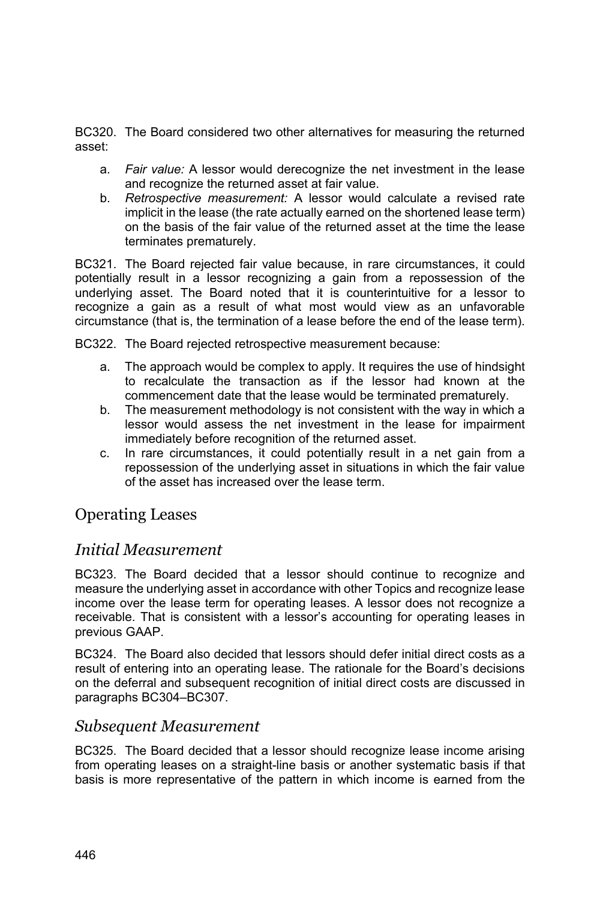BC320. The Board considered two other alternatives for measuring the returned asset:

- a. *Fair value:* A lessor would derecognize the net investment in the lease and recognize the returned asset at fair value.
- b. *Retrospective measurement:* A lessor would calculate a revised rate implicit in the lease (the rate actually earned on the shortened lease term) on the basis of the fair value of the returned asset at the time the lease terminates prematurely.

BC321. The Board rejected fair value because, in rare circumstances, it could potentially result in a lessor recognizing a gain from a repossession of the underlying asset. The Board noted that it is counterintuitive for a lessor to recognize a gain as a result of what most would view as an unfavorable circumstance (that is, the termination of a lease before the end of the lease term).

BC322. The Board rejected retrospective measurement because:

- a. The approach would be complex to apply. It requires the use of hindsight to recalculate the transaction as if the lessor had known at the commencement date that the lease would be terminated prematurely.
- b. The measurement methodology is not consistent with the way in which a lessor would assess the net investment in the lease for impairment immediately before recognition of the returned asset.
- c. In rare circumstances, it could potentially result in a net gain from a repossession of the underlying asset in situations in which the fair value of the asset has increased over the lease term.

## Operating Leases

## *Initial Measurement*

BC323. The Board decided that a lessor should continue to recognize and measure the underlying asset in accordance with other Topics and recognize lease income over the lease term for operating leases. A lessor does not recognize a receivable. That is consistent with a lessor's accounting for operating leases in previous GAAP.

BC324. The Board also decided that lessors should defer initial direct costs as a result of entering into an operating lease. The rationale for the Board's decisions on the deferral and subsequent recognition of initial direct costs are discussed in paragraphs BC304–BC307.

#### *Subsequent Measurement*

BC325. The Board decided that a lessor should recognize lease income arising from operating leases on a straight-line basis or another systematic basis if that basis is more representative of the pattern in which income is earned from the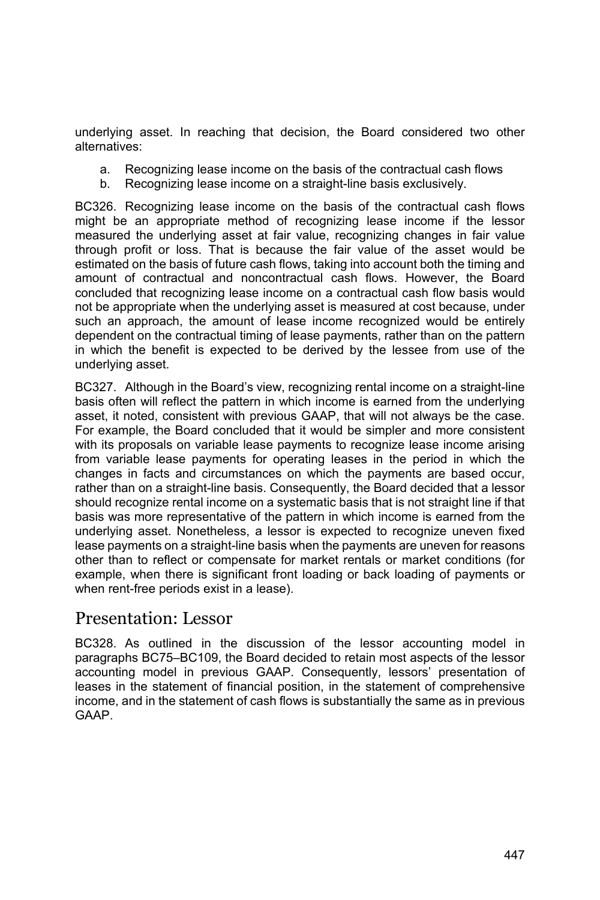underlying asset. In reaching that decision, the Board considered two other alternatives:

- a. Recognizing lease income on the basis of the contractual cash flows
- b. Recognizing lease income on a straight-line basis exclusively.

BC326. Recognizing lease income on the basis of the contractual cash flows might be an appropriate method of recognizing lease income if the lessor measured the underlying asset at fair value, recognizing changes in fair value through profit or loss. That is because the fair value of the asset would be estimated on the basis of future cash flows, taking into account both the timing and amount of contractual and noncontractual cash flows. However, the Board concluded that recognizing lease income on a contractual cash flow basis would not be appropriate when the underlying asset is measured at cost because, under such an approach, the amount of lease income recognized would be entirely dependent on the contractual timing of lease payments, rather than on the pattern in which the benefit is expected to be derived by the lessee from use of the underlying asset.

BC327. Although in the Board's view, recognizing rental income on a straight-line basis often will reflect the pattern in which income is earned from the underlying asset, it noted, consistent with previous GAAP, that will not always be the case. For example, the Board concluded that it would be simpler and more consistent with its proposals on variable lease payments to recognize lease income arising from variable lease payments for operating leases in the period in which the changes in facts and circumstances on which the payments are based occur, rather than on a straight-line basis. Consequently, the Board decided that a lessor should recognize rental income on a systematic basis that is not straight line if that basis was more representative of the pattern in which income is earned from the underlying asset. Nonetheless, a lessor is expected to recognize uneven fixed lease payments on a straight-line basis when the payments are uneven for reasons other than to reflect or compensate for market rentals or market conditions (for example, when there is significant front loading or back loading of payments or when rent-free periods exist in a lease).

## Presentation: Lessor

BC328. As outlined in the discussion of the lessor accounting model in paragraphs BC75–BC109, the Board decided to retain most aspects of the lessor accounting model in previous GAAP. Consequently, lessors' presentation of leases in the statement of financial position, in the statement of comprehensive income, and in the statement of cash flows is substantially the same as in previous GAAP.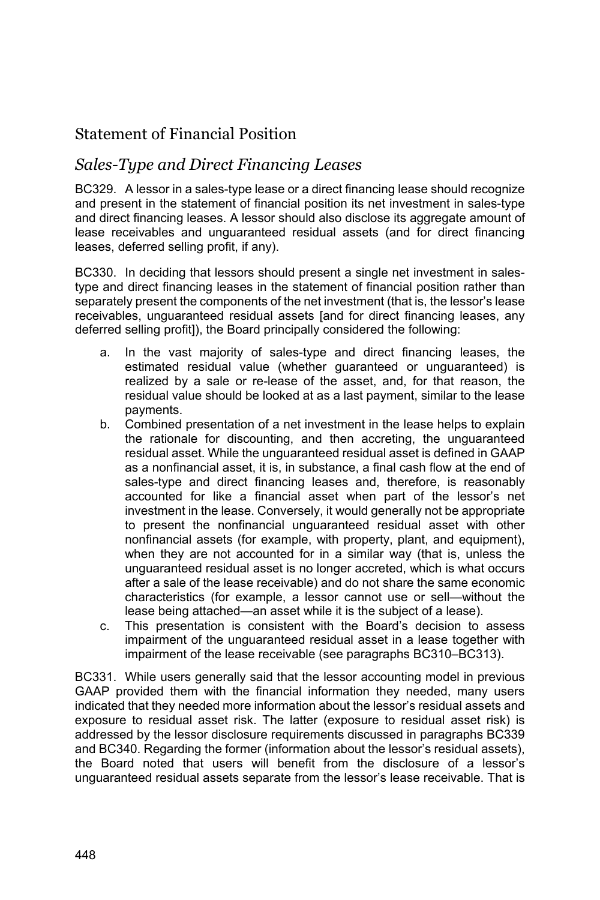## Statement of Financial Position

### *Sales-Type and Direct Financing Leases*

BC329. A lessor in a sales-type lease or a direct financing lease should recognize and present in the statement of financial position its net investment in sales-type and direct financing leases. A lessor should also disclose its aggregate amount of lease receivables and unguaranteed residual assets (and for direct financing leases, deferred selling profit, if any).

BC330. In deciding that lessors should present a single net investment in salestype and direct financing leases in the statement of financial position rather than separately present the components of the net investment (that is, the lessor's lease receivables, unguaranteed residual assets [and for direct financing leases, any deferred selling profit]), the Board principally considered the following:

- a. In the vast majority of sales-type and direct financing leases, the estimated residual value (whether guaranteed or unguaranteed) is realized by a sale or re-lease of the asset, and, for that reason, the residual value should be looked at as a last payment, similar to the lease payments.
- b. Combined presentation of a net investment in the lease helps to explain the rationale for discounting, and then accreting, the unguaranteed residual asset. While the unguaranteed residual asset is defined in GAAP as a nonfinancial asset, it is, in substance, a final cash flow at the end of sales-type and direct financing leases and, therefore, is reasonably accounted for like a financial asset when part of the lessor's net investment in the lease. Conversely, it would generally not be appropriate to present the nonfinancial unguaranteed residual asset with other nonfinancial assets (for example, with property, plant, and equipment), when they are not accounted for in a similar way (that is, unless the unguaranteed residual asset is no longer accreted, which is what occurs after a sale of the lease receivable) and do not share the same economic characteristics (for example, a lessor cannot use or sell—without the lease being attached—an asset while it is the subject of a lease).
- c. This presentation is consistent with the Board's decision to assess impairment of the unguaranteed residual asset in a lease together with impairment of the lease receivable (see paragraphs BC310–BC313).

BC331. While users generally said that the lessor accounting model in previous GAAP provided them with the financial information they needed, many users indicated that they needed more information about the lessor's residual assets and exposure to residual asset risk. The latter (exposure to residual asset risk) is addressed by the lessor disclosure requirements discussed in paragraphs BC339 and BC340. Regarding the former (information about the lessor's residual assets), the Board noted that users will benefit from the disclosure of a lessor's unguaranteed residual assets separate from the lessor's lease receivable. That is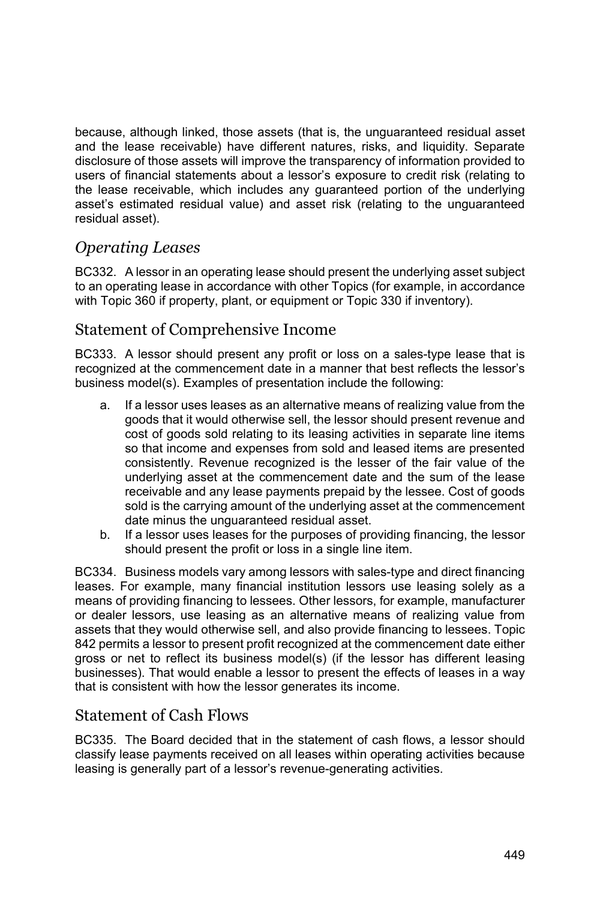because, although linked, those assets (that is, the unguaranteed residual asset and the lease receivable) have different natures, risks, and liquidity. Separate disclosure of those assets will improve the transparency of information provided to users of financial statements about a lessor's exposure to credit risk (relating to the lease receivable, which includes any guaranteed portion of the underlying asset's estimated residual value) and asset risk (relating to the unguaranteed residual asset).

## *Operating Leases*

BC332. A lessor in an operating lease should present the underlying asset subject to an operating lease in accordance with other Topics (for example, in accordance with Topic 360 if property, plant, or equipment or Topic 330 if inventory).

## Statement of Comprehensive Income

BC333. A lessor should present any profit or loss on a sales-type lease that is recognized at the commencement date in a manner that best reflects the lessor's business model(s). Examples of presentation include the following:

- a. If a lessor uses leases as an alternative means of realizing value from the goods that it would otherwise sell, the lessor should present revenue and cost of goods sold relating to its leasing activities in separate line items so that income and expenses from sold and leased items are presented consistently. Revenue recognized is the lesser of the fair value of the underlying asset at the commencement date and the sum of the lease receivable and any lease payments prepaid by the lessee. Cost of goods sold is the carrying amount of the underlying asset at the commencement date minus the unguaranteed residual asset.
- b. If a lessor uses leases for the purposes of providing financing, the lessor should present the profit or loss in a single line item.

BC334. Business models vary among lessors with sales-type and direct financing leases. For example, many financial institution lessors use leasing solely as a means of providing financing to lessees. Other lessors, for example, manufacturer or dealer lessors, use leasing as an alternative means of realizing value from assets that they would otherwise sell, and also provide financing to lessees. Topic 842 permits a lessor to present profit recognized at the commencement date either gross or net to reflect its business model(s) (if the lessor has different leasing businesses). That would enable a lessor to present the effects of leases in a way that is consistent with how the lessor generates its income.

#### Statement of Cash Flows

BC335. The Board decided that in the statement of cash flows, a lessor should classify lease payments received on all leases within operating activities because leasing is generally part of a lessor's revenue-generating activities.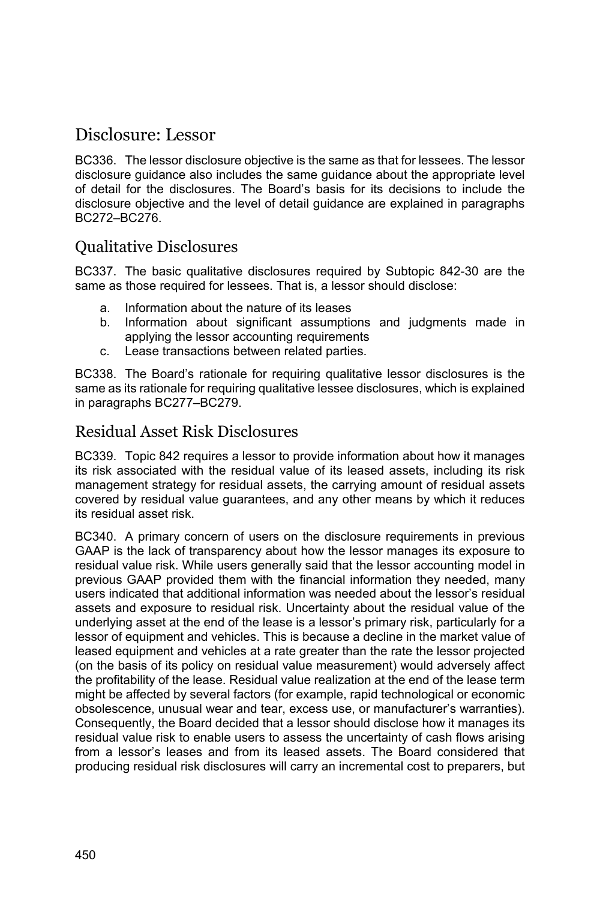# Disclosure: Lessor

BC336. The lessor disclosure objective is the same as that for lessees. The lessor disclosure guidance also includes the same guidance about the appropriate level of detail for the disclosures. The Board's basis for its decisions to include the disclosure objective and the level of detail guidance are explained in paragraphs BC272–BC276.

### Qualitative Disclosures

BC337. The basic qualitative disclosures required by Subtopic 842-30 are the same as those required for lessees. That is, a lessor should disclose:

- a. Information about the nature of its leases
- b. Information about significant assumptions and judgments made in applying the lessor accounting requirements
- c. Lease transactions between related parties.

BC338. The Board's rationale for requiring qualitative lessor disclosures is the same as its rationale for requiring qualitative lessee disclosures, which is explained in paragraphs BC277–BC279.

#### Residual Asset Risk Disclosures

BC339. Topic 842 requires a lessor to provide information about how it manages its risk associated with the residual value of its leased assets, including its risk management strategy for residual assets, the carrying amount of residual assets covered by residual value guarantees, and any other means by which it reduces its residual asset risk.

BC340. A primary concern of users on the disclosure requirements in previous GAAP is the lack of transparency about how the lessor manages its exposure to residual value risk. While users generally said that the lessor accounting model in previous GAAP provided them with the financial information they needed, many users indicated that additional information was needed about the lessor's residual assets and exposure to residual risk. Uncertainty about the residual value of the underlying asset at the end of the lease is a lessor's primary risk, particularly for a lessor of equipment and vehicles. This is because a decline in the market value of leased equipment and vehicles at a rate greater than the rate the lessor projected (on the basis of its policy on residual value measurement) would adversely affect the profitability of the lease. Residual value realization at the end of the lease term might be affected by several factors (for example, rapid technological or economic obsolescence, unusual wear and tear, excess use, or manufacturer's warranties). Consequently, the Board decided that a lessor should disclose how it manages its residual value risk to enable users to assess the uncertainty of cash flows arising from a lessor's leases and from its leased assets. The Board considered that producing residual risk disclosures will carry an incremental cost to preparers, but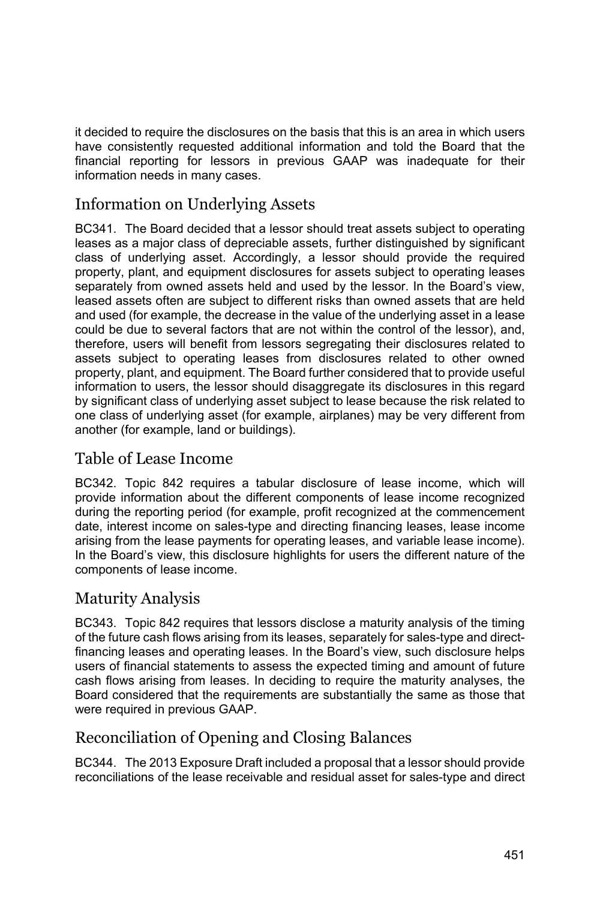it decided to require the disclosures on the basis that this is an area in which users have consistently requested additional information and told the Board that the financial reporting for lessors in previous GAAP was inadequate for their information needs in many cases.

## Information on Underlying Assets

BC341. The Board decided that a lessor should treat assets subject to operating leases as a major class of depreciable assets, further distinguished by significant class of underlying asset. Accordingly, a lessor should provide the required property, plant, and equipment disclosures for assets subject to operating leases separately from owned assets held and used by the lessor. In the Board's view, leased assets often are subject to different risks than owned assets that are held and used (for example, the decrease in the value of the underlying asset in a lease could be due to several factors that are not within the control of the lessor), and, therefore, users will benefit from lessors segregating their disclosures related to assets subject to operating leases from disclosures related to other owned property, plant, and equipment. The Board further considered that to provide useful information to users, the lessor should disaggregate its disclosures in this regard by significant class of underlying asset subject to lease because the risk related to one class of underlying asset (for example, airplanes) may be very different from another (for example, land or buildings).

## Table of Lease Income

BC342. Topic 842 requires a tabular disclosure of lease income, which will provide information about the different components of lease income recognized during the reporting period (for example, profit recognized at the commencement date, interest income on sales-type and directing financing leases, lease income arising from the lease payments for operating leases, and variable lease income). In the Board's view, this disclosure highlights for users the different nature of the components of lease income.

### Maturity Analysis

BC343. Topic 842 requires that lessors disclose a maturity analysis of the timing of the future cash flows arising from its leases, separately for sales-type and directfinancing leases and operating leases. In the Board's view, such disclosure helps users of financial statements to assess the expected timing and amount of future cash flows arising from leases. In deciding to require the maturity analyses, the Board considered that the requirements are substantially the same as those that were required in previous GAAP.

# Reconciliation of Opening and Closing Balances

BC344. The 2013 Exposure Draft included a proposal that a lessor should provide reconciliations of the lease receivable and residual asset for sales-type and direct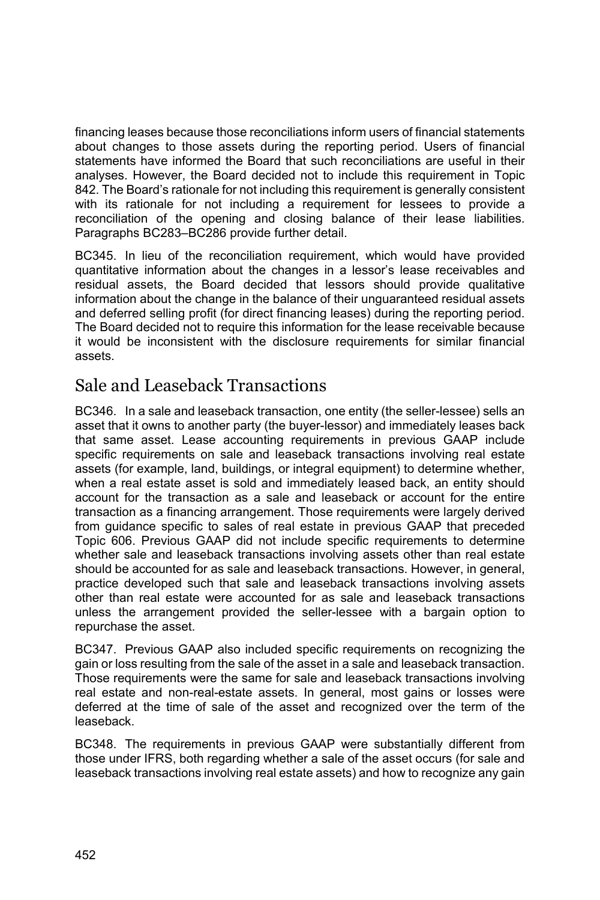financing leases because those reconciliations inform users of financial statements about changes to those assets during the reporting period. Users of financial statements have informed the Board that such reconciliations are useful in their analyses. However, the Board decided not to include this requirement in Topic 842. The Board's rationale for not including this requirement is generally consistent with its rationale for not including a requirement for lessees to provide a reconciliation of the opening and closing balance of their lease liabilities. Paragraphs BC283–BC286 provide further detail.

BC345. In lieu of the reconciliation requirement, which would have provided quantitative information about the changes in a lessor's lease receivables and residual assets, the Board decided that lessors should provide qualitative information about the change in the balance of their unguaranteed residual assets and deferred selling profit (for direct financing leases) during the reporting period. The Board decided not to require this information for the lease receivable because it would be inconsistent with the disclosure requirements for similar financial assets.

# Sale and Leaseback Transactions

BC346. In a sale and leaseback transaction, one entity (the seller-lessee) sells an asset that it owns to another party (the buyer-lessor) and immediately leases back that same asset. Lease accounting requirements in previous GAAP include specific requirements on sale and leaseback transactions involving real estate assets (for example, land, buildings, or integral equipment) to determine whether, when a real estate asset is sold and immediately leased back, an entity should account for the transaction as a sale and leaseback or account for the entire transaction as a financing arrangement. Those requirements were largely derived from guidance specific to sales of real estate in previous GAAP that preceded Topic 606. Previous GAAP did not include specific requirements to determine whether sale and leaseback transactions involving assets other than real estate should be accounted for as sale and leaseback transactions. However, in general, practice developed such that sale and leaseback transactions involving assets other than real estate were accounted for as sale and leaseback transactions unless the arrangement provided the seller-lessee with a bargain option to repurchase the asset.

BC347. Previous GAAP also included specific requirements on recognizing the gain or loss resulting from the sale of the asset in a sale and leaseback transaction. Those requirements were the same for sale and leaseback transactions involving real estate and non-real-estate assets. In general, most gains or losses were deferred at the time of sale of the asset and recognized over the term of the leaseback.

BC348. The requirements in previous GAAP were substantially different from those under IFRS, both regarding whether a sale of the asset occurs (for sale and leaseback transactions involving real estate assets) and how to recognize any gain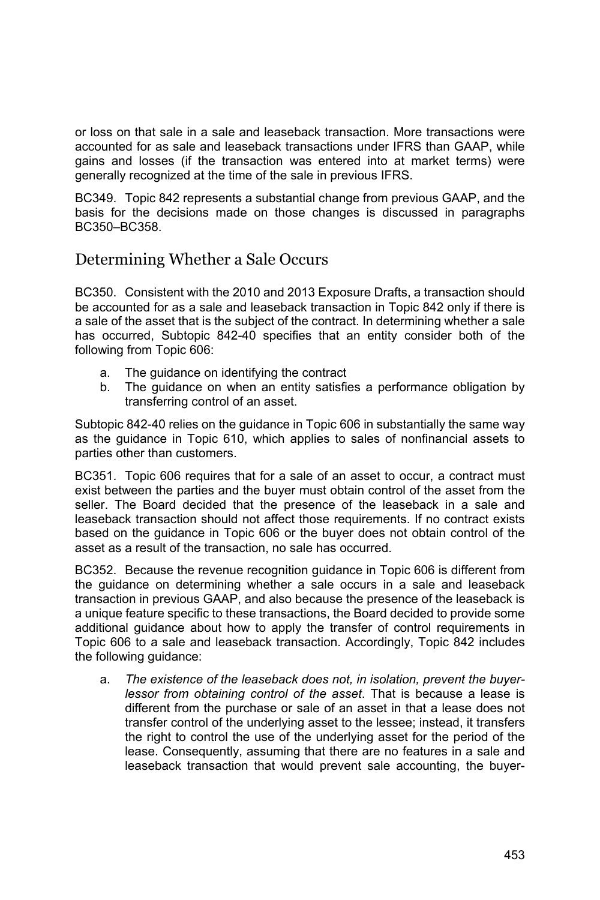or loss on that sale in a sale and leaseback transaction. More transactions were accounted for as sale and leaseback transactions under IFRS than GAAP, while gains and losses (if the transaction was entered into at market terms) were generally recognized at the time of the sale in previous IFRS.

BC349. Topic 842 represents a substantial change from previous GAAP, and the basis for the decisions made on those changes is discussed in paragraphs BC350–BC358.

### Determining Whether a Sale Occurs

BC350. Consistent with the 2010 and 2013 Exposure Drafts, a transaction should be accounted for as a sale and leaseback transaction in Topic 842 only if there is a sale of the asset that is the subject of the contract. In determining whether a sale has occurred, Subtopic 842-40 specifies that an entity consider both of the following from Topic 606:

- a. The guidance on identifying the contract
- b. The guidance on when an entity satisfies a performance obligation by transferring control of an asset.

Subtopic 842-40 relies on the guidance in Topic 606 in substantially the same way as the guidance in Topic 610, which applies to sales of nonfinancial assets to parties other than customers.

BC351. Topic 606 requires that for a sale of an asset to occur, a contract must exist between the parties and the buyer must obtain control of the asset from the seller. The Board decided that the presence of the leaseback in a sale and leaseback transaction should not affect those requirements. If no contract exists based on the guidance in Topic 606 or the buyer does not obtain control of the asset as a result of the transaction, no sale has occurred.

BC352. Because the revenue recognition guidance in Topic 606 is different from the guidance on determining whether a sale occurs in a sale and leaseback transaction in previous GAAP, and also because the presence of the leaseback is a unique feature specific to these transactions, the Board decided to provide some additional guidance about how to apply the transfer of control requirements in Topic 606 to a sale and leaseback transaction. Accordingly, Topic 842 includes the following guidance:

a. *The existence of the leaseback does not, in isolation, prevent the buyerlessor from obtaining control of the asset*. That is because a lease is different from the purchase or sale of an asset in that a lease does not transfer control of the underlying asset to the lessee; instead, it transfers the right to control the use of the underlying asset for the period of the lease. Consequently, assuming that there are no features in a sale and leaseback transaction that would prevent sale accounting, the buyer-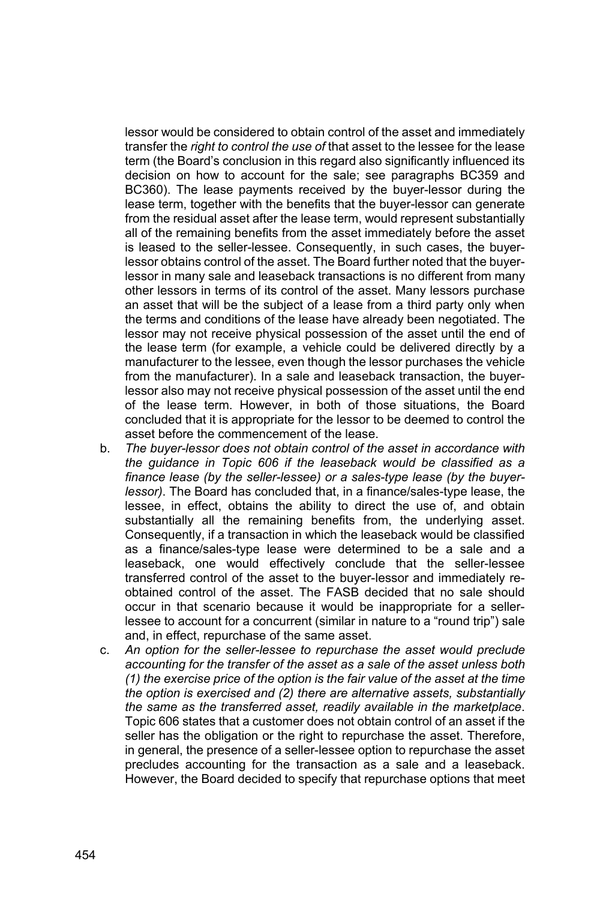lessor would be considered to obtain control of the asset and immediately transfer the *right to control the use of* that asset to the lessee for the lease term (the Board's conclusion in this regard also significantly influenced its decision on how to account for the sale; see paragraphs BC359 and BC360). The lease payments received by the buyer-lessor during the lease term, together with the benefits that the buyer-lessor can generate from the residual asset after the lease term, would represent substantially all of the remaining benefits from the asset immediately before the asset is leased to the seller-lessee. Consequently, in such cases, the buyerlessor obtains control of the asset. The Board further noted that the buyerlessor in many sale and leaseback transactions is no different from many other lessors in terms of its control of the asset. Many lessors purchase an asset that will be the subject of a lease from a third party only when the terms and conditions of the lease have already been negotiated. The lessor may not receive physical possession of the asset until the end of the lease term (for example, a vehicle could be delivered directly by a manufacturer to the lessee, even though the lessor purchases the vehicle from the manufacturer). In a sale and leaseback transaction, the buyerlessor also may not receive physical possession of the asset until the end of the lease term. However, in both of those situations, the Board concluded that it is appropriate for the lessor to be deemed to control the asset before the commencement of the lease.

- b. *The buyer-lessor does not obtain control of the asset in accordance with the guidance in Topic 606 if the leaseback would be classified as a finance lease (by the seller-lessee) or a sales-type lease (by the buyerlessor)*. The Board has concluded that, in a finance/sales-type lease, the lessee, in effect, obtains the ability to direct the use of, and obtain substantially all the remaining benefits from, the underlying asset. Consequently, if a transaction in which the leaseback would be classified as a finance/sales-type lease were determined to be a sale and a leaseback, one would effectively conclude that the seller-lessee transferred control of the asset to the buyer-lessor and immediately reobtained control of the asset. The FASB decided that no sale should occur in that scenario because it would be inappropriate for a sellerlessee to account for a concurrent (similar in nature to a "round trip") sale and, in effect, repurchase of the same asset.
- c. *An option for the seller-lessee to repurchase the asset would preclude accounting for the transfer of the asset as a sale of the asset unless both (1) the exercise price of the option is the fair value of the asset at the time the option is exercised and (2) there are alternative assets, substantially the same as the transferred asset, readily available in the marketplace*. Topic 606 states that a customer does not obtain control of an asset if the seller has the obligation or the right to repurchase the asset. Therefore, in general, the presence of a seller-lessee option to repurchase the asset precludes accounting for the transaction as a sale and a leaseback. However, the Board decided to specify that repurchase options that meet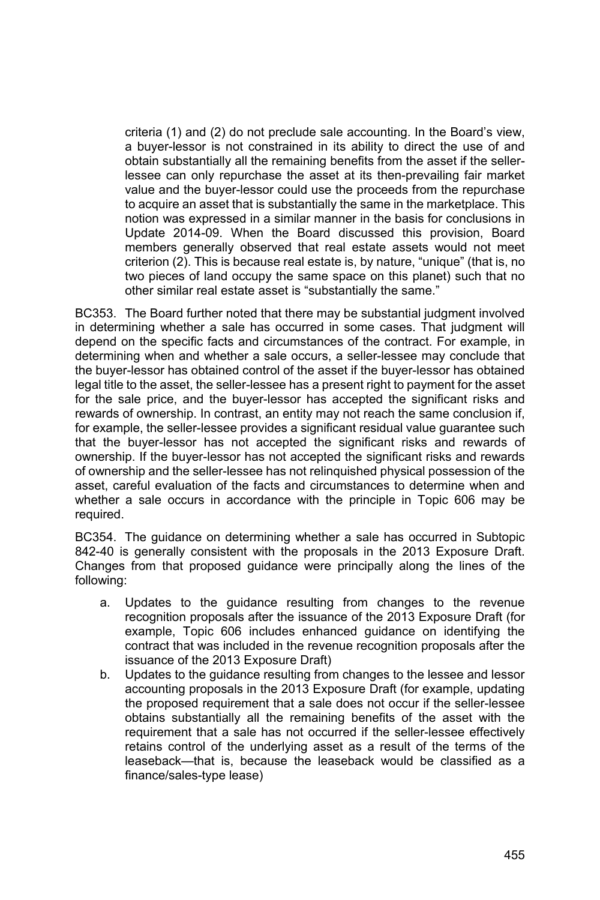criteria (1) and (2) do not preclude sale accounting. In the Board's view, a buyer-lessor is not constrained in its ability to direct the use of and obtain substantially all the remaining benefits from the asset if the sellerlessee can only repurchase the asset at its then-prevailing fair market value and the buyer-lessor could use the proceeds from the repurchase to acquire an asset that is substantially the same in the marketplace. This notion was expressed in a similar manner in the basis for conclusions in Update 2014-09. When the Board discussed this provision, Board members generally observed that real estate assets would not meet criterion (2). This is because real estate is, by nature, "unique" (that is, no two pieces of land occupy the same space on this planet) such that no other similar real estate asset is "substantially the same."

BC353. The Board further noted that there may be substantial judgment involved in determining whether a sale has occurred in some cases. That judgment will depend on the specific facts and circumstances of the contract. For example, in determining when and whether a sale occurs, a seller-lessee may conclude that the buyer-lessor has obtained control of the asset if the buyer-lessor has obtained legal title to the asset, the seller-lessee has a present right to payment for the asset for the sale price, and the buyer-lessor has accepted the significant risks and rewards of ownership. In contrast, an entity may not reach the same conclusion if, for example, the seller-lessee provides a significant residual value guarantee such that the buyer-lessor has not accepted the significant risks and rewards of ownership. If the buyer-lessor has not accepted the significant risks and rewards of ownership and the seller-lessee has not relinquished physical possession of the asset, careful evaluation of the facts and circumstances to determine when and whether a sale occurs in accordance with the principle in Topic 606 may be required.

BC354. The guidance on determining whether a sale has occurred in Subtopic 842-40 is generally consistent with the proposals in the 2013 Exposure Draft. Changes from that proposed guidance were principally along the lines of the following:

- a. Updates to the guidance resulting from changes to the revenue recognition proposals after the issuance of the 2013 Exposure Draft (for example, Topic 606 includes enhanced guidance on identifying the contract that was included in the revenue recognition proposals after the issuance of the 2013 Exposure Draft)
- b. Updates to the guidance resulting from changes to the lessee and lessor accounting proposals in the 2013 Exposure Draft (for example, updating the proposed requirement that a sale does not occur if the seller-lessee obtains substantially all the remaining benefits of the asset with the requirement that a sale has not occurred if the seller-lessee effectively retains control of the underlying asset as a result of the terms of the leaseback—that is, because the leaseback would be classified as a finance/sales-type lease)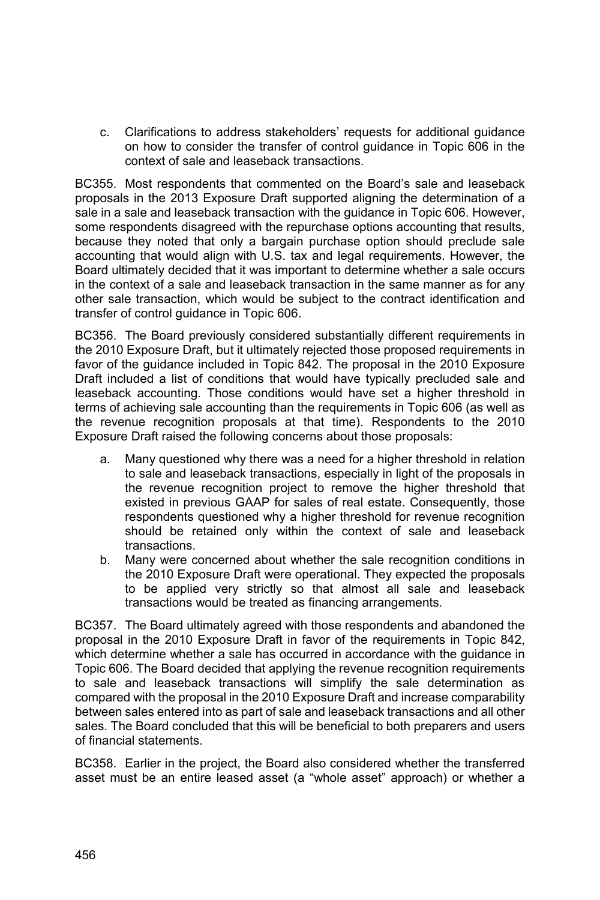c. Clarifications to address stakeholders' requests for additional guidance on how to consider the transfer of control guidance in Topic 606 in the context of sale and leaseback transactions.

BC355. Most respondents that commented on the Board's sale and leaseback proposals in the 2013 Exposure Draft supported aligning the determination of a sale in a sale and leaseback transaction with the guidance in Topic 606. However, some respondents disagreed with the repurchase options accounting that results, because they noted that only a bargain purchase option should preclude sale accounting that would align with U.S. tax and legal requirements. However, the Board ultimately decided that it was important to determine whether a sale occurs in the context of a sale and leaseback transaction in the same manner as for any other sale transaction, which would be subject to the contract identification and transfer of control guidance in Topic 606.

BC356. The Board previously considered substantially different requirements in the 2010 Exposure Draft, but it ultimately rejected those proposed requirements in favor of the guidance included in Topic 842. The proposal in the 2010 Exposure Draft included a list of conditions that would have typically precluded sale and leaseback accounting. Those conditions would have set a higher threshold in terms of achieving sale accounting than the requirements in Topic 606 (as well as the revenue recognition proposals at that time). Respondents to the 2010 Exposure Draft raised the following concerns about those proposals:

- a. Many questioned why there was a need for a higher threshold in relation to sale and leaseback transactions, especially in light of the proposals in the revenue recognition project to remove the higher threshold that existed in previous GAAP for sales of real estate. Consequently, those respondents questioned why a higher threshold for revenue recognition should be retained only within the context of sale and leaseback transactions.
- b. Many were concerned about whether the sale recognition conditions in the 2010 Exposure Draft were operational. They expected the proposals to be applied very strictly so that almost all sale and leaseback transactions would be treated as financing arrangements.

BC357. The Board ultimately agreed with those respondents and abandoned the proposal in the 2010 Exposure Draft in favor of the requirements in Topic 842, which determine whether a sale has occurred in accordance with the guidance in Topic 606. The Board decided that applying the revenue recognition requirements to sale and leaseback transactions will simplify the sale determination as compared with the proposal in the 2010 Exposure Draft and increase comparability between sales entered into as part of sale and leaseback transactions and all other sales. The Board concluded that this will be beneficial to both preparers and users of financial statements.

BC358. Earlier in the project, the Board also considered whether the transferred asset must be an entire leased asset (a "whole asset" approach) or whether a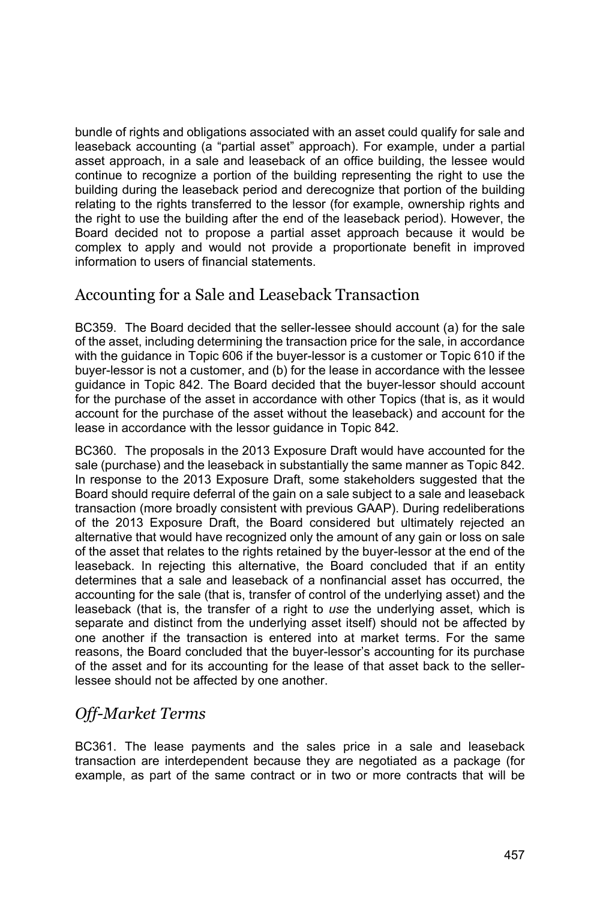bundle of rights and obligations associated with an asset could qualify for sale and leaseback accounting (a "partial asset" approach). For example, under a partial asset approach, in a sale and leaseback of an office building, the lessee would continue to recognize a portion of the building representing the right to use the building during the leaseback period and derecognize that portion of the building relating to the rights transferred to the lessor (for example, ownership rights and the right to use the building after the end of the leaseback period). However, the Board decided not to propose a partial asset approach because it would be complex to apply and would not provide a proportionate benefit in improved information to users of financial statements.

### Accounting for a Sale and Leaseback Transaction

BC359. The Board decided that the seller-lessee should account (a) for the sale of the asset, including determining the transaction price for the sale, in accordance with the guidance in Topic 606 if the buyer-lessor is a customer or Topic 610 if the buyer-lessor is not a customer, and (b) for the lease in accordance with the lessee guidance in Topic 842. The Board decided that the buyer-lessor should account for the purchase of the asset in accordance with other Topics (that is, as it would account for the purchase of the asset without the leaseback) and account for the lease in accordance with the lessor guidance in Topic 842.

BC360. The proposals in the 2013 Exposure Draft would have accounted for the sale (purchase) and the leaseback in substantially the same manner as Topic 842. In response to the 2013 Exposure Draft, some stakeholders suggested that the Board should require deferral of the gain on a sale subject to a sale and leaseback transaction (more broadly consistent with previous GAAP). During redeliberations of the 2013 Exposure Draft, the Board considered but ultimately rejected an alternative that would have recognized only the amount of any gain or loss on sale of the asset that relates to the rights retained by the buyer-lessor at the end of the leaseback. In rejecting this alternative, the Board concluded that if an entity determines that a sale and leaseback of a nonfinancial asset has occurred, the accounting for the sale (that is, transfer of control of the underlying asset) and the leaseback (that is, the transfer of a right to *use* the underlying asset, which is separate and distinct from the underlying asset itself) should not be affected by one another if the transaction is entered into at market terms. For the same reasons, the Board concluded that the buyer-lessor's accounting for its purchase of the asset and for its accounting for the lease of that asset back to the sellerlessee should not be affected by one another.

## *Off-Market Terms*

BC361. The lease payments and the sales price in a sale and leaseback transaction are interdependent because they are negotiated as a package (for example, as part of the same contract or in two or more contracts that will be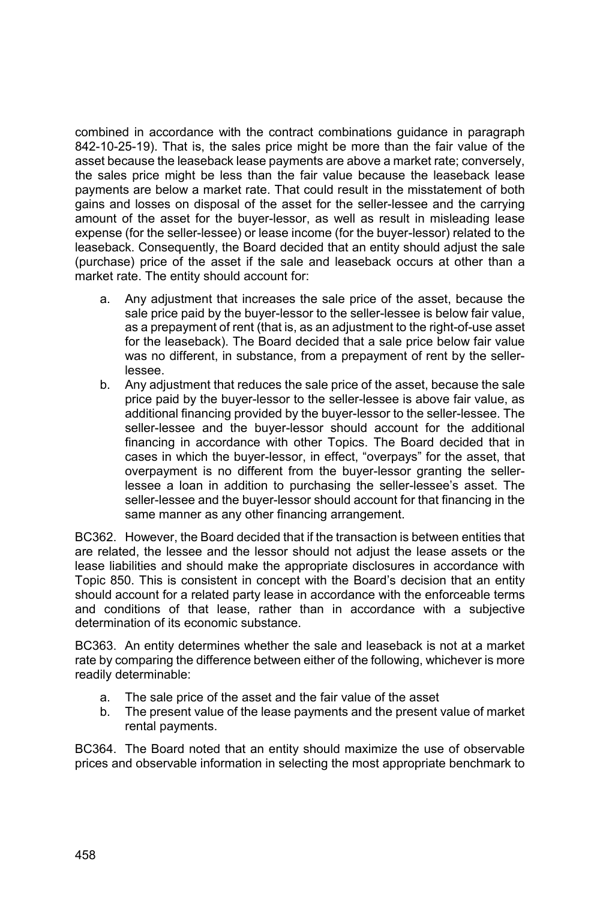combined in accordance with the contract combinations guidance in paragraph 842-10-25-19). That is, the sales price might be more than the fair value of the asset because the leaseback lease payments are above a market rate; conversely, the sales price might be less than the fair value because the leaseback lease payments are below a market rate. That could result in the misstatement of both gains and losses on disposal of the asset for the seller-lessee and the carrying amount of the asset for the buyer-lessor, as well as result in misleading lease expense (for the seller-lessee) or lease income (for the buyer-lessor) related to the leaseback. Consequently, the Board decided that an entity should adjust the sale (purchase) price of the asset if the sale and leaseback occurs at other than a market rate. The entity should account for:

- a. Any adjustment that increases the sale price of the asset, because the sale price paid by the buyer-lessor to the seller-lessee is below fair value, as a prepayment of rent (that is, as an adjustment to the right-of-use asset for the leaseback). The Board decided that a sale price below fair value was no different, in substance, from a prepayment of rent by the sellerlessee.
- b. Any adjustment that reduces the sale price of the asset, because the sale price paid by the buyer-lessor to the seller-lessee is above fair value, as additional financing provided by the buyer-lessor to the seller-lessee. The seller-lessee and the buyer-lessor should account for the additional financing in accordance with other Topics. The Board decided that in cases in which the buyer-lessor, in effect, "overpays" for the asset, that overpayment is no different from the buyer-lessor granting the sellerlessee a loan in addition to purchasing the seller-lessee's asset. The seller-lessee and the buyer-lessor should account for that financing in the same manner as any other financing arrangement.

BC362. However, the Board decided that if the transaction is between entities that are related, the lessee and the lessor should not adjust the lease assets or the lease liabilities and should make the appropriate disclosures in accordance with Topic 850. This is consistent in concept with the Board's decision that an entity should account for a related party lease in accordance with the enforceable terms and conditions of that lease, rather than in accordance with a subjective determination of its economic substance.

BC363. An entity determines whether the sale and leaseback is not at a market rate by comparing the difference between either of the following, whichever is more readily determinable:

- a. The sale price of the asset and the fair value of the asset
- b. The present value of the lease payments and the present value of market rental payments.

BC364. The Board noted that an entity should maximize the use of observable prices and observable information in selecting the most appropriate benchmark to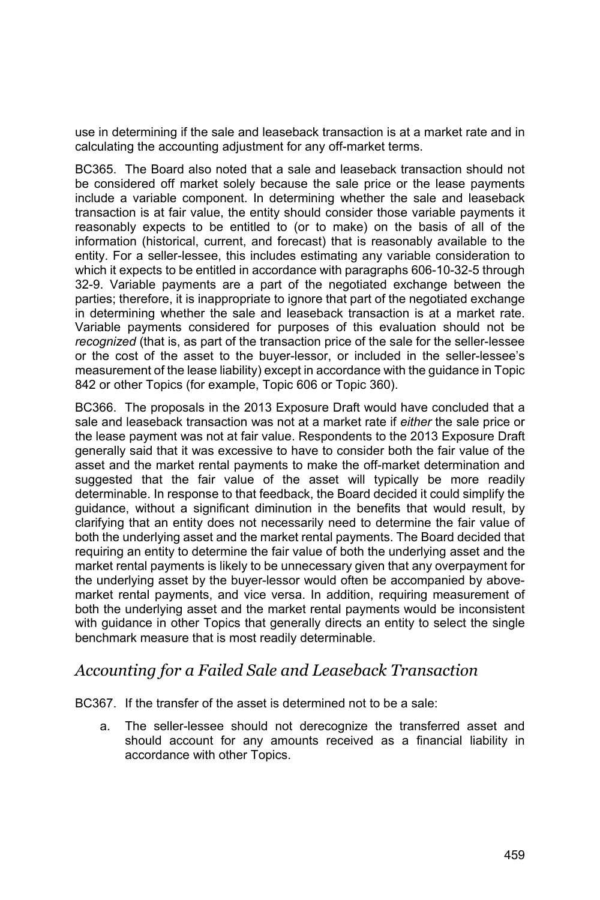use in determining if the sale and leaseback transaction is at a market rate and in calculating the accounting adjustment for any off-market terms.

BC365. The Board also noted that a sale and leaseback transaction should not be considered off market solely because the sale price or the lease payments include a variable component. In determining whether the sale and leaseback transaction is at fair value, the entity should consider those variable payments it reasonably expects to be entitled to (or to make) on the basis of all of the information (historical, current, and forecast) that is reasonably available to the entity. For a seller-lessee, this includes estimating any variable consideration to which it expects to be entitled in accordance with paragraphs 606-10-32-5 through 32-9. Variable payments are a part of the negotiated exchange between the parties; therefore, it is inappropriate to ignore that part of the negotiated exchange in determining whether the sale and leaseback transaction is at a market rate. Variable payments considered for purposes of this evaluation should not be *recognized* (that is, as part of the transaction price of the sale for the seller-lessee or the cost of the asset to the buyer-lessor, or included in the seller-lessee's measurement of the lease liability) except in accordance with the guidance in Topic 842 or other Topics (for example, Topic 606 or Topic 360).

BC366. The proposals in the 2013 Exposure Draft would have concluded that a sale and leaseback transaction was not at a market rate if *either* the sale price or the lease payment was not at fair value. Respondents to the 2013 Exposure Draft generally said that it was excessive to have to consider both the fair value of the asset and the market rental payments to make the off-market determination and suggested that the fair value of the asset will typically be more readily determinable. In response to that feedback, the Board decided it could simplify the guidance, without a significant diminution in the benefits that would result, by clarifying that an entity does not necessarily need to determine the fair value of both the underlying asset and the market rental payments. The Board decided that requiring an entity to determine the fair value of both the underlying asset and the market rental payments is likely to be unnecessary given that any overpayment for the underlying asset by the buyer-lessor would often be accompanied by abovemarket rental payments, and vice versa. In addition, requiring measurement of both the underlying asset and the market rental payments would be inconsistent with guidance in other Topics that generally directs an entity to select the single benchmark measure that is most readily determinable.

#### *Accounting for a Failed Sale and Leaseback Transaction*

BC367. If the transfer of the asset is determined not to be a sale:

a. The seller-lessee should not derecognize the transferred asset and should account for any amounts received as a financial liability in accordance with other Topics.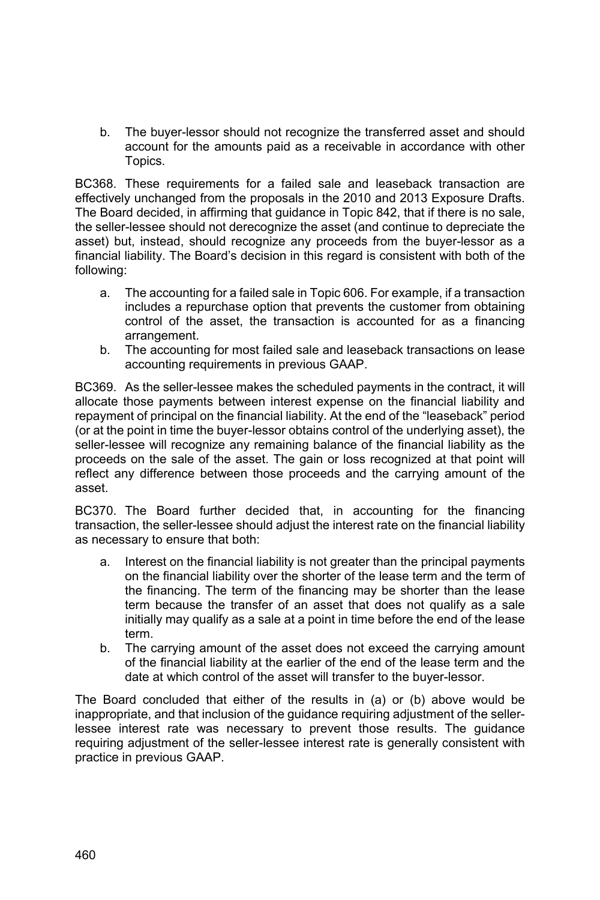b. The buyer-lessor should not recognize the transferred asset and should account for the amounts paid as a receivable in accordance with other Topics.

BC368. These requirements for a failed sale and leaseback transaction are effectively unchanged from the proposals in the 2010 and 2013 Exposure Drafts. The Board decided, in affirming that guidance in Topic 842, that if there is no sale, the seller-lessee should not derecognize the asset (and continue to depreciate the asset) but, instead, should recognize any proceeds from the buyer-lessor as a financial liability. The Board's decision in this regard is consistent with both of the following:

- a. The accounting for a failed sale in Topic 606. For example, if a transaction includes a repurchase option that prevents the customer from obtaining control of the asset, the transaction is accounted for as a financing arrangement.
- b. The accounting for most failed sale and leaseback transactions on lease accounting requirements in previous GAAP.

BC369. As the seller-lessee makes the scheduled payments in the contract, it will allocate those payments between interest expense on the financial liability and repayment of principal on the financial liability. At the end of the "leaseback" period (or at the point in time the buyer-lessor obtains control of the underlying asset), the seller-lessee will recognize any remaining balance of the financial liability as the proceeds on the sale of the asset. The gain or loss recognized at that point will reflect any difference between those proceeds and the carrying amount of the asset.

BC370. The Board further decided that, in accounting for the financing transaction, the seller-lessee should adjust the interest rate on the financial liability as necessary to ensure that both:

- a. Interest on the financial liability is not greater than the principal payments on the financial liability over the shorter of the lease term and the term of the financing. The term of the financing may be shorter than the lease term because the transfer of an asset that does not qualify as a sale initially may qualify as a sale at a point in time before the end of the lease term.
- b. The carrying amount of the asset does not exceed the carrying amount of the financial liability at the earlier of the end of the lease term and the date at which control of the asset will transfer to the buyer-lessor.

The Board concluded that either of the results in (a) or (b) above would be inappropriate, and that inclusion of the guidance requiring adjustment of the sellerlessee interest rate was necessary to prevent those results. The guidance requiring adjustment of the seller-lessee interest rate is generally consistent with practice in previous GAAP.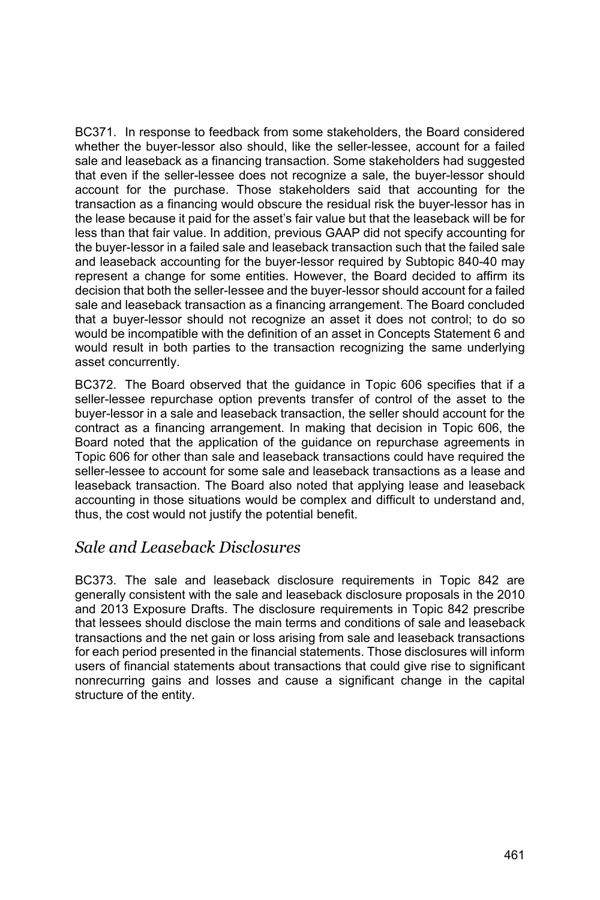BC371. In response to feedback from some stakeholders, the Board considered whether the buyer-lessor also should, like the seller-lessee, account for a failed sale and leaseback as a financing transaction. Some stakeholders had suggested that even if the seller-lessee does not recognize a sale, the buyer-lessor should account for the purchase. Those stakeholders said that accounting for the transaction as a financing would obscure the residual risk the buyer-lessor has in the lease because it paid for the asset's fair value but that the leaseback will be for less than that fair value. In addition, previous GAAP did not specify accounting for the buyer-lessor in a failed sale and leaseback transaction such that the failed sale and leaseback accounting for the buyer-lessor required by Subtopic 840-40 may represent a change for some entities. However, the Board decided to affirm its decision that both the seller-lessee and the buyer-lessor should account for a failed sale and leaseback transaction as a financing arrangement. The Board concluded that a buyer-lessor should not recognize an asset it does not control; to do so would be incompatible with the definition of an asset in Concepts Statement 6 and would result in both parties to the transaction recognizing the same underlying asset concurrently.

BC372. The Board observed that the guidance in Topic 606 specifies that if a seller-lessee repurchase option prevents transfer of control of the asset to the buyer-lessor in a sale and leaseback transaction, the seller should account for the contract as a financing arrangement. In making that decision in Topic 606, the Board noted that the application of the guidance on repurchase agreements in Topic 606 for other than sale and leaseback transactions could have required the seller-lessee to account for some sale and leaseback transactions as a lease and leaseback transaction. The Board also noted that applying lease and leaseback accounting in those situations would be complex and difficult to understand and, thus, the cost would not justify the potential benefit.

#### *Sale and Leaseback Disclosures*

BC373. The sale and leaseback disclosure requirements in Topic 842 are generally consistent with the sale and leaseback disclosure proposals in the 2010 and 2013 Exposure Drafts. The disclosure requirements in Topic 842 prescribe that lessees should disclose the main terms and conditions of sale and leaseback transactions and the net gain or loss arising from sale and leaseback transactions for each period presented in the financial statements. Those disclosures will inform users of financial statements about transactions that could give rise to significant nonrecurring gains and losses and cause a significant change in the capital structure of the entity.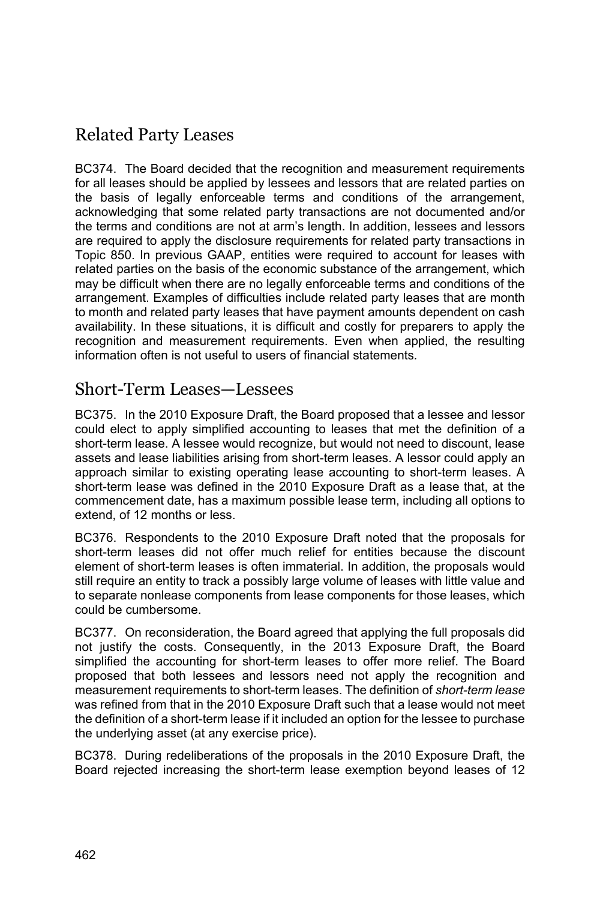# Related Party Leases

BC374. The Board decided that the recognition and measurement requirements for all leases should be applied by lessees and lessors that are related parties on the basis of legally enforceable terms and conditions of the arrangement, acknowledging that some related party transactions are not documented and/or the terms and conditions are not at arm's length. In addition, lessees and lessors are required to apply the disclosure requirements for related party transactions in Topic 850. In previous GAAP, entities were required to account for leases with related parties on the basis of the economic substance of the arrangement, which may be difficult when there are no legally enforceable terms and conditions of the arrangement. Examples of difficulties include related party leases that are month to month and related party leases that have payment amounts dependent on cash availability. In these situations, it is difficult and costly for preparers to apply the recognition and measurement requirements. Even when applied, the resulting information often is not useful to users of financial statements*.*

# Short-Term Leases—Lessees

BC375. In the 2010 Exposure Draft, the Board proposed that a lessee and lessor could elect to apply simplified accounting to leases that met the definition of a short-term lease. A lessee would recognize, but would not need to discount, lease assets and lease liabilities arising from short-term leases. A lessor could apply an approach similar to existing operating lease accounting to short-term leases. A short-term lease was defined in the 2010 Exposure Draft as a lease that, at the commencement date, has a maximum possible lease term, including all options to extend, of 12 months or less.

BC376. Respondents to the 2010 Exposure Draft noted that the proposals for short-term leases did not offer much relief for entities because the discount element of short-term leases is often immaterial. In addition, the proposals would still require an entity to track a possibly large volume of leases with little value and to separate nonlease components from lease components for those leases, which could be cumbersome.

BC377. On reconsideration, the Board agreed that applying the full proposals did not justify the costs. Consequently, in the 2013 Exposure Draft, the Board simplified the accounting for short-term leases to offer more relief. The Board proposed that both lessees and lessors need not apply the recognition and measurement requirements to short-term leases. The definition of *short-term lease* was refined from that in the 2010 Exposure Draft such that a lease would not meet the definition of a short-term lease if it included an option for the lessee to purchase the underlying asset (at any exercise price).

BC378. During redeliberations of the proposals in the 2010 Exposure Draft, the Board rejected increasing the short-term lease exemption beyond leases of 12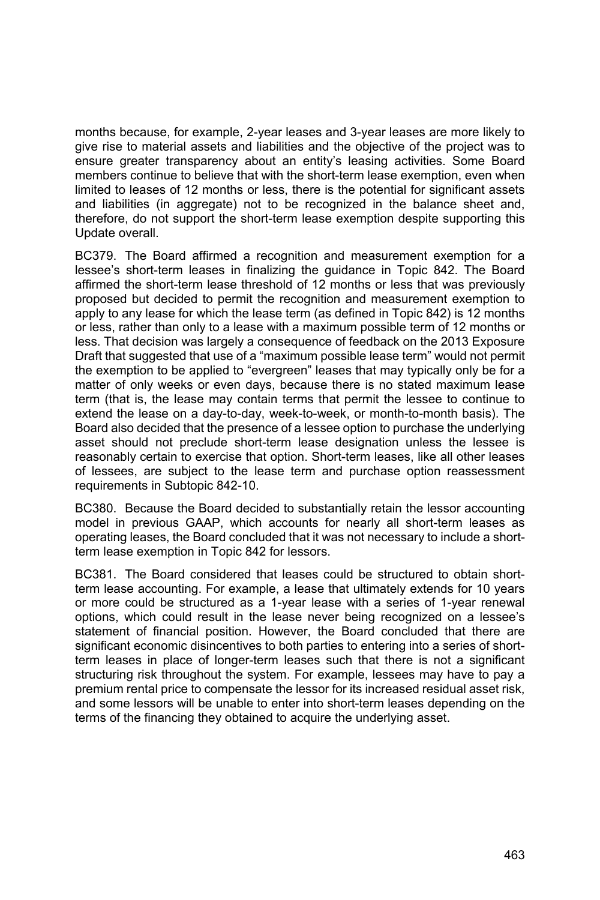months because, for example, 2-year leases and 3-year leases are more likely to give rise to material assets and liabilities and the objective of the project was to ensure greater transparency about an entity's leasing activities. Some Board members continue to believe that with the short-term lease exemption, even when limited to leases of 12 months or less, there is the potential for significant assets and liabilities (in aggregate) not to be recognized in the balance sheet and, therefore, do not support the short-term lease exemption despite supporting this Update overall.

BC379. The Board affirmed a recognition and measurement exemption for a lessee's short-term leases in finalizing the guidance in Topic 842. The Board affirmed the short-term lease threshold of 12 months or less that was previously proposed but decided to permit the recognition and measurement exemption to apply to any lease for which the lease term (as defined in Topic 842) is 12 months or less, rather than only to a lease with a maximum possible term of 12 months or less. That decision was largely a consequence of feedback on the 2013 Exposure Draft that suggested that use of a "maximum possible lease term" would not permit the exemption to be applied to "evergreen" leases that may typically only be for a matter of only weeks or even days, because there is no stated maximum lease term (that is, the lease may contain terms that permit the lessee to continue to extend the lease on a day-to-day, week-to-week, or month-to-month basis). The Board also decided that the presence of a lessee option to purchase the underlying asset should not preclude short-term lease designation unless the lessee is reasonably certain to exercise that option. Short-term leases, like all other leases of lessees, are subject to the lease term and purchase option reassessment requirements in Subtopic 842-10.

BC380. Because the Board decided to substantially retain the lessor accounting model in previous GAAP, which accounts for nearly all short-term leases as operating leases, the Board concluded that it was not necessary to include a shortterm lease exemption in Topic 842 for lessors.

BC381. The Board considered that leases could be structured to obtain shortterm lease accounting. For example, a lease that ultimately extends for 10 years or more could be structured as a 1-year lease with a series of 1-year renewal options, which could result in the lease never being recognized on a lessee's statement of financial position. However, the Board concluded that there are significant economic disincentives to both parties to entering into a series of shortterm leases in place of longer-term leases such that there is not a significant structuring risk throughout the system. For example, lessees may have to pay a premium rental price to compensate the lessor for its increased residual asset risk, and some lessors will be unable to enter into short-term leases depending on the terms of the financing they obtained to acquire the underlying asset.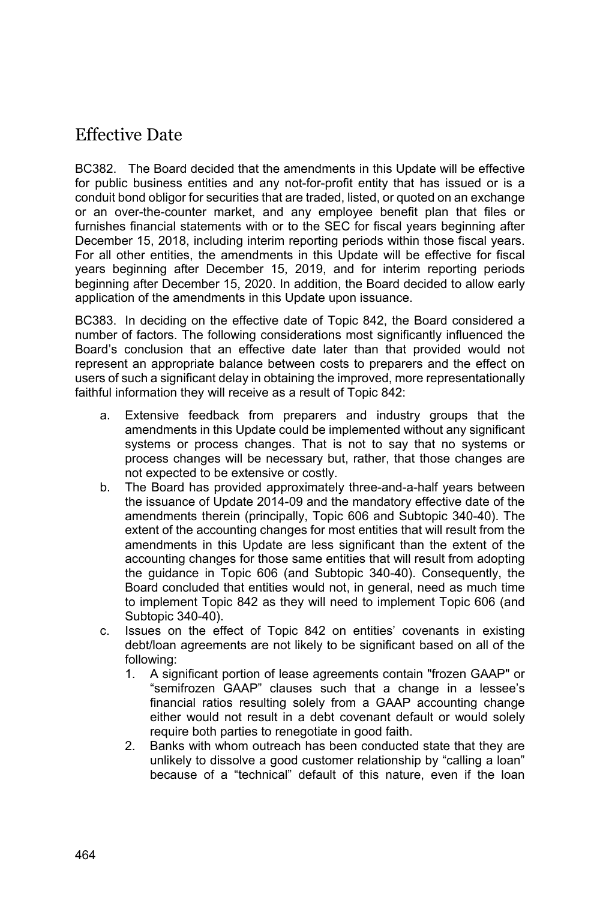# Effective Date

BC382. The Board decided that the amendments in this Update will be effective for public business entities and any not-for-profit entity that has issued or is a conduit bond obligor for securities that are traded, listed, or quoted on an exchange or an over-the-counter market, and any employee benefit plan that files or furnishes financial statements with or to the SEC for fiscal years beginning after December 15, 2018, including interim reporting periods within those fiscal years. For all other entities, the amendments in this Update will be effective for fiscal years beginning after December 15, 2019, and for interim reporting periods beginning after December 15, 2020. In addition, the Board decided to allow early application of the amendments in this Update upon issuance.

BC383. In deciding on the effective date of Topic 842, the Board considered a number of factors. The following considerations most significantly influenced the Board's conclusion that an effective date later than that provided would not represent an appropriate balance between costs to preparers and the effect on users of such a significant delay in obtaining the improved, more representationally faithful information they will receive as a result of Topic 842:

- a. Extensive feedback from preparers and industry groups that the amendments in this Update could be implemented without any significant systems or process changes. That is not to say that no systems or process changes will be necessary but, rather, that those changes are not expected to be extensive or costly.
- b. The Board has provided approximately three-and-a-half years between the issuance of Update 2014-09 and the mandatory effective date of the amendments therein (principally, Topic 606 and Subtopic 340-40). The extent of the accounting changes for most entities that will result from the amendments in this Update are less significant than the extent of the accounting changes for those same entities that will result from adopting the guidance in Topic 606 (and Subtopic 340-40). Consequently, the Board concluded that entities would not, in general, need as much time to implement Topic 842 as they will need to implement Topic 606 (and Subtopic 340-40).
- c. Issues on the effect of Topic 842 on entities' covenants in existing debt/loan agreements are not likely to be significant based on all of the following:
	- 1. A significant portion of lease agreements contain "frozen GAAP" or "semifrozen GAAP" clauses such that a change in a lessee's financial ratios resulting solely from a GAAP accounting change either would not result in a debt covenant default or would solely require both parties to renegotiate in good faith.
	- 2. Banks with whom outreach has been conducted state that they are unlikely to dissolve a good customer relationship by "calling a loan" because of a "technical" default of this nature, even if the loan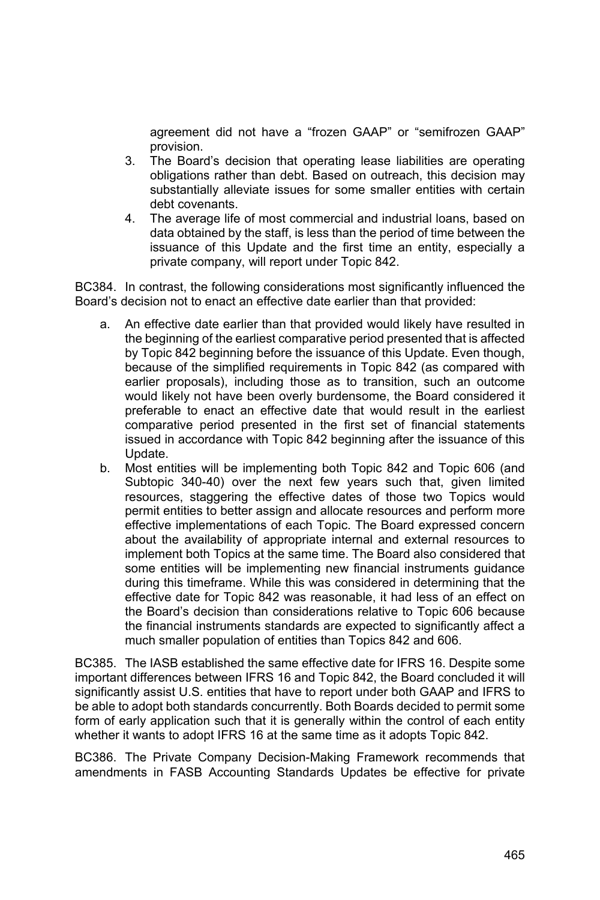agreement did not have a "frozen GAAP" or "semifrozen GAAP" provision.

- 3. The Board's decision that operating lease liabilities are operating obligations rather than debt. Based on outreach, this decision may substantially alleviate issues for some smaller entities with certain debt covenants.
- 4. The average life of most commercial and industrial loans, based on data obtained by the staff, is less than the period of time between the issuance of this Update and the first time an entity, especially a private company, will report under Topic 842.

BC384. In contrast, the following considerations most significantly influenced the Board's decision not to enact an effective date earlier than that provided:

- a. An effective date earlier than that provided would likely have resulted in the beginning of the earliest comparative period presented that is affected by Topic 842 beginning before the issuance of this Update. Even though, because of the simplified requirements in Topic 842 (as compared with earlier proposals), including those as to transition, such an outcome would likely not have been overly burdensome, the Board considered it preferable to enact an effective date that would result in the earliest comparative period presented in the first set of financial statements issued in accordance with Topic 842 beginning after the issuance of this Update.
- b. Most entities will be implementing both Topic 842 and Topic 606 (and Subtopic 340-40) over the next few years such that, given limited resources, staggering the effective dates of those two Topics would permit entities to better assign and allocate resources and perform more effective implementations of each Topic. The Board expressed concern about the availability of appropriate internal and external resources to implement both Topics at the same time. The Board also considered that some entities will be implementing new financial instruments guidance during this timeframe. While this was considered in determining that the effective date for Topic 842 was reasonable, it had less of an effect on the Board's decision than considerations relative to Topic 606 because the financial instruments standards are expected to significantly affect a much smaller population of entities than Topics 842 and 606.

BC385. The IASB established the same effective date for IFRS 16. Despite some important differences between IFRS 16 and Topic 842, the Board concluded it will significantly assist U.S. entities that have to report under both GAAP and IFRS to be able to adopt both standards concurrently. Both Boards decided to permit some form of early application such that it is generally within the control of each entity whether it wants to adopt IFRS 16 at the same time as it adopts Topic 842.

BC386. The Private Company Decision-Making Framework recommends that amendments in FASB Accounting Standards Updates be effective for private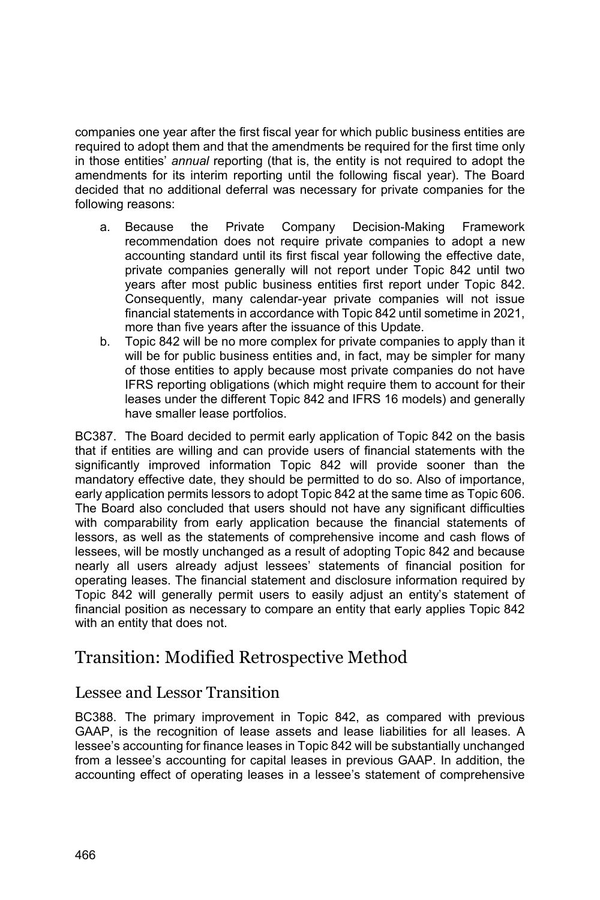companies one year after the first fiscal year for which public business entities are required to adopt them and that the amendments be required for the first time only in those entities' *annual* reporting (that is, the entity is not required to adopt the amendments for its interim reporting until the following fiscal year). The Board decided that no additional deferral was necessary for private companies for the following reasons:

- a. Because the Private Company Decision-Making Framework recommendation does not require private companies to adopt a new accounting standard until its first fiscal year following the effective date, private companies generally will not report under Topic 842 until two years after most public business entities first report under Topic 842. Consequently, many calendar-year private companies will not issue financial statements in accordance with Topic 842 until sometime in 2021, more than five years after the issuance of this Update.
- b. Topic 842 will be no more complex for private companies to apply than it will be for public business entities and, in fact, may be simpler for many of those entities to apply because most private companies do not have IFRS reporting obligations (which might require them to account for their leases under the different Topic 842 and IFRS 16 models) and generally have smaller lease portfolios.

BC387. The Board decided to permit early application of Topic 842 on the basis that if entities are willing and can provide users of financial statements with the significantly improved information Topic 842 will provide sooner than the mandatory effective date, they should be permitted to do so. Also of importance, early application permits lessors to adopt Topic 842 at the same time as Topic 606. The Board also concluded that users should not have any significant difficulties with comparability from early application because the financial statements of lessors, as well as the statements of comprehensive income and cash flows of lessees, will be mostly unchanged as a result of adopting Topic 842 and because nearly all users already adjust lessees' statements of financial position for operating leases. The financial statement and disclosure information required by Topic 842 will generally permit users to easily adjust an entity's statement of financial position as necessary to compare an entity that early applies Topic 842 with an entity that does not.

# Transition: Modified Retrospective Method

### Lessee and Lessor Transition

BC388. The primary improvement in Topic 842, as compared with previous GAAP, is the recognition of lease assets and lease liabilities for all leases. A lessee's accounting for finance leases in Topic 842 will be substantially unchanged from a lessee's accounting for capital leases in previous GAAP. In addition, the accounting effect of operating leases in a lessee's statement of comprehensive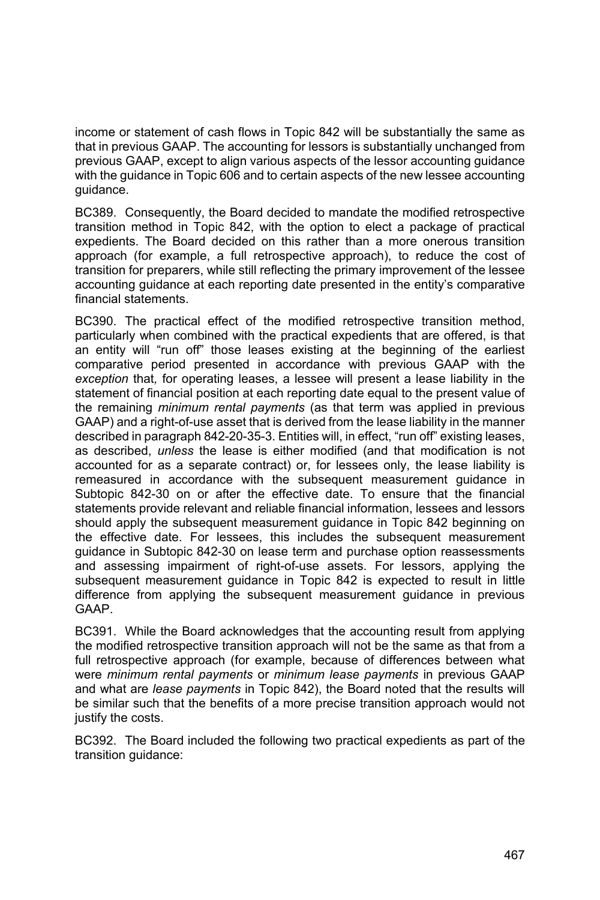income or statement of cash flows in Topic 842 will be substantially the same as that in previous GAAP. The accounting for lessors is substantially unchanged from previous GAAP, except to align various aspects of the lessor accounting guidance with the guidance in Topic 606 and to certain aspects of the new lessee accounting guidance.

BC389. Consequently, the Board decided to mandate the modified retrospective transition method in Topic 842, with the option to elect a package of practical expedients. The Board decided on this rather than a more onerous transition approach (for example, a full retrospective approach), to reduce the cost of transition for preparers, while still reflecting the primary improvement of the lessee accounting guidance at each reporting date presented in the entity's comparative financial statements.

BC390. The practical effect of the modified retrospective transition method, particularly when combined with the practical expedients that are offered, is that an entity will "run off" those leases existing at the beginning of the earliest comparative period presented in accordance with previous GAAP with the *exception* that*,* for operating leases, a lessee will present a lease liability in the statement of financial position at each reporting date equal to the present value of the remaining *minimum rental payments* (as that term was applied in previous GAAP) and a right-of-use asset that is derived from the lease liability in the manner described in paragraph 842-20-35-3. Entities will, in effect, "run off" existing leases, as described, *unless* the lease is either modified (and that modification is not accounted for as a separate contract) or, for lessees only, the lease liability is remeasured in accordance with the subsequent measurement guidance in Subtopic 842-30 on or after the effective date. To ensure that the financial statements provide relevant and reliable financial information, lessees and lessors should apply the subsequent measurement guidance in Topic 842 beginning on the effective date. For lessees, this includes the subsequent measurement guidance in Subtopic 842-30 on lease term and purchase option reassessments and assessing impairment of right-of-use assets. For lessors, applying the subsequent measurement guidance in Topic 842 is expected to result in little difference from applying the subsequent measurement guidance in previous GAAP.

BC391. While the Board acknowledges that the accounting result from applying the modified retrospective transition approach will not be the same as that from a full retrospective approach (for example, because of differences between what were *minimum rental payments* or *minimum lease payments* in previous GAAP and what are *lease payments* in Topic 842), the Board noted that the results will be similar such that the benefits of a more precise transition approach would not justify the costs.

BC392. The Board included the following two practical expedients as part of the transition guidance: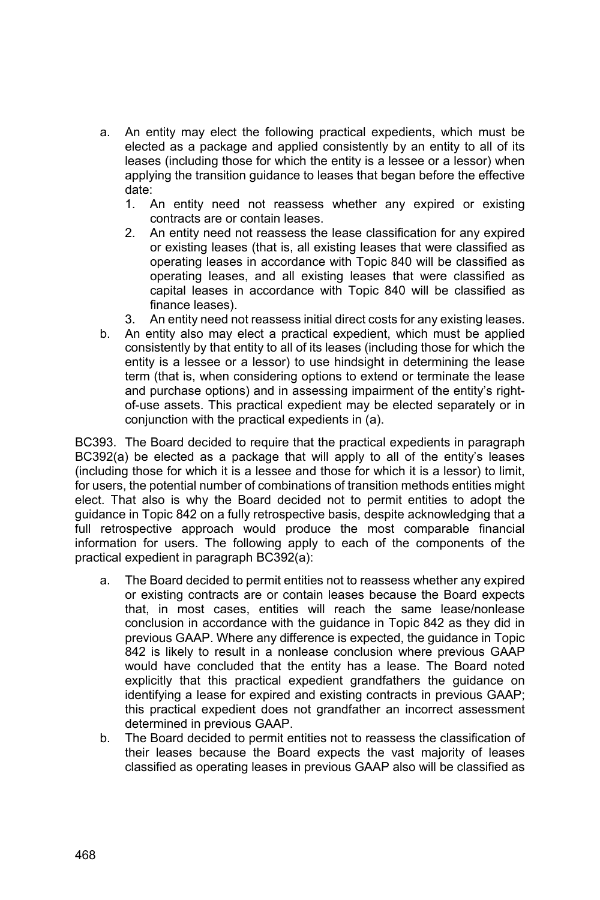- a. An entity may elect the following practical expedients, which must be elected as a package and applied consistently by an entity to all of its leases (including those for which the entity is a lessee or a lessor) when applying the transition guidance to leases that began before the effective date:
	- 1. An entity need not reassess whether any expired or existing contracts are or contain leases.
	- 2. An entity need not reassess the lease classification for any expired or existing leases (that is, all existing leases that were classified as operating leases in accordance with Topic 840 will be classified as operating leases, and all existing leases that were classified as capital leases in accordance with Topic 840 will be classified as finance leases).
	- 3. An entity need not reassess initial direct costs for any existing leases.
- b. An entity also may elect a practical expedient, which must be applied consistently by that entity to all of its leases (including those for which the entity is a lessee or a lessor) to use hindsight in determining the lease term (that is, when considering options to extend or terminate the lease and purchase options) and in assessing impairment of the entity's rightof-use assets. This practical expedient may be elected separately or in conjunction with the practical expedients in (a).

BC393. The Board decided to require that the practical expedients in paragraph BC392(a) be elected as a package that will apply to all of the entity's leases (including those for which it is a lessee and those for which it is a lessor) to limit, for users, the potential number of combinations of transition methods entities might elect. That also is why the Board decided not to permit entities to adopt the guidance in Topic 842 on a fully retrospective basis, despite acknowledging that a full retrospective approach would produce the most comparable financial information for users. The following apply to each of the components of the practical expedient in paragraph BC392(a):

- a. The Board decided to permit entities not to reassess whether any expired or existing contracts are or contain leases because the Board expects that, in most cases, entities will reach the same lease/nonlease conclusion in accordance with the guidance in Topic 842 as they did in previous GAAP. Where any difference is expected, the guidance in Topic 842 is likely to result in a nonlease conclusion where previous GAAP would have concluded that the entity has a lease. The Board noted explicitly that this practical expedient grandfathers the guidance on identifying a lease for expired and existing contracts in previous GAAP; this practical expedient does not grandfather an incorrect assessment determined in previous GAAP.
- b. The Board decided to permit entities not to reassess the classification of their leases because the Board expects the vast majority of leases classified as operating leases in previous GAAP also will be classified as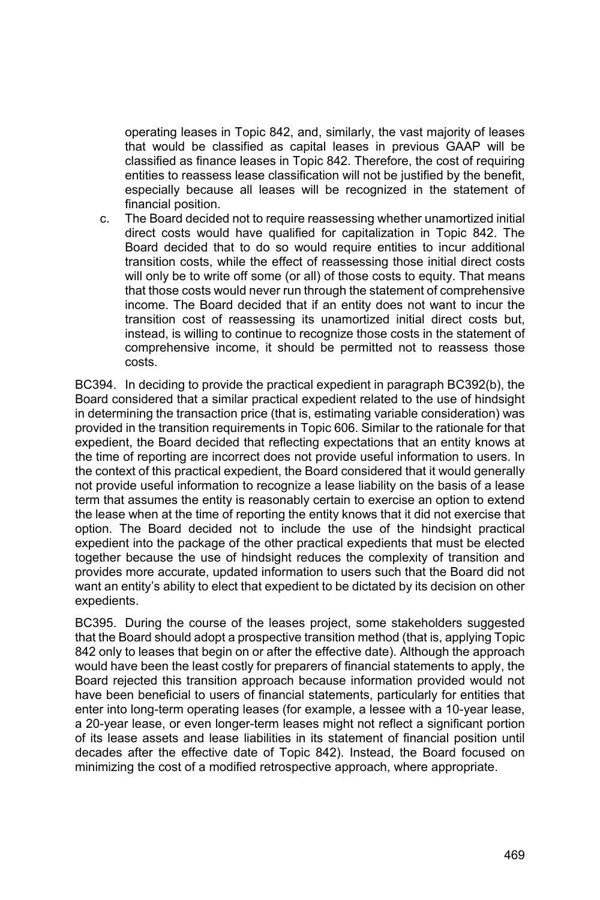operating leases in Topic 842, and, similarly, the vast majority of leases that would be classified as capital leases in previous GAAP will be classified as finance leases in Topic 842. Therefore, the cost of requiring entities to reassess lease classification will not be justified by the benefit, especially because all leases will be recognized in the statement of financial position.

c. The Board decided not to require reassessing whether unamortized initial direct costs would have qualified for capitalization in Topic 842. The Board decided that to do so would require entities to incur additional transition costs, while the effect of reassessing those initial direct costs will only be to write off some (or all) of those costs to equity. That means that those costs would never run through the statement of comprehensive income. The Board decided that if an entity does not want to incur the transition cost of reassessing its unamortized initial direct costs but, instead, is willing to continue to recognize those costs in the statement of comprehensive income, it should be permitted not to reassess those costs.

BC394. In deciding to provide the practical expedient in paragraph BC392(b), the Board considered that a similar practical expedient related to the use of hindsight in determining the transaction price (that is, estimating variable consideration) was provided in the transition requirements in Topic 606. Similar to the rationale for that expedient, the Board decided that reflecting expectations that an entity knows at the time of reporting are incorrect does not provide useful information to users. In the context of this practical expedient, the Board considered that it would generally not provide useful information to recognize a lease liability on the basis of a lease term that assumes the entity is reasonably certain to exercise an option to extend the lease when at the time of reporting the entity knows that it did not exercise that option. The Board decided not to include the use of the hindsight practical expedient into the package of the other practical expedients that must be elected together because the use of hindsight reduces the complexity of transition and provides more accurate, updated information to users such that the Board did not want an entity's ability to elect that expedient to be dictated by its decision on other expedients.

BC395. During the course of the leases project, some stakeholders suggested that the Board should adopt a prospective transition method (that is, applying Topic 842 only to leases that begin on or after the effective date). Although the approach would have been the least costly for preparers of financial statements to apply, the Board rejected this transition approach because information provided would not have been beneficial to users of financial statements, particularly for entities that enter into long-term operating leases (for example, a lessee with a 10-year lease, a 20-year lease, or even longer-term leases might not reflect a significant portion of its lease assets and lease liabilities in its statement of financial position until decades after the effective date of Topic 842). Instead, the Board focused on minimizing the cost of a modified retrospective approach, where appropriate.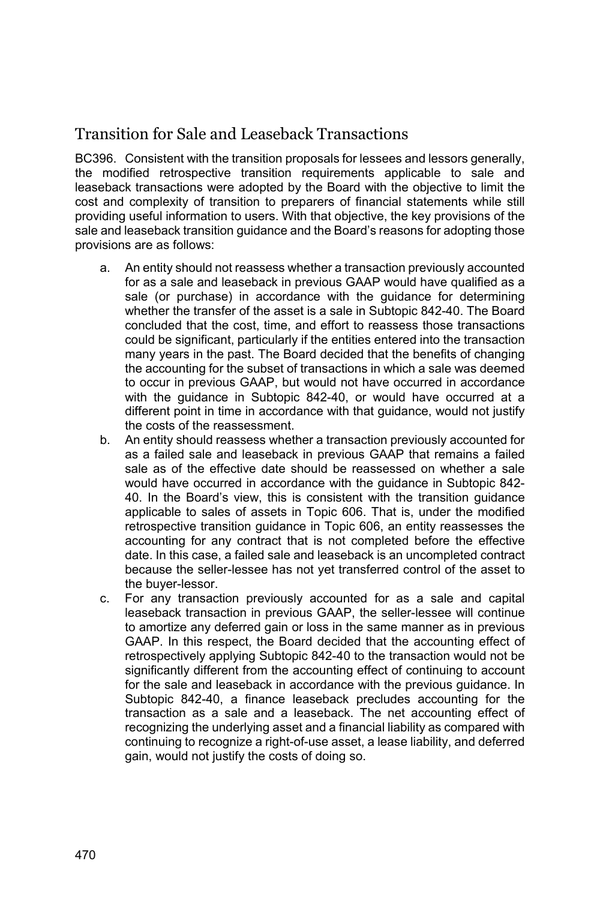## Transition for Sale and Leaseback Transactions

BC396. Consistent with the transition proposals for lessees and lessors generally, the modified retrospective transition requirements applicable to sale and leaseback transactions were adopted by the Board with the objective to limit the cost and complexity of transition to preparers of financial statements while still providing useful information to users. With that objective, the key provisions of the sale and leaseback transition guidance and the Board's reasons for adopting those provisions are as follows:

- a. An entity should not reassess whether a transaction previously accounted for as a sale and leaseback in previous GAAP would have qualified as a sale (or purchase) in accordance with the guidance for determining whether the transfer of the asset is a sale in Subtopic 842-40. The Board concluded that the cost, time, and effort to reassess those transactions could be significant, particularly if the entities entered into the transaction many years in the past. The Board decided that the benefits of changing the accounting for the subset of transactions in which a sale was deemed to occur in previous GAAP, but would not have occurred in accordance with the guidance in Subtopic 842-40, or would have occurred at a different point in time in accordance with that guidance, would not justify the costs of the reassessment.
- b. An entity should reassess whether a transaction previously accounted for as a failed sale and leaseback in previous GAAP that remains a failed sale as of the effective date should be reassessed on whether a sale would have occurred in accordance with the guidance in Subtopic 842- 40. In the Board's view, this is consistent with the transition guidance applicable to sales of assets in Topic 606. That is, under the modified retrospective transition guidance in Topic 606, an entity reassesses the accounting for any contract that is not completed before the effective date. In this case, a failed sale and leaseback is an uncompleted contract because the seller-lessee has not yet transferred control of the asset to the buyer-lessor.
- c. For any transaction previously accounted for as a sale and capital leaseback transaction in previous GAAP, the seller-lessee will continue to amortize any deferred gain or loss in the same manner as in previous GAAP. In this respect, the Board decided that the accounting effect of retrospectively applying Subtopic 842-40 to the transaction would not be significantly different from the accounting effect of continuing to account for the sale and leaseback in accordance with the previous guidance. In Subtopic 842-40, a finance leaseback precludes accounting for the transaction as a sale and a leaseback. The net accounting effect of recognizing the underlying asset and a financial liability as compared with continuing to recognize a right-of-use asset, a lease liability, and deferred gain, would not justify the costs of doing so.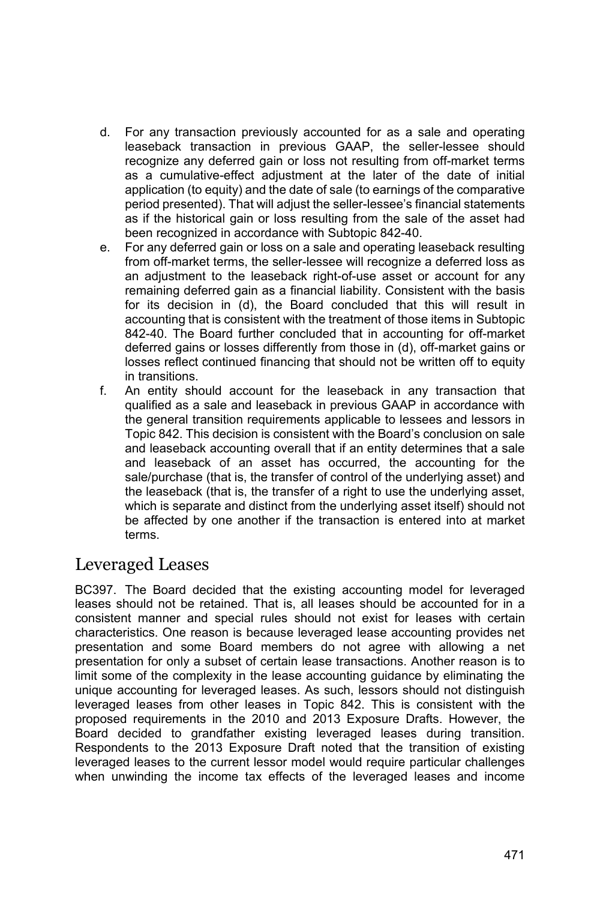- d. For any transaction previously accounted for as a sale and operating leaseback transaction in previous GAAP, the seller-lessee should recognize any deferred gain or loss not resulting from off-market terms as a cumulative-effect adjustment at the later of the date of initial application (to equity) and the date of sale (to earnings of the comparative period presented). That will adjust the seller-lessee's financial statements as if the historical gain or loss resulting from the sale of the asset had been recognized in accordance with Subtopic 842-40.
- e. For any deferred gain or loss on a sale and operating leaseback resulting from off-market terms, the seller-lessee will recognize a deferred loss as an adjustment to the leaseback right-of-use asset or account for any remaining deferred gain as a financial liability. Consistent with the basis for its decision in (d), the Board concluded that this will result in accounting that is consistent with the treatment of those items in Subtopic 842-40. The Board further concluded that in accounting for off-market deferred gains or losses differently from those in (d), off-market gains or losses reflect continued financing that should not be written off to equity in transitions.
- f. An entity should account for the leaseback in any transaction that qualified as a sale and leaseback in previous GAAP in accordance with the general transition requirements applicable to lessees and lessors in Topic 842. This decision is consistent with the Board's conclusion on sale and leaseback accounting overall that if an entity determines that a sale and leaseback of an asset has occurred, the accounting for the sale/purchase (that is, the transfer of control of the underlying asset) and the leaseback (that is, the transfer of a right to use the underlying asset, which is separate and distinct from the underlying asset itself) should not be affected by one another if the transaction is entered into at market terms.

## Leveraged Leases

BC397. The Board decided that the existing accounting model for leveraged leases should not be retained. That is, all leases should be accounted for in a consistent manner and special rules should not exist for leases with certain characteristics. One reason is because leveraged lease accounting provides net presentation and some Board members do not agree with allowing a net presentation for only a subset of certain lease transactions. Another reason is to limit some of the complexity in the lease accounting guidance by eliminating the unique accounting for leveraged leases. As such, lessors should not distinguish leveraged leases from other leases in Topic 842. This is consistent with the proposed requirements in the 2010 and 2013 Exposure Drafts. However, the Board decided to grandfather existing leveraged leases during transition. Respondents to the 2013 Exposure Draft noted that the transition of existing leveraged leases to the current lessor model would require particular challenges when unwinding the income tax effects of the leveraged leases and income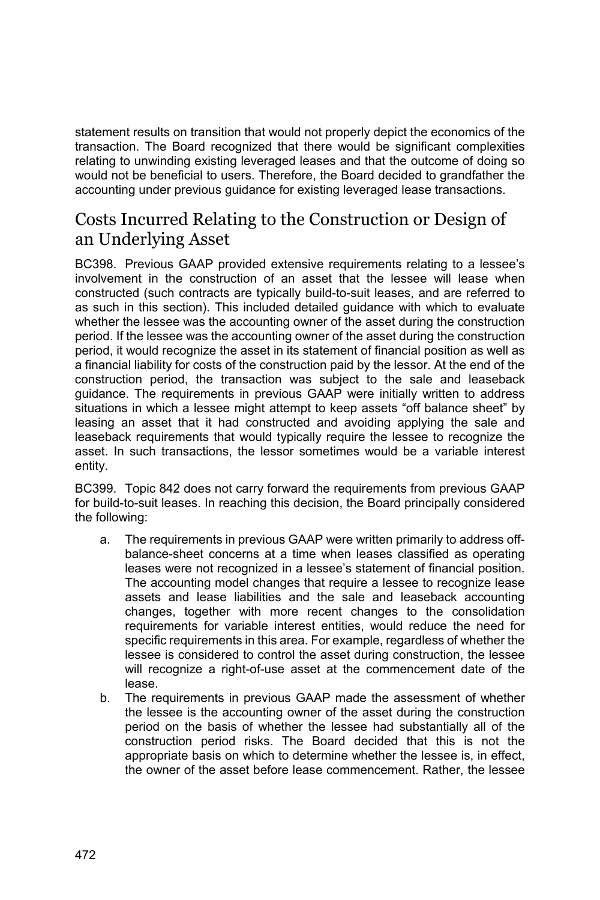statement results on transition that would not properly depict the economics of the transaction. The Board recognized that there would be significant complexities relating to unwinding existing leveraged leases and that the outcome of doing so would not be beneficial to users. Therefore, the Board decided to grandfather the accounting under previous guidance for existing leveraged lease transactions.

# Costs Incurred Relating to the Construction or Design of an Underlying Asset

BC398. Previous GAAP provided extensive requirements relating to a lessee's involvement in the construction of an asset that the lessee will lease when constructed (such contracts are typically build-to-suit leases, and are referred to as such in this section). This included detailed guidance with which to evaluate whether the lessee was the accounting owner of the asset during the construction period. If the lessee was the accounting owner of the asset during the construction period, it would recognize the asset in its statement of financial position as well as a financial liability for costs of the construction paid by the lessor. At the end of the construction period, the transaction was subject to the sale and leaseback guidance. The requirements in previous GAAP were initially written to address situations in which a lessee might attempt to keep assets "off balance sheet" by leasing an asset that it had constructed and avoiding applying the sale and leaseback requirements that would typically require the lessee to recognize the asset. In such transactions, the lessor sometimes would be a variable interest entity.

BC399. Topic 842 does not carry forward the requirements from previous GAAP for build-to-suit leases. In reaching this decision, the Board principally considered the following:

- a. The requirements in previous GAAP were written primarily to address offbalance-sheet concerns at a time when leases classified as operating leases were not recognized in a lessee's statement of financial position. The accounting model changes that require a lessee to recognize lease assets and lease liabilities and the sale and leaseback accounting changes, together with more recent changes to the consolidation requirements for variable interest entities, would reduce the need for specific requirements in this area. For example, regardless of whether the lessee is considered to control the asset during construction, the lessee will recognize a right-of-use asset at the commencement date of the lease.
- b. The requirements in previous GAAP made the assessment of whether the lessee is the accounting owner of the asset during the construction period on the basis of whether the lessee had substantially all of the construction period risks. The Board decided that this is not the appropriate basis on which to determine whether the lessee is, in effect, the owner of the asset before lease commencement. Rather, the lessee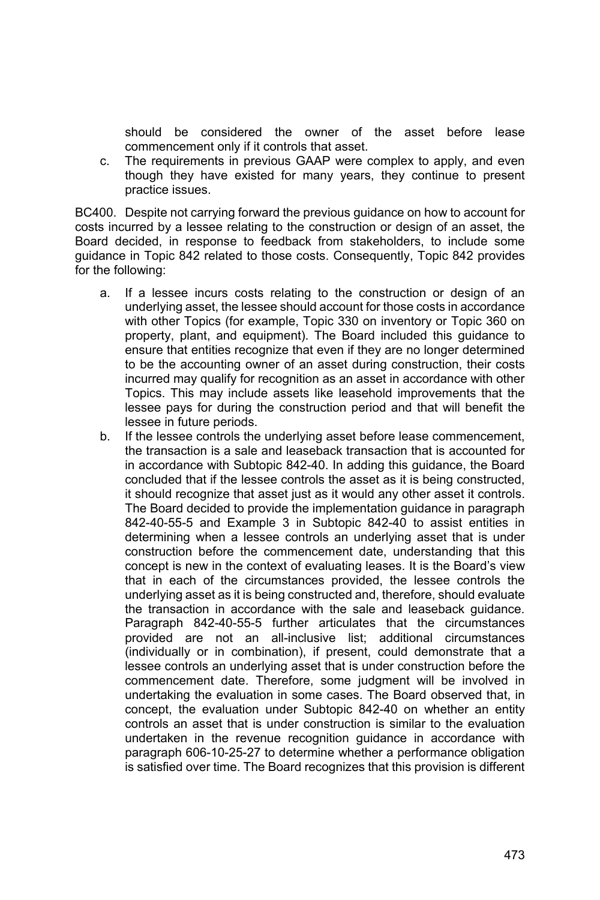should be considered the owner of the asset before lease commencement only if it controls that asset.

c. The requirements in previous GAAP were complex to apply, and even though they have existed for many years, they continue to present practice issues.

BC400. Despite not carrying forward the previous guidance on how to account for costs incurred by a lessee relating to the construction or design of an asset, the Board decided, in response to feedback from stakeholders, to include some guidance in Topic 842 related to those costs. Consequently, Topic 842 provides for the following:

- a. If a lessee incurs costs relating to the construction or design of an underlying asset, the lessee should account for those costs in accordance with other Topics (for example, Topic 330 on inventory or Topic 360 on property, plant, and equipment). The Board included this guidance to ensure that entities recognize that even if they are no longer determined to be the accounting owner of an asset during construction, their costs incurred may qualify for recognition as an asset in accordance with other Topics. This may include assets like leasehold improvements that the lessee pays for during the construction period and that will benefit the lessee in future periods.
- b. If the lessee controls the underlying asset before lease commencement, the transaction is a sale and leaseback transaction that is accounted for in accordance with Subtopic 842-40. In adding this guidance, the Board concluded that if the lessee controls the asset as it is being constructed, it should recognize that asset just as it would any other asset it controls. The Board decided to provide the implementation guidance in paragraph 842-40-55-5 and Example 3 in Subtopic 842-40 to assist entities in determining when a lessee controls an underlying asset that is under construction before the commencement date, understanding that this concept is new in the context of evaluating leases. It is the Board's view that in each of the circumstances provided, the lessee controls the underlying asset as it is being constructed and, therefore, should evaluate the transaction in accordance with the sale and leaseback guidance. Paragraph 842-40-55-5 further articulates that the circumstances provided are not an all-inclusive list; additional circumstances (individually or in combination), if present, could demonstrate that a lessee controls an underlying asset that is under construction before the commencement date. Therefore, some judgment will be involved in undertaking the evaluation in some cases. The Board observed that, in concept, the evaluation under Subtopic 842-40 on whether an entity controls an asset that is under construction is similar to the evaluation undertaken in the revenue recognition guidance in accordance with paragraph 606-10-25-27 to determine whether a performance obligation is satisfied over time. The Board recognizes that this provision is different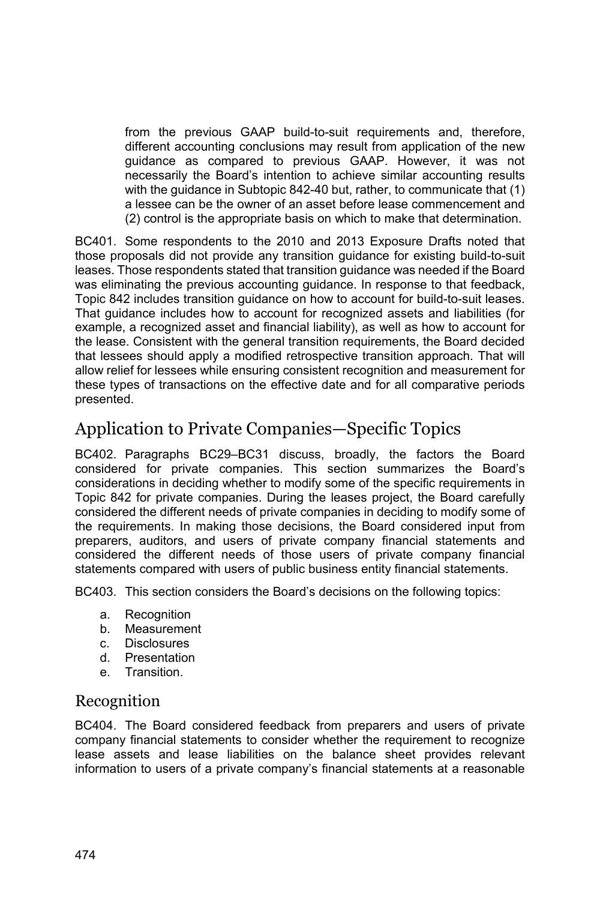from the previous GAAP build-to-suit requirements and, therefore, different accounting conclusions may result from application of the new guidance as compared to previous GAAP. However, it was not necessarily the Board's intention to achieve similar accounting results with the guidance in Subtopic 842-40 but, rather, to communicate that (1) a lessee can be the owner of an asset before lease commencement and (2) control is the appropriate basis on which to make that determination.

BC401. Some respondents to the 2010 and 2013 Exposure Drafts noted that those proposals did not provide any transition guidance for existing build-to-suit leases. Those respondents stated that transition guidance was needed if the Board was eliminating the previous accounting guidance. In response to that feedback, Topic 842 includes transition guidance on how to account for build-to-suit leases. That guidance includes how to account for recognized assets and liabilities (for example, a recognized asset and financial liability), as well as how to account for the lease. Consistent with the general transition requirements, the Board decided that lessees should apply a modified retrospective transition approach. That will allow relief for lessees while ensuring consistent recognition and measurement for these types of transactions on the effective date and for all comparative periods presented.

# Application to Private Companies—Specific Topics

BC402. Paragraphs BC29–BC31 discuss, broadly, the factors the Board considered for private companies. This section summarizes the Board's considerations in deciding whether to modify some of the specific requirements in Topic 842 for private companies. During the leases project, the Board carefully considered the different needs of private companies in deciding to modify some of the requirements. In making those decisions, the Board considered input from preparers, auditors, and users of private company financial statements and considered the different needs of those users of private company financial statements compared with users of public business entity financial statements.

BC403. This section considers the Board's decisions on the following topics:

- a. Recognition
- b. Measurement
- c. Disclosures
- d. Presentation
- e. Transition.

#### Recognition

BC404. The Board considered feedback from preparers and users of private company financial statements to consider whether the requirement to recognize lease assets and lease liabilities on the balance sheet provides relevant information to users of a private company's financial statements at a reasonable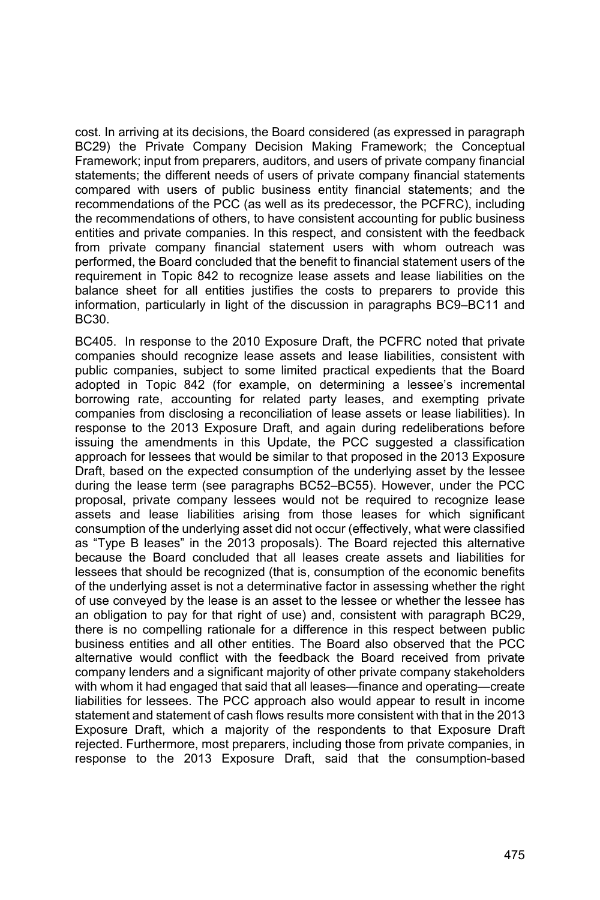cost. In arriving at its decisions, the Board considered (as expressed in paragraph BC29) the Private Company Decision Making Framework; the Conceptual Framework; input from preparers, auditors, and users of private company financial statements; the different needs of users of private company financial statements compared with users of public business entity financial statements; and the recommendations of the PCC (as well as its predecessor, the PCFRC), including the recommendations of others, to have consistent accounting for public business entities and private companies. In this respect, and consistent with the feedback from private company financial statement users with whom outreach was performed, the Board concluded that the benefit to financial statement users of the requirement in Topic 842 to recognize lease assets and lease liabilities on the balance sheet for all entities justifies the costs to preparers to provide this information, particularly in light of the discussion in paragraphs BC9–BC11 and BC30.

BC405. In response to the 2010 Exposure Draft, the PCFRC noted that private companies should recognize lease assets and lease liabilities, consistent with public companies, subject to some limited practical expedients that the Board adopted in Topic 842 (for example, on determining a lessee's incremental borrowing rate, accounting for related party leases, and exempting private companies from disclosing a reconciliation of lease assets or lease liabilities). In response to the 2013 Exposure Draft, and again during redeliberations before issuing the amendments in this Update, the PCC suggested a classification approach for lessees that would be similar to that proposed in the 2013 Exposure Draft, based on the expected consumption of the underlying asset by the lessee during the lease term (see paragraphs BC52–BC55). However, under the PCC proposal, private company lessees would not be required to recognize lease assets and lease liabilities arising from those leases for which significant consumption of the underlying asset did not occur (effectively, what were classified as "Type B leases" in the 2013 proposals). The Board rejected this alternative because the Board concluded that all leases create assets and liabilities for lessees that should be recognized (that is, consumption of the economic benefits of the underlying asset is not a determinative factor in assessing whether the right of use conveyed by the lease is an asset to the lessee or whether the lessee has an obligation to pay for that right of use) and, consistent with paragraph BC29, there is no compelling rationale for a difference in this respect between public business entities and all other entities. The Board also observed that the PCC alternative would conflict with the feedback the Board received from private company lenders and a significant majority of other private company stakeholders with whom it had engaged that said that all leases—finance and operating—create liabilities for lessees. The PCC approach also would appear to result in income statement and statement of cash flows results more consistent with that in the 2013 Exposure Draft, which a majority of the respondents to that Exposure Draft rejected. Furthermore, most preparers, including those from private companies, in response to the 2013 Exposure Draft, said that the consumption-based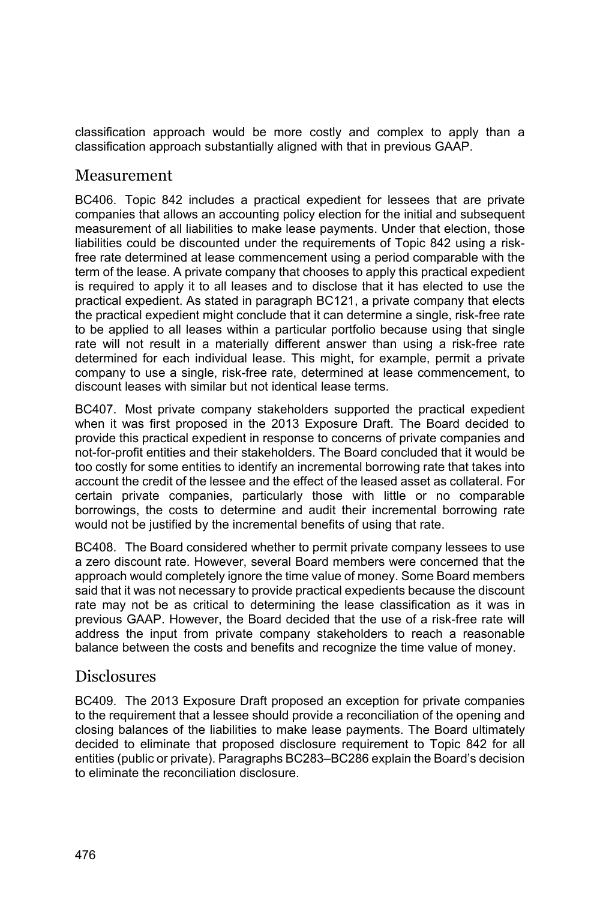classification approach would be more costly and complex to apply than a classification approach substantially aligned with that in previous GAAP.

#### Measurement

BC406. Topic 842 includes a practical expedient for lessees that are private companies that allows an accounting policy election for the initial and subsequent measurement of all liabilities to make lease payments. Under that election, those liabilities could be discounted under the requirements of Topic 842 using a riskfree rate determined at lease commencement using a period comparable with the term of the lease. A private company that chooses to apply this practical expedient is required to apply it to all leases and to disclose that it has elected to use the practical expedient. As stated in paragraph BC121, a private company that elects the practical expedient might conclude that it can determine a single, risk-free rate to be applied to all leases within a particular portfolio because using that single rate will not result in a materially different answer than using a risk-free rate determined for each individual lease. This might, for example, permit a private company to use a single, risk-free rate, determined at lease commencement, to discount leases with similar but not identical lease terms.

BC407. Most private company stakeholders supported the practical expedient when it was first proposed in the 2013 Exposure Draft. The Board decided to provide this practical expedient in response to concerns of private companies and not-for-profit entities and their stakeholders. The Board concluded that it would be too costly for some entities to identify an incremental borrowing rate that takes into account the credit of the lessee and the effect of the leased asset as collateral. For certain private companies, particularly those with little or no comparable borrowings, the costs to determine and audit their incremental borrowing rate would not be justified by the incremental benefits of using that rate.

BC408. The Board considered whether to permit private company lessees to use a zero discount rate. However, several Board members were concerned that the approach would completely ignore the time value of money. Some Board members said that it was not necessary to provide practical expedients because the discount rate may not be as critical to determining the lease classification as it was in previous GAAP. However, the Board decided that the use of a risk-free rate will address the input from private company stakeholders to reach a reasonable balance between the costs and benefits and recognize the time value of money.

#### **Disclosures**

BC409. The 2013 Exposure Draft proposed an exception for private companies to the requirement that a lessee should provide a reconciliation of the opening and closing balances of the liabilities to make lease payments. The Board ultimately decided to eliminate that proposed disclosure requirement to Topic 842 for all entities (public or private). Paragraphs BC283–BC286 explain the Board's decision to eliminate the reconciliation disclosure.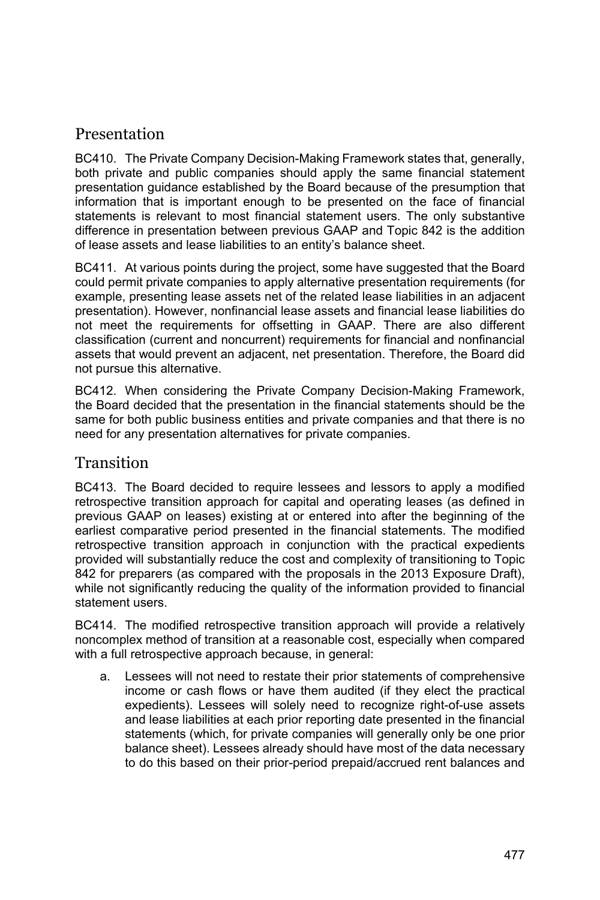## Presentation

BC410. The Private Company Decision-Making Framework states that, generally, both private and public companies should apply the same financial statement presentation guidance established by the Board because of the presumption that information that is important enough to be presented on the face of financial statements is relevant to most financial statement users. The only substantive difference in presentation between previous GAAP and Topic 842 is the addition of lease assets and lease liabilities to an entity's balance sheet.

BC411. At various points during the project, some have suggested that the Board could permit private companies to apply alternative presentation requirements (for example, presenting lease assets net of the related lease liabilities in an adjacent presentation). However, nonfinancial lease assets and financial lease liabilities do not meet the requirements for offsetting in GAAP. There are also different classification (current and noncurrent) requirements for financial and nonfinancial assets that would prevent an adjacent, net presentation. Therefore, the Board did not pursue this alternative.

BC412. When considering the Private Company Decision-Making Framework, the Board decided that the presentation in the financial statements should be the same for both public business entities and private companies and that there is no need for any presentation alternatives for private companies.

### Transition

BC413. The Board decided to require lessees and lessors to apply a modified retrospective transition approach for capital and operating leases (as defined in previous GAAP on leases) existing at or entered into after the beginning of the earliest comparative period presented in the financial statements. The modified retrospective transition approach in conjunction with the practical expedients provided will substantially reduce the cost and complexity of transitioning to Topic 842 for preparers (as compared with the proposals in the 2013 Exposure Draft), while not significantly reducing the quality of the information provided to financial statement users.

BC414. The modified retrospective transition approach will provide a relatively noncomplex method of transition at a reasonable cost, especially when compared with a full retrospective approach because, in general:

a. Lessees will not need to restate their prior statements of comprehensive income or cash flows or have them audited (if they elect the practical expedients). Lessees will solely need to recognize right-of-use assets and lease liabilities at each prior reporting date presented in the financial statements (which, for private companies will generally only be one prior balance sheet). Lessees already should have most of the data necessary to do this based on their prior-period prepaid/accrued rent balances and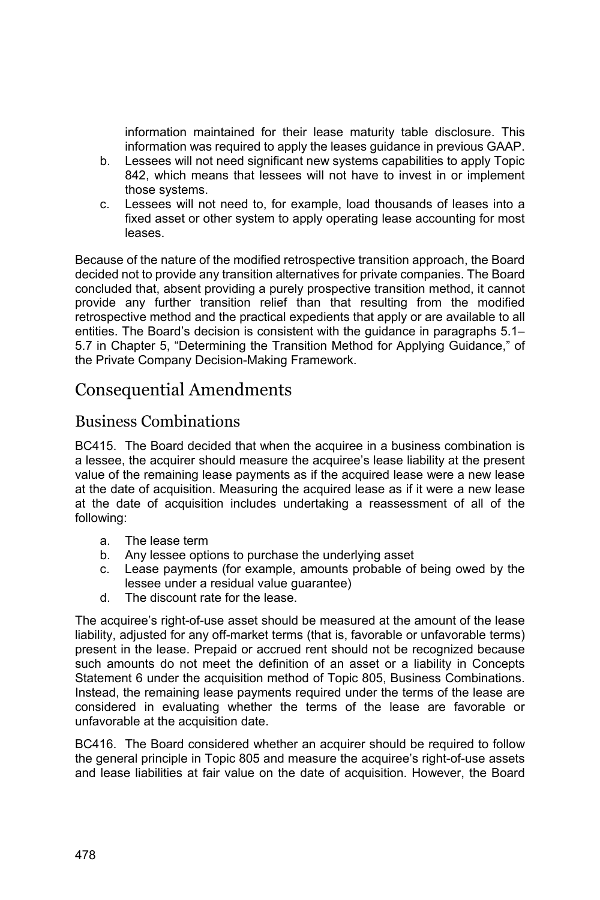information maintained for their lease maturity table disclosure. This information was required to apply the leases guidance in previous GAAP.

- b. Lessees will not need significant new systems capabilities to apply Topic 842, which means that lessees will not have to invest in or implement those systems.
- c. Lessees will not need to, for example, load thousands of leases into a fixed asset or other system to apply operating lease accounting for most leases.

Because of the nature of the modified retrospective transition approach, the Board decided not to provide any transition alternatives for private companies. The Board concluded that, absent providing a purely prospective transition method, it cannot provide any further transition relief than that resulting from the modified retrospective method and the practical expedients that apply or are available to all entities. The Board's decision is consistent with the guidance in paragraphs 5.1– 5.7 in Chapter 5, "Determining the Transition Method for Applying Guidance," of the Private Company Decision-Making Framework.

# Consequential Amendments

# Business Combinations

BC415. The Board decided that when the acquiree in a business combination is a lessee, the acquirer should measure the acquiree's lease liability at the present value of the remaining lease payments as if the acquired lease were a new lease at the date of acquisition. Measuring the acquired lease as if it were a new lease at the date of acquisition includes undertaking a reassessment of all of the following:

- a. The lease term
- b. Any lessee options to purchase the underlying asset
- c. Lease payments (for example, amounts probable of being owed by the lessee under a residual value guarantee)
- d. The discount rate for the lease.

The acquiree's right-of-use asset should be measured at the amount of the lease liability, adjusted for any off-market terms (that is, favorable or unfavorable terms) present in the lease. Prepaid or accrued rent should not be recognized because such amounts do not meet the definition of an asset or a liability in Concepts Statement 6 under the acquisition method of Topic 805, Business Combinations. Instead, the remaining lease payments required under the terms of the lease are considered in evaluating whether the terms of the lease are favorable or unfavorable at the acquisition date.

BC416. The Board considered whether an acquirer should be required to follow the general principle in Topic 805 and measure the acquiree's right-of-use assets and lease liabilities at fair value on the date of acquisition. However, the Board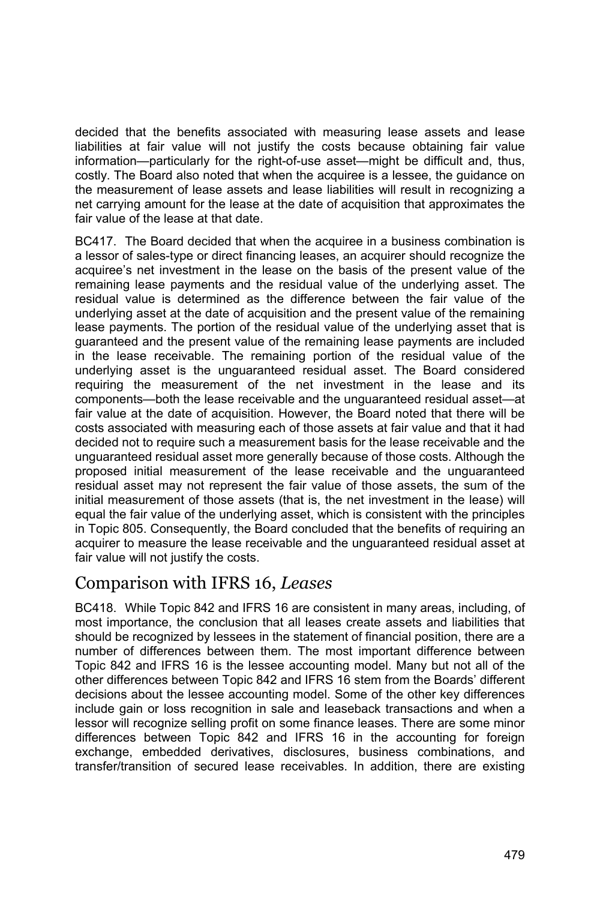decided that the benefits associated with measuring lease assets and lease liabilities at fair value will not justify the costs because obtaining fair value information—particularly for the right-of-use asset—might be difficult and, thus, costly. The Board also noted that when the acquiree is a lessee, the guidance on the measurement of lease assets and lease liabilities will result in recognizing a net carrying amount for the lease at the date of acquisition that approximates the fair value of the lease at that date.

BC417. The Board decided that when the acquiree in a business combination is a lessor of sales-type or direct financing leases, an acquirer should recognize the acquiree's net investment in the lease on the basis of the present value of the remaining lease payments and the residual value of the underlying asset. The residual value is determined as the difference between the fair value of the underlying asset at the date of acquisition and the present value of the remaining lease payments. The portion of the residual value of the underlying asset that is guaranteed and the present value of the remaining lease payments are included in the lease receivable. The remaining portion of the residual value of the underlying asset is the unguaranteed residual asset. The Board considered requiring the measurement of the net investment in the lease and its components—both the lease receivable and the unguaranteed residual asset—at fair value at the date of acquisition. However, the Board noted that there will be costs associated with measuring each of those assets at fair value and that it had decided not to require such a measurement basis for the lease receivable and the unguaranteed residual asset more generally because of those costs. Although the proposed initial measurement of the lease receivable and the unguaranteed residual asset may not represent the fair value of those assets, the sum of the initial measurement of those assets (that is, the net investment in the lease) will equal the fair value of the underlying asset, which is consistent with the principles in Topic 805. Consequently, the Board concluded that the benefits of requiring an acquirer to measure the lease receivable and the unguaranteed residual asset at fair value will not justify the costs.

# Comparison with IFRS 16, *Leases*

BC418. While Topic 842 and IFRS 16 are consistent in many areas, including, of most importance, the conclusion that all leases create assets and liabilities that should be recognized by lessees in the statement of financial position, there are a number of differences between them. The most important difference between Topic 842 and IFRS 16 is the lessee accounting model. Many but not all of the other differences between Topic 842 and IFRS 16 stem from the Boards' different decisions about the lessee accounting model. Some of the other key differences include gain or loss recognition in sale and leaseback transactions and when a lessor will recognize selling profit on some finance leases. There are some minor differences between Topic 842 and IFRS 16 in the accounting for foreign exchange, embedded derivatives, disclosures, business combinations, and transfer/transition of secured lease receivables. In addition, there are existing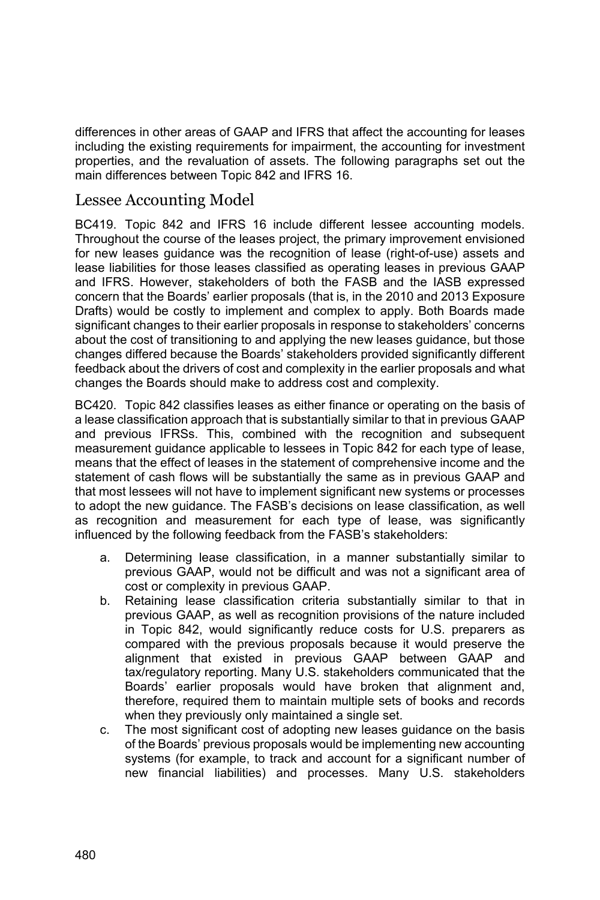differences in other areas of GAAP and IFRS that affect the accounting for leases including the existing requirements for impairment, the accounting for investment properties, and the revaluation of assets. The following paragraphs set out the main differences between Topic 842 and IFRS 16.

## Lessee Accounting Model

BC419. Topic 842 and IFRS 16 include different lessee accounting models. Throughout the course of the leases project, the primary improvement envisioned for new leases guidance was the recognition of lease (right-of-use) assets and lease liabilities for those leases classified as operating leases in previous GAAP and IFRS. However, stakeholders of both the FASB and the IASB expressed concern that the Boards' earlier proposals (that is, in the 2010 and 2013 Exposure Drafts) would be costly to implement and complex to apply. Both Boards made significant changes to their earlier proposals in response to stakeholders' concerns about the cost of transitioning to and applying the new leases guidance, but those changes differed because the Boards' stakeholders provided significantly different feedback about the drivers of cost and complexity in the earlier proposals and what changes the Boards should make to address cost and complexity.

BC420. Topic 842 classifies leases as either finance or operating on the basis of a lease classification approach that is substantially similar to that in previous GAAP and previous IFRSs. This, combined with the recognition and subsequent measurement guidance applicable to lessees in Topic 842 for each type of lease, means that the effect of leases in the statement of comprehensive income and the statement of cash flows will be substantially the same as in previous GAAP and that most lessees will not have to implement significant new systems or processes to adopt the new guidance. The FASB's decisions on lease classification, as well as recognition and measurement for each type of lease, was significantly influenced by the following feedback from the FASB's stakeholders:

- a. Determining lease classification, in a manner substantially similar to previous GAAP, would not be difficult and was not a significant area of cost or complexity in previous GAAP.
- b. Retaining lease classification criteria substantially similar to that in previous GAAP, as well as recognition provisions of the nature included in Topic 842, would significantly reduce costs for U.S. preparers as compared with the previous proposals because it would preserve the alignment that existed in previous GAAP between GAAP and tax/regulatory reporting. Many U.S. stakeholders communicated that the Boards' earlier proposals would have broken that alignment and, therefore, required them to maintain multiple sets of books and records when they previously only maintained a single set.
- c. The most significant cost of adopting new leases guidance on the basis of the Boards' previous proposals would be implementing new accounting systems (for example, to track and account for a significant number of new financial liabilities) and processes. Many U.S. stakeholders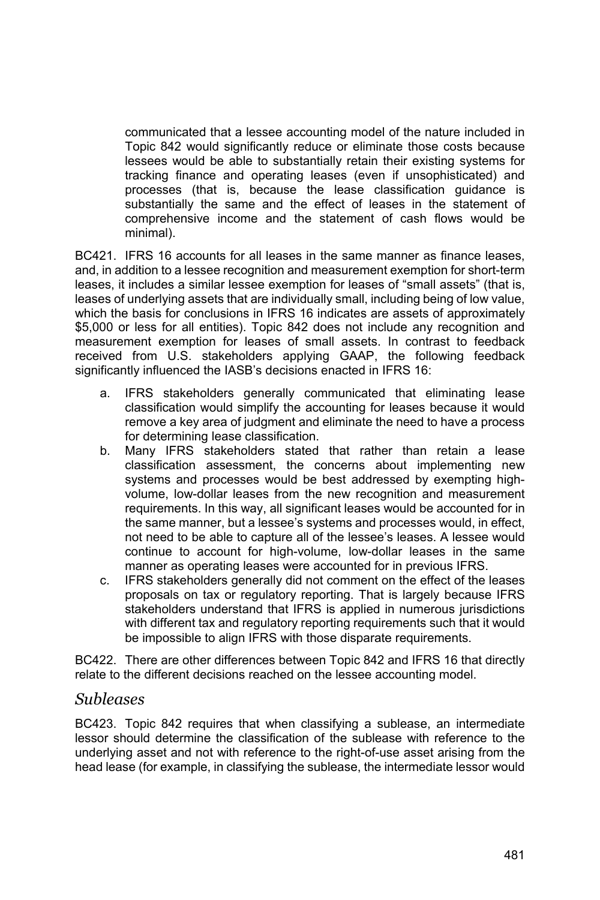communicated that a lessee accounting model of the nature included in Topic 842 would significantly reduce or eliminate those costs because lessees would be able to substantially retain their existing systems for tracking finance and operating leases (even if unsophisticated) and processes (that is, because the lease classification guidance is substantially the same and the effect of leases in the statement of comprehensive income and the statement of cash flows would be minimal).

BC421. IFRS 16 accounts for all leases in the same manner as finance leases, and, in addition to a lessee recognition and measurement exemption for short-term leases, it includes a similar lessee exemption for leases of "small assets" (that is, leases of underlying assets that are individually small, including being of low value, which the basis for conclusions in IFRS 16 indicates are assets of approximately \$5,000 or less for all entities). Topic 842 does not include any recognition and measurement exemption for leases of small assets. In contrast to feedback received from U.S. stakeholders applying GAAP, the following feedback significantly influenced the IASB's decisions enacted in IFRS 16:

- a. IFRS stakeholders generally communicated that eliminating lease classification would simplify the accounting for leases because it would remove a key area of judgment and eliminate the need to have a process for determining lease classification.
- b. Many IFRS stakeholders stated that rather than retain a lease classification assessment, the concerns about implementing new systems and processes would be best addressed by exempting highvolume, low-dollar leases from the new recognition and measurement requirements. In this way, all significant leases would be accounted for in the same manner, but a lessee's systems and processes would, in effect, not need to be able to capture all of the lessee's leases. A lessee would continue to account for high-volume, low-dollar leases in the same manner as operating leases were accounted for in previous IFRS.
- c. IFRS stakeholders generally did not comment on the effect of the leases proposals on tax or regulatory reporting. That is largely because IFRS stakeholders understand that IFRS is applied in numerous jurisdictions with different tax and regulatory reporting requirements such that it would be impossible to align IFRS with those disparate requirements.

BC422. There are other differences between Topic 842 and IFRS 16 that directly relate to the different decisions reached on the lessee accounting model.

#### *Subleases*

BC423. Topic 842 requires that when classifying a sublease, an intermediate lessor should determine the classification of the sublease with reference to the underlying asset and not with reference to the right-of-use asset arising from the head lease (for example, in classifying the sublease, the intermediate lessor would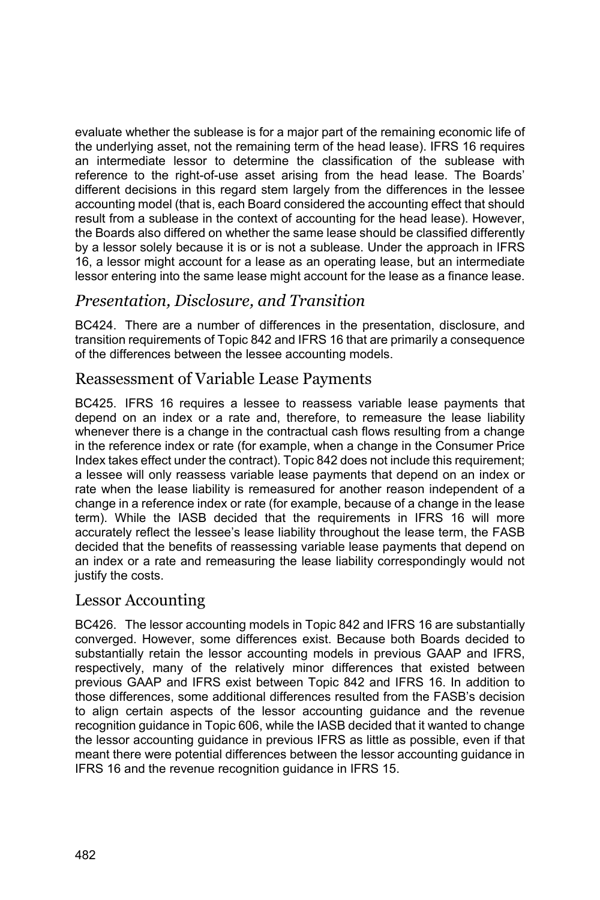evaluate whether the sublease is for a major part of the remaining economic life of the underlying asset, not the remaining term of the head lease). IFRS 16 requires an intermediate lessor to determine the classification of the sublease with reference to the right-of-use asset arising from the head lease. The Boards' different decisions in this regard stem largely from the differences in the lessee accounting model (that is, each Board considered the accounting effect that should result from a sublease in the context of accounting for the head lease). However, the Boards also differed on whether the same lease should be classified differently by a lessor solely because it is or is not a sublease. Under the approach in IFRS 16, a lessor might account for a lease as an operating lease, but an intermediate lessor entering into the same lease might account for the lease as a finance lease.

## *Presentation, Disclosure, and Transition*

BC424. There are a number of differences in the presentation, disclosure, and transition requirements of Topic 842 and IFRS 16 that are primarily a consequence of the differences between the lessee accounting models.

#### Reassessment of Variable Lease Payments

BC425. IFRS 16 requires a lessee to reassess variable lease payments that depend on an index or a rate and, therefore, to remeasure the lease liability whenever there is a change in the contractual cash flows resulting from a change in the reference index or rate (for example, when a change in the Consumer Price Index takes effect under the contract). Topic 842 does not include this requirement; a lessee will only reassess variable lease payments that depend on an index or rate when the lease liability is remeasured for another reason independent of a change in a reference index or rate (for example, because of a change in the lease term). While the IASB decided that the requirements in IFRS 16 will more accurately reflect the lessee's lease liability throughout the lease term, the FASB decided that the benefits of reassessing variable lease payments that depend on an index or a rate and remeasuring the lease liability correspondingly would not justify the costs.

#### Lessor Accounting

BC426. The lessor accounting models in Topic 842 and IFRS 16 are substantially converged. However, some differences exist. Because both Boards decided to substantially retain the lessor accounting models in previous GAAP and IFRS, respectively, many of the relatively minor differences that existed between previous GAAP and IFRS exist between Topic 842 and IFRS 16. In addition to those differences, some additional differences resulted from the FASB's decision to align certain aspects of the lessor accounting guidance and the revenue recognition guidance in Topic 606, while the IASB decided that it wanted to change the lessor accounting guidance in previous IFRS as little as possible, even if that meant there were potential differences between the lessor accounting guidance in IFRS 16 and the revenue recognition guidance in IFRS 15.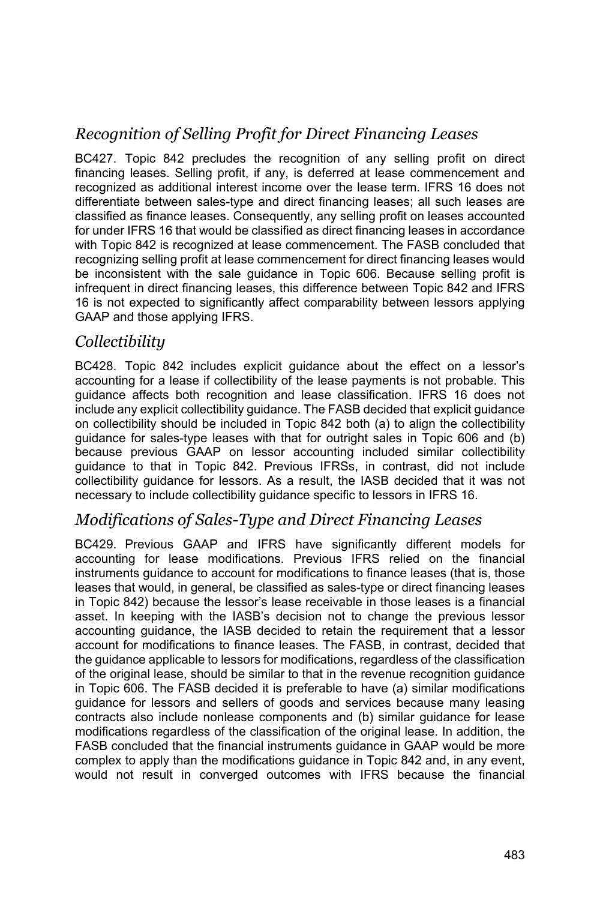# *Recognition of Selling Profit for Direct Financing Leases*

BC427. Topic 842 precludes the recognition of any selling profit on direct financing leases. Selling profit, if any, is deferred at lease commencement and recognized as additional interest income over the lease term. IFRS 16 does not differentiate between sales-type and direct financing leases; all such leases are classified as finance leases. Consequently, any selling profit on leases accounted for under IFRS 16 that would be classified as direct financing leases in accordance with Topic 842 is recognized at lease commencement. The FASB concluded that recognizing selling profit at lease commencement for direct financing leases would be inconsistent with the sale guidance in Topic 606. Because selling profit is infrequent in direct financing leases, this difference between Topic 842 and IFRS 16 is not expected to significantly affect comparability between lessors applying GAAP and those applying IFRS.

#### *Collectibility*

BC428. Topic 842 includes explicit guidance about the effect on a lessor's accounting for a lease if collectibility of the lease payments is not probable. This guidance affects both recognition and lease classification. IFRS 16 does not include any explicit collectibility guidance. The FASB decided that explicit guidance on collectibility should be included in Topic 842 both (a) to align the collectibility guidance for sales-type leases with that for outright sales in Topic 606 and (b) because previous GAAP on lessor accounting included similar collectibility guidance to that in Topic 842. Previous IFRSs, in contrast, did not include collectibility guidance for lessors. As a result, the IASB decided that it was not necessary to include collectibility guidance specific to lessors in IFRS 16.

## *Modifications of Sales-Type and Direct Financing Leases*

BC429. Previous GAAP and IFRS have significantly different models for accounting for lease modifications. Previous IFRS relied on the financial instruments guidance to account for modifications to finance leases (that is, those leases that would, in general, be classified as sales-type or direct financing leases in Topic 842) because the lessor's lease receivable in those leases is a financial asset. In keeping with the IASB's decision not to change the previous lessor accounting guidance, the IASB decided to retain the requirement that a lessor account for modifications to finance leases. The FASB, in contrast, decided that the guidance applicable to lessors for modifications, regardless of the classification of the original lease, should be similar to that in the revenue recognition guidance in Topic 606. The FASB decided it is preferable to have (a) similar modifications guidance for lessors and sellers of goods and services because many leasing contracts also include nonlease components and (b) similar guidance for lease modifications regardless of the classification of the original lease. In addition, the FASB concluded that the financial instruments guidance in GAAP would be more complex to apply than the modifications guidance in Topic 842 and, in any event, would not result in converged outcomes with IFRS because the financial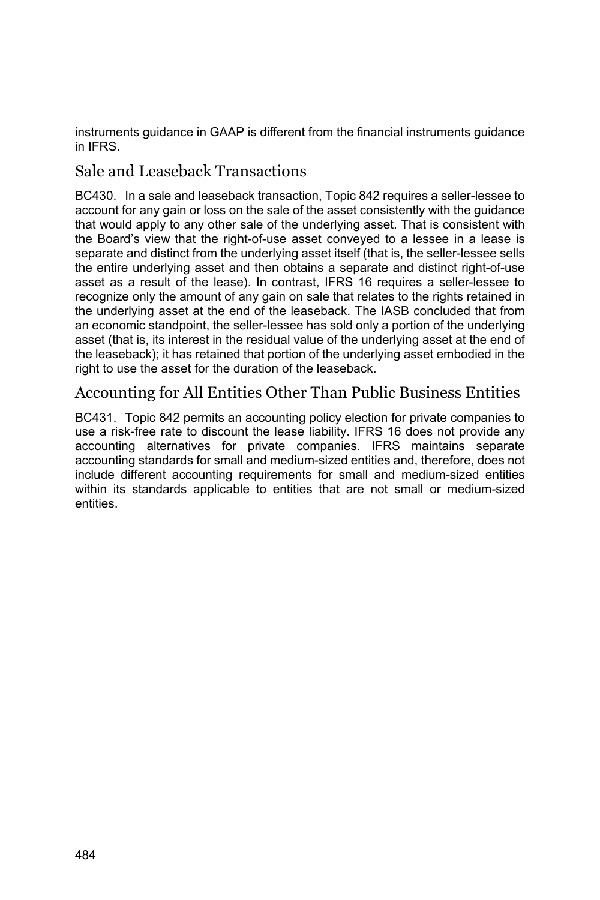instruments guidance in GAAP is different from the financial instruments guidance in IFRS.

## Sale and Leaseback Transactions

BC430. In a sale and leaseback transaction, Topic 842 requires a seller-lessee to account for any gain or loss on the sale of the asset consistently with the guidance that would apply to any other sale of the underlying asset. That is consistent with the Board's view that the right-of-use asset conveyed to a lessee in a lease is separate and distinct from the underlying asset itself (that is, the seller-lessee sells the entire underlying asset and then obtains a separate and distinct right-of-use asset as a result of the lease). In contrast, IFRS 16 requires a seller-lessee to recognize only the amount of any gain on sale that relates to the rights retained in the underlying asset at the end of the leaseback. The IASB concluded that from an economic standpoint, the seller-lessee has sold only a portion of the underlying asset (that is, its interest in the residual value of the underlying asset at the end of the leaseback); it has retained that portion of the underlying asset embodied in the right to use the asset for the duration of the leaseback.

## Accounting for All Entities Other Than Public Business Entities

BC431. Topic 842 permits an accounting policy election for private companies to use a risk-free rate to discount the lease liability. IFRS 16 does not provide any accounting alternatives for private companies. IFRS maintains separate accounting standards for small and medium-sized entities and, therefore, does not include different accounting requirements for small and medium-sized entities within its standards applicable to entities that are not small or medium-sized entities.